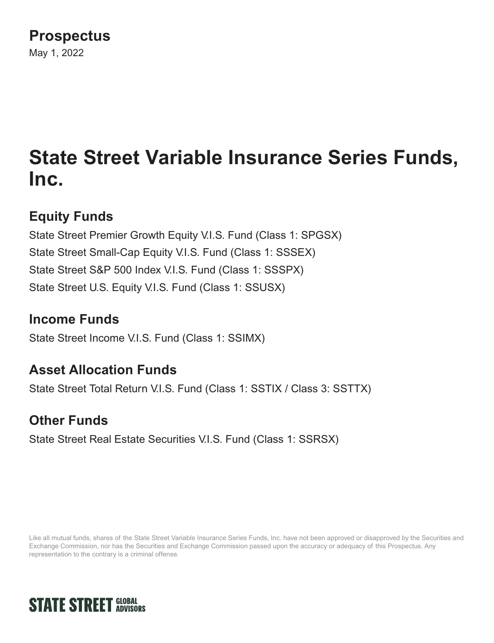# **Prospectus**

May 1, 2022

# **State Street Variable Insurance Series Funds, Inc.**

# **Equity Funds**

State Street Premier Growth Equity V.I.S. Fund (Class 1: SPGSX) State Street Small-Cap Equity V.I.S. Fund (Class 1: SSSEX) State Street S&P 500 Index V.I.S. Fund (Class 1: SSSPX) State Street U.S. Equity V.I.S. Fund (Class 1: SSUSX)

## **Income Funds**

State Street Income V.I.S. Fund (Class 1: SSIMX)

## **Asset Allocation Funds**

State Street Total Return V.I.S. Fund (Class 1: SSTIX / Class 3: SSTTX)

## **Other Funds**

State Street Real Estate Securities V.I.S. Fund (Class 1: SSRSX)

Like all mutual funds, shares of the State Street Variable Insurance Series Funds, Inc. have not been approved or disapproved by the Securities and Exchange Commission, nor has the Securities and Exchange Commission passed upon the accuracy or adequacy of this Prospectus. Any representation to the contrary is a criminal offense.

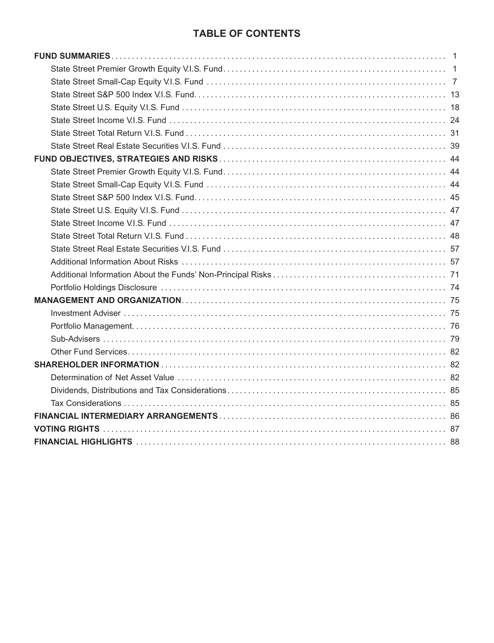## **TABLE OF CONTENTS**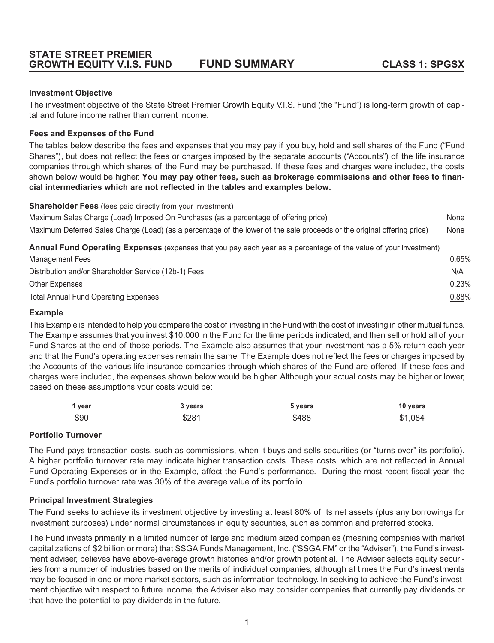#### <span id="page-4-0"></span>**Investment Objective**

The investment objective of the State Street Premier Growth Equity V.I.S. Fund (the "Fund") is long-term growth of capital and future income rather than current income.

#### **Fees and Expenses of the Fund**

The tables below describe the fees and expenses that you may pay if you buy, hold and sell shares of the Fund ("Fund Shares"), but does not reflect the fees or charges imposed by the separate accounts ("Accounts") of the life insurance companies through which shares of the Fund may be purchased. If these fees and charges were included, the costs shown below would be higher. **You may pay other fees, such as brokerage commissions and other fees to financial intermediaries which are not reflected in the tables and examples below.**

**Shareholder Fees** (fees paid directly from your investment)

| Manazanana Laga                                                                                                         | 0.0501 |
|-------------------------------------------------------------------------------------------------------------------------|--------|
| Annual Fund Operating Expenses (expenses that you pay each year as a percentage of the value of your investment)        |        |
| Maximum Deferred Sales Charge (Load) (as a percentage of the lower of the sale proceeds or the original offering price) | None   |
| Maximum Sales Charge (Load) Imposed On Purchases (as a percentage of offering price)                                    | None   |

| Management Fees                                      | 0.65%    |
|------------------------------------------------------|----------|
| Distribution and/or Shareholder Service (12b-1) Fees | N/A      |
| Other Expenses                                       | 0.23%    |
| <b>Total Annual Fund Operating Expenses</b>          | $0.88\%$ |

#### **Example**

This Example is intended to help you compare the cost of investing in the Fund with the cost of investing in other mutual funds. The Example assumes that you invest \$10,000 in the Fund for the time periods indicated, and then sell or hold all of your Fund Shares at the end of those periods. The Example also assumes that your investment has a 5% return each year and that the Fund's operating expenses remain the same. The Example does not reflect the fees or charges imposed by the Accounts of the various life insurance companies through which shares of the Fund are offered. If these fees and charges were included, the expenses shown below would be higher. Although your actual costs may be higher or lower, based on these assumptions your costs would be:

| 1 year | 3 years | 5 years | $10$ years |
|--------|---------|---------|------------|
| \$90   | \$281   | \$488   | \$1,084    |

#### **Portfolio Turnover**

The Fund pays transaction costs, such as commissions, when it buys and sells securities (or "turns over" its portfolio). A higher portfolio turnover rate may indicate higher transaction costs. These costs, which are not reflected in Annual Fund Operating Expenses or in the Example, affect the Fund's performance. During the most recent fiscal year, the Fund's portfolio turnover rate was 30% of the average value of its portfolio.

#### **Principal Investment Strategies**

The Fund seeks to achieve its investment objective by investing at least 80% of its net assets (plus any borrowings for investment purposes) under normal circumstances in equity securities, such as common and preferred stocks.

The Fund invests primarily in a limited number of large and medium sized companies (meaning companies with market capitalizations of \$2 billion or more) that SSGA Funds Management, Inc. ("SSGA FM" or the "Adviser"), the Fund's investment adviser, believes have above-average growth histories and/or growth potential. The Adviser selects equity securities from a number of industries based on the merits of individual companies, although at times the Fund's investments may be focused in one or more market sectors, such as information technology. In seeking to achieve the Fund's investment objective with respect to future income, the Adviser also may consider companies that currently pay dividends or that have the potential to pay dividends in the future.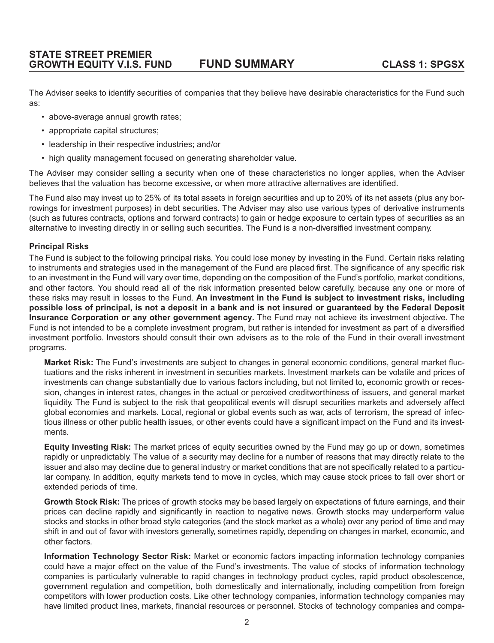The Adviser seeks to identify securities of companies that they believe have desirable characteristics for the Fund such as:

- above-average annual growth rates;
- appropriate capital structures;
- leadership in their respective industries; and/or
- high quality management focused on generating shareholder value.

The Adviser may consider selling a security when one of these characteristics no longer applies, when the Adviser believes that the valuation has become excessive, or when more attractive alternatives are identified.

The Fund also may invest up to 25% of its total assets in foreign securities and up to 20% of its net assets (plus any borrowings for investment purposes) in debt securities. The Adviser may also use various types of derivative instruments (such as futures contracts, options and forward contracts) to gain or hedge exposure to certain types of securities as an alternative to investing directly in or selling such securities. The Fund is a non-diversified investment company.

#### **Principal Risks**

The Fund is subject to the following principal risks. You could lose money by investing in the Fund. Certain risks relating to instruments and strategies used in the management of the Fund are placed first. The significance of any specific risk to an investment in the Fund will vary over time, depending on the composition of the Fund's portfolio, market conditions, and other factors. You should read all of the risk information presented below carefully, because any one or more of these risks may result in losses to the Fund. **An investment in the Fund is subject to investment risks, including possible loss of principal, is not a deposit in a bank and is not insured or guaranteed by the Federal Deposit Insurance Corporation or any other government agency.** The Fund may not achieve its investment objective. The Fund is not intended to be a complete investment program, but rather is intended for investment as part of a diversified investment portfolio. Investors should consult their own advisers as to the role of the Fund in their overall investment programs.

**Market Risk:** The Fund's investments are subject to changes in general economic conditions, general market fluctuations and the risks inherent in investment in securities markets. Investment markets can be volatile and prices of investments can change substantially due to various factors including, but not limited to, economic growth or recession, changes in interest rates, changes in the actual or perceived creditworthiness of issuers, and general market liquidity. The Fund is subject to the risk that geopolitical events will disrupt securities markets and adversely affect global economies and markets. Local, regional or global events such as war, acts of terrorism, the spread of infectious illness or other public health issues, or other events could have a significant impact on the Fund and its investments.

**Equity Investing Risk:** The market prices of equity securities owned by the Fund may go up or down, sometimes rapidly or unpredictably. The value of a security may decline for a number of reasons that may directly relate to the issuer and also may decline due to general industry or market conditions that are not specifically related to a particular company. In addition, equity markets tend to move in cycles, which may cause stock prices to fall over short or extended periods of time.

**Growth Stock Risk:** The prices of growth stocks may be based largely on expectations of future earnings, and their prices can decline rapidly and significantly in reaction to negative news. Growth stocks may underperform value stocks and stocks in other broad style categories (and the stock market as a whole) over any period of time and may shift in and out of favor with investors generally, sometimes rapidly, depending on changes in market, economic, and other factors.

**Information Technology Sector Risk:** Market or economic factors impacting information technology companies could have a major effect on the value of the Fund's investments. The value of stocks of information technology companies is particularly vulnerable to rapid changes in technology product cycles, rapid product obsolescence, government regulation and competition, both domestically and internationally, including competition from foreign competitors with lower production costs. Like other technology companies, information technology companies may have limited product lines, markets, financial resources or personnel. Stocks of technology companies and compa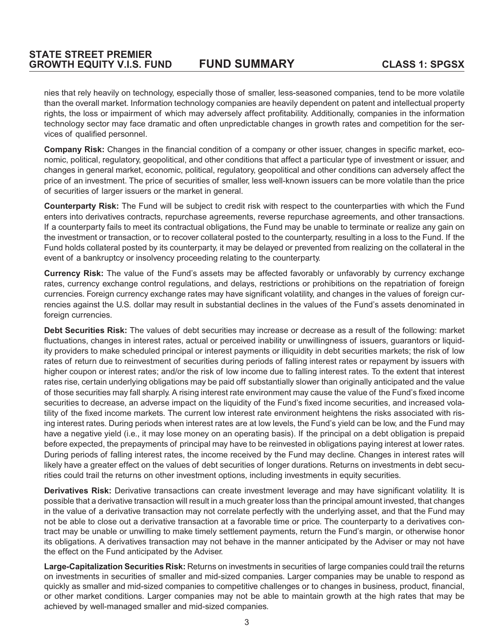nies that rely heavily on technology, especially those of smaller, less-seasoned companies, tend to be more volatile than the overall market. Information technology companies are heavily dependent on patent and intellectual property rights, the loss or impairment of which may adversely affect profitability. Additionally, companies in the information technology sector may face dramatic and often unpredictable changes in growth rates and competition for the services of qualified personnel.

**Company Risk:** Changes in the financial condition of a company or other issuer, changes in specific market, economic, political, regulatory, geopolitical, and other conditions that affect a particular type of investment or issuer, and changes in general market, economic, political, regulatory, geopolitical and other conditions can adversely affect the price of an investment. The price of securities of smaller, less well-known issuers can be more volatile than the price of securities of larger issuers or the market in general.

**Counterparty Risk:** The Fund will be subject to credit risk with respect to the counterparties with which the Fund enters into derivatives contracts, repurchase agreements, reverse repurchase agreements, and other transactions. If a counterparty fails to meet its contractual obligations, the Fund may be unable to terminate or realize any gain on the investment or transaction, or to recover collateral posted to the counterparty, resulting in a loss to the Fund. If the Fund holds collateral posted by its counterparty, it may be delayed or prevented from realizing on the collateral in the event of a bankruptcy or insolvency proceeding relating to the counterparty.

**Currency Risk:** The value of the Fund's assets may be affected favorably or unfavorably by currency exchange rates, currency exchange control regulations, and delays, restrictions or prohibitions on the repatriation of foreign currencies. Foreign currency exchange rates may have significant volatility, and changes in the values of foreign currencies against the U.S. dollar may result in substantial declines in the values of the Fund's assets denominated in foreign currencies.

**Debt Securities Risk:** The values of debt securities may increase or decrease as a result of the following: market fluctuations, changes in interest rates, actual or perceived inability or unwillingness of issuers, guarantors or liquidity providers to make scheduled principal or interest payments or illiquidity in debt securities markets; the risk of low rates of return due to reinvestment of securities during periods of falling interest rates or repayment by issuers with higher coupon or interest rates; and/or the risk of low income due to falling interest rates. To the extent that interest rates rise, certain underlying obligations may be paid off substantially slower than originally anticipated and the value of those securities may fall sharply. A rising interest rate environment may cause the value of the Fund's fixed income securities to decrease, an adverse impact on the liquidity of the Fund's fixed income securities, and increased volatility of the fixed income markets. The current low interest rate environment heightens the risks associated with rising interest rates. During periods when interest rates are at low levels, the Fund's yield can be low, and the Fund may have a negative yield (i.e., it may lose money on an operating basis). If the principal on a debt obligation is prepaid before expected, the prepayments of principal may have to be reinvested in obligations paying interest at lower rates. During periods of falling interest rates, the income received by the Fund may decline. Changes in interest rates will likely have a greater effect on the values of debt securities of longer durations. Returns on investments in debt securities could trail the returns on other investment options, including investments in equity securities.

**Derivatives Risk:** Derivative transactions can create investment leverage and may have significant volatility. It is possible that a derivative transaction will result in a much greater loss than the principal amount invested, that changes in the value of a derivative transaction may not correlate perfectly with the underlying asset, and that the Fund may not be able to close out a derivative transaction at a favorable time or price. The counterparty to a derivatives contract may be unable or unwilling to make timely settlement payments, return the Fund's margin, or otherwise honor its obligations. A derivatives transaction may not behave in the manner anticipated by the Adviser or may not have the effect on the Fund anticipated by the Adviser.

**Large-Capitalization Securities Risk:** Returns on investments in securities of large companies could trail the returns on investments in securities of smaller and mid-sized companies. Larger companies may be unable to respond as quickly as smaller and mid-sized companies to competitive challenges or to changes in business, product, financial, or other market conditions. Larger companies may not be able to maintain growth at the high rates that may be achieved by well-managed smaller and mid-sized companies.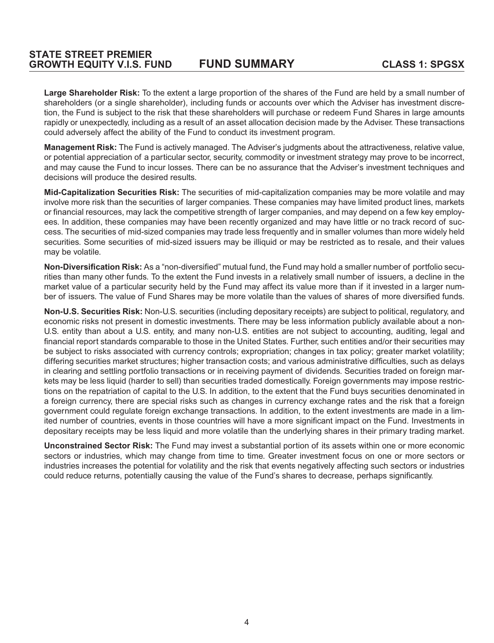**Large Shareholder Risk:** To the extent a large proportion of the shares of the Fund are held by a small number of shareholders (or a single shareholder), including funds or accounts over which the Adviser has investment discretion, the Fund is subject to the risk that these shareholders will purchase or redeem Fund Shares in large amounts rapidly or unexpectedly, including as a result of an asset allocation decision made by the Adviser. These transactions could adversely affect the ability of the Fund to conduct its investment program.

**Management Risk:** The Fund is actively managed. The Adviser's judgments about the attractiveness, relative value, or potential appreciation of a particular sector, security, commodity or investment strategy may prove to be incorrect, and may cause the Fund to incur losses. There can be no assurance that the Adviser's investment techniques and decisions will produce the desired results.

**Mid-Capitalization Securities Risk:** The securities of mid-capitalization companies may be more volatile and may involve more risk than the securities of larger companies. These companies may have limited product lines, markets or financial resources, may lack the competitive strength of larger companies, and may depend on a few key employees. In addition, these companies may have been recently organized and may have little or no track record of success. The securities of mid-sized companies may trade less frequently and in smaller volumes than more widely held securities. Some securities of mid-sized issuers may be illiquid or may be restricted as to resale, and their values may be volatile.

**Non-Diversification Risk:** As a "non-diversified" mutual fund, the Fund may hold a smaller number of portfolio securities than many other funds. To the extent the Fund invests in a relatively small number of issuers, a decline in the market value of a particular security held by the Fund may affect its value more than if it invested in a larger number of issuers. The value of Fund Shares may be more volatile than the values of shares of more diversified funds.

**Non-U.S. Securities Risk:** Non-U.S. securities (including depositary receipts) are subject to political, regulatory, and economic risks not present in domestic investments. There may be less information publicly available about a non-U.S. entity than about a U.S. entity, and many non-U.S. entities are not subject to accounting, auditing, legal and financial report standards comparable to those in the United States. Further, such entities and/or their securities may be subject to risks associated with currency controls; expropriation; changes in tax policy; greater market volatility; differing securities market structures; higher transaction costs; and various administrative difficulties, such as delays in clearing and settling portfolio transactions or in receiving payment of dividends. Securities traded on foreign markets may be less liquid (harder to sell) than securities traded domestically. Foreign governments may impose restrictions on the repatriation of capital to the U.S. In addition, to the extent that the Fund buys securities denominated in a foreign currency, there are special risks such as changes in currency exchange rates and the risk that a foreign government could regulate foreign exchange transactions. In addition, to the extent investments are made in a limited number of countries, events in those countries will have a more significant impact on the Fund. Investments in depositary receipts may be less liquid and more volatile than the underlying shares in their primary trading market.

**Unconstrained Sector Risk:** The Fund may invest a substantial portion of its assets within one or more economic sectors or industries, which may change from time to time. Greater investment focus on one or more sectors or industries increases the potential for volatility and the risk that events negatively affecting such sectors or industries could reduce returns, potentially causing the value of the Fund's shares to decrease, perhaps significantly.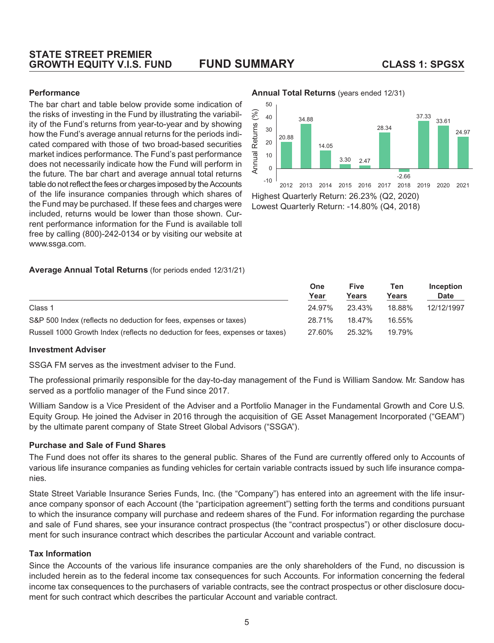#### **STATE STREET PREMIER GROWTH EQUITY V.I.S. FUND FUND SUMMARY CLASS 1: SPGSX**

#### **Performance**

The bar chart and table below provide some indication of the risks of investing in the Fund by illustrating the variability of the Fund's returns from year-to-year and by showing how the Fund's average annual returns for the periods indicated compared with those of two broad-based securities market indices performance. The Fund's past performance does not necessarily indicate how the Fund will perform in the future. The bar chart and average annual total returns table do not reflect the fees or charges imposed by the Accounts of the life insurance companies through which shares of the Fund may be purchased. If these fees and charges were included, returns would be lower than those shown. Current performance information for the Fund is available toll free by calling (800)-242-0134 or by visiting our website at www.ssga.com.

#### **Average Annual Total Returns** (for periods ended 12/31/21)

|                                                                               | One<br>Year | <b>Five</b><br>Years | Ten<br>Years | <b>Inception</b><br><b>Date</b> |
|-------------------------------------------------------------------------------|-------------|----------------------|--------------|---------------------------------|
| Class 1                                                                       | 24.97%      | 23.43%               | 18.88%       | 12/12/1997                      |
| S&P 500 Index (reflects no deduction for fees, expenses or taxes)             | 28.71%      | 18.47%               | 16.55%       |                                 |
| Russell 1000 Growth Index (reflects no deduction for fees, expenses or taxes) | 27.60%      | 25.32%               | 19.79%       |                                 |

#### **Investment Adviser**

SSGA FM serves as the investment adviser to the Fund.

The professional primarily responsible for the day-to-day management of the Fund is William Sandow. Mr. Sandow has served as a portfolio manager of the Fund since 2017.

William Sandow is a Vice President of the Adviser and a Portfolio Manager in the Fundamental Growth and Core U.S. Equity Group. He joined the Adviser in 2016 through the acquisition of GE Asset Management Incorporated ("GEAM") by the ultimate parent company of State Street Global Advisors ("SSGA").

#### **Purchase and Sale of Fund Shares**

The Fund does not offer its shares to the general public. Shares of the Fund are currently offered only to Accounts of various life insurance companies as funding vehicles for certain variable contracts issued by such life insurance companies.

State Street Variable Insurance Series Funds, Inc. (the "Company") has entered into an agreement with the life insurance company sponsor of each Account (the "participation agreement") setting forth the terms and conditions pursuant to which the insurance company will purchase and redeem shares of the Fund. For information regarding the purchase and sale of Fund shares, see your insurance contract prospectus (the "contract prospectus") or other disclosure document for such insurance contract which describes the particular Account and variable contract.

#### **Tax Information**

Since the Accounts of the various life insurance companies are the only shareholders of the Fund, no discussion is included herein as to the federal income tax consequences for such Accounts. For information concerning the federal income tax consequences to the purchasers of variable contracts, see the contract prospectus or other disclosure document for such contract which describes the particular Account and variable contract.

#### **Annual Total Returns** (years ended 12/31)



Lowest Quarterly Return: -14.80% (Q4, 2018)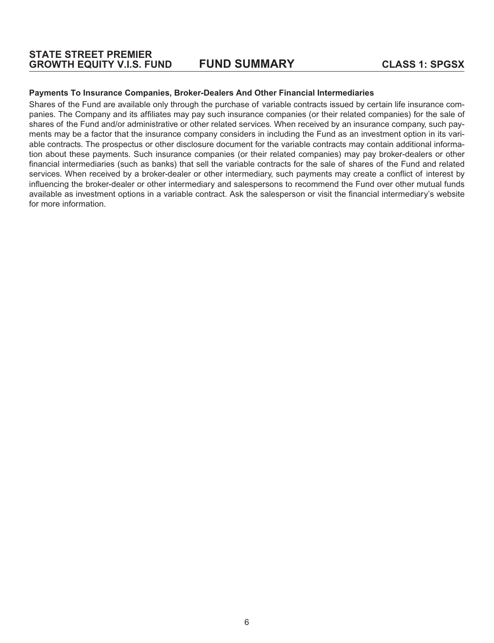#### **Payments To Insurance Companies, Broker-Dealers And Other Financial Intermediaries**

Shares of the Fund are available only through the purchase of variable contracts issued by certain life insurance companies. The Company and its affiliates may pay such insurance companies (or their related companies) for the sale of shares of the Fund and/or administrative or other related services. When received by an insurance company, such payments may be a factor that the insurance company considers in including the Fund as an investment option in its variable contracts. The prospectus or other disclosure document for the variable contracts may contain additional information about these payments. Such insurance companies (or their related companies) may pay broker-dealers or other financial intermediaries (such as banks) that sell the variable contracts for the sale of shares of the Fund and related services. When received by a broker-dealer or other intermediary, such payments may create a conflict of interest by influencing the broker-dealer or other intermediary and salespersons to recommend the Fund over other mutual funds available as investment options in a variable contract. Ask the salesperson or visit the financial intermediary's website for more information.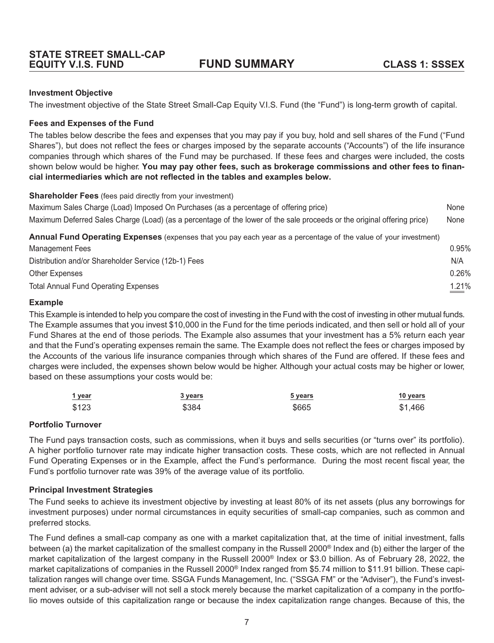#### <span id="page-10-0"></span>**Investment Objective**

The investment objective of the State Street Small-Cap Equity V.I.S. Fund (the "Fund") is long-term growth of capital.

#### **Fees and Expenses of the Fund**

The tables below describe the fees and expenses that you may pay if you buy, hold and sell shares of the Fund ("Fund Shares"), but does not reflect the fees or charges imposed by the separate accounts ("Accounts") of the life insurance companies through which shares of the Fund may be purchased. If these fees and charges were included, the costs shown below would be higher. **You may pay other fees, such as brokerage commissions and other fees to financial intermediaries which are not reflected in the tables and examples below.**

**Shareholder Fees** (fees paid directly from your investment)

| Maximum Sales Charge (Load) Imposed On Purchases (as a percentage of offering price)                                    | None  |
|-------------------------------------------------------------------------------------------------------------------------|-------|
| Maximum Deferred Sales Charge (Load) (as a percentage of the lower of the sale proceeds or the original offering price) | None  |
| Annual Fund Operating Expenses (expenses that you pay each year as a percentage of the value of your investment)        |       |
| Management Fees                                                                                                         | 0.95% |
| Distribution and/or Shareholder Service (12b-1) Fees                                                                    | N/A   |
| <b>Other Expenses</b>                                                                                                   | 0.26% |
| <b>Total Annual Fund Operating Expenses</b>                                                                             | 1.21% |

#### **Example**

This Example is intended to help you compare the cost of investing in the Fund with the cost of investing in other mutual funds. The Example assumes that you invest \$10,000 in the Fund for the time periods indicated, and then sell or hold all of your Fund Shares at the end of those periods. The Example also assumes that your investment has a 5% return each year and that the Fund's operating expenses remain the same. The Example does not reflect the fees or charges imposed by the Accounts of the various life insurance companies through which shares of the Fund are offered. If these fees and charges were included, the expenses shown below would be higher. Although your actual costs may be higher or lower, based on these assumptions your costs would be:

| 1 year | 3 years | <u>5 years</u> | 10 years |
|--------|---------|----------------|----------|
| \$123  | \$384   | \$665          | \$1,466  |

#### **Portfolio Turnover**

The Fund pays transaction costs, such as commissions, when it buys and sells securities (or "turns over" its portfolio). A higher portfolio turnover rate may indicate higher transaction costs. These costs, which are not reflected in Annual Fund Operating Expenses or in the Example, affect the Fund's performance. During the most recent fiscal year, the Fund's portfolio turnover rate was 39% of the average value of its portfolio.

#### **Principal Investment Strategies**

The Fund seeks to achieve its investment objective by investing at least 80% of its net assets (plus any borrowings for investment purposes) under normal circumstances in equity securities of small-cap companies, such as common and preferred stocks.

The Fund defines a small-cap company as one with a market capitalization that, at the time of initial investment, falls between (a) the market capitalization of the smallest company in the Russell 2000® Index and (b) either the larger of the market capitalization of the largest company in the Russell 2000® Index or \$3.0 billion. As of February 28, 2022, the market capitalizations of companies in the Russell 2000® Index ranged from \$5.74 million to \$11.91 billion. These capitalization ranges will change over time. SSGA Funds Management, Inc. ("SSGA FM" or the "Adviser"), the Fund's investment adviser, or a sub-adviser will not sell a stock merely because the market capitalization of a company in the portfolio moves outside of this capitalization range or because the index capitalization range changes. Because of this, the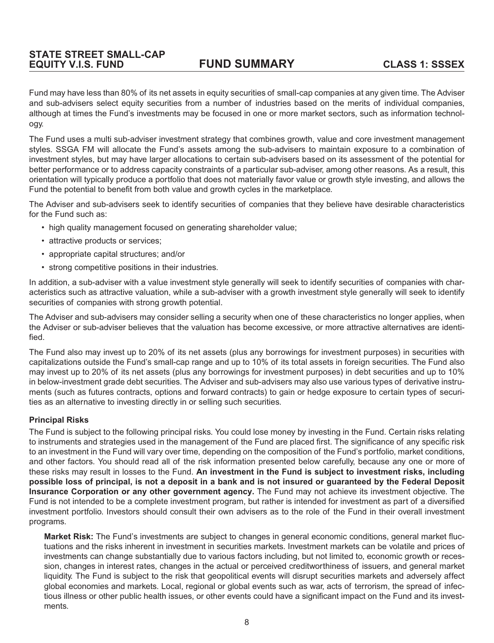Fund may have less than 80% of its net assets in equity securities of small-cap companies at any given time. The Adviser and sub-advisers select equity securities from a number of industries based on the merits of individual companies, although at times the Fund's investments may be focused in one or more market sectors, such as information technology.

The Fund uses a multi sub-adviser investment strategy that combines growth, value and core investment management styles. SSGA FM will allocate the Fund's assets among the sub-advisers to maintain exposure to a combination of investment styles, but may have larger allocations to certain sub-advisers based on its assessment of the potential for better performance or to address capacity constraints of a particular sub-adviser, among other reasons. As a result, this orientation will typically produce a portfolio that does not materially favor value or growth style investing, and allows the Fund the potential to benefit from both value and growth cycles in the marketplace.

The Adviser and sub-advisers seek to identify securities of companies that they believe have desirable characteristics for the Fund such as:

- high quality management focused on generating shareholder value;
- attractive products or services;
- appropriate capital structures; and/or
- strong competitive positions in their industries.

In addition, a sub-adviser with a value investment style generally will seek to identify securities of companies with characteristics such as attractive valuation, while a sub-adviser with a growth investment style generally will seek to identify securities of companies with strong growth potential.

The Adviser and sub-advisers may consider selling a security when one of these characteristics no longer applies, when the Adviser or sub-adviser believes that the valuation has become excessive, or more attractive alternatives are identified.

The Fund also may invest up to 20% of its net assets (plus any borrowings for investment purposes) in securities with capitalizations outside the Fund's small-cap range and up to 10% of its total assets in foreign securities. The Fund also may invest up to 20% of its net assets (plus any borrowings for investment purposes) in debt securities and up to 10% in below-investment grade debt securities. The Adviser and sub-advisers may also use various types of derivative instruments (such as futures contracts, options and forward contracts) to gain or hedge exposure to certain types of securities as an alternative to investing directly in or selling such securities.

#### **Principal Risks**

The Fund is subject to the following principal risks. You could lose money by investing in the Fund. Certain risks relating to instruments and strategies used in the management of the Fund are placed first. The significance of any specific risk to an investment in the Fund will vary over time, depending on the composition of the Fund's portfolio, market conditions, and other factors. You should read all of the risk information presented below carefully, because any one or more of these risks may result in losses to the Fund. **An investment in the Fund is subject to investment risks, including possible loss of principal, is not a deposit in a bank and is not insured or guaranteed by the Federal Deposit Insurance Corporation or any other government agency.** The Fund may not achieve its investment objective. The Fund is not intended to be a complete investment program, but rather is intended for investment as part of a diversified investment portfolio. Investors should consult their own advisers as to the role of the Fund in their overall investment programs.

**Market Risk:** The Fund's investments are subject to changes in general economic conditions, general market fluctuations and the risks inherent in investment in securities markets. Investment markets can be volatile and prices of investments can change substantially due to various factors including, but not limited to, economic growth or recession, changes in interest rates, changes in the actual or perceived creditworthiness of issuers, and general market liquidity. The Fund is subject to the risk that geopolitical events will disrupt securities markets and adversely affect global economies and markets. Local, regional or global events such as war, acts of terrorism, the spread of infectious illness or other public health issues, or other events could have a significant impact on the Fund and its investments.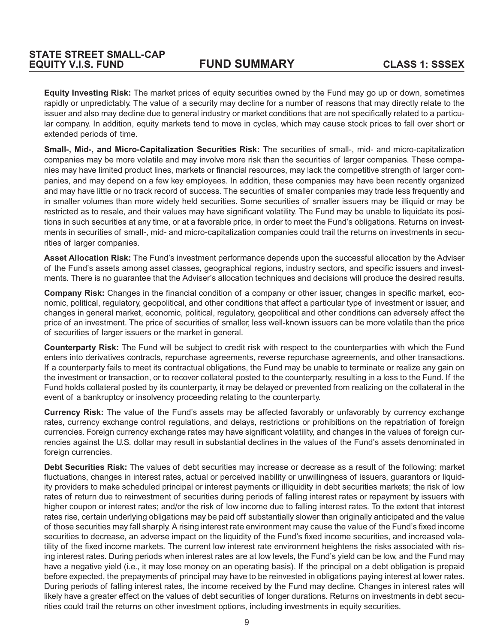**Equity Investing Risk:** The market prices of equity securities owned by the Fund may go up or down, sometimes rapidly or unpredictably. The value of a security may decline for a number of reasons that may directly relate to the issuer and also may decline due to general industry or market conditions that are not specifically related to a particular company. In addition, equity markets tend to move in cycles, which may cause stock prices to fall over short or extended periods of time.

**Small-, Mid-, and Micro-Capitalization Securities Risk:** The securities of small-, mid- and micro-capitalization companies may be more volatile and may involve more risk than the securities of larger companies. These companies may have limited product lines, markets or financial resources, may lack the competitive strength of larger companies, and may depend on a few key employees. In addition, these companies may have been recently organized and may have little or no track record of success. The securities of smaller companies may trade less frequently and in smaller volumes than more widely held securities. Some securities of smaller issuers may be illiquid or may be restricted as to resale, and their values may have significant volatility. The Fund may be unable to liquidate its positions in such securities at any time, or at a favorable price, in order to meet the Fund's obligations. Returns on investments in securities of small-, mid- and micro-capitalization companies could trail the returns on investments in securities of larger companies.

**Asset Allocation Risk:** The Fund's investment performance depends upon the successful allocation by the Adviser of the Fund's assets among asset classes, geographical regions, industry sectors, and specific issuers and investments. There is no guarantee that the Adviser's allocation techniques and decisions will produce the desired results.

**Company Risk:** Changes in the financial condition of a company or other issuer, changes in specific market, economic, political, regulatory, geopolitical, and other conditions that affect a particular type of investment or issuer, and changes in general market, economic, political, regulatory, geopolitical and other conditions can adversely affect the price of an investment. The price of securities of smaller, less well-known issuers can be more volatile than the price of securities of larger issuers or the market in general.

**Counterparty Risk:** The Fund will be subject to credit risk with respect to the counterparties with which the Fund enters into derivatives contracts, repurchase agreements, reverse repurchase agreements, and other transactions. If a counterparty fails to meet its contractual obligations, the Fund may be unable to terminate or realize any gain on the investment or transaction, or to recover collateral posted to the counterparty, resulting in a loss to the Fund. If the Fund holds collateral posted by its counterparty, it may be delayed or prevented from realizing on the collateral in the event of a bankruptcy or insolvency proceeding relating to the counterparty.

**Currency Risk:** The value of the Fund's assets may be affected favorably or unfavorably by currency exchange rates, currency exchange control regulations, and delays, restrictions or prohibitions on the repatriation of foreign currencies. Foreign currency exchange rates may have significant volatility, and changes in the values of foreign currencies against the U.S. dollar may result in substantial declines in the values of the Fund's assets denominated in foreign currencies.

**Debt Securities Risk:** The values of debt securities may increase or decrease as a result of the following: market fluctuations, changes in interest rates, actual or perceived inability or unwillingness of issuers, guarantors or liquidity providers to make scheduled principal or interest payments or illiquidity in debt securities markets; the risk of low rates of return due to reinvestment of securities during periods of falling interest rates or repayment by issuers with higher coupon or interest rates; and/or the risk of low income due to falling interest rates. To the extent that interest rates rise, certain underlying obligations may be paid off substantially slower than originally anticipated and the value of those securities may fall sharply. A rising interest rate environment may cause the value of the Fund's fixed income securities to decrease, an adverse impact on the liquidity of the Fund's fixed income securities, and increased volatility of the fixed income markets. The current low interest rate environment heightens the risks associated with rising interest rates. During periods when interest rates are at low levels, the Fund's yield can be low, and the Fund may have a negative yield (i.e., it may lose money on an operating basis). If the principal on a debt obligation is prepaid before expected, the prepayments of principal may have to be reinvested in obligations paying interest at lower rates. During periods of falling interest rates, the income received by the Fund may decline. Changes in interest rates will likely have a greater effect on the values of debt securities of longer durations. Returns on investments in debt securities could trail the returns on other investment options, including investments in equity securities.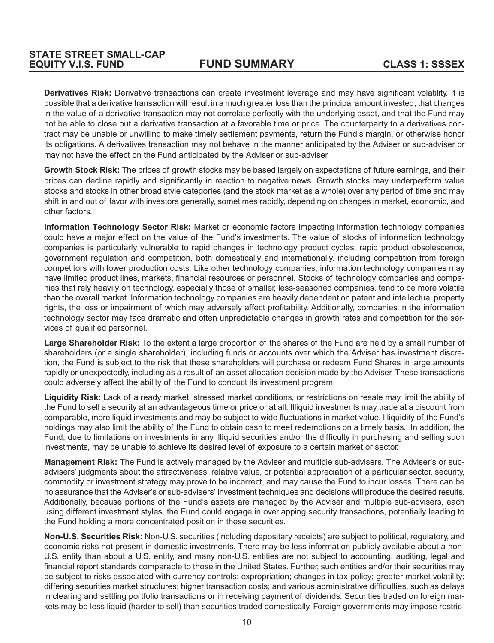**Derivatives Risk:** Derivative transactions can create investment leverage and may have significant volatility. It is possible that a derivative transaction will result in a much greater loss than the principal amount invested, that changes in the value of a derivative transaction may not correlate perfectly with the underlying asset, and that the Fund may not be able to close out a derivative transaction at a favorable time or price. The counterparty to a derivatives contract may be unable or unwilling to make timely settlement payments, return the Fund's margin, or otherwise honor its obligations. A derivatives transaction may not behave in the manner anticipated by the Adviser or sub-adviser or may not have the effect on the Fund anticipated by the Adviser or sub-adviser.

**Growth Stock Risk:** The prices of growth stocks may be based largely on expectations of future earnings, and their prices can decline rapidly and significantly in reaction to negative news. Growth stocks may underperform value stocks and stocks in other broad style categories (and the stock market as a whole) over any period of time and may shift in and out of favor with investors generally, sometimes rapidly, depending on changes in market, economic, and other factors.

**Information Technology Sector Risk:** Market or economic factors impacting information technology companies could have a major effect on the value of the Fund's investments. The value of stocks of information technology companies is particularly vulnerable to rapid changes in technology product cycles, rapid product obsolescence, government regulation and competition, both domestically and internationally, including competition from foreign competitors with lower production costs. Like other technology companies, information technology companies may have limited product lines, markets, financial resources or personnel. Stocks of technology companies and companies that rely heavily on technology, especially those of smaller, less-seasoned companies, tend to be more volatile than the overall market. Information technology companies are heavily dependent on patent and intellectual property rights, the loss or impairment of which may adversely affect profitability. Additionally, companies in the information technology sector may face dramatic and often unpredictable changes in growth rates and competition for the services of qualified personnel.

**Large Shareholder Risk:** To the extent a large proportion of the shares of the Fund are held by a small number of shareholders (or a single shareholder), including funds or accounts over which the Adviser has investment discretion, the Fund is subject to the risk that these shareholders will purchase or redeem Fund Shares in large amounts rapidly or unexpectedly, including as a result of an asset allocation decision made by the Adviser. These transactions could adversely affect the ability of the Fund to conduct its investment program.

Liquidity Risk: Lack of a ready market, stressed market conditions, or restrictions on resale may limit the ability of the Fund to sell a security at an advantageous time or price or at all. Illiquid investments may trade at a discount from comparable, more liquid investments and may be subject to wide fluctuations in market value. Illiquidity of the Fund's holdings may also limit the ability of the Fund to obtain cash to meet redemptions on a timely basis. In addition, the Fund, due to limitations on investments in any illiquid securities and/or the difficulty in purchasing and selling such investments, may be unable to achieve its desired level of exposure to a certain market or sector.

**Management Risk:** The Fund is actively managed by the Adviser and multiple sub-advisers. The Adviser's or subadvisers' judgments about the attractiveness, relative value, or potential appreciation of a particular sector, security, commodity or investment strategy may prove to be incorrect, and may cause the Fund to incur losses. There can be no assurance that the Adviser's or sub-advisers' investment techniques and decisions will produce the desired results. Additionally, because portions of the Fund's assets are managed by the Adviser and multiple sub-advisers, each using different investment styles, the Fund could engage in overlapping security transactions, potentially leading to the Fund holding a more concentrated position in these securities.

**Non-U.S. Securities Risk:** Non-U.S. securities (including depositary receipts) are subject to political, regulatory, and economic risks not present in domestic investments. There may be less information publicly available about a non-U.S. entity than about a U.S. entity, and many non-U.S. entities are not subject to accounting, auditing, legal and financial report standards comparable to those in the United States. Further, such entities and/or their securities may be subject to risks associated with currency controls; expropriation; changes in tax policy; greater market volatility; differing securities market structures; higher transaction costs; and various administrative difficulties, such as delays in clearing and settling portfolio transactions or in receiving payment of dividends. Securities traded on foreign markets may be less liquid (harder to sell) than securities traded domestically. Foreign governments may impose restric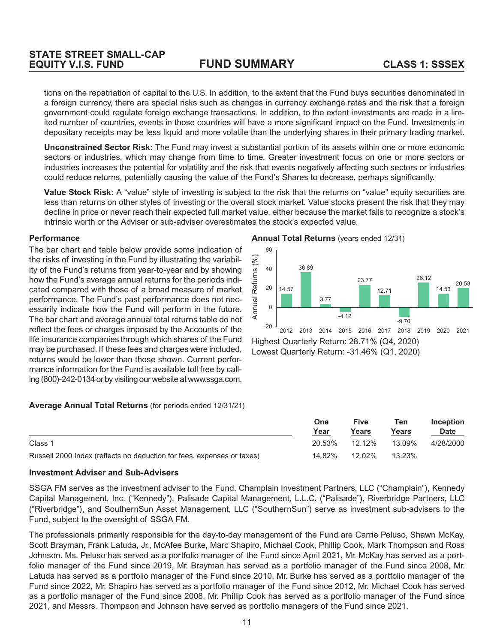tions on the repatriation of capital to the U.S. In addition, to the extent that the Fund buys securities denominated in a foreign currency, there are special risks such as changes in currency exchange rates and the risk that a foreign government could regulate foreign exchange transactions. In addition, to the extent investments are made in a limited number of countries, events in those countries will have a more significant impact on the Fund. Investments in depositary receipts may be less liquid and more volatile than the underlying shares in their primary trading market.

**Unconstrained Sector Risk:** The Fund may invest a substantial portion of its assets within one or more economic sectors or industries, which may change from time to time. Greater investment focus on one or more sectors or industries increases the potential for volatility and the risk that events negatively affecting such sectors or industries could reduce returns, potentially causing the value of the Fund's Shares to decrease, perhaps significantly.

**Value Stock Risk:** A "value" style of investing is subject to the risk that the returns on "value" equity securities are less than returns on other styles of investing or the overall stock market. Value stocks present the risk that they may decline in price or never reach their expected full market value, either because the market fails to recognize a stock's intrinsic worth or the Adviser or sub-adviser overestimates the stock's expected value.

#### **Performance**

The bar chart and table below provide some indication of the risks of investing in the Fund by illustrating the variability of the Fund's returns from year-to-year and by showing how the Fund's average annual returns for the periods indicated compared with those of a broad measure of market performance. The Fund's past performance does not necessarily indicate how the Fund will perform in the future. The bar chart and average annual total returns table do not reflect the fees or charges imposed by the Accounts of the life insurance companies through which shares of the Fund may be purchased. If these fees and charges were included, returns would be lower than those shown. Current performance information for the Fund is available toll free by calling (800)-242-0134 or by visiting our website at www.ssga.com.

#### **Annual Total Returns** (years ended 12/31)



Highest Quarterly Return: 28.71% (Q4, 2020) Lowest Quarterly Return: -31.46% (Q1, 2020)

#### **Average Annual Total Returns** (for periods ended 12/31/21)

|                                                                        | One<br>Year | Five<br>Years | Ten<br>Years | Inception<br><b>Date</b> |
|------------------------------------------------------------------------|-------------|---------------|--------------|--------------------------|
|                                                                        |             |               |              |                          |
| Class 1                                                                | 20.53%      | 12.12%        | 13.09%       | 4/28/2000                |
| Russell 2000 Index (reflects no deduction for fees, expenses or taxes) | 14.82%      | 12.02%        | 13.23%       |                          |

#### **Investment Adviser and Sub-Advisers**

SSGA FM serves as the investment adviser to the Fund. Champlain Investment Partners, LLC ("Champlain"), Kennedy Capital Management, Inc. ("Kennedy"), Palisade Capital Management, L.L.C. ("Palisade"), Riverbridge Partners, LLC ("Riverbridge"), and SouthernSun Asset Management, LLC ("SouthernSun") serve as investment sub-advisers to the Fund, subject to the oversight of SSGA FM.

The professionals primarily responsible for the day-to-day management of the Fund are Carrie Peluso, Shawn McKay, Scott Brayman, Frank Latuda, Jr., McAfee Burke, Marc Shapiro, Michael Cook, Phillip Cook, Mark Thompson and Ross Johnson. Ms. Peluso has served as a portfolio manager of the Fund since April 2021, Mr. McKay has served as a portfolio manager of the Fund since 2019, Mr. Brayman has served as a portfolio manager of the Fund since 2008, Mr. Latuda has served as a portfolio manager of the Fund since 2010, Mr. Burke has served as a portfolio manager of the Fund since 2022, Mr. Shapiro has served as a portfolio manager of the Fund since 2012, Mr. Michael Cook has served as a portfolio manager of the Fund since 2008, Mr. Phillip Cook has served as a portfolio manager of the Fund since 2021, and Messrs. Thompson and Johnson have served as portfolio managers of the Fund since 2021.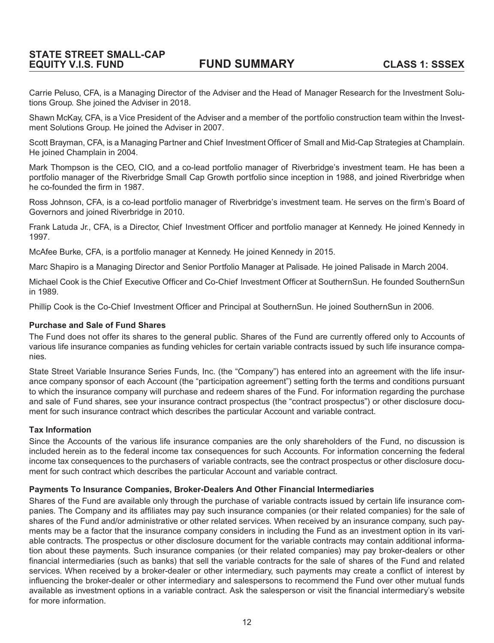Carrie Peluso, CFA, is a Managing Director of the Adviser and the Head of Manager Research for the Investment Solutions Group. She joined the Adviser in 2018.

Shawn McKay, CFA, is a Vice President of the Adviser and a member of the portfolio construction team within the Investment Solutions Group. He joined the Adviser in 2007.

Scott Brayman, CFA, is a Managing Partner and Chief Investment Officer of Small and Mid-Cap Strategies at Champlain. He joined Champlain in 2004.

Mark Thompson is the CEO, CIO, and a co-lead portfolio manager of Riverbridge's investment team. He has been a portfolio manager of the Riverbridge Small Cap Growth portfolio since inception in 1988, and joined Riverbridge when he co-founded the firm in 1987.

Ross Johnson, CFA, is a co-lead portfolio manager of Riverbridge's investment team. He serves on the firm's Board of Governors and joined Riverbridge in 2010.

Frank Latuda Jr., CFA, is a Director, Chief Investment Officer and portfolio manager at Kennedy. He joined Kennedy in 1997.

McAfee Burke, CFA, is a portfolio manager at Kennedy. He joined Kennedy in 2015.

Marc Shapiro is a Managing Director and Senior Portfolio Manager at Palisade. He joined Palisade in March 2004.

Michael Cook is the Chief Executive Officer and Co-Chief Investment Officer at SouthernSun. He founded SouthernSun in 1989.

Phillip Cook is the Co-Chief Investment Officer and Principal at SouthernSun. He joined SouthernSun in 2006.

#### **Purchase and Sale of Fund Shares**

The Fund does not offer its shares to the general public. Shares of the Fund are currently offered only to Accounts of various life insurance companies as funding vehicles for certain variable contracts issued by such life insurance companies.

State Street Variable Insurance Series Funds, Inc. (the "Company") has entered into an agreement with the life insurance company sponsor of each Account (the "participation agreement") setting forth the terms and conditions pursuant to which the insurance company will purchase and redeem shares of the Fund. For information regarding the purchase and sale of Fund shares, see your insurance contract prospectus (the "contract prospectus") or other disclosure document for such insurance contract which describes the particular Account and variable contract.

#### **Tax Information**

Since the Accounts of the various life insurance companies are the only shareholders of the Fund, no discussion is included herein as to the federal income tax consequences for such Accounts. For information concerning the federal income tax consequences to the purchasers of variable contracts, see the contract prospectus or other disclosure document for such contract which describes the particular Account and variable contract.

#### **Payments To Insurance Companies, Broker-Dealers And Other Financial Intermediaries**

Shares of the Fund are available only through the purchase of variable contracts issued by certain life insurance companies. The Company and its affiliates may pay such insurance companies (or their related companies) for the sale of shares of the Fund and/or administrative or other related services. When received by an insurance company, such payments may be a factor that the insurance company considers in including the Fund as an investment option in its variable contracts. The prospectus or other disclosure document for the variable contracts may contain additional information about these payments. Such insurance companies (or their related companies) may pay broker-dealers or other financial intermediaries (such as banks) that sell the variable contracts for the sale of shares of the Fund and related services. When received by a broker-dealer or other intermediary, such payments may create a conflict of interest by influencing the broker-dealer or other intermediary and salespersons to recommend the Fund over other mutual funds available as investment options in a variable contract. Ask the salesperson or visit the financial intermediary's website for more information.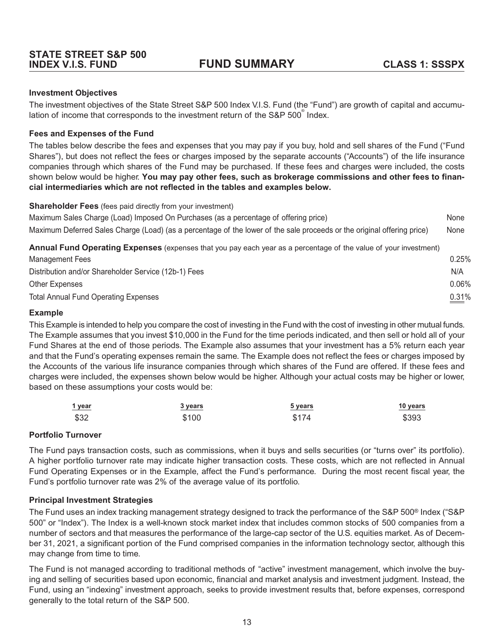#### <span id="page-16-0"></span>**Investment Objectives**

The investment objectives of the State Street S&P 500 Index V.I.S. Fund (the "Fund") are growth of capital and accumulation of income that corresponds to the investment return of the S&P 500<sup>®</sup> Index.

#### **Fees and Expenses of the Fund**

The tables below describe the fees and expenses that you may pay if you buy, hold and sell shares of the Fund ("Fund Shares"), but does not reflect the fees or charges imposed by the separate accounts ("Accounts") of the life insurance companies through which shares of the Fund may be purchased. If these fees and charges were included, the costs shown below would be higher. **You may pay other fees, such as brokerage commissions and other fees to financial intermediaries which are not reflected in the tables and examples below.**

| <b>Shareholder Fees</b> (fees paid directly from your investment) |  |  |
|-------------------------------------------------------------------|--|--|
|-------------------------------------------------------------------|--|--|

| Managaran Laga                                                                                                          | $\cap$ $\cap$ <sub><math>\Gamma</math></sub> $\cap$ |
|-------------------------------------------------------------------------------------------------------------------------|-----------------------------------------------------|
| Annual Fund Operating Expenses (expenses that you pay each year as a percentage of the value of your investment)        |                                                     |
| Maximum Deferred Sales Charge (Load) (as a percentage of the lower of the sale proceeds or the original offering price) | None                                                |
| Maximum Sales Charge (Load) Imposed On Purchases (as a percentage of offering price)                                    | None                                                |

| Management Fees                                      | 0.25% |
|------------------------------------------------------|-------|
| Distribution and/or Shareholder Service (12b-1) Fees | N/A   |
| Other Expenses                                       | 0.06% |
| Total Annual Fund Operating Expenses                 | 0.31% |

#### **Example**

This Example is intended to help you compare the cost of investing in the Fund with the cost of investing in other mutual funds. The Example assumes that you invest \$10,000 in the Fund for the time periods indicated, and then sell or hold all of your Fund Shares at the end of those periods. The Example also assumes that your investment has a 5% return each year and that the Fund's operating expenses remain the same. The Example does not reflect the fees or charges imposed by the Accounts of the various life insurance companies through which shares of the Fund are offered. If these fees and charges were included, the expenses shown below would be higher. Although your actual costs may be higher or lower, based on these assumptions your costs would be:

| 1 year | 3 years | 5 years | 10 years |
|--------|---------|---------|----------|
| \$32   | \$100   | \$174   | \$393    |

#### **Portfolio Turnover**

The Fund pays transaction costs, such as commissions, when it buys and sells securities (or "turns over" its portfolio). A higher portfolio turnover rate may indicate higher transaction costs. These costs, which are not reflected in Annual Fund Operating Expenses or in the Example, affect the Fund's performance. During the most recent fiscal year, the Fund's portfolio turnover rate was 2% of the average value of its portfolio.

#### **Principal Investment Strategies**

The Fund uses an index tracking management strategy designed to track the performance of the S&P 500® Index ("S&P 500" or "Index"). The Index is a well-known stock market index that includes common stocks of 500 companies from a number of sectors and that measures the performance of the large-cap sector of the U.S. equities market. As of December 31, 2021, a significant portion of the Fund comprised companies in the information technology sector, although this may change from time to time.

The Fund is not managed according to traditional methods of "active" investment management, which involve the buying and selling of securities based upon economic, financial and market analysis and investment judgment. Instead, the Fund, using an "indexing" investment approach, seeks to provide investment results that, before expenses, correspond generally to the total return of the S&P 500.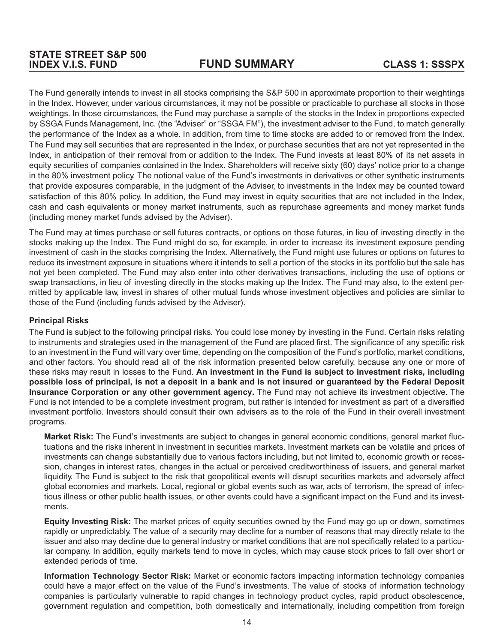The Fund generally intends to invest in all stocks comprising the S&P 500 in approximate proportion to their weightings in the Index. However, under various circumstances, it may not be possible or practicable to purchase all stocks in those weightings. In those circumstances, the Fund may purchase a sample of the stocks in the Index in proportions expected by SSGA Funds Management, Inc. (the "Adviser" or "SSGA FM"), the investment adviser to the Fund, to match generally the performance of the Index as a whole. In addition, from time to time stocks are added to or removed from the Index. The Fund may sell securities that are represented in the Index, or purchase securities that are not yet represented in the Index, in anticipation of their removal from or addition to the Index. The Fund invests at least 80% of its net assets in equity securities of companies contained in the Index. Shareholders will receive sixty (60) days' notice prior to a change in the 80% investment policy. The notional value of the Fund's investments in derivatives or other synthetic instruments that provide exposures comparable, in the judgment of the Adviser, to investments in the Index may be counted toward satisfaction of this 80% policy. In addition, the Fund may invest in equity securities that are not included in the Index, cash and cash equivalents or money market instruments, such as repurchase agreements and money market funds (including money market funds advised by the Adviser).

The Fund may at times purchase or sell futures contracts, or options on those futures, in lieu of investing directly in the stocks making up the Index. The Fund might do so, for example, in order to increase its investment exposure pending investment of cash in the stocks comprising the Index. Alternatively, the Fund might use futures or options on futures to reduce its investment exposure in situations where it intends to sell a portion of the stocks in its portfolio but the sale has not yet been completed. The Fund may also enter into other derivatives transactions, including the use of options or swap transactions, in lieu of investing directly in the stocks making up the Index. The Fund may also, to the extent permitted by applicable law, invest in shares of other mutual funds whose investment objectives and policies are similar to those of the Fund (including funds advised by the Adviser).

#### **Principal Risks**

The Fund is subject to the following principal risks. You could lose money by investing in the Fund. Certain risks relating to instruments and strategies used in the management of the Fund are placed first. The significance of any specific risk to an investment in the Fund will vary over time, depending on the composition of the Fund's portfolio, market conditions, and other factors. You should read all of the risk information presented below carefully, because any one or more of these risks may result in losses to the Fund. **An investment in the Fund is subject to investment risks, including possible loss of principal, is not a deposit in a bank and is not insured or guaranteed by the Federal Deposit Insurance Corporation or any other government agency.** The Fund may not achieve its investment objective. The Fund is not intended to be a complete investment program, but rather is intended for investment as part of a diversified investment portfolio. Investors should consult their own advisers as to the role of the Fund in their overall investment programs.

**Market Risk:** The Fund's investments are subject to changes in general economic conditions, general market fluctuations and the risks inherent in investment in securities markets. Investment markets can be volatile and prices of investments can change substantially due to various factors including, but not limited to, economic growth or recession, changes in interest rates, changes in the actual or perceived creditworthiness of issuers, and general market liquidity. The Fund is subject to the risk that geopolitical events will disrupt securities markets and adversely affect global economies and markets. Local, regional or global events such as war, acts of terrorism, the spread of infectious illness or other public health issues, or other events could have a significant impact on the Fund and its investments.

**Equity Investing Risk:** The market prices of equity securities owned by the Fund may go up or down, sometimes rapidly or unpredictably. The value of a security may decline for a number of reasons that may directly relate to the issuer and also may decline due to general industry or market conditions that are not specifically related to a particular company. In addition, equity markets tend to move in cycles, which may cause stock prices to fall over short or extended periods of time.

**Information Technology Sector Risk:** Market or economic factors impacting information technology companies could have a major effect on the value of the Fund's investments. The value of stocks of information technology companies is particularly vulnerable to rapid changes in technology product cycles, rapid product obsolescence, government regulation and competition, both domestically and internationally, including competition from foreign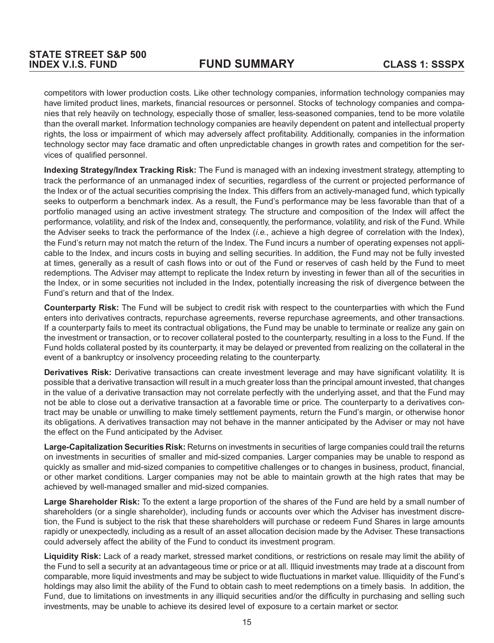competitors with lower production costs. Like other technology companies, information technology companies may have limited product lines, markets, financial resources or personnel. Stocks of technology companies and companies that rely heavily on technology, especially those of smaller, less-seasoned companies, tend to be more volatile than the overall market. Information technology companies are heavily dependent on patent and intellectual property rights, the loss or impairment of which may adversely affect profitability. Additionally, companies in the information technology sector may face dramatic and often unpredictable changes in growth rates and competition for the services of qualified personnel.

**Indexing Strategy/Index Tracking Risk:** The Fund is managed with an indexing investment strategy, attempting to track the performance of an unmanaged index of securities, regardless of the current or projected performance of the Index or of the actual securities comprising the Index. This differs from an actively-managed fund, which typically seeks to outperform a benchmark index. As a result, the Fund's performance may be less favorable than that of a portfolio managed using an active investment strategy. The structure and composition of the Index will affect the performance, volatility, and risk of the Index and, consequently, the performance, volatility, and risk of the Fund. While the Adviser seeks to track the performance of the Index (*i.e.*, achieve a high degree of correlation with the Index), the Fund's return may not match the return of the Index. The Fund incurs a number of operating expenses not applicable to the Index, and incurs costs in buying and selling securities. In addition, the Fund may not be fully invested at times, generally as a result of cash flows into or out of the Fund or reserves of cash held by the Fund to meet redemptions. The Adviser may attempt to replicate the Index return by investing in fewer than all of the securities in the Index, or in some securities not included in the Index, potentially increasing the risk of divergence between the Fund's return and that of the Index.

**Counterparty Risk:** The Fund will be subject to credit risk with respect to the counterparties with which the Fund enters into derivatives contracts, repurchase agreements, reverse repurchase agreements, and other transactions. If a counterparty fails to meet its contractual obligations, the Fund may be unable to terminate or realize any gain on the investment or transaction, or to recover collateral posted to the counterparty, resulting in a loss to the Fund. If the Fund holds collateral posted by its counterparty, it may be delayed or prevented from realizing on the collateral in the event of a bankruptcy or insolvency proceeding relating to the counterparty.

**Derivatives Risk:** Derivative transactions can create investment leverage and may have significant volatility. It is possible that a derivative transaction will result in a much greater loss than the principal amount invested, that changes in the value of a derivative transaction may not correlate perfectly with the underlying asset, and that the Fund may not be able to close out a derivative transaction at a favorable time or price. The counterparty to a derivatives contract may be unable or unwilling to make timely settlement payments, return the Fund's margin, or otherwise honor its obligations. A derivatives transaction may not behave in the manner anticipated by the Adviser or may not have the effect on the Fund anticipated by the Adviser.

**Large-Capitalization Securities Risk:** Returns on investments in securities of large companies could trail the returns on investments in securities of smaller and mid-sized companies. Larger companies may be unable to respond as quickly as smaller and mid-sized companies to competitive challenges or to changes in business, product, financial, or other market conditions. Larger companies may not be able to maintain growth at the high rates that may be achieved by well-managed smaller and mid-sized companies.

**Large Shareholder Risk:** To the extent a large proportion of the shares of the Fund are held by a small number of shareholders (or a single shareholder), including funds or accounts over which the Adviser has investment discretion, the Fund is subject to the risk that these shareholders will purchase or redeem Fund Shares in large amounts rapidly or unexpectedly, including as a result of an asset allocation decision made by the Adviser. These transactions could adversely affect the ability of the Fund to conduct its investment program.

**Liquidity Risk:** Lack of a ready market, stressed market conditions, or restrictions on resale may limit the ability of the Fund to sell a security at an advantageous time or price or at all. Illiquid investments may trade at a discount from comparable, more liquid investments and may be subject to wide fluctuations in market value. Illiquidity of the Fund's holdings may also limit the ability of the Fund to obtain cash to meet redemptions on a timely basis. In addition, the Fund, due to limitations on investments in any illiquid securities and/or the difficulty in purchasing and selling such investments, may be unable to achieve its desired level of exposure to a certain market or sector.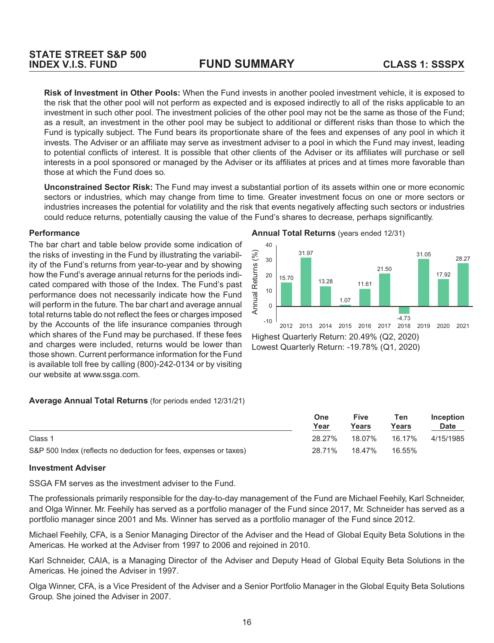**Risk of Investment in Other Pools:** When the Fund invests in another pooled investment vehicle, it is exposed to the risk that the other pool will not perform as expected and is exposed indirectly to all of the risks applicable to an investment in such other pool. The investment policies of the other pool may not be the same as those of the Fund; as a result, an investment in the other pool may be subject to additional or different risks than those to which the Fund is typically subject. The Fund bears its proportionate share of the fees and expenses of any pool in which it invests. The Adviser or an affiliate may serve as investment adviser to a pool in which the Fund may invest, leading to potential conflicts of interest. It is possible that other clients of the Adviser or its affiliates will purchase or sell interests in a pool sponsored or managed by the Adviser or its affiliates at prices and at times more favorable than those at which the Fund does so.

**Unconstrained Sector Risk:** The Fund may invest a substantial portion of its assets within one or more economic sectors or industries, which may change from time to time. Greater investment focus on one or more sectors or industries increases the potential for volatility and the risk that events negatively affecting such sectors or industries could reduce returns, potentially causing the value of the Fund's shares to decrease, perhaps significantly.

#### **Performance**

The bar chart and table below provide some indication of the risks of investing in the Fund by illustrating the variability of the Fund's returns from year-to-year and by showing how the Fund's average annual returns for the periods indicated compared with those of the Index. The Fund's past performance does not necessarily indicate how the Fund will perform in the future. The bar chart and average annual total returns table do not reflect the fees or charges imposed by the Accounts of the life insurance companies through which shares of the Fund may be purchased. If these fees and charges were included, returns would be lower than those shown. Current performance information for the Fund is available toll free by calling (800)-242-0134 or by visiting our website at www.ssga.com.

#### **Average Annual Total Returns** (for periods ended 12/31/21)

|                                                                   | One<br>Year | Five<br>Years | Ten<br>Years | <b>Inception</b> |  |
|-------------------------------------------------------------------|-------------|---------------|--------------|------------------|--|
|                                                                   |             |               |              | <b>Date</b>      |  |
| Class 1                                                           | 28.27%      | 18.07%        | 16.17%       | 4/15/1985        |  |
| S&P 500 Index (reflects no deduction for fees, expenses or taxes) | 28.71%      | 18.47%        | 16.55%       |                  |  |

#### **Investment Adviser**

SSGA FM serves as the investment adviser to the Fund.

The professionals primarily responsible for the day-to-day management of the Fund are Michael Feehily, Karl Schneider, and Olga Winner. Mr. Feehily has served as a portfolio manager of the Fund since 2017, Mr. Schneider has served as a portfolio manager since 2001 and Ms. Winner has served as a portfolio manager of the Fund since 2012.

Michael Feehily, CFA, is a Senior Managing Director of the Adviser and the Head of Global Equity Beta Solutions in the Americas. He worked at the Adviser from 1997 to 2006 and rejoined in 2010.

Karl Schneider, CAIA, is a Managing Director of the Adviser and Deputy Head of Global Equity Beta Solutions in the Americas. He joined the Adviser in 1997.

Olga Winner, CFA, is a Vice President of the Adviser and a Senior Portfolio Manager in the Global Equity Beta Solutions Group. She joined the Adviser in 2007.

16

**Annual Total Returns** (years ended 12/31)

Lowest Quarterly Return: -19.78% (Q1, 2020)

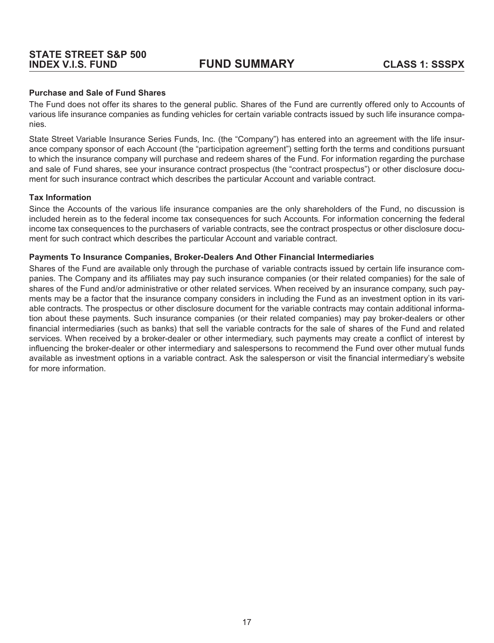#### **Purchase and Sale of Fund Shares**

The Fund does not offer its shares to the general public. Shares of the Fund are currently offered only to Accounts of various life insurance companies as funding vehicles for certain variable contracts issued by such life insurance companies.

State Street Variable Insurance Series Funds, Inc. (the "Company") has entered into an agreement with the life insurance company sponsor of each Account (the "participation agreement") setting forth the terms and conditions pursuant to which the insurance company will purchase and redeem shares of the Fund. For information regarding the purchase and sale of Fund shares, see your insurance contract prospectus (the "contract prospectus") or other disclosure document for such insurance contract which describes the particular Account and variable contract.

#### **Tax Information**

Since the Accounts of the various life insurance companies are the only shareholders of the Fund, no discussion is included herein as to the federal income tax consequences for such Accounts. For information concerning the federal income tax consequences to the purchasers of variable contracts, see the contract prospectus or other disclosure document for such contract which describes the particular Account and variable contract.

#### **Payments To Insurance Companies, Broker-Dealers And Other Financial Intermediaries**

Shares of the Fund are available only through the purchase of variable contracts issued by certain life insurance companies. The Company and its affiliates may pay such insurance companies (or their related companies) for the sale of shares of the Fund and/or administrative or other related services. When received by an insurance company, such payments may be a factor that the insurance company considers in including the Fund as an investment option in its variable contracts. The prospectus or other disclosure document for the variable contracts may contain additional information about these payments. Such insurance companies (or their related companies) may pay broker-dealers or other financial intermediaries (such as banks) that sell the variable contracts for the sale of shares of the Fund and related services. When received by a broker-dealer or other intermediary, such payments may create a conflict of interest by influencing the broker-dealer or other intermediary and salespersons to recommend the Fund over other mutual funds available as investment options in a variable contract. Ask the salesperson or visit the financial intermediary's website for more information.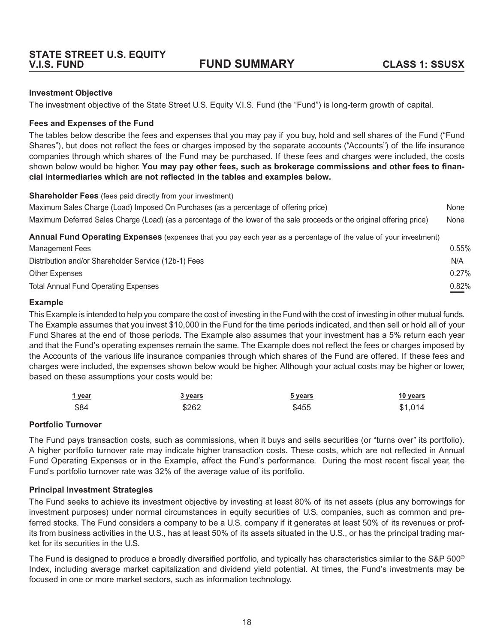#### <span id="page-21-0"></span>**Investment Objective**

The investment objective of the State Street U.S. Equity V.I.S. Fund (the "Fund") is long-term growth of capital.

#### **Fees and Expenses of the Fund**

The tables below describe the fees and expenses that you may pay if you buy, hold and sell shares of the Fund ("Fund Shares"), but does not reflect the fees or charges imposed by the separate accounts ("Accounts") of the life insurance companies through which shares of the Fund may be purchased. If these fees and charges were included, the costs shown below would be higher. **You may pay other fees, such as brokerage commissions and other fees to financial intermediaries which are not reflected in the tables and examples below.**

**Shareholder Fees** (fees paid directly from your investment)

| Maximum Sales Charge (Load) Imposed On Purchases (as a percentage of offering price)                                    | None  |
|-------------------------------------------------------------------------------------------------------------------------|-------|
| Maximum Deferred Sales Charge (Load) (as a percentage of the lower of the sale proceeds or the original offering price) | None  |
| Annual Fund Operating Expenses (expenses that you pay each year as a percentage of the value of your investment)        |       |
| Management Fees                                                                                                         | 0.55% |
| Distribution and/or Shareholder Service (12b-1) Fees                                                                    | N/A   |
| <b>Other Expenses</b>                                                                                                   | 0.27% |
| <b>Total Annual Fund Operating Expenses</b>                                                                             | 0.82% |

#### **Example**

This Example is intended to help you compare the cost of investing in the Fund with the cost of investing in other mutual funds. The Example assumes that you invest \$10,000 in the Fund for the time periods indicated, and then sell or hold all of your Fund Shares at the end of those periods. The Example also assumes that your investment has a 5% return each year and that the Fund's operating expenses remain the same. The Example does not reflect the fees or charges imposed by the Accounts of the various life insurance companies through which shares of the Fund are offered. If these fees and charges were included, the expenses shown below would be higher. Although your actual costs may be higher or lower, based on these assumptions your costs would be:

| 1 year | 3 years | <u>5 years</u> | <u>10 years</u> |
|--------|---------|----------------|-----------------|
| \$84   | \$262   | \$455          | \$1,014         |

#### **Portfolio Turnover**

The Fund pays transaction costs, such as commissions, when it buys and sells securities (or "turns over" its portfolio). A higher portfolio turnover rate may indicate higher transaction costs. These costs, which are not reflected in Annual Fund Operating Expenses or in the Example, affect the Fund's performance. During the most recent fiscal year, the Fund's portfolio turnover rate was 32% of the average value of its portfolio.

#### **Principal Investment Strategies**

The Fund seeks to achieve its investment objective by investing at least 80% of its net assets (plus any borrowings for investment purposes) under normal circumstances in equity securities of U.S. companies, such as common and preferred stocks. The Fund considers a company to be a U.S. company if it generates at least 50% of its revenues or profits from business activities in the U.S., has at least 50% of its assets situated in the U.S., or has the principal trading market for its securities in the U.S.

The Fund is designed to produce a broadly diversified portfolio, and typically has characteristics similar to the S&P 500<sup>®</sup> Index, including average market capitalization and dividend yield potential. At times, the Fund's investments may be focused in one or more market sectors, such as information technology.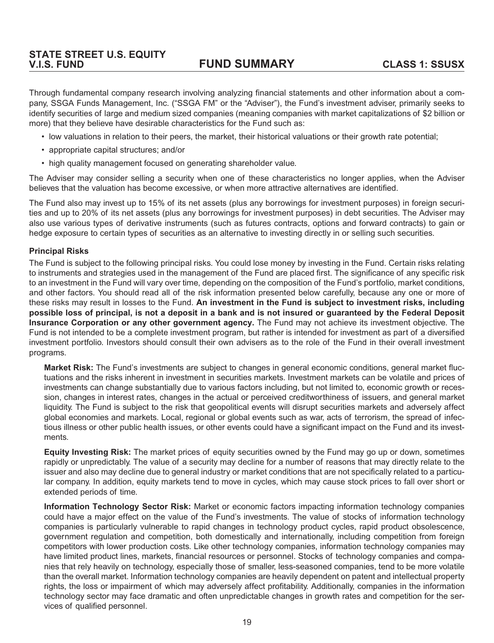Through fundamental company research involving analyzing financial statements and other information about a company, SSGA Funds Management, Inc. ("SSGA FM" or the "Adviser"), the Fund's investment adviser, primarily seeks to identify securities of large and medium sized companies (meaning companies with market capitalizations of \$2 billion or more) that they believe have desirable characteristics for the Fund such as:

- low valuations in relation to their peers, the market, their historical valuations or their growth rate potential;
- appropriate capital structures; and/or
- high quality management focused on generating shareholder value.

The Adviser may consider selling a security when one of these characteristics no longer applies, when the Adviser believes that the valuation has become excessive, or when more attractive alternatives are identified.

The Fund also may invest up to 15% of its net assets (plus any borrowings for investment purposes) in foreign securities and up to 20% of its net assets (plus any borrowings for investment purposes) in debt securities. The Adviser may also use various types of derivative instruments (such as futures contracts, options and forward contracts) to gain or hedge exposure to certain types of securities as an alternative to investing directly in or selling such securities.

#### **Principal Risks**

The Fund is subject to the following principal risks. You could lose money by investing in the Fund. Certain risks relating to instruments and strategies used in the management of the Fund are placed first. The significance of any specific risk to an investment in the Fund will vary over time, depending on the composition of the Fund's portfolio, market conditions, and other factors. You should read all of the risk information presented below carefully, because any one or more of these risks may result in losses to the Fund. **An investment in the Fund is subject to investment risks, including possible loss of principal, is not a deposit in a bank and is not insured or guaranteed by the Federal Deposit Insurance Corporation or any other government agency.** The Fund may not achieve its investment objective. The Fund is not intended to be a complete investment program, but rather is intended for investment as part of a diversified investment portfolio. Investors should consult their own advisers as to the role of the Fund in their overall investment programs.

**Market Risk:** The Fund's investments are subject to changes in general economic conditions, general market fluctuations and the risks inherent in investment in securities markets. Investment markets can be volatile and prices of investments can change substantially due to various factors including, but not limited to, economic growth or recession, changes in interest rates, changes in the actual or perceived creditworthiness of issuers, and general market liquidity. The Fund is subject to the risk that geopolitical events will disrupt securities markets and adversely affect global economies and markets. Local, regional or global events such as war, acts of terrorism, the spread of infectious illness or other public health issues, or other events could have a significant impact on the Fund and its investments.

**Equity Investing Risk:** The market prices of equity securities owned by the Fund may go up or down, sometimes rapidly or unpredictably. The value of a security may decline for a number of reasons that may directly relate to the issuer and also may decline due to general industry or market conditions that are not specifically related to a particular company. In addition, equity markets tend to move in cycles, which may cause stock prices to fall over short or extended periods of time.

**Information Technology Sector Risk:** Market or economic factors impacting information technology companies could have a major effect on the value of the Fund's investments. The value of stocks of information technology companies is particularly vulnerable to rapid changes in technology product cycles, rapid product obsolescence, government regulation and competition, both domestically and internationally, including competition from foreign competitors with lower production costs. Like other technology companies, information technology companies may have limited product lines, markets, financial resources or personnel. Stocks of technology companies and companies that rely heavily on technology, especially those of smaller, less-seasoned companies, tend to be more volatile than the overall market. Information technology companies are heavily dependent on patent and intellectual property rights, the loss or impairment of which may adversely affect profitability. Additionally, companies in the information technology sector may face dramatic and often unpredictable changes in growth rates and competition for the services of qualified personnel.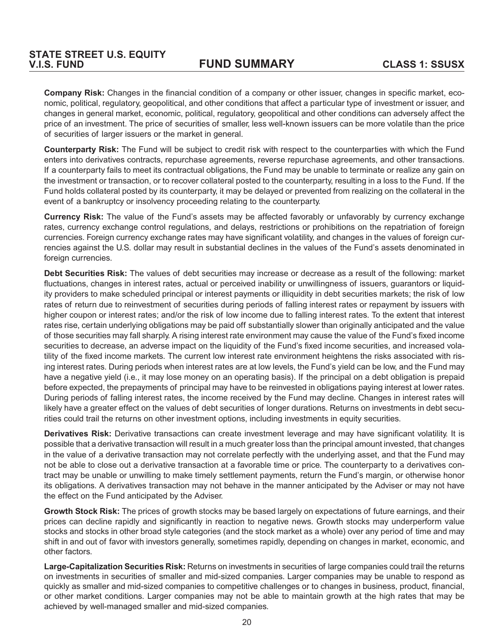**Company Risk:** Changes in the financial condition of a company or other issuer, changes in specific market, economic, political, regulatory, geopolitical, and other conditions that affect a particular type of investment or issuer, and changes in general market, economic, political, regulatory, geopolitical and other conditions can adversely affect the price of an investment. The price of securities of smaller, less well-known issuers can be more volatile than the price of securities of larger issuers or the market in general.

**Counterparty Risk:** The Fund will be subject to credit risk with respect to the counterparties with which the Fund enters into derivatives contracts, repurchase agreements, reverse repurchase agreements, and other transactions. If a counterparty fails to meet its contractual obligations, the Fund may be unable to terminate or realize any gain on the investment or transaction, or to recover collateral posted to the counterparty, resulting in a loss to the Fund. If the Fund holds collateral posted by its counterparty, it may be delayed or prevented from realizing on the collateral in the event of a bankruptcy or insolvency proceeding relating to the counterparty.

**Currency Risk:** The value of the Fund's assets may be affected favorably or unfavorably by currency exchange rates, currency exchange control regulations, and delays, restrictions or prohibitions on the repatriation of foreign currencies. Foreign currency exchange rates may have significant volatility, and changes in the values of foreign currencies against the U.S. dollar may result in substantial declines in the values of the Fund's assets denominated in foreign currencies.

**Debt Securities Risk:** The values of debt securities may increase or decrease as a result of the following: market fluctuations, changes in interest rates, actual or perceived inability or unwillingness of issuers, guarantors or liquidity providers to make scheduled principal or interest payments or illiquidity in debt securities markets; the risk of low rates of return due to reinvestment of securities during periods of falling interest rates or repayment by issuers with higher coupon or interest rates; and/or the risk of low income due to falling interest rates. To the extent that interest rates rise, certain underlying obligations may be paid off substantially slower than originally anticipated and the value of those securities may fall sharply. A rising interest rate environment may cause the value of the Fund's fixed income securities to decrease, an adverse impact on the liquidity of the Fund's fixed income securities, and increased volatility of the fixed income markets. The current low interest rate environment heightens the risks associated with rising interest rates. During periods when interest rates are at low levels, the Fund's yield can be low, and the Fund may have a negative yield (i.e., it may lose money on an operating basis). If the principal on a debt obligation is prepaid before expected, the prepayments of principal may have to be reinvested in obligations paying interest at lower rates. During periods of falling interest rates, the income received by the Fund may decline. Changes in interest rates will likely have a greater effect on the values of debt securities of longer durations. Returns on investments in debt securities could trail the returns on other investment options, including investments in equity securities.

**Derivatives Risk:** Derivative transactions can create investment leverage and may have significant volatility. It is possible that a derivative transaction will result in a much greater loss than the principal amount invested, that changes in the value of a derivative transaction may not correlate perfectly with the underlying asset, and that the Fund may not be able to close out a derivative transaction at a favorable time or price. The counterparty to a derivatives contract may be unable or unwilling to make timely settlement payments, return the Fund's margin, or otherwise honor its obligations. A derivatives transaction may not behave in the manner anticipated by the Adviser or may not have the effect on the Fund anticipated by the Adviser.

**Growth Stock Risk:** The prices of growth stocks may be based largely on expectations of future earnings, and their prices can decline rapidly and significantly in reaction to negative news. Growth stocks may underperform value stocks and stocks in other broad style categories (and the stock market as a whole) over any period of time and may shift in and out of favor with investors generally, sometimes rapidly, depending on changes in market, economic, and other factors.

**Large-Capitalization Securities Risk:** Returns on investments in securities of large companies could trail the returns on investments in securities of smaller and mid-sized companies. Larger companies may be unable to respond as quickly as smaller and mid-sized companies to competitive challenges or to changes in business, product, financial, or other market conditions. Larger companies may not be able to maintain growth at the high rates that may be achieved by well-managed smaller and mid-sized companies.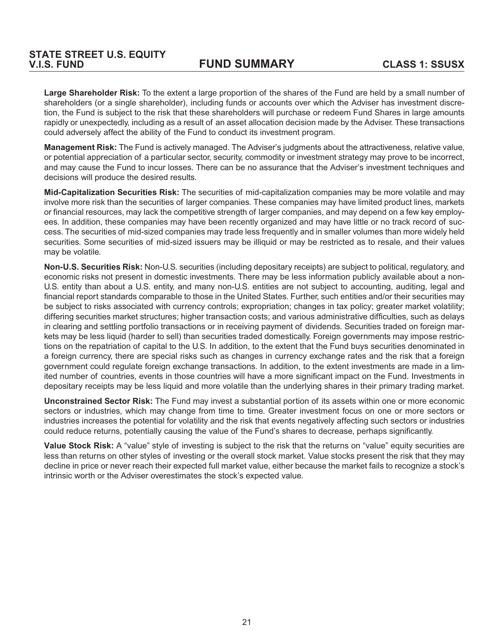**Large Shareholder Risk:** To the extent a large proportion of the shares of the Fund are held by a small number of shareholders (or a single shareholder), including funds or accounts over which the Adviser has investment discretion, the Fund is subject to the risk that these shareholders will purchase or redeem Fund Shares in large amounts rapidly or unexpectedly, including as a result of an asset allocation decision made by the Adviser. These transactions could adversely affect the ability of the Fund to conduct its investment program.

**Management Risk:** The Fund is actively managed. The Adviser's judgments about the attractiveness, relative value, or potential appreciation of a particular sector, security, commodity or investment strategy may prove to be incorrect, and may cause the Fund to incur losses. There can be no assurance that the Adviser's investment techniques and decisions will produce the desired results.

**Mid-Capitalization Securities Risk:** The securities of mid-capitalization companies may be more volatile and may involve more risk than the securities of larger companies. These companies may have limited product lines, markets or financial resources, may lack the competitive strength of larger companies, and may depend on a few key employees. In addition, these companies may have been recently organized and may have little or no track record of success. The securities of mid-sized companies may trade less frequently and in smaller volumes than more widely held securities. Some securities of mid-sized issuers may be illiquid or may be restricted as to resale, and their values may be volatile.

**Non-U.S. Securities Risk:** Non-U.S. securities (including depositary receipts) are subject to political, regulatory, and economic risks not present in domestic investments. There may be less information publicly available about a non-U.S. entity than about a U.S. entity, and many non-U.S. entities are not subject to accounting, auditing, legal and financial report standards comparable to those in the United States. Further, such entities and/or their securities may be subject to risks associated with currency controls; expropriation; changes in tax policy; greater market volatility; differing securities market structures; higher transaction costs; and various administrative difficulties, such as delays in clearing and settling portfolio transactions or in receiving payment of dividends. Securities traded on foreign markets may be less liquid (harder to sell) than securities traded domestically. Foreign governments may impose restrictions on the repatriation of capital to the U.S. In addition, to the extent that the Fund buys securities denominated in a foreign currency, there are special risks such as changes in currency exchange rates and the risk that a foreign government could regulate foreign exchange transactions. In addition, to the extent investments are made in a limited number of countries, events in those countries will have a more significant impact on the Fund. Investments in depositary receipts may be less liquid and more volatile than the underlying shares in their primary trading market.

**Unconstrained Sector Risk:** The Fund may invest a substantial portion of its assets within one or more economic sectors or industries, which may change from time to time. Greater investment focus on one or more sectors or industries increases the potential for volatility and the risk that events negatively affecting such sectors or industries could reduce returns, potentially causing the value of the Fund's shares to decrease, perhaps significantly.

**Value Stock Risk:** A "value" style of investing is subject to the risk that the returns on "value" equity securities are less than returns on other styles of investing or the overall stock market. Value stocks present the risk that they may decline in price or never reach their expected full market value, either because the market fails to recognize a stock's intrinsic worth or the Adviser overestimates the stock's expected value.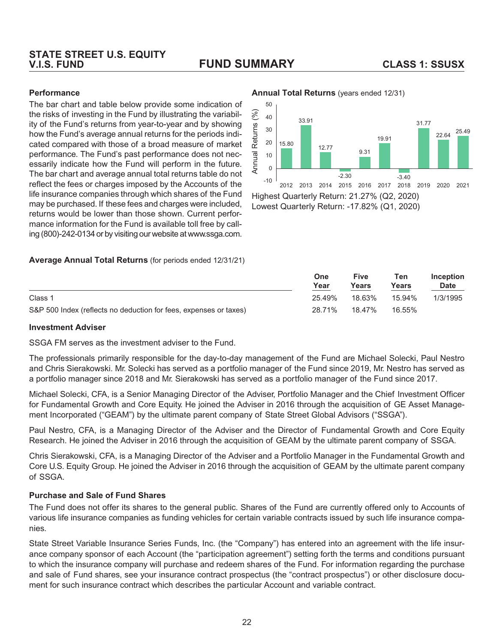# **STATE STREET U.S. EQUITY**

### **V.I.S. FUND FUND SUMMARY CLASS 1: SSUSX**

#### **Performance**

The bar chart and table below provide some indication of the risks of investing in the Fund by illustrating the variability of the Fund's returns from year-to-year and by showing how the Fund's average annual returns for the periods indicated compared with those of a broad measure of market performance. The Fund's past performance does not necessarily indicate how the Fund will perform in the future. The bar chart and average annual total returns table do not reflect the fees or charges imposed by the Accounts of the life insurance companies through which shares of the Fund may be purchased. If these fees and charges were included, returns would be lower than those shown. Current performance information for the Fund is available toll free by calling (800)-242-0134 or by visiting our website at www.ssga.com.

#### **Average Annual Total Returns** (for periods ended 12/31/21)

50  $(%)$ Annual Returns (%)  $40$ 33.91 31.77 sums:  $30$ 22.64 25.49 19.91 Ret  $20$ 15.80 12.77 9.31 Annual 10  $\Omega$  $-2.30$  $-3.40$ -10 2012 2013 2014 2015 2016 2017 2018 2019 2020 2021 Highest Quarterly Return: 21.27% (Q2, 2020)

Lowest Quarterly Return: -17.82% (Q1, 2020)

|                                                                   | <b>One</b><br>Year | Five<br>Years | Ten<br>Years | <b>Inception</b><br><b>Date</b> |
|-------------------------------------------------------------------|--------------------|---------------|--------------|---------------------------------|
| Class 1                                                           | 25.49%             | 18.63%        | 15.94%       | 1/3/1995                        |
| S&P 500 Index (reflects no deduction for fees, expenses or taxes) | 28.71%             | 18.47%        | 16.55%       |                                 |

#### **Investment Adviser**

SSGA FM serves as the investment adviser to the Fund.

The professionals primarily responsible for the day-to-day management of the Fund are Michael Solecki, Paul Nestro and Chris Sierakowski. Mr. Solecki has served as a portfolio manager of the Fund since 2019, Mr. Nestro has served as a portfolio manager since 2018 and Mr. Sierakowski has served as a portfolio manager of the Fund since 2017.

Michael Solecki, CFA, is a Senior Managing Director of the Adviser, Portfolio Manager and the Chief Investment Officer for Fundamental Growth and Core Equity. He joined the Adviser in 2016 through the acquisition of GE Asset Management Incorporated ("GEAM") by the ultimate parent company of State Street Global Advisors ("SSGA").

Paul Nestro, CFA, is a Managing Director of the Adviser and the Director of Fundamental Growth and Core Equity Research. He joined the Adviser in 2016 through the acquisition of GEAM by the ultimate parent company of SSGA.

Chris Sierakowski, CFA, is a Managing Director of the Adviser and a Portfolio Manager in the Fundamental Growth and Core U.S. Equity Group. He joined the Adviser in 2016 through the acquisition of GEAM by the ultimate parent company of SSGA.

#### **Purchase and Sale of Fund Shares**

The Fund does not offer its shares to the general public. Shares of the Fund are currently offered only to Accounts of various life insurance companies as funding vehicles for certain variable contracts issued by such life insurance companies.

State Street Variable Insurance Series Funds, Inc. (the "Company") has entered into an agreement with the life insurance company sponsor of each Account (the "participation agreement") setting forth the terms and conditions pursuant to which the insurance company will purchase and redeem shares of the Fund. For information regarding the purchase and sale of Fund shares, see your insurance contract prospectus (the "contract prospectus") or other disclosure document for such insurance contract which describes the particular Account and variable contract.

#### **Annual Total Returns** (years ended 12/31)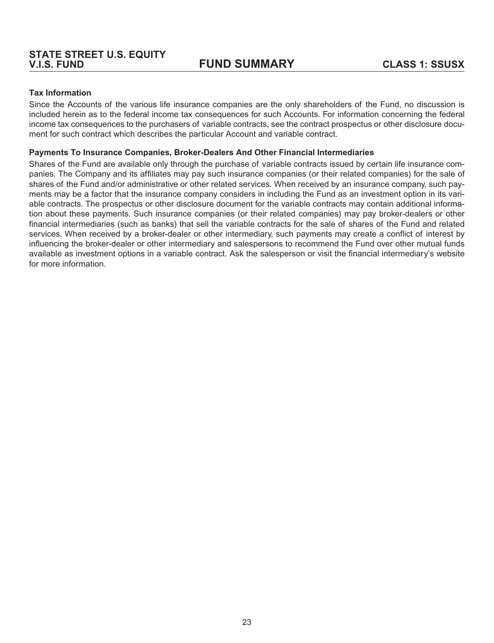#### **Tax Information**

Since the Accounts of the various life insurance companies are the only shareholders of the Fund, no discussion is included herein as to the federal income tax consequences for such Accounts. For information concerning the federal income tax consequences to the purchasers of variable contracts, see the contract prospectus or other disclosure document for such contract which describes the particular Account and variable contract.

#### **Payments To Insurance Companies, Broker-Dealers And Other Financial Intermediaries**

Shares of the Fund are available only through the purchase of variable contracts issued by certain life insurance companies. The Company and its affiliates may pay such insurance companies (or their related companies) for the sale of shares of the Fund and/or administrative or other related services. When received by an insurance company, such payments may be a factor that the insurance company considers in including the Fund as an investment option in its variable contracts. The prospectus or other disclosure document for the variable contracts may contain additional information about these payments. Such insurance companies (or their related companies) may pay broker-dealers or other financial intermediaries (such as banks) that sell the variable contracts for the sale of shares of the Fund and related services. When received by a broker-dealer or other intermediary, such payments may create a conflict of interest by influencing the broker-dealer or other intermediary and salespersons to recommend the Fund over other mutual funds available as investment options in a variable contract. Ask the salesperson or visit the financial intermediary's website for more information.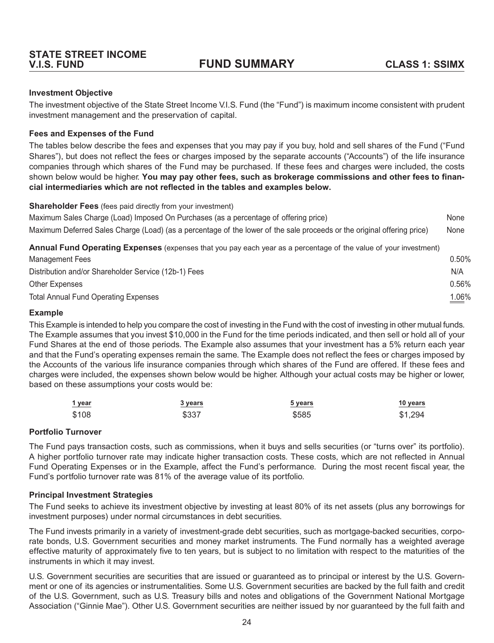#### <span id="page-27-0"></span>**Investment Objective**

The investment objective of the State Street Income V.I.S. Fund (the "Fund") is maximum income consistent with prudent investment management and the preservation of capital.

#### **Fees and Expenses of the Fund**

The tables below describe the fees and expenses that you may pay if you buy, hold and sell shares of the Fund ("Fund Shares"), but does not reflect the fees or charges imposed by the separate accounts ("Accounts") of the life insurance companies through which shares of the Fund may be purchased. If these fees and charges were included, the costs shown below would be higher. **You may pay other fees, such as brokerage commissions and other fees to financial intermediaries which are not reflected in the tables and examples below.**

**Shareholder Fees** (fees paid directly from your investment)

| Maximum Sales Charge (Load) Imposed On Purchases (as a percentage of offering price)                                    | None |
|-------------------------------------------------------------------------------------------------------------------------|------|
| Maximum Deferred Sales Charge (Load) (as a percentage of the lower of the sale proceeds or the original offering price) | None |
| Annual Fund Operating Expenses (expenses that you pay each year as a percentage of the value of your investment)        |      |

| Management Fees                                      | $0.50\%$ |
|------------------------------------------------------|----------|
| Distribution and/or Shareholder Service (12b-1) Fees | N/A      |
| Other Expenses                                       | $0.56\%$ |
| <b>Total Annual Fund Operating Expenses</b>          | 1.06%    |

#### **Example**

This Example is intended to help you compare the cost of investing in the Fund with the cost of investing in other mutual funds. The Example assumes that you invest \$10,000 in the Fund for the time periods indicated, and then sell or hold all of your Fund Shares at the end of those periods. The Example also assumes that your investment has a 5% return each year and that the Fund's operating expenses remain the same. The Example does not reflect the fees or charges imposed by the Accounts of the various life insurance companies through which shares of the Fund are offered. If these fees and charges were included, the expenses shown below would be higher. Although your actual costs may be higher or lower, based on these assumptions your costs would be:

| 1 year | 3 years | 5 years | 10 years |
|--------|---------|---------|----------|
| \$108  | \$337   | \$585   | \$1,294  |

#### **Portfolio Turnover**

The Fund pays transaction costs, such as commissions, when it buys and sells securities (or "turns over" its portfolio). A higher portfolio turnover rate may indicate higher transaction costs. These costs, which are not reflected in Annual Fund Operating Expenses or in the Example, affect the Fund's performance. During the most recent fiscal year, the Fund's portfolio turnover rate was 81% of the average value of its portfolio.

#### **Principal Investment Strategies**

The Fund seeks to achieve its investment objective by investing at least 80% of its net assets (plus any borrowings for investment purposes) under normal circumstances in debt securities.

The Fund invests primarily in a variety of investment-grade debt securities, such as mortgage-backed securities, corporate bonds, U.S. Government securities and money market instruments. The Fund normally has a weighted average effective maturity of approximately five to ten years, but is subject to no limitation with respect to the maturities of the instruments in which it may invest.

U.S. Government securities are securities that are issued or guaranteed as to principal or interest by the U.S. Government or one of its agencies or instrumentalities. Some U.S. Government securities are backed by the full faith and credit of the U.S. Government, such as U.S. Treasury bills and notes and obligations of the Government National Mortgage Association ("Ginnie Mae"). Other U.S. Government securities are neither issued by nor guaranteed by the full faith and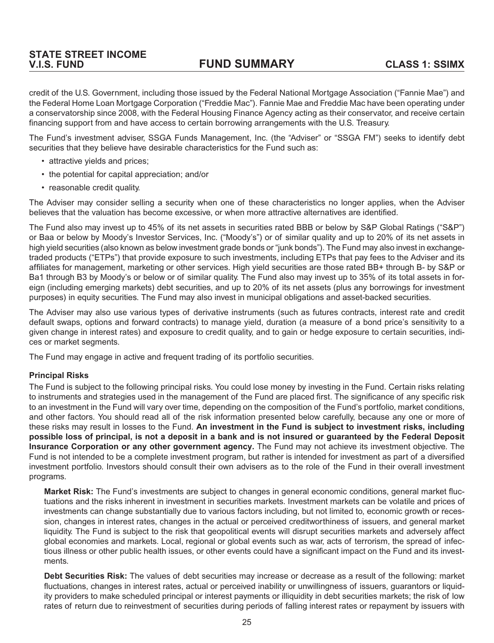**V.I.S. FUND FUND SUMMARY CLASS 1: SSIMX**

credit of the U.S. Government, including those issued by the Federal National Mortgage Association ("Fannie Mae") and the Federal Home Loan Mortgage Corporation ("Freddie Mac"). Fannie Mae and Freddie Mac have been operating under a conservatorship since 2008, with the Federal Housing Finance Agency acting as their conservator, and receive certain financing support from and have access to certain borrowing arrangements with the U.S. Treasury.

The Fund's investment adviser, SSGA Funds Management, Inc. (the "Adviser" or "SSGA FM") seeks to identify debt securities that they believe have desirable characteristics for the Fund such as:

- attractive yields and prices;
- the potential for capital appreciation; and/or
- reasonable credit quality.

The Adviser may consider selling a security when one of these characteristics no longer applies, when the Adviser believes that the valuation has become excessive, or when more attractive alternatives are identified.

The Fund also may invest up to 45% of its net assets in securities rated BBB or below by S&P Global Ratings ("S&P") or Baa or below by Moody's Investor Services, Inc. ("Moody's") or of similar quality and up to 20% of its net assets in high yield securities (also known as below investment grade bonds or "junk bonds"). The Fund may also invest in exchangetraded products ("ETPs") that provide exposure to such investments, including ETPs that pay fees to the Adviser and its affiliates for management, marketing or other services. High yield securities are those rated BB+ through B- by S&P or Ba1 through B3 by Moody's or below or of similar quality. The Fund also may invest up to 35% of its total assets in foreign (including emerging markets) debt securities, and up to 20% of its net assets (plus any borrowings for investment purposes) in equity securities. The Fund may also invest in municipal obligations and asset-backed securities.

The Adviser may also use various types of derivative instruments (such as futures contracts, interest rate and credit default swaps, options and forward contracts) to manage yield, duration (a measure of a bond price's sensitivity to a given change in interest rates) and exposure to credit quality, and to gain or hedge exposure to certain securities, indices or market segments.

The Fund may engage in active and frequent trading of its portfolio securities.

#### **Principal Risks**

The Fund is subject to the following principal risks. You could lose money by investing in the Fund. Certain risks relating to instruments and strategies used in the management of the Fund are placed first. The significance of any specific risk to an investment in the Fund will vary over time, depending on the composition of the Fund's portfolio, market conditions, and other factors. You should read all of the risk information presented below carefully, because any one or more of these risks may result in losses to the Fund. **An investment in the Fund is subject to investment risks, including possible loss of principal, is not a deposit in a bank and is not insured or guaranteed by the Federal Deposit Insurance Corporation or any other government agency.** The Fund may not achieve its investment objective. The Fund is not intended to be a complete investment program, but rather is intended for investment as part of a diversified investment portfolio. Investors should consult their own advisers as to the role of the Fund in their overall investment programs.

**Market Risk:** The Fund's investments are subject to changes in general economic conditions, general market fluctuations and the risks inherent in investment in securities markets. Investment markets can be volatile and prices of investments can change substantially due to various factors including, but not limited to, economic growth or recession, changes in interest rates, changes in the actual or perceived creditworthiness of issuers, and general market liquidity. The Fund is subject to the risk that geopolitical events will disrupt securities markets and adversely affect global economies and markets. Local, regional or global events such as war, acts of terrorism, the spread of infectious illness or other public health issues, or other events could have a significant impact on the Fund and its investments.

**Debt Securities Risk:** The values of debt securities may increase or decrease as a result of the following: market fluctuations, changes in interest rates, actual or perceived inability or unwillingness of issuers, guarantors or liquidity providers to make scheduled principal or interest payments or illiquidity in debt securities markets; the risk of low rates of return due to reinvestment of securities during periods of falling interest rates or repayment by issuers with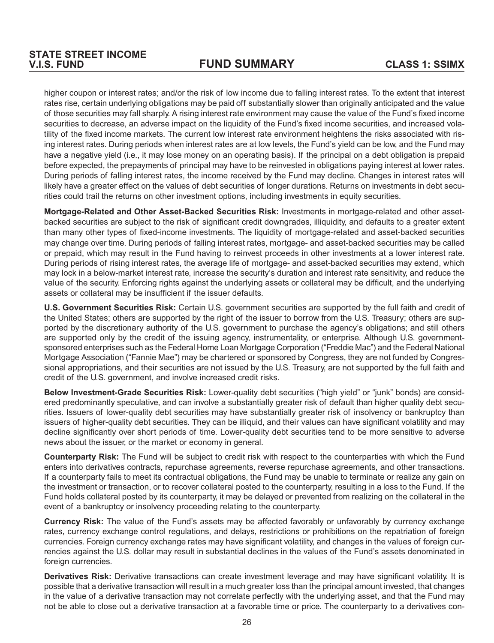higher coupon or interest rates; and/or the risk of low income due to falling interest rates. To the extent that interest rates rise, certain underlying obligations may be paid off substantially slower than originally anticipated and the value of those securities may fall sharply. A rising interest rate environment may cause the value of the Fund's fixed income securities to decrease, an adverse impact on the liquidity of the Fund's fixed income securities, and increased volatility of the fixed income markets. The current low interest rate environment heightens the risks associated with rising interest rates. During periods when interest rates are at low levels, the Fund's yield can be low, and the Fund may have a negative yield (i.e., it may lose money on an operating basis). If the principal on a debt obligation is prepaid before expected, the prepayments of principal may have to be reinvested in obligations paying interest at lower rates. During periods of falling interest rates, the income received by the Fund may decline. Changes in interest rates will likely have a greater effect on the values of debt securities of longer durations. Returns on investments in debt securities could trail the returns on other investment options, including investments in equity securities.

**Mortgage-Related and Other Asset-Backed Securities Risk:** Investments in mortgage-related and other assetbacked securities are subject to the risk of significant credit downgrades, illiquidity, and defaults to a greater extent than many other types of fixed-income investments. The liquidity of mortgage-related and asset-backed securities may change over time. During periods of falling interest rates, mortgage- and asset-backed securities may be called or prepaid, which may result in the Fund having to reinvest proceeds in other investments at a lower interest rate. During periods of rising interest rates, the average life of mortgage- and asset-backed securities may extend, which may lock in a below-market interest rate, increase the security's duration and interest rate sensitivity, and reduce the value of the security. Enforcing rights against the underlying assets or collateral may be difficult, and the underlying assets or collateral may be insufficient if the issuer defaults.

**U.S. Government Securities Risk:** Certain U.S. government securities are supported by the full faith and credit of the United States; others are supported by the right of the issuer to borrow from the U.S. Treasury; others are supported by the discretionary authority of the U.S. government to purchase the agency's obligations; and still others are supported only by the credit of the issuing agency, instrumentality, or enterprise. Although U.S. governmentsponsored enterprises such as the Federal Home Loan Mortgage Corporation ("Freddie Mac") and the Federal National Mortgage Association ("Fannie Mae") may be chartered or sponsored by Congress, they are not funded by Congressional appropriations, and their securities are not issued by the U.S. Treasury, are not supported by the full faith and credit of the U.S. government, and involve increased credit risks.

**Below Investment-Grade Securities Risk:** Lower-quality debt securities ("high yield" or "junk" bonds) are considered predominantly speculative, and can involve a substantially greater risk of default than higher quality debt securities. Issuers of lower-quality debt securities may have substantially greater risk of insolvency or bankruptcy than issuers of higher-quality debt securities. They can be illiquid, and their values can have significant volatility and may decline significantly over short periods of time. Lower-quality debt securities tend to be more sensitive to adverse news about the issuer, or the market or economy in general.

**Counterparty Risk:** The Fund will be subject to credit risk with respect to the counterparties with which the Fund enters into derivatives contracts, repurchase agreements, reverse repurchase agreements, and other transactions. If a counterparty fails to meet its contractual obligations, the Fund may be unable to terminate or realize any gain on the investment or transaction, or to recover collateral posted to the counterparty, resulting in a loss to the Fund. If the Fund holds collateral posted by its counterparty, it may be delayed or prevented from realizing on the collateral in the event of a bankruptcy or insolvency proceeding relating to the counterparty.

**Currency Risk:** The value of the Fund's assets may be affected favorably or unfavorably by currency exchange rates, currency exchange control regulations, and delays, restrictions or prohibitions on the repatriation of foreign currencies. Foreign currency exchange rates may have significant volatility, and changes in the values of foreign currencies against the U.S. dollar may result in substantial declines in the values of the Fund's assets denominated in foreign currencies.

**Derivatives Risk:** Derivative transactions can create investment leverage and may have significant volatility. It is possible that a derivative transaction will result in a much greater loss than the principal amount invested, that changes in the value of a derivative transaction may not correlate perfectly with the underlying asset, and that the Fund may not be able to close out a derivative transaction at a favorable time or price. The counterparty to a derivatives con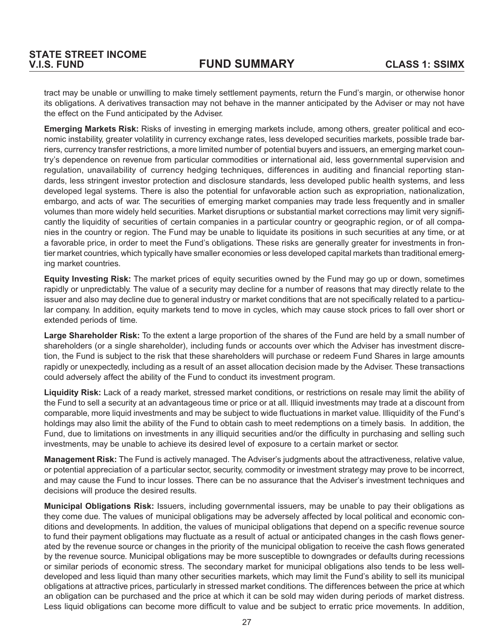tract may be unable or unwilling to make timely settlement payments, return the Fund's margin, or otherwise honor its obligations. A derivatives transaction may not behave in the manner anticipated by the Adviser or may not have the effect on the Fund anticipated by the Adviser.

**Emerging Markets Risk:** Risks of investing in emerging markets include, among others, greater political and economic instability, greater volatility in currency exchange rates, less developed securities markets, possible trade barriers, currency transfer restrictions, a more limited number of potential buyers and issuers, an emerging market country's dependence on revenue from particular commodities or international aid, less governmental supervision and regulation, unavailability of currency hedging techniques, differences in auditing and financial reporting standards, less stringent investor protection and disclosure standards, less developed public health systems, and less developed legal systems. There is also the potential for unfavorable action such as expropriation, nationalization, embargo, and acts of war. The securities of emerging market companies may trade less frequently and in smaller volumes than more widely held securities. Market disruptions or substantial market corrections may limit very significantly the liquidity of securities of certain companies in a particular country or geographic region, or of all companies in the country or region. The Fund may be unable to liquidate its positions in such securities at any time, or at a favorable price, in order to meet the Fund's obligations. These risks are generally greater for investments in frontier market countries, which typically have smaller economies or less developed capital markets than traditional emerging market countries.

**Equity Investing Risk:** The market prices of equity securities owned by the Fund may go up or down, sometimes rapidly or unpredictably. The value of a security may decline for a number of reasons that may directly relate to the issuer and also may decline due to general industry or market conditions that are not specifically related to a particular company. In addition, equity markets tend to move in cycles, which may cause stock prices to fall over short or extended periods of time.

**Large Shareholder Risk:** To the extent a large proportion of the shares of the Fund are held by a small number of shareholders (or a single shareholder), including funds or accounts over which the Adviser has investment discretion, the Fund is subject to the risk that these shareholders will purchase or redeem Fund Shares in large amounts rapidly or unexpectedly, including as a result of an asset allocation decision made by the Adviser. These transactions could adversely affect the ability of the Fund to conduct its investment program.

**Liquidity Risk:** Lack of a ready market, stressed market conditions, or restrictions on resale may limit the ability of the Fund to sell a security at an advantageous time or price or at all. Illiquid investments may trade at a discount from comparable, more liquid investments and may be subject to wide fluctuations in market value. Illiquidity of the Fund's holdings may also limit the ability of the Fund to obtain cash to meet redemptions on a timely basis. In addition, the Fund, due to limitations on investments in any illiquid securities and/or the difficulty in purchasing and selling such investments, may be unable to achieve its desired level of exposure to a certain market or sector.

**Management Risk:** The Fund is actively managed. The Adviser's judgments about the attractiveness, relative value, or potential appreciation of a particular sector, security, commodity or investment strategy may prove to be incorrect, and may cause the Fund to incur losses. There can be no assurance that the Adviser's investment techniques and decisions will produce the desired results.

**Municipal Obligations Risk:** Issuers, including governmental issuers, may be unable to pay their obligations as they come due. The values of municipal obligations may be adversely affected by local political and economic conditions and developments. In addition, the values of municipal obligations that depend on a specific revenue source to fund their payment obligations may fluctuate as a result of actual or anticipated changes in the cash flows generated by the revenue source or changes in the priority of the municipal obligation to receive the cash flows generated by the revenue source. Municipal obligations may be more susceptible to downgrades or defaults during recessions or similar periods of economic stress. The secondary market for municipal obligations also tends to be less welldeveloped and less liquid than many other securities markets, which may limit the Fund's ability to sell its municipal obligations at attractive prices, particularly in stressed market conditions. The differences between the price at which an obligation can be purchased and the price at which it can be sold may widen during periods of market distress. Less liquid obligations can become more difficult to value and be subject to erratic price movements. In addition,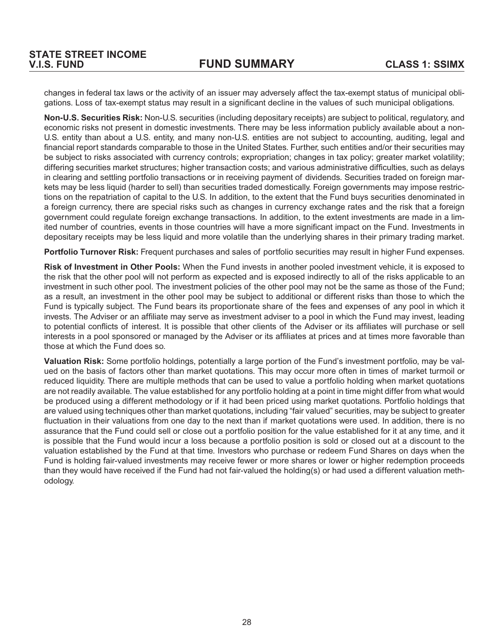changes in federal tax laws or the activity of an issuer may adversely affect the tax-exempt status of municipal obligations. Loss of tax-exempt status may result in a significant decline in the values of such municipal obligations.

**Non-U.S. Securities Risk:** Non-U.S. securities (including depositary receipts) are subject to political, regulatory, and economic risks not present in domestic investments. There may be less information publicly available about a non-U.S. entity than about a U.S. entity, and many non-U.S. entities are not subject to accounting, auditing, legal and financial report standards comparable to those in the United States. Further, such entities and/or their securities may be subject to risks associated with currency controls; expropriation; changes in tax policy; greater market volatility; differing securities market structures; higher transaction costs; and various administrative difficulties, such as delays in clearing and settling portfolio transactions or in receiving payment of dividends. Securities traded on foreign markets may be less liquid (harder to sell) than securities traded domestically. Foreign governments may impose restrictions on the repatriation of capital to the U.S. In addition, to the extent that the Fund buys securities denominated in a foreign currency, there are special risks such as changes in currency exchange rates and the risk that a foreign government could regulate foreign exchange transactions. In addition, to the extent investments are made in a limited number of countries, events in those countries will have a more significant impact on the Fund. Investments in depositary receipts may be less liquid and more volatile than the underlying shares in their primary trading market.

**Portfolio Turnover Risk:** Frequent purchases and sales of portfolio securities may result in higher Fund expenses.

**Risk of Investment in Other Pools:** When the Fund invests in another pooled investment vehicle, it is exposed to the risk that the other pool will not perform as expected and is exposed indirectly to all of the risks applicable to an investment in such other pool. The investment policies of the other pool may not be the same as those of the Fund; as a result, an investment in the other pool may be subject to additional or different risks than those to which the Fund is typically subject. The Fund bears its proportionate share of the fees and expenses of any pool in which it invests. The Adviser or an affiliate may serve as investment adviser to a pool in which the Fund may invest, leading to potential conflicts of interest. It is possible that other clients of the Adviser or its affiliates will purchase or sell interests in a pool sponsored or managed by the Adviser or its affiliates at prices and at times more favorable than those at which the Fund does so.

**Valuation Risk:** Some portfolio holdings, potentially a large portion of the Fund's investment portfolio, may be valued on the basis of factors other than market quotations. This may occur more often in times of market turmoil or reduced liquidity. There are multiple methods that can be used to value a portfolio holding when market quotations are not readily available. The value established for any portfolio holding at a point in time might differ from what would be produced using a different methodology or if it had been priced using market quotations. Portfolio holdings that are valued using techniques other than market quotations, including "fair valued" securities, may be subject to greater fluctuation in their valuations from one day to the next than if market quotations were used. In addition, there is no assurance that the Fund could sell or close out a portfolio position for the value established for it at any time, and it is possible that the Fund would incur a loss because a portfolio position is sold or closed out at a discount to the valuation established by the Fund at that time. Investors who purchase or redeem Fund Shares on days when the Fund is holding fair-valued investments may receive fewer or more shares or lower or higher redemption proceeds than they would have received if the Fund had not fair-valued the holding(s) or had used a different valuation methodology.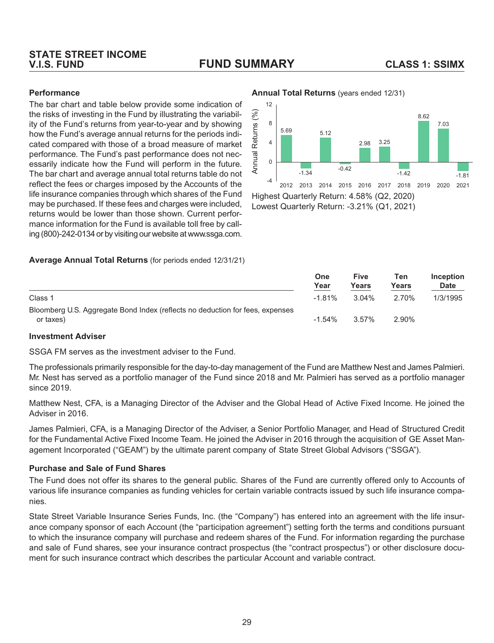# **STATE STREET INCOME**

### **V.I.S. FUND FUND SUMMARY CLASS 1: SSIMX**

#### **Performance**

The bar chart and table below provide some indication of the risks of investing in the Fund by illustrating the variability of the Fund's returns from year-to-year and by showing how the Fund's average annual returns for the periods indicated compared with those of a broad measure of market performance. The Fund's past performance does not necessarily indicate how the Fund will perform in the future. The bar chart and average annual total returns table do not reflect the fees or charges imposed by the Accounts of the life insurance companies through which shares of the Fund may be purchased. If these fees and charges were included, returns would be lower than those shown. Current performance information for the Fund is available toll free by calling (800)-242-0134 or by visiting our website at www.ssga.com.

#### **Average Annual Total Returns** (for periods ended 12/31/21)

#### **Annual Total Returns** (years ended 12/31)



Lowest Quarterly Return: -3.21% (Q1, 2021)

|                                                                                            | One<br>Year | <b>Five</b><br>Years | Ten<br>Years | Inception<br><b>Date</b> |
|--------------------------------------------------------------------------------------------|-------------|----------------------|--------------|--------------------------|
| Class 1                                                                                    | $-1.81%$    | $3.04\%$             | 2.70%        | 1/3/1995                 |
| Bloomberg U.S. Aggregate Bond Index (reflects no deduction for fees, expenses<br>or taxes) | $-1.54\%$   | $3.57\%$             | 2.90%        |                          |

#### **Investment Adviser**

SSGA FM serves as the investment adviser to the Fund.

The professionals primarily responsible for the day-to-day management of the Fund are Matthew Nest and James Palmieri. Mr. Nest has served as a portfolio manager of the Fund since 2018 and Mr. Palmieri has served as a portfolio manager since 2019.

Matthew Nest, CFA, is a Managing Director of the Adviser and the Global Head of Active Fixed Income. He joined the Adviser in 2016.

James Palmieri, CFA, is a Managing Director of the Adviser, a Senior Portfolio Manager, and Head of Structured Credit for the Fundamental Active Fixed Income Team. He joined the Adviser in 2016 through the acquisition of GE Asset Management Incorporated ("GEAM") by the ultimate parent company of State Street Global Advisors ("SSGA").

#### **Purchase and Sale of Fund Shares**

The Fund does not offer its shares to the general public. Shares of the Fund are currently offered only to Accounts of various life insurance companies as funding vehicles for certain variable contracts issued by such life insurance companies.

State Street Variable Insurance Series Funds, Inc. (the "Company") has entered into an agreement with the life insurance company sponsor of each Account (the "participation agreement") setting forth the terms and conditions pursuant to which the insurance company will purchase and redeem shares of the Fund. For information regarding the purchase and sale of Fund shares, see your insurance contract prospectus (the "contract prospectus") or other disclosure document for such insurance contract which describes the particular Account and variable contract.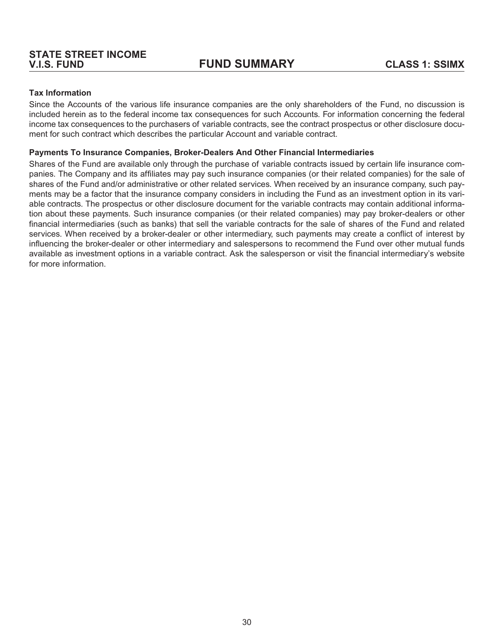#### **Tax Information**

Since the Accounts of the various life insurance companies are the only shareholders of the Fund, no discussion is included herein as to the federal income tax consequences for such Accounts. For information concerning the federal income tax consequences to the purchasers of variable contracts, see the contract prospectus or other disclosure document for such contract which describes the particular Account and variable contract.

#### **Payments To Insurance Companies, Broker-Dealers And Other Financial Intermediaries**

Shares of the Fund are available only through the purchase of variable contracts issued by certain life insurance companies. The Company and its affiliates may pay such insurance companies (or their related companies) for the sale of shares of the Fund and/or administrative or other related services. When received by an insurance company, such payments may be a factor that the insurance company considers in including the Fund as an investment option in its variable contracts. The prospectus or other disclosure document for the variable contracts may contain additional information about these payments. Such insurance companies (or their related companies) may pay broker-dealers or other financial intermediaries (such as banks) that sell the variable contracts for the sale of shares of the Fund and related services. When received by a broker-dealer or other intermediary, such payments may create a conflict of interest by influencing the broker-dealer or other intermediary and salespersons to recommend the Fund over other mutual funds available as investment options in a variable contract. Ask the salesperson or visit the financial intermediary's website for more information.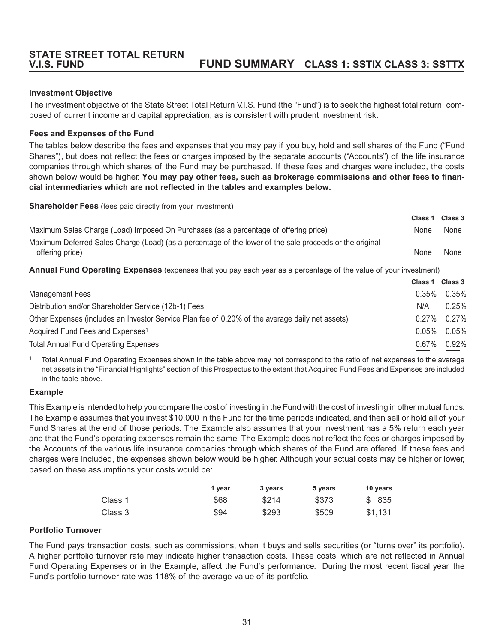# <span id="page-34-0"></span>**STATE STREET TOTAL RETURN**

### **V.I.S. FUND FUND SUMMARY CLASS 1: SSTIX CLASS 3: SSTTX**

#### **Investment Objective**

The investment objective of the State Street Total Return V.I.S. Fund (the "Fund") is to seek the highest total return, composed of current income and capital appreciation, as is consistent with prudent investment risk.

#### **Fees and Expenses of the Fund**

The tables below describe the fees and expenses that you may pay if you buy, hold and sell shares of the Fund ("Fund Shares"), but does not reflect the fees or charges imposed by the separate accounts ("Accounts") of the life insurance companies through which shares of the Fund may be purchased. If these fees and charges were included, the costs shown below would be higher. **You may pay other fees, such as brokerage commissions and other fees to financial intermediaries which are not reflected in the tables and examples below.**

**Shareholder Fees** (fees paid directly from your investment)

|                                                                                                         | Class <sup>1</sup> | Class 3 |
|---------------------------------------------------------------------------------------------------------|--------------------|---------|
| Maximum Sales Charge (Load) Imposed On Purchases (as a percentage of offering price)                    | None               | None    |
| Maximum Deferred Sales Charge (Load) (as a percentage of the lower of the sale proceeds or the original |                    |         |
| offering price)                                                                                         | <b>None</b>        | None    |

**Annual Fund Operating Expenses** (expenses that you pay each year as a percentage of the value of your investment)

|                                                                                                 | Class 1  | <b>Class 3</b> |
|-------------------------------------------------------------------------------------------------|----------|----------------|
| Management Fees                                                                                 | $0.35\%$ | 0.35%          |
| Distribution and/or Shareholder Service (12b-1) Fees                                            | N/A      | 0.25%          |
| Other Expenses (includes an Investor Service Plan fee of 0.20% of the average daily net assets) | $0.27\%$ | 0.27%          |
| Acquired Fund Fees and Expenses <sup>1</sup>                                                    | 0.05%    | 0.05%          |
| <b>Total Annual Fund Operating Expenses</b>                                                     | 0.67%    | 0.92%          |

<sup>1</sup> Total Annual Fund Operating Expenses shown in the table above may not correspond to the ratio of net expenses to the average net assets in the "Financial Highlights" section of this Prospectus to the extent that Acquired Fund Fees and Expenses are included in the table above.

#### **Example**

This Example is intended to help you compare the cost of investing in the Fund with the cost of investing in other mutual funds. The Example assumes that you invest \$10,000 in the Fund for the time periods indicated, and then sell or hold all of your Fund Shares at the end of those periods. The Example also assumes that your investment has a 5% return each year and that the Fund's operating expenses remain the same. The Example does not reflect the fees or charges imposed by the Accounts of the various life insurance companies through which shares of the Fund are offered. If these fees and charges were included, the expenses shown below would be higher. Although your actual costs may be higher or lower, based on these assumptions your costs would be:

|         | 1 year | 3 years | 5 years | 10 years |
|---------|--------|---------|---------|----------|
| Class 1 | \$68   | \$214   | \$373   | \$ 835   |
| Class 3 | \$94   | \$293   | \$509   | \$1.131  |

#### **Portfolio Turnover**

The Fund pays transaction costs, such as commissions, when it buys and sells securities (or "turns over" its portfolio). A higher portfolio turnover rate may indicate higher transaction costs. These costs, which are not reflected in Annual Fund Operating Expenses or in the Example, affect the Fund's performance. During the most recent fiscal year, the Fund's portfolio turnover rate was 118% of the average value of its portfolio.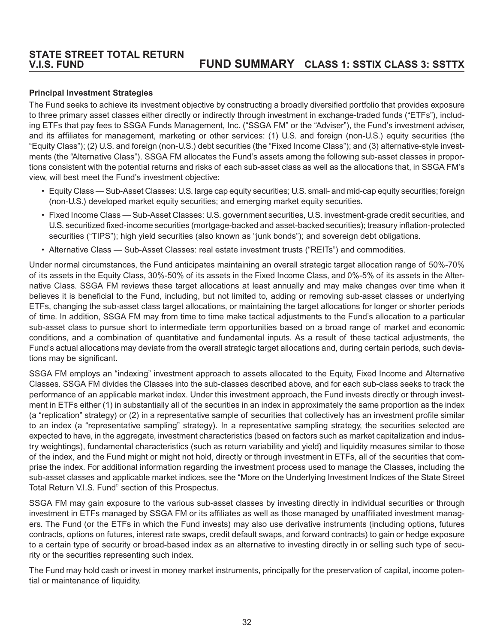### **STATE STREET TOTAL RETURN V.I.S. FUND FUND SUMMARY CLASS 1: SSTIX CLASS 3: SSTTX**

#### **Principal Investment Strategies**

The Fund seeks to achieve its investment objective by constructing a broadly diversified portfolio that provides exposure to three primary asset classes either directly or indirectly through investment in exchange-traded funds ("ETFs"), including ETFs that pay fees to SSGA Funds Management, Inc. ("SSGA FM" or the "Adviser"), the Fund's investment adviser, and its affiliates for management, marketing or other services: (1) U.S. and foreign (non-U.S.) equity securities (the "Equity Class"); (2) U.S. and foreign (non-U.S.) debt securities (the "Fixed Income Class"); and (3) alternative-style investments (the "Alternative Class"). SSGA FM allocates the Fund's assets among the following sub-asset classes in proportions consistent with the potential returns and risks of each sub-asset class as well as the allocations that, in SSGA FM's view, will best meet the Fund's investment objective:

- Equity Class Sub-Asset Classes: U.S. large cap equity securities; U.S. small- and mid-cap equity securities; foreign (non-U.S.) developed market equity securities; and emerging market equity securities.
- Fixed Income Class Sub-Asset Classes: U.S. government securities, U.S. investment-grade credit securities, and U.S. securitized fixed-income securities (mortgage-backed and asset-backed securities); treasury inflation-protected securities ("TIPS"); high yield securities (also known as "junk bonds"); and sovereign debt obligations.
- Alternative Class Sub-Asset Classes: real estate investment trusts ("REITs") and commodities.

Under normal circumstances, the Fund anticipates maintaining an overall strategic target allocation range of 50%-70% of its assets in the Equity Class, 30%-50% of its assets in the Fixed Income Class, and 0%-5% of its assets in the Alternative Class. SSGA FM reviews these target allocations at least annually and may make changes over time when it believes it is beneficial to the Fund, including, but not limited to, adding or removing sub-asset classes or underlying ETFs, changing the sub-asset class target allocations, or maintaining the target allocations for longer or shorter periods of time. In addition, SSGA FM may from time to time make tactical adjustments to the Fund's allocation to a particular sub-asset class to pursue short to intermediate term opportunities based on a broad range of market and economic conditions, and a combination of quantitative and fundamental inputs. As a result of these tactical adjustments, the Fund's actual allocations may deviate from the overall strategic target allocations and, during certain periods, such deviations may be significant.

SSGA FM employs an "indexing" investment approach to assets allocated to the Equity, Fixed Income and Alternative Classes. SSGA FM divides the Classes into the sub-classes described above, and for each sub-class seeks to track the performance of an applicable market index. Under this investment approach, the Fund invests directly or through investment in ETFs either (1) in substantially all of the securities in an index in approximately the same proportion as the index (a "replication" strategy) or (2) in a representative sample of securities that collectively has an investment profile similar to an index (a "representative sampling" strategy). In a representative sampling strategy, the securities selected are expected to have, in the aggregate, investment characteristics (based on factors such as market capitalization and industry weightings), fundamental characteristics (such as return variability and yield) and liquidity measures similar to those of the index, and the Fund might or might not hold, directly or through investment in ETFs, all of the securities that comprise the index. For additional information regarding the investment process used to manage the Classes, including the sub-asset classes and applicable market indices, see the "More on the Underlying Investment Indices of the State Street Total Return V.I.S. Fund" section of this Prospectus.

SSGA FM may gain exposure to the various sub-asset classes by investing directly in individual securities or through investment in ETFs managed by SSGA FM or its affiliates as well as those managed by unaffiliated investment managers. The Fund (or the ETFs in which the Fund invests) may also use derivative instruments (including options, futures contracts, options on futures, interest rate swaps, credit default swaps, and forward contracts) to gain or hedge exposure to a certain type of security or broad-based index as an alternative to investing directly in or selling such type of security or the securities representing such index.

The Fund may hold cash or invest in money market instruments, principally for the preservation of capital, income potential or maintenance of liquidity.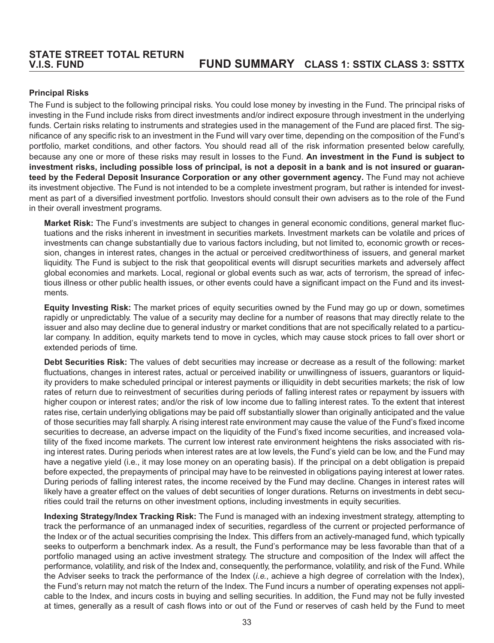## **Principal Risks**

The Fund is subject to the following principal risks. You could lose money by investing in the Fund. The principal risks of investing in the Fund include risks from direct investments and/or indirect exposure through investment in the underlying funds. Certain risks relating to instruments and strategies used in the management of the Fund are placed first. The significance of any specific risk to an investment in the Fund will vary over time, depending on the composition of the Fund's portfolio, market conditions, and other factors. You should read all of the risk information presented below carefully, because any one or more of these risks may result in losses to the Fund. **An investment in the Fund is subject to investment risks, including possible loss of principal, is not a deposit in a bank and is not insured or guaranteed by the Federal Deposit Insurance Corporation or any other government agency.** The Fund may not achieve its investment objective. The Fund is not intended to be a complete investment program, but rather is intended for investment as part of a diversified investment portfolio. Investors should consult their own advisers as to the role of the Fund in their overall investment programs.

**Market Risk:** The Fund's investments are subject to changes in general economic conditions, general market fluctuations and the risks inherent in investment in securities markets. Investment markets can be volatile and prices of investments can change substantially due to various factors including, but not limited to, economic growth or recession, changes in interest rates, changes in the actual or perceived creditworthiness of issuers, and general market liquidity. The Fund is subject to the risk that geopolitical events will disrupt securities markets and adversely affect global economies and markets. Local, regional or global events such as war, acts of terrorism, the spread of infectious illness or other public health issues, or other events could have a significant impact on the Fund and its investments.

**Equity Investing Risk:** The market prices of equity securities owned by the Fund may go up or down, sometimes rapidly or unpredictably. The value of a security may decline for a number of reasons that may directly relate to the issuer and also may decline due to general industry or market conditions that are not specifically related to a particular company. In addition, equity markets tend to move in cycles, which may cause stock prices to fall over short or extended periods of time.

**Debt Securities Risk:** The values of debt securities may increase or decrease as a result of the following: market fluctuations, changes in interest rates, actual or perceived inability or unwillingness of issuers, guarantors or liquidity providers to make scheduled principal or interest payments or illiquidity in debt securities markets; the risk of low rates of return due to reinvestment of securities during periods of falling interest rates or repayment by issuers with higher coupon or interest rates; and/or the risk of low income due to falling interest rates. To the extent that interest rates rise, certain underlying obligations may be paid off substantially slower than originally anticipated and the value of those securities may fall sharply. A rising interest rate environment may cause the value of the Fund's fixed income securities to decrease, an adverse impact on the liquidity of the Fund's fixed income securities, and increased volatility of the fixed income markets. The current low interest rate environment heightens the risks associated with rising interest rates. During periods when interest rates are at low levels, the Fund's yield can be low, and the Fund may have a negative yield (i.e., it may lose money on an operating basis). If the principal on a debt obligation is prepaid before expected, the prepayments of principal may have to be reinvested in obligations paying interest at lower rates. During periods of falling interest rates, the income received by the Fund may decline. Changes in interest rates will likely have a greater effect on the values of debt securities of longer durations. Returns on investments in debt securities could trail the returns on other investment options, including investments in equity securities.

**Indexing Strategy/Index Tracking Risk:** The Fund is managed with an indexing investment strategy, attempting to track the performance of an unmanaged index of securities, regardless of the current or projected performance of the Index or of the actual securities comprising the Index. This differs from an actively-managed fund, which typically seeks to outperform a benchmark index. As a result, the Fund's performance may be less favorable than that of a portfolio managed using an active investment strategy. The structure and composition of the Index will affect the performance, volatility, and risk of the Index and, consequently, the performance, volatility, and risk of the Fund. While the Adviser seeks to track the performance of the Index (*i.e.*, achieve a high degree of correlation with the Index), the Fund's return may not match the return of the Index. The Fund incurs a number of operating expenses not applicable to the Index, and incurs costs in buying and selling securities. In addition, the Fund may not be fully invested at times, generally as a result of cash flows into or out of the Fund or reserves of cash held by the Fund to meet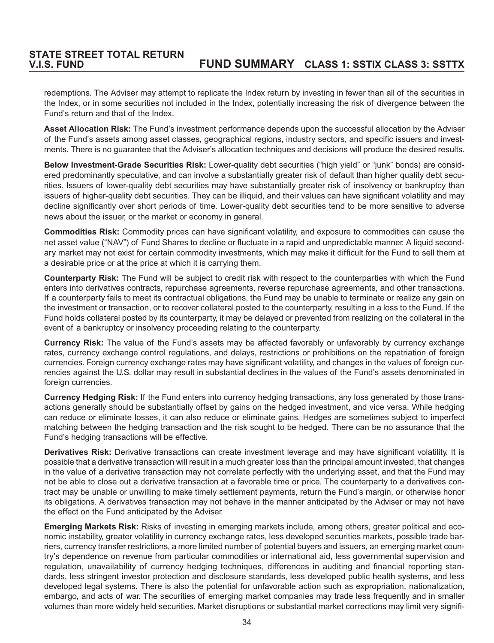redemptions. The Adviser may attempt to replicate the Index return by investing in fewer than all of the securities in the Index, or in some securities not included in the Index, potentially increasing the risk of divergence between the Fund's return and that of the Index.

**Asset Allocation Risk:** The Fund's investment performance depends upon the successful allocation by the Adviser of the Fund's assets among asset classes, geographical regions, industry sectors, and specific issuers and investments. There is no guarantee that the Adviser's allocation techniques and decisions will produce the desired results.

**Below Investment-Grade Securities Risk:** Lower-quality debt securities ("high yield" or "junk" bonds) are considered predominantly speculative, and can involve a substantially greater risk of default than higher quality debt securities. Issuers of lower-quality debt securities may have substantially greater risk of insolvency or bankruptcy than issuers of higher-quality debt securities. They can be illiquid, and their values can have significant volatility and may decline significantly over short periods of time. Lower-quality debt securities tend to be more sensitive to adverse news about the issuer, or the market or economy in general.

**Commodities Risk:** Commodity prices can have significant volatility, and exposure to commodities can cause the net asset value ("NAV") of Fund Shares to decline or fluctuate in a rapid and unpredictable manner. A liquid secondary market may not exist for certain commodity investments, which may make it difficult for the Fund to sell them at a desirable price or at the price at which it is carrying them.

**Counterparty Risk:** The Fund will be subject to credit risk with respect to the counterparties with which the Fund enters into derivatives contracts, repurchase agreements, reverse repurchase agreements, and other transactions. If a counterparty fails to meet its contractual obligations, the Fund may be unable to terminate or realize any gain on the investment or transaction, or to recover collateral posted to the counterparty, resulting in a loss to the Fund. If the Fund holds collateral posted by its counterparty, it may be delayed or prevented from realizing on the collateral in the event of a bankruptcy or insolvency proceeding relating to the counterparty.

**Currency Risk:** The value of the Fund's assets may be affected favorably or unfavorably by currency exchange rates, currency exchange control regulations, and delays, restrictions or prohibitions on the repatriation of foreign currencies. Foreign currency exchange rates may have significant volatility, and changes in the values of foreign currencies against the U.S. dollar may result in substantial declines in the values of the Fund's assets denominated in foreign currencies.

**Currency Hedging Risk:** If the Fund enters into currency hedging transactions, any loss generated by those transactions generally should be substantially offset by gains on the hedged investment, and vice versa. While hedging can reduce or eliminate losses, it can also reduce or eliminate gains. Hedges are sometimes subject to imperfect matching between the hedging transaction and the risk sought to be hedged. There can be no assurance that the Fund's hedging transactions will be effective.

**Derivatives Risk:** Derivative transactions can create investment leverage and may have significant volatility. It is possible that a derivative transaction will result in a much greater loss than the principal amount invested, that changes in the value of a derivative transaction may not correlate perfectly with the underlying asset, and that the Fund may not be able to close out a derivative transaction at a favorable time or price. The counterparty to a derivatives contract may be unable or unwilling to make timely settlement payments, return the Fund's margin, or otherwise honor its obligations. A derivatives transaction may not behave in the manner anticipated by the Adviser or may not have the effect on the Fund anticipated by the Adviser.

**Emerging Markets Risk:** Risks of investing in emerging markets include, among others, greater political and economic instability, greater volatility in currency exchange rates, less developed securities markets, possible trade barriers, currency transfer restrictions, a more limited number of potential buyers and issuers, an emerging market country's dependence on revenue from particular commodities or international aid, less governmental supervision and regulation, unavailability of currency hedging techniques, differences in auditing and financial reporting standards, less stringent investor protection and disclosure standards, less developed public health systems, and less developed legal systems. There is also the potential for unfavorable action such as expropriation, nationalization, embargo, and acts of war. The securities of emerging market companies may trade less frequently and in smaller volumes than more widely held securities. Market disruptions or substantial market corrections may limit very signifi-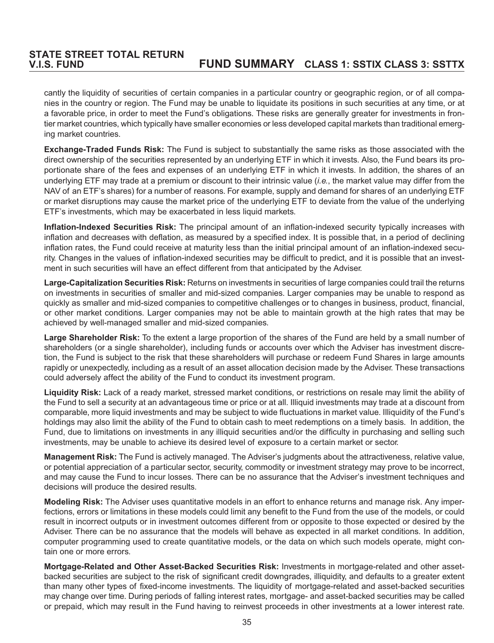cantly the liquidity of securities of certain companies in a particular country or geographic region, or of all companies in the country or region. The Fund may be unable to liquidate its positions in such securities at any time, or at a favorable price, in order to meet the Fund's obligations. These risks are generally greater for investments in frontier market countries, which typically have smaller economies or less developed capital markets than traditional emerging market countries.

**Exchange-Traded Funds Risk:** The Fund is subject to substantially the same risks as those associated with the direct ownership of the securities represented by an underlying ETF in which it invests. Also, the Fund bears its proportionate share of the fees and expenses of an underlying ETF in which it invests. In addition, the shares of an underlying ETF may trade at a premium or discount to their intrinsic value (*i.e.*, the market value may differ from the NAV of an ETF's shares) for a number of reasons. For example, supply and demand for shares of an underlying ETF or market disruptions may cause the market price of the underlying ETF to deviate from the value of the underlying ETF's investments, which may be exacerbated in less liquid markets.

**Inflation-Indexed Securities Risk:** The principal amount of an inflation-indexed security typically increases with inflation and decreases with deflation, as measured by a specified index. It is possible that, in a period of declining inflation rates, the Fund could receive at maturity less than the initial principal amount of an inflation-indexed security. Changes in the values of inflation-indexed securities may be difficult to predict, and it is possible that an investment in such securities will have an effect different from that anticipated by the Adviser.

**Large-Capitalization Securities Risk:** Returns on investments in securities of large companies could trail the returns on investments in securities of smaller and mid-sized companies. Larger companies may be unable to respond as quickly as smaller and mid-sized companies to competitive challenges or to changes in business, product, financial, or other market conditions. Larger companies may not be able to maintain growth at the high rates that may be achieved by well-managed smaller and mid-sized companies.

**Large Shareholder Risk:** To the extent a large proportion of the shares of the Fund are held by a small number of shareholders (or a single shareholder), including funds or accounts over which the Adviser has investment discretion, the Fund is subject to the risk that these shareholders will purchase or redeem Fund Shares in large amounts rapidly or unexpectedly, including as a result of an asset allocation decision made by the Adviser. These transactions could adversely affect the ability of the Fund to conduct its investment program.

**Liquidity Risk:** Lack of a ready market, stressed market conditions, or restrictions on resale may limit the ability of the Fund to sell a security at an advantageous time or price or at all. Illiquid investments may trade at a discount from comparable, more liquid investments and may be subject to wide fluctuations in market value. Illiquidity of the Fund's holdings may also limit the ability of the Fund to obtain cash to meet redemptions on a timely basis. In addition, the Fund, due to limitations on investments in any illiquid securities and/or the difficulty in purchasing and selling such investments, may be unable to achieve its desired level of exposure to a certain market or sector.

**Management Risk:** The Fund is actively managed. The Adviser's judgments about the attractiveness, relative value, or potential appreciation of a particular sector, security, commodity or investment strategy may prove to be incorrect, and may cause the Fund to incur losses. There can be no assurance that the Adviser's investment techniques and decisions will produce the desired results.

**Modeling Risk:** The Adviser uses quantitative models in an effort to enhance returns and manage risk. Any imperfections, errors or limitations in these models could limit any benefit to the Fund from the use of the models, or could result in incorrect outputs or in investment outcomes different from or opposite to those expected or desired by the Adviser. There can be no assurance that the models will behave as expected in all market conditions. In addition, computer programming used to create quantitative models, or the data on which such models operate, might contain one or more errors.

**Mortgage-Related and Other Asset-Backed Securities Risk:** Investments in mortgage-related and other assetbacked securities are subject to the risk of significant credit downgrades, illiquidity, and defaults to a greater extent than many other types of fixed-income investments. The liquidity of mortgage-related and asset-backed securities may change over time. During periods of falling interest rates, mortgage- and asset-backed securities may be called or prepaid, which may result in the Fund having to reinvest proceeds in other investments at a lower interest rate.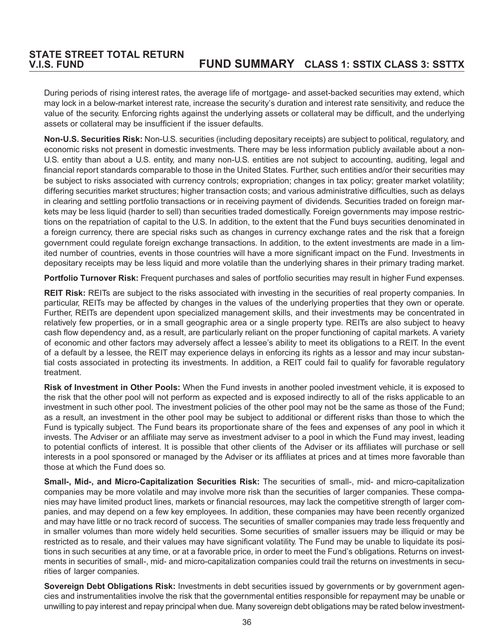During periods of rising interest rates, the average life of mortgage- and asset-backed securities may extend, which may lock in a below-market interest rate, increase the security's duration and interest rate sensitivity, and reduce the value of the security. Enforcing rights against the underlying assets or collateral may be difficult, and the underlying assets or collateral may be insufficient if the issuer defaults.

**Non-U.S. Securities Risk:** Non-U.S. securities (including depositary receipts) are subject to political, regulatory, and economic risks not present in domestic investments. There may be less information publicly available about a non-U.S. entity than about a U.S. entity, and many non-U.S. entities are not subject to accounting, auditing, legal and financial report standards comparable to those in the United States. Further, such entities and/or their securities may be subject to risks associated with currency controls; expropriation; changes in tax policy; greater market volatility; differing securities market structures; higher transaction costs; and various administrative difficulties, such as delays in clearing and settling portfolio transactions or in receiving payment of dividends. Securities traded on foreign markets may be less liquid (harder to sell) than securities traded domestically. Foreign governments may impose restrictions on the repatriation of capital to the U.S. In addition, to the extent that the Fund buys securities denominated in a foreign currency, there are special risks such as changes in currency exchange rates and the risk that a foreign government could regulate foreign exchange transactions. In addition, to the extent investments are made in a limited number of countries, events in those countries will have a more significant impact on the Fund. Investments in depositary receipts may be less liquid and more volatile than the underlying shares in their primary trading market.

**Portfolio Turnover Risk:** Frequent purchases and sales of portfolio securities may result in higher Fund expenses.

**REIT Risk:** REITs are subject to the risks associated with investing in the securities of real property companies. In particular, REITs may be affected by changes in the values of the underlying properties that they own or operate. Further, REITs are dependent upon specialized management skills, and their investments may be concentrated in relatively few properties, or in a small geographic area or a single property type. REITs are also subject to heavy cash flow dependency and, as a result, are particularly reliant on the proper functioning of capital markets. A variety of economic and other factors may adversely affect a lessee's ability to meet its obligations to a REIT. In the event of a default by a lessee, the REIT may experience delays in enforcing its rights as a lessor and may incur substantial costs associated in protecting its investments. In addition, a REIT could fail to qualify for favorable regulatory treatment.

**Risk of Investment in Other Pools:** When the Fund invests in another pooled investment vehicle, it is exposed to the risk that the other pool will not perform as expected and is exposed indirectly to all of the risks applicable to an investment in such other pool. The investment policies of the other pool may not be the same as those of the Fund; as a result, an investment in the other pool may be subject to additional or different risks than those to which the Fund is typically subject. The Fund bears its proportionate share of the fees and expenses of any pool in which it invests. The Adviser or an affiliate may serve as investment adviser to a pool in which the Fund may invest, leading to potential conflicts of interest. It is possible that other clients of the Adviser or its affiliates will purchase or sell interests in a pool sponsored or managed by the Adviser or its affiliates at prices and at times more favorable than those at which the Fund does so.

**Small-, Mid-, and Micro-Capitalization Securities Risk:** The securities of small-, mid- and micro-capitalization companies may be more volatile and may involve more risk than the securities of larger companies. These companies may have limited product lines, markets or financial resources, may lack the competitive strength of larger companies, and may depend on a few key employees. In addition, these companies may have been recently organized and may have little or no track record of success. The securities of smaller companies may trade less frequently and in smaller volumes than more widely held securities. Some securities of smaller issuers may be illiquid or may be restricted as to resale, and their values may have significant volatility. The Fund may be unable to liquidate its positions in such securities at any time, or at a favorable price, in order to meet the Fund's obligations. Returns on investments in securities of small-, mid- and micro-capitalization companies could trail the returns on investments in securities of larger companies.

**Sovereign Debt Obligations Risk:** Investments in debt securities issued by governments or by government agencies and instrumentalities involve the risk that the governmental entities responsible for repayment may be unable or unwilling to pay interest and repay principal when due. Many sovereign debt obligations may be rated below investment-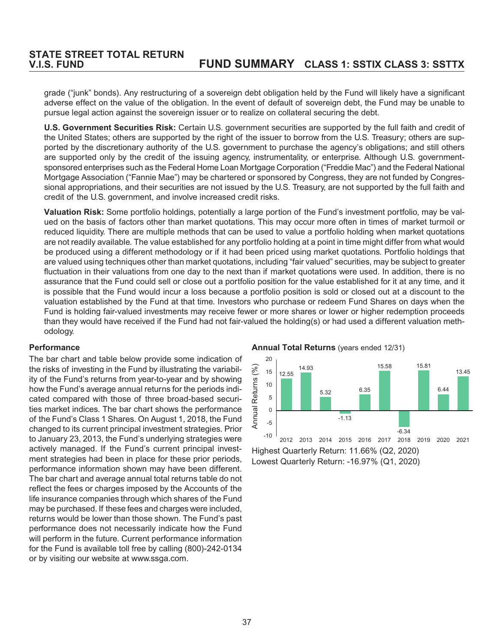grade ("junk" bonds). Any restructuring of a sovereign debt obligation held by the Fund will likely have a significant adverse effect on the value of the obligation. In the event of default of sovereign debt, the Fund may be unable to pursue legal action against the sovereign issuer or to realize on collateral securing the debt.

**U.S. Government Securities Risk:** Certain U.S. government securities are supported by the full faith and credit of the United States; others are supported by the right of the issuer to borrow from the U.S. Treasury; others are supported by the discretionary authority of the U.S. government to purchase the agency's obligations; and still others are supported only by the credit of the issuing agency, instrumentality, or enterprise. Although U.S. governmentsponsored enterprises such as the Federal Home Loan Mortgage Corporation ("Freddie Mac") and the Federal National Mortgage Association ("Fannie Mae") may be chartered or sponsored by Congress, they are not funded by Congressional appropriations, and their securities are not issued by the U.S. Treasury, are not supported by the full faith and credit of the U.S. government, and involve increased credit risks.

**Valuation Risk:** Some portfolio holdings, potentially a large portion of the Fund's investment portfolio, may be valued on the basis of factors other than market quotations. This may occur more often in times of market turmoil or reduced liquidity. There are multiple methods that can be used to value a portfolio holding when market quotations are not readily available. The value established for any portfolio holding at a point in time might differ from what would be produced using a different methodology or if it had been priced using market quotations. Portfolio holdings that are valued using techniques other than market quotations, including "fair valued" securities, may be subject to greater fluctuation in their valuations from one day to the next than if market quotations were used. In addition, there is no assurance that the Fund could sell or close out a portfolio position for the value established for it at any time, and it is possible that the Fund would incur a loss because a portfolio position is sold or closed out at a discount to the valuation established by the Fund at that time. Investors who purchase or redeem Fund Shares on days when the Fund is holding fair-valued investments may receive fewer or more shares or lower or higher redemption proceeds than they would have received if the Fund had not fair-valued the holding(s) or had used a different valuation methodology.

### **Performance**

The bar chart and table below provide some indication of the risks of investing in the Fund by illustrating the variability of the Fund's returns from year-to-year and by showing how the Fund's average annual returns for the periods indicated compared with those of three broad-based securities market indices. The bar chart shows the performance of the Fund's Class 1 Shares. On August 1, 2018, the Fund changed to its current principal investment strategies. Prior to January 23, 2013, the Fund's underlying strategies were actively managed. If the Fund's current principal investment strategies had been in place for these prior periods, performance information shown may have been different. The bar chart and average annual total returns table do not reflect the fees or charges imposed by the Accounts of the life insurance companies through which shares of the Fund may be purchased. If these fees and charges were included, returns would be lower than those shown. The Fund's past performance does not necessarily indicate how the Fund will perform in the future. Current performance information for the Fund is available toll free by calling (800)-242-0134 or by visiting our website at www.ssga.com.

**Annual Total Returns** (years ended 12/31)



Highest Quarterly Return: 11.66% (Q2, 2020) Lowest Quarterly Return: -16.97% (Q1, 2020)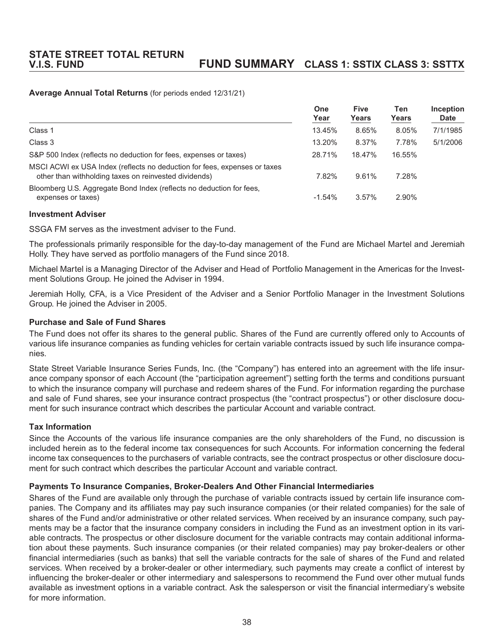### **Average Annual Total Returns** (for periods ended 12/31/21)

|                                                                                                                                    | One<br>Year | <b>Five</b><br>Years | Ten<br>Years | Inception<br><b>Date</b> |
|------------------------------------------------------------------------------------------------------------------------------------|-------------|----------------------|--------------|--------------------------|
| Class 1                                                                                                                            | 13.45%      | 8.65%                | 8.05%        | 7/1/1985                 |
| Class 3                                                                                                                            | 13.20%      | 8.37%                | 7.78%        | 5/1/2006                 |
| S&P 500 Index (reflects no deduction for fees, expenses or taxes)                                                                  | 28.71%      | 18.47%               | 16.55%       |                          |
| MSCI ACWI ex USA Index (reflects no deduction for fees, expenses or taxes<br>other than withholding taxes on reinvested dividends) | 7.82%       | 9.61%                | 7.28%        |                          |
| Bloomberg U.S. Aggregate Bond Index (reflects no deduction for fees,<br>expenses or taxes)                                         | $-1.54\%$   | 3.57%                | 2.90%        |                          |

#### **Investment Adviser**

SSGA FM serves as the investment adviser to the Fund.

The professionals primarily responsible for the day-to-day management of the Fund are Michael Martel and Jeremiah Holly. They have served as portfolio managers of the Fund since 2018.

Michael Martel is a Managing Director of the Adviser and Head of Portfolio Management in the Americas for the Investment Solutions Group. He joined the Adviser in 1994.

Jeremiah Holly, CFA, is a Vice President of the Adviser and a Senior Portfolio Manager in the Investment Solutions Group. He joined the Adviser in 2005.

#### **Purchase and Sale of Fund Shares**

The Fund does not offer its shares to the general public. Shares of the Fund are currently offered only to Accounts of various life insurance companies as funding vehicles for certain variable contracts issued by such life insurance companies.

State Street Variable Insurance Series Funds, Inc. (the "Company") has entered into an agreement with the life insurance company sponsor of each Account (the "participation agreement") setting forth the terms and conditions pursuant to which the insurance company will purchase and redeem shares of the Fund. For information regarding the purchase and sale of Fund shares, see your insurance contract prospectus (the "contract prospectus") or other disclosure document for such insurance contract which describes the particular Account and variable contract.

#### **Tax Information**

Since the Accounts of the various life insurance companies are the only shareholders of the Fund, no discussion is included herein as to the federal income tax consequences for such Accounts. For information concerning the federal income tax consequences to the purchasers of variable contracts, see the contract prospectus or other disclosure document for such contract which describes the particular Account and variable contract.

#### **Payments To Insurance Companies, Broker-Dealers And Other Financial Intermediaries**

Shares of the Fund are available only through the purchase of variable contracts issued by certain life insurance companies. The Company and its affiliates may pay such insurance companies (or their related companies) for the sale of shares of the Fund and/or administrative or other related services. When received by an insurance company, such payments may be a factor that the insurance company considers in including the Fund as an investment option in its variable contracts. The prospectus or other disclosure document for the variable contracts may contain additional information about these payments. Such insurance companies (or their related companies) may pay broker-dealers or other financial intermediaries (such as banks) that sell the variable contracts for the sale of shares of the Fund and related services. When received by a broker-dealer or other intermediary, such payments may create a conflict of interest by influencing the broker-dealer or other intermediary and salespersons to recommend the Fund over other mutual funds available as investment options in a variable contract. Ask the salesperson or visit the financial intermediary's website for more information.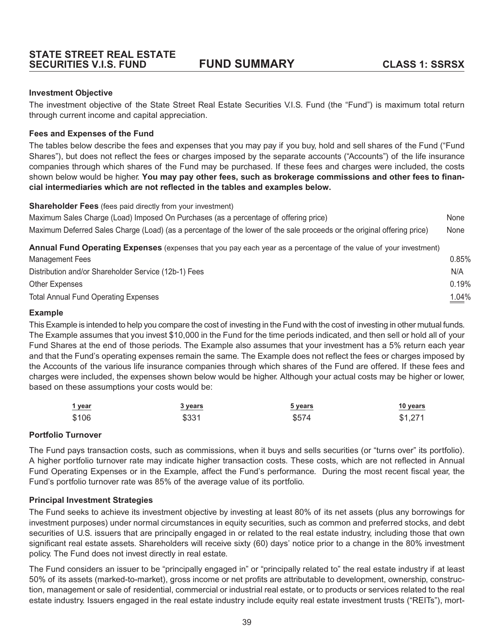## **Investment Objective**

The investment objective of the State Street Real Estate Securities V.I.S. Fund (the "Fund") is maximum total return through current income and capital appreciation.

## **Fees and Expenses of the Fund**

The tables below describe the fees and expenses that you may pay if you buy, hold and sell shares of the Fund ("Fund Shares"), but does not reflect the fees or charges imposed by the separate accounts ("Accounts") of the life insurance companies through which shares of the Fund may be purchased. If these fees and charges were included, the costs shown below would be higher. **You may pay other fees, such as brokerage commissions and other fees to financial intermediaries which are not reflected in the tables and examples below.**

**Shareholder Fees** (fees paid directly from your investment)

| Annual Fund Operating Expenses (expenses that you pay each year as a percentage of the value of your investment)        |      |
|-------------------------------------------------------------------------------------------------------------------------|------|
| Maximum Deferred Sales Charge (Load) (as a percentage of the lower of the sale proceeds or the original offering price) | None |
| Maximum Sales Charge (Load) Imposed On Purchases (as a percentage of offering price)                                    | None |

| Management Fees                                      | $0.85\%$ |
|------------------------------------------------------|----------|
| Distribution and/or Shareholder Service (12b-1) Fees | N/A      |
| Other Expenses                                       | 0.19%    |
| <b>Total Annual Fund Operating Expenses</b>          | 1.04%    |

## **Example**

This Example is intended to help you compare the cost of investing in the Fund with the cost of investing in other mutual funds. The Example assumes that you invest \$10,000 in the Fund for the time periods indicated, and then sell or hold all of your Fund Shares at the end of those periods. The Example also assumes that your investment has a 5% return each year and that the Fund's operating expenses remain the same. The Example does not reflect the fees or charges imposed by the Accounts of the various life insurance companies through which shares of the Fund are offered. If these fees and charges were included, the expenses shown below would be higher. Although your actual costs may be higher or lower, based on these assumptions your costs would be:

| 1 year | 3 years | 5 years | 10 years |
|--------|---------|---------|----------|
| \$106  | \$331   | \$574   | \$1,271  |

## **Portfolio Turnover**

The Fund pays transaction costs, such as commissions, when it buys and sells securities (or "turns over" its portfolio). A higher portfolio turnover rate may indicate higher transaction costs. These costs, which are not reflected in Annual Fund Operating Expenses or in the Example, affect the Fund's performance. During the most recent fiscal year, the Fund's portfolio turnover rate was 85% of the average value of its portfolio.

## **Principal Investment Strategies**

The Fund seeks to achieve its investment objective by investing at least 80% of its net assets (plus any borrowings for investment purposes) under normal circumstances in equity securities, such as common and preferred stocks, and debt securities of U.S. issuers that are principally engaged in or related to the real estate industry, including those that own significant real estate assets. Shareholders will receive sixty (60) days' notice prior to a change in the 80% investment policy. The Fund does not invest directly in real estate.

The Fund considers an issuer to be "principally engaged in" or "principally related to" the real estate industry if at least 50% of its assets (marked-to-market), gross income or net profits are attributable to development, ownership, construction, management or sale of residential, commercial or industrial real estate, or to products or services related to the real estate industry. Issuers engaged in the real estate industry include equity real estate investment trusts ("REITs"), mort-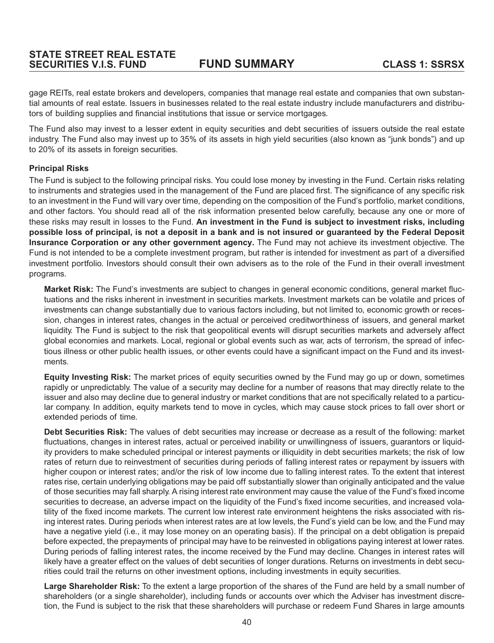gage REITs, real estate brokers and developers, companies that manage real estate and companies that own substantial amounts of real estate. Issuers in businesses related to the real estate industry include manufacturers and distributors of building supplies and financial institutions that issue or service mortgages.

The Fund also may invest to a lesser extent in equity securities and debt securities of issuers outside the real estate industry. The Fund also may invest up to 35% of its assets in high yield securities (also known as "junk bonds") and up to 20% of its assets in foreign securities.

## **Principal Risks**

The Fund is subject to the following principal risks. You could lose money by investing in the Fund. Certain risks relating to instruments and strategies used in the management of the Fund are placed first. The significance of any specific risk to an investment in the Fund will vary over time, depending on the composition of the Fund's portfolio, market conditions, and other factors. You should read all of the risk information presented below carefully, because any one or more of these risks may result in losses to the Fund. **An investment in the Fund is subject to investment risks, including possible loss of principal, is not a deposit in a bank and is not insured or guaranteed by the Federal Deposit Insurance Corporation or any other government agency.** The Fund may not achieve its investment objective. The Fund is not intended to be a complete investment program, but rather is intended for investment as part of a diversified investment portfolio. Investors should consult their own advisers as to the role of the Fund in their overall investment programs.

**Market Risk:** The Fund's investments are subject to changes in general economic conditions, general market fluctuations and the risks inherent in investment in securities markets. Investment markets can be volatile and prices of investments can change substantially due to various factors including, but not limited to, economic growth or recession, changes in interest rates, changes in the actual or perceived creditworthiness of issuers, and general market liquidity. The Fund is subject to the risk that geopolitical events will disrupt securities markets and adversely affect global economies and markets. Local, regional or global events such as war, acts of terrorism, the spread of infectious illness or other public health issues, or other events could have a significant impact on the Fund and its investments.

**Equity Investing Risk:** The market prices of equity securities owned by the Fund may go up or down, sometimes rapidly or unpredictably. The value of a security may decline for a number of reasons that may directly relate to the issuer and also may decline due to general industry or market conditions that are not specifically related to a particular company. In addition, equity markets tend to move in cycles, which may cause stock prices to fall over short or extended periods of time.

**Debt Securities Risk:** The values of debt securities may increase or decrease as a result of the following: market fluctuations, changes in interest rates, actual or perceived inability or unwillingness of issuers, guarantors or liquidity providers to make scheduled principal or interest payments or illiquidity in debt securities markets; the risk of low rates of return due to reinvestment of securities during periods of falling interest rates or repayment by issuers with higher coupon or interest rates; and/or the risk of low income due to falling interest rates. To the extent that interest rates rise, certain underlying obligations may be paid off substantially slower than originally anticipated and the value of those securities may fall sharply. A rising interest rate environment may cause the value of the Fund's fixed income securities to decrease, an adverse impact on the liquidity of the Fund's fixed income securities, and increased volatility of the fixed income markets. The current low interest rate environment heightens the risks associated with rising interest rates. During periods when interest rates are at low levels, the Fund's yield can be low, and the Fund may have a negative yield (i.e., it may lose money on an operating basis). If the principal on a debt obligation is prepaid before expected, the prepayments of principal may have to be reinvested in obligations paying interest at lower rates. During periods of falling interest rates, the income received by the Fund may decline. Changes in interest rates will likely have a greater effect on the values of debt securities of longer durations. Returns on investments in debt securities could trail the returns on other investment options, including investments in equity securities.

**Large Shareholder Risk:** To the extent a large proportion of the shares of the Fund are held by a small number of shareholders (or a single shareholder), including funds or accounts over which the Adviser has investment discretion, the Fund is subject to the risk that these shareholders will purchase or redeem Fund Shares in large amounts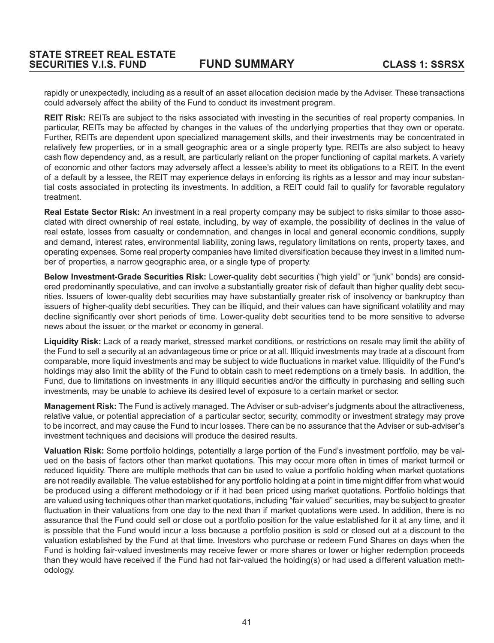rapidly or unexpectedly, including as a result of an asset allocation decision made by the Adviser. These transactions could adversely affect the ability of the Fund to conduct its investment program.

**REIT Risk:** REITs are subject to the risks associated with investing in the securities of real property companies. In particular, REITs may be affected by changes in the values of the underlying properties that they own or operate. Further, REITs are dependent upon specialized management skills, and their investments may be concentrated in relatively few properties, or in a small geographic area or a single property type. REITs are also subject to heavy cash flow dependency and, as a result, are particularly reliant on the proper functioning of capital markets. A variety of economic and other factors may adversely affect a lessee's ability to meet its obligations to a REIT. In the event of a default by a lessee, the REIT may experience delays in enforcing its rights as a lessor and may incur substantial costs associated in protecting its investments. In addition, a REIT could fail to qualify for favorable regulatory treatment.

**Real Estate Sector Risk:** An investment in a real property company may be subject to risks similar to those associated with direct ownership of real estate, including, by way of example, the possibility of declines in the value of real estate, losses from casualty or condemnation, and changes in local and general economic conditions, supply and demand, interest rates, environmental liability, zoning laws, regulatory limitations on rents, property taxes, and operating expenses. Some real property companies have limited diversification because they invest in a limited number of properties, a narrow geographic area, or a single type of property.

**Below Investment-Grade Securities Risk:** Lower-quality debt securities ("high yield" or "junk" bonds) are considered predominantly speculative, and can involve a substantially greater risk of default than higher quality debt securities. Issuers of lower-quality debt securities may have substantially greater risk of insolvency or bankruptcy than issuers of higher-quality debt securities. They can be illiquid, and their values can have significant volatility and may decline significantly over short periods of time. Lower-quality debt securities tend to be more sensitive to adverse news about the issuer, or the market or economy in general.

**Liquidity Risk:** Lack of a ready market, stressed market conditions, or restrictions on resale may limit the ability of the Fund to sell a security at an advantageous time or price or at all. Illiquid investments may trade at a discount from comparable, more liquid investments and may be subject to wide fluctuations in market value. Illiquidity of the Fund's holdings may also limit the ability of the Fund to obtain cash to meet redemptions on a timely basis. In addition, the Fund, due to limitations on investments in any illiquid securities and/or the difficulty in purchasing and selling such investments, may be unable to achieve its desired level of exposure to a certain market or sector.

**Management Risk:** The Fund is actively managed. The Adviser or sub-adviser's judgments about the attractiveness, relative value, or potential appreciation of a particular sector, security, commodity or investment strategy may prove to be incorrect, and may cause the Fund to incur losses. There can be no assurance that the Adviser or sub-adviser's investment techniques and decisions will produce the desired results.

**Valuation Risk:** Some portfolio holdings, potentially a large portion of the Fund's investment portfolio, may be valued on the basis of factors other than market quotations. This may occur more often in times of market turmoil or reduced liquidity. There are multiple methods that can be used to value a portfolio holding when market quotations are not readily available. The value established for any portfolio holding at a point in time might differ from what would be produced using a different methodology or if it had been priced using market quotations. Portfolio holdings that are valued using techniques other than market quotations, including "fair valued" securities, may be subject to greater fluctuation in their valuations from one day to the next than if market quotations were used. In addition, there is no assurance that the Fund could sell or close out a portfolio position for the value established for it at any time, and it is possible that the Fund would incur a loss because a portfolio position is sold or closed out at a discount to the valuation established by the Fund at that time. Investors who purchase or redeem Fund Shares on days when the Fund is holding fair-valued investments may receive fewer or more shares or lower or higher redemption proceeds than they would have received if the Fund had not fair-valued the holding(s) or had used a different valuation methodology.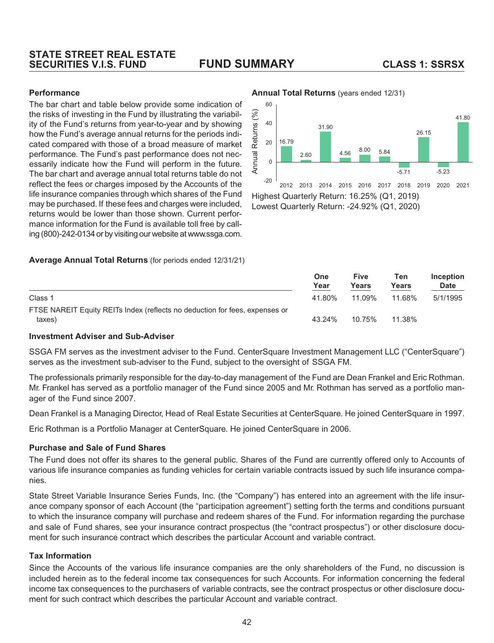## **STATE STREET REAL ESTATE SECURITIES V.I.S. FUND FUND SUMMARY CLASS 1: SSRSX**

## **Performance**

The bar chart and table below provide some indication of the risks of investing in the Fund by illustrating the variability of the Fund's returns from year-to-year and by showing how the Fund's average annual returns for the periods indicated compared with those of a broad measure of market performance. The Fund's past performance does not necessarily indicate how the Fund will perform in the future. The bar chart and average annual total returns table do not reflect the fees or charges imposed by the Accounts of the life insurance companies through which shares of the Fund may be purchased. If these fees and charges were included, returns would be lower than those shown. Current performance information for the Fund is available toll free by calling (800)-242-0134 or by visiting our website at www.ssga.com.

#### **Average Annual Total Returns** (for periods ended 12/31/21)

#### **Annual Total Returns** (years ended 12/31)



Lowest Quarterly Return: -24.92% (Q1, 2020)

|                                                                                       | <b>One</b><br>Year | <b>Five</b><br>Years | Ten<br>Years | Inception<br><b>Date</b> |
|---------------------------------------------------------------------------------------|--------------------|----------------------|--------------|--------------------------|
| Class 1                                                                               | 41.80%             | 11.09%               | 11.68%       | 5/1/1995                 |
| FTSE NAREIT Equity REITs Index (reflects no deduction for fees, expenses or<br>taxes) | 43.24%             | 10.75%               | 11.38%       |                          |

#### **Investment Adviser and Sub-Adviser**

SSGA FM serves as the investment adviser to the Fund. CenterSquare Investment Management LLC ("CenterSquare") serves as the investment sub-adviser to the Fund, subject to the oversight of SSGA FM.

The professionals primarily responsible for the day-to-day management of the Fund are Dean Frankel and Eric Rothman. Mr. Frankel has served as a portfolio manager of the Fund since 2005 and Mr. Rothman has served as a portfolio manager of the Fund since 2007.

Dean Frankel is a Managing Director, Head of Real Estate Securities at CenterSquare. He joined CenterSquare in 1997.

Eric Rothman is a Portfolio Manager at CenterSquare. He joined CenterSquare in 2006.

#### **Purchase and Sale of Fund Shares**

The Fund does not offer its shares to the general public. Shares of the Fund are currently offered only to Accounts of various life insurance companies as funding vehicles for certain variable contracts issued by such life insurance companies.

State Street Variable Insurance Series Funds, Inc. (the "Company") has entered into an agreement with the life insurance company sponsor of each Account (the "participation agreement") setting forth the terms and conditions pursuant to which the insurance company will purchase and redeem shares of the Fund. For information regarding the purchase and sale of Fund shares, see your insurance contract prospectus (the "contract prospectus") or other disclosure document for such insurance contract which describes the particular Account and variable contract.

#### **Tax Information**

Since the Accounts of the various life insurance companies are the only shareholders of the Fund, no discussion is included herein as to the federal income tax consequences for such Accounts. For information concerning the federal income tax consequences to the purchasers of variable contracts, see the contract prospectus or other disclosure document for such contract which describes the particular Account and variable contract.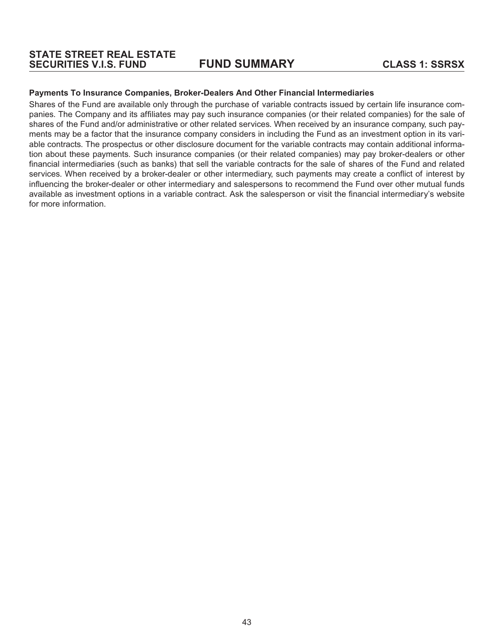#### **Payments To Insurance Companies, Broker-Dealers And Other Financial Intermediaries**

Shares of the Fund are available only through the purchase of variable contracts issued by certain life insurance companies. The Company and its affiliates may pay such insurance companies (or their related companies) for the sale of shares of the Fund and/or administrative or other related services. When received by an insurance company, such payments may be a factor that the insurance company considers in including the Fund as an investment option in its variable contracts. The prospectus or other disclosure document for the variable contracts may contain additional information about these payments. Such insurance companies (or their related companies) may pay broker-dealers or other financial intermediaries (such as banks) that sell the variable contracts for the sale of shares of the Fund and related services. When received by a broker-dealer or other intermediary, such payments may create a conflict of interest by influencing the broker-dealer or other intermediary and salespersons to recommend the Fund over other mutual funds available as investment options in a variable contract. Ask the salesperson or visit the financial intermediary's website for more information.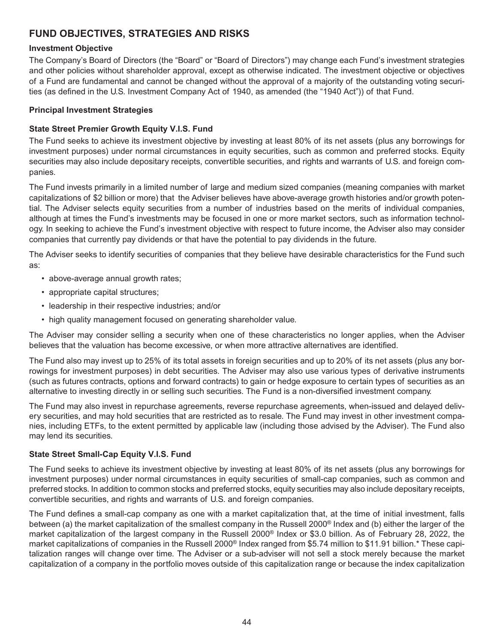# **FUND OBJECTIVES, STRATEGIES AND RISKS**

## **Investment Objective**

The Company's Board of Directors (the "Board" or "Board of Directors") may change each Fund's investment strategies and other policies without shareholder approval, except as otherwise indicated. The investment objective or objectives of a Fund are fundamental and cannot be changed without the approval of a majority of the outstanding voting securities (as defined in the U.S. Investment Company Act of 1940, as amended (the "1940 Act")) of that Fund.

## **Principal Investment Strategies**

## **State Street Premier Growth Equity V.I.S. Fund**

The Fund seeks to achieve its investment objective by investing at least 80% of its net assets (plus any borrowings for investment purposes) under normal circumstances in equity securities, such as common and preferred stocks. Equity securities may also include depositary receipts, convertible securities, and rights and warrants of U.S. and foreign companies.

The Fund invests primarily in a limited number of large and medium sized companies (meaning companies with market capitalizations of \$2 billion or more) that the Adviser believes have above-average growth histories and/or growth potential. The Adviser selects equity securities from a number of industries based on the merits of individual companies, although at times the Fund's investments may be focused in one or more market sectors, such as information technology. In seeking to achieve the Fund's investment objective with respect to future income, the Adviser also may consider companies that currently pay dividends or that have the potential to pay dividends in the future.

The Adviser seeks to identify securities of companies that they believe have desirable characteristics for the Fund such as:

- above-average annual growth rates;
- appropriate capital structures;
- leadership in their respective industries; and/or
- high quality management focused on generating shareholder value.

The Adviser may consider selling a security when one of these characteristics no longer applies, when the Adviser believes that the valuation has become excessive, or when more attractive alternatives are identified.

The Fund also may invest up to 25% of its total assets in foreign securities and up to 20% of its net assets (plus any borrowings for investment purposes) in debt securities. The Adviser may also use various types of derivative instruments (such as futures contracts, options and forward contracts) to gain or hedge exposure to certain types of securities as an alternative to investing directly in or selling such securities. The Fund is a non-diversified investment company.

The Fund may also invest in repurchase agreements, reverse repurchase agreements, when-issued and delayed delivery securities, and may hold securities that are restricted as to resale. The Fund may invest in other investment companies, including ETFs, to the extent permitted by applicable law (including those advised by the Adviser). The Fund also may lend its securities.

## **State Street Small-Cap Equity V.I.S. Fund**

The Fund seeks to achieve its investment objective by investing at least 80% of its net assets (plus any borrowings for investment purposes) under normal circumstances in equity securities of small-cap companies, such as common and preferred stocks. In addition to common stocks and preferred stocks, equity securities may also include depositary receipts, convertible securities, and rights and warrants of U.S. and foreign companies.

The Fund defines a small-cap company as one with a market capitalization that, at the time of initial investment, falls between (a) the market capitalization of the smallest company in the Russell 2000® Index and (b) either the larger of the market capitalization of the largest company in the Russell 2000® Index or \$3.0 billion. As of February 28, 2022, the market capitalizations of companies in the Russell 2000® Index ranged from \$5.74 million to \$11.91 billion.\* These capitalization ranges will change over time. The Adviser or a sub-adviser will not sell a stock merely because the market capitalization of a company in the portfolio moves outside of this capitalization range or because the index capitalization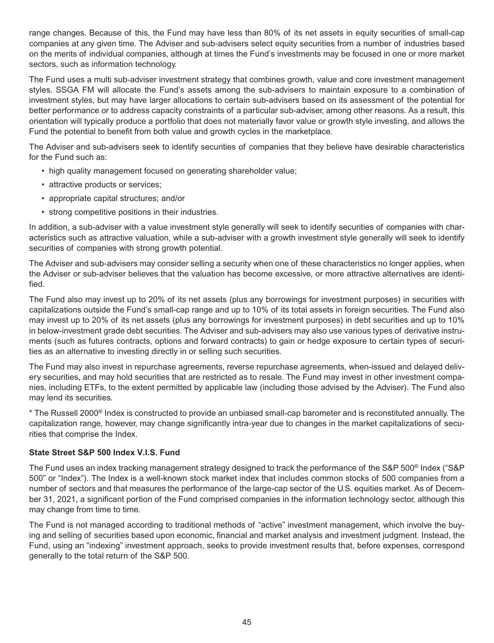range changes. Because of this, the Fund may have less than 80% of its net assets in equity securities of small-cap companies at any given time. The Adviser and sub-advisers select equity securities from a number of industries based on the merits of individual companies, although at times the Fund's investments may be focused in one or more market sectors, such as information technology.

The Fund uses a multi sub-adviser investment strategy that combines growth, value and core investment management styles. SSGA FM will allocate the Fund's assets among the sub-advisers to maintain exposure to a combination of investment styles, but may have larger allocations to certain sub-advisers based on its assessment of the potential for better performance or to address capacity constraints of a particular sub-adviser, among other reasons. As a result, this orientation will typically produce a portfolio that does not materially favor value or growth style investing, and allows the Fund the potential to benefit from both value and growth cycles in the marketplace.

The Adviser and sub-advisers seek to identify securities of companies that they believe have desirable characteristics for the Fund such as:

- high quality management focused on generating shareholder value;
- attractive products or services;
- appropriate capital structures; and/or
- strong competitive positions in their industries.

In addition, a sub-adviser with a value investment style generally will seek to identify securities of companies with characteristics such as attractive valuation, while a sub-adviser with a growth investment style generally will seek to identify securities of companies with strong growth potential.

The Adviser and sub-advisers may consider selling a security when one of these characteristics no longer applies, when the Adviser or sub-adviser believes that the valuation has become excessive, or more attractive alternatives are identified.

The Fund also may invest up to 20% of its net assets (plus any borrowings for investment purposes) in securities with capitalizations outside the Fund's small-cap range and up to 10% of its total assets in foreign securities. The Fund also may invest up to 20% of its net assets (plus any borrowings for investment purposes) in debt securities and up to 10% in below-investment grade debt securities. The Adviser and sub-advisers may also use various types of derivative instruments (such as futures contracts, options and forward contracts) to gain or hedge exposure to certain types of securities as an alternative to investing directly in or selling such securities.

The Fund may also invest in repurchase agreements, reverse repurchase agreements, when-issued and delayed delivery securities, and may hold securities that are restricted as to resale. The Fund may invest in other investment companies, including ETFs, to the extent permitted by applicable law (including those advised by the Adviser). The Fund also may lend its securities.

\* The Russell 2000® Index is constructed to provide an unbiased small-cap barometer and is reconstituted annually. The capitalization range, however, may change significantly intra-year due to changes in the market capitalizations of securities that comprise the Index.

## **State Street S&P 500 Index V.I.S. Fund**

The Fund uses an index tracking management strategy designed to track the performance of the S&P 500® Index ("S&P 500" or "Index"). The Index is a well-known stock market index that includes common stocks of 500 companies from a number of sectors and that measures the performance of the large-cap sector of the U.S. equities market. As of December 31, 2021, a significant portion of the Fund comprised companies in the information technology sector, although this may change from time to time.

The Fund is not managed according to traditional methods of "active" investment management, which involve the buying and selling of securities based upon economic, financial and market analysis and investment judgment. Instead, the Fund, using an "indexing" investment approach, seeks to provide investment results that, before expenses, correspond generally to the total return of the S&P 500.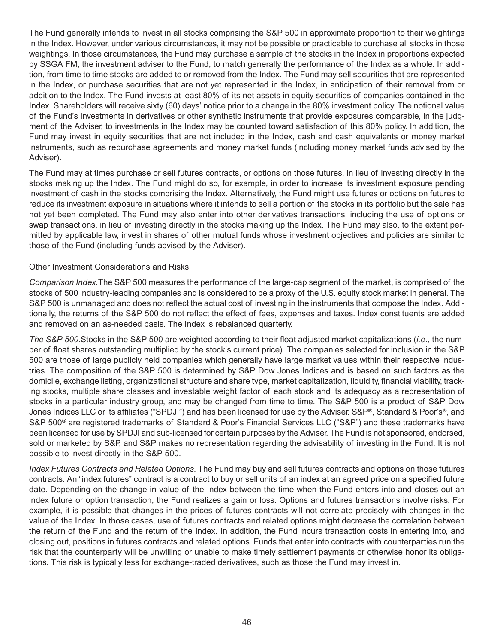The Fund generally intends to invest in all stocks comprising the S&P 500 in approximate proportion to their weightings in the Index. However, under various circumstances, it may not be possible or practicable to purchase all stocks in those weightings. In those circumstances, the Fund may purchase a sample of the stocks in the Index in proportions expected by SSGA FM, the investment adviser to the Fund, to match generally the performance of the Index as a whole. In addition, from time to time stocks are added to or removed from the Index. The Fund may sell securities that are represented in the Index, or purchase securities that are not yet represented in the Index, in anticipation of their removal from or addition to the Index. The Fund invests at least 80% of its net assets in equity securities of companies contained in the Index. Shareholders will receive sixty (60) days' notice prior to a change in the 80% investment policy. The notional value of the Fund's investments in derivatives or other synthetic instruments that provide exposures comparable, in the judgment of the Adviser, to investments in the Index may be counted toward satisfaction of this 80% policy. In addition, the Fund may invest in equity securities that are not included in the Index, cash and cash equivalents or money market instruments, such as repurchase agreements and money market funds (including money market funds advised by the Adviser).

The Fund may at times purchase or sell futures contracts, or options on those futures, in lieu of investing directly in the stocks making up the Index. The Fund might do so, for example, in order to increase its investment exposure pending investment of cash in the stocks comprising the Index. Alternatively, the Fund might use futures or options on futures to reduce its investment exposure in situations where it intends to sell a portion of the stocks in its portfolio but the sale has not yet been completed. The Fund may also enter into other derivatives transactions, including the use of options or swap transactions, in lieu of investing directly in the stocks making up the Index. The Fund may also, to the extent permitted by applicable law, invest in shares of other mutual funds whose investment objectives and policies are similar to those of the Fund (including funds advised by the Adviser).

## Other Investment Considerations and Risks

*Comparison Index.*The S&P 500 measures the performance of the large-cap segment of the market, is comprised of the stocks of 500 industry-leading companies and is considered to be a proxy of the U.S. equity stock market in general. The S&P 500 is unmanaged and does not reflect the actual cost of investing in the instruments that compose the Index. Additionally, the returns of the S&P 500 do not reflect the effect of fees, expenses and taxes. Index constituents are added and removed on an as-needed basis. The Index is rebalanced quarterly.

*The S&P 500.*Stocks in the S&P 500 are weighted according to their float adjusted market capitalizations (*i.e*., the number of float shares outstanding multiplied by the stock's current price). The companies selected for inclusion in the S&P 500 are those of large publicly held companies which generally have large market values within their respective industries. The composition of the S&P 500 is determined by S&P Dow Jones Indices and is based on such factors as the domicile, exchange listing, organizational structure and share type, market capitalization, liquidity, financial viability, tracking stocks, multiple share classes and investable weight factor of each stock and its adequacy as a representation of stocks in a particular industry group, and may be changed from time to time. The S&P 500 is a product of S&P Dow Jones Indices LLC or its affiliates ("SPDJI") and has been licensed for use by the Adviser. S&P®, Standard & Poor's®, and S&P 500<sup>®</sup> are registered trademarks of Standard & Poor's Financial Services LLC ("S&P") and these trademarks have been licensed for use by SPDJI and sub-licensed for certain purposes by the Adviser. The Fund is not sponsored, endorsed, sold or marketed by S&P, and S&P makes no representation regarding the advisability of investing in the Fund. It is not possible to invest directly in the S&P 500.

*Index Futures Contracts and Related Options*. The Fund may buy and sell futures contracts and options on those futures contracts. An "index futures" contract is a contract to buy or sell units of an index at an agreed price on a specified future date. Depending on the change in value of the Index between the time when the Fund enters into and closes out an index future or option transaction, the Fund realizes a gain or loss. Options and futures transactions involve risks. For example, it is possible that changes in the prices of futures contracts will not correlate precisely with changes in the value of the Index. In those cases, use of futures contracts and related options might decrease the correlation between the return of the Fund and the return of the Index. In addition, the Fund incurs transaction costs in entering into, and closing out, positions in futures contracts and related options. Funds that enter into contracts with counterparties run the risk that the counterparty will be unwilling or unable to make timely settlement payments or otherwise honor its obligations. This risk is typically less for exchange-traded derivatives, such as those the Fund may invest in.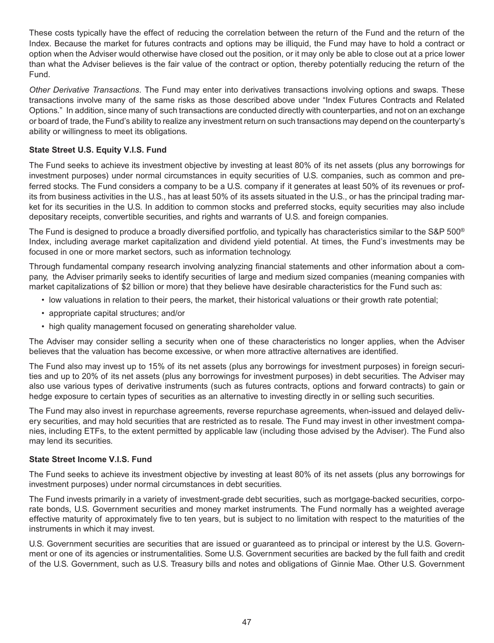These costs typically have the effect of reducing the correlation between the return of the Fund and the return of the Index. Because the market for futures contracts and options may be illiquid, the Fund may have to hold a contract or option when the Adviser would otherwise have closed out the position, or it may only be able to close out at a price lower than what the Adviser believes is the fair value of the contract or option, thereby potentially reducing the return of the Fund.

*Other Derivative Transactions*. The Fund may enter into derivatives transactions involving options and swaps. These transactions involve many of the same risks as those described above under "Index Futures Contracts and Related Options." In addition, since many of such transactions are conducted directly with counterparties, and not on an exchange or board of trade, the Fund's ability to realize any investment return on such transactions may depend on the counterparty's ability or willingness to meet its obligations.

## **State Street U.S. Equity V.I.S. Fund**

The Fund seeks to achieve its investment objective by investing at least 80% of its net assets (plus any borrowings for investment purposes) under normal circumstances in equity securities of U.S. companies, such as common and preferred stocks. The Fund considers a company to be a U.S. company if it generates at least 50% of its revenues or profits from business activities in the U.S., has at least 50% of its assets situated in the U.S., or has the principal trading market for its securities in the U.S. In addition to common stocks and preferred stocks, equity securities may also include depositary receipts, convertible securities, and rights and warrants of U.S. and foreign companies.

The Fund is designed to produce a broadly diversified portfolio, and typically has characteristics similar to the S&P 500<sup>®</sup> Index, including average market capitalization and dividend yield potential. At times, the Fund's investments may be focused in one or more market sectors, such as information technology.

Through fundamental company research involving analyzing financial statements and other information about a company, the Adviser primarily seeks to identify securities of large and medium sized companies (meaning companies with market capitalizations of \$2 billion or more) that they believe have desirable characteristics for the Fund such as:

- low valuations in relation to their peers, the market, their historical valuations or their growth rate potential;
- appropriate capital structures; and/or
- high quality management focused on generating shareholder value.

The Adviser may consider selling a security when one of these characteristics no longer applies, when the Adviser believes that the valuation has become excessive, or when more attractive alternatives are identified.

The Fund also may invest up to 15% of its net assets (plus any borrowings for investment purposes) in foreign securities and up to 20% of its net assets (plus any borrowings for investment purposes) in debt securities. The Adviser may also use various types of derivative instruments (such as futures contracts, options and forward contracts) to gain or hedge exposure to certain types of securities as an alternative to investing directly in or selling such securities.

The Fund may also invest in repurchase agreements, reverse repurchase agreements, when-issued and delayed delivery securities, and may hold securities that are restricted as to resale. The Fund may invest in other investment companies, including ETFs, to the extent permitted by applicable law (including those advised by the Adviser). The Fund also may lend its securities.

## **State Street Income V.I.S. Fund**

The Fund seeks to achieve its investment objective by investing at least 80% of its net assets (plus any borrowings for investment purposes) under normal circumstances in debt securities.

The Fund invests primarily in a variety of investment-grade debt securities, such as mortgage-backed securities, corporate bonds, U.S. Government securities and money market instruments. The Fund normally has a weighted average effective maturity of approximately five to ten years, but is subject to no limitation with respect to the maturities of the instruments in which it may invest.

U.S. Government securities are securities that are issued or guaranteed as to principal or interest by the U.S. Government or one of its agencies or instrumentalities. Some U.S. Government securities are backed by the full faith and credit of the U.S. Government, such as U.S. Treasury bills and notes and obligations of Ginnie Mae. Other U.S. Government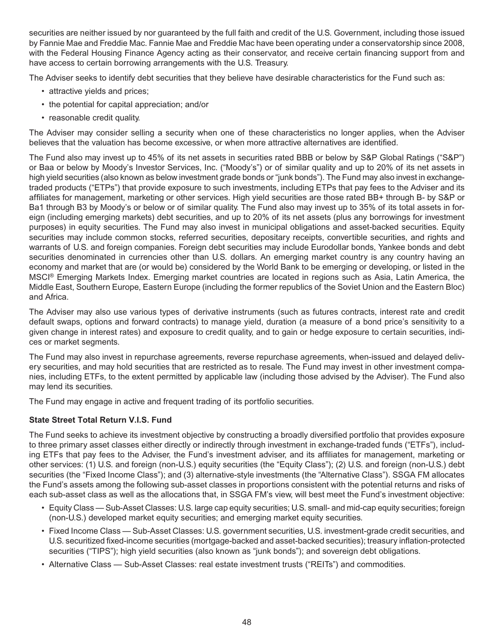securities are neither issued by nor guaranteed by the full faith and credit of the U.S. Government, including those issued by Fannie Mae and Freddie Mac. Fannie Mae and Freddie Mac have been operating under a conservatorship since 2008, with the Federal Housing Finance Agency acting as their conservator, and receive certain financing support from and have access to certain borrowing arrangements with the U.S. Treasury.

The Adviser seeks to identify debt securities that they believe have desirable characteristics for the Fund such as:

- attractive yields and prices;
- the potential for capital appreciation; and/or
- reasonable credit quality.

The Adviser may consider selling a security when one of these characteristics no longer applies, when the Adviser believes that the valuation has become excessive, or when more attractive alternatives are identified.

The Fund also may invest up to 45% of its net assets in securities rated BBB or below by S&P Global Ratings ("S&P") or Baa or below by Moody's Investor Services, Inc. ("Moody's") or of similar quality and up to 20% of its net assets in high yield securities (also known as below investment grade bonds or "junk bonds"). The Fund may also invest in exchangetraded products ("ETPs") that provide exposure to such investments, including ETPs that pay fees to the Adviser and its affiliates for management, marketing or other services. High yield securities are those rated BB+ through B- by S&P or Ba1 through B3 by Moody's or below or of similar quality. The Fund also may invest up to 35% of its total assets in foreign (including emerging markets) debt securities, and up to 20% of its net assets (plus any borrowings for investment purposes) in equity securities. The Fund may also invest in municipal obligations and asset-backed securities. Equity securities may include common stocks, referred securities, depositary receipts, convertible securities, and rights and warrants of U.S. and foreign companies. Foreign debt securities may include Eurodollar bonds, Yankee bonds and debt securities denominated in currencies other than U.S. dollars. An emerging market country is any country having an economy and market that are (or would be) considered by the World Bank to be emerging or developing, or listed in the MSCI® Emerging Markets Index. Emerging market countries are located in regions such as Asia, Latin America, the Middle East, Southern Europe, Eastern Europe (including the former republics of the Soviet Union and the Eastern Bloc) and Africa.

The Adviser may also use various types of derivative instruments (such as futures contracts, interest rate and credit default swaps, options and forward contracts) to manage yield, duration (a measure of a bond price's sensitivity to a given change in interest rates) and exposure to credit quality, and to gain or hedge exposure to certain securities, indices or market segments.

The Fund may also invest in repurchase agreements, reverse repurchase agreements, when-issued and delayed delivery securities, and may hold securities that are restricted as to resale. The Fund may invest in other investment companies, including ETFs, to the extent permitted by applicable law (including those advised by the Adviser). The Fund also may lend its securities.

The Fund may engage in active and frequent trading of its portfolio securities.

## **State Street Total Return V.I.S. Fund**

The Fund seeks to achieve its investment objective by constructing a broadly diversified portfolio that provides exposure to three primary asset classes either directly or indirectly through investment in exchange-traded funds ("ETFs"), including ETFs that pay fees to the Adviser, the Fund's investment adviser, and its affiliates for management, marketing or other services: (1) U.S. and foreign (non-U.S.) equity securities (the "Equity Class"); (2) U.S. and foreign (non-U.S.) debt securities (the "Fixed Income Class"); and (3) alternative-style investments (the "Alternative Class"). SSGA FM allocates the Fund's assets among the following sub-asset classes in proportions consistent with the potential returns and risks of each sub-asset class as well as the allocations that, in SSGA FM's view, will best meet the Fund's investment objective:

- Equity Class Sub-Asset Classes: U.S. large cap equity securities; U.S. small- and mid-cap equity securities; foreign (non-U.S.) developed market equity securities; and emerging market equity securities.
- Fixed Income Class Sub-Asset Classes: U.S. government securities, U.S. investment-grade credit securities, and U.S. securitized fixed-income securities (mortgage-backed and asset-backed securities); treasury inflation-protected securities ("TIPS"); high yield securities (also known as "junk bonds"); and sovereign debt obligations.
- Alternative Class Sub-Asset Classes: real estate investment trusts ("REITs") and commodities.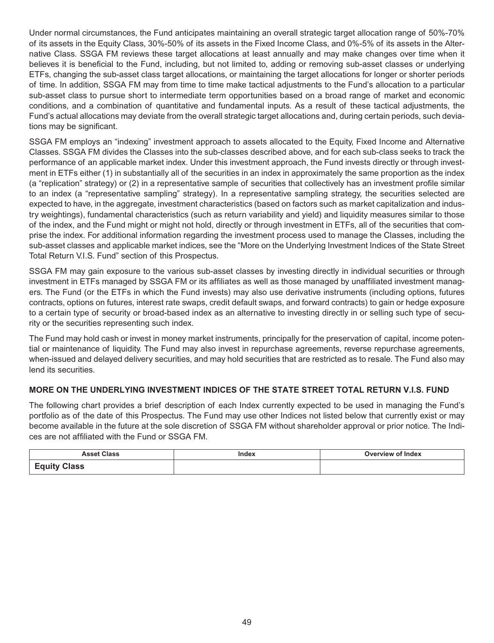Under normal circumstances, the Fund anticipates maintaining an overall strategic target allocation range of 50%-70% of its assets in the Equity Class, 30%-50% of its assets in the Fixed Income Class, and 0%-5% of its assets in the Alternative Class. SSGA FM reviews these target allocations at least annually and may make changes over time when it believes it is beneficial to the Fund, including, but not limited to, adding or removing sub-asset classes or underlying ETFs, changing the sub-asset class target allocations, or maintaining the target allocations for longer or shorter periods of time. In addition, SSGA FM may from time to time make tactical adjustments to the Fund's allocation to a particular sub-asset class to pursue short to intermediate term opportunities based on a broad range of market and economic conditions, and a combination of quantitative and fundamental inputs. As a result of these tactical adjustments, the Fund's actual allocations may deviate from the overall strategic target allocations and, during certain periods, such deviations may be significant.

SSGA FM employs an "indexing" investment approach to assets allocated to the Equity, Fixed Income and Alternative Classes. SSGA FM divides the Classes into the sub-classes described above, and for each sub-class seeks to track the performance of an applicable market index. Under this investment approach, the Fund invests directly or through investment in ETFs either (1) in substantially all of the securities in an index in approximately the same proportion as the index (a "replication" strategy) or (2) in a representative sample of securities that collectively has an investment profile similar to an index (a "representative sampling" strategy). In a representative sampling strategy, the securities selected are expected to have, in the aggregate, investment characteristics (based on factors such as market capitalization and industry weightings), fundamental characteristics (such as return variability and yield) and liquidity measures similar to those of the index, and the Fund might or might not hold, directly or through investment in ETFs, all of the securities that comprise the index. For additional information regarding the investment process used to manage the Classes, including the sub-asset classes and applicable market indices, see the "More on the Underlying Investment Indices of the State Street Total Return V.I.S. Fund" section of this Prospectus.

SSGA FM may gain exposure to the various sub-asset classes by investing directly in individual securities or through investment in ETFs managed by SSGA FM or its affiliates as well as those managed by unaffiliated investment managers. The Fund (or the ETFs in which the Fund invests) may also use derivative instruments (including options, futures contracts, options on futures, interest rate swaps, credit default swaps, and forward contracts) to gain or hedge exposure to a certain type of security or broad-based index as an alternative to investing directly in or selling such type of security or the securities representing such index.

The Fund may hold cash or invest in money market instruments, principally for the preservation of capital, income potential or maintenance of liquidity. The Fund may also invest in repurchase agreements, reverse repurchase agreements, when-issued and delayed delivery securities, and may hold securities that are restricted as to resale. The Fund also may lend its securities.

## **MORE ON THE UNDERLYING INVESTMENT INDICES OF THE STATE STREET TOTAL RETURN V.I.S. FUND**

The following chart provides a brief description of each Index currently expected to be used in managing the Fund's portfolio as of the date of this Prospectus. The Fund may use other Indices not listed below that currently exist or may become available in the future at the sole discretion of SSGA FM without shareholder approval or prior notice. The Indices are not affiliated with the Fund or SSGA FM.

| .                                   | Index<br>-------- | of Index<br>$\n  1$ |
|-------------------------------------|-------------------|---------------------|
| $\Gamma$<br>$\sim$<br><u>—quity</u> |                   |                     |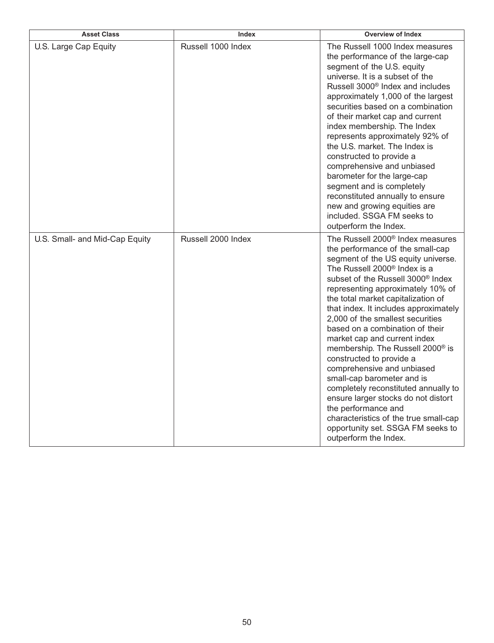| <b>Asset Class</b>             | Index              | <b>Overview of Index</b>                                                                                                                                                                                                                                                                                                                                                                                                                                                                                                                                                                                                                                                                                                                                                                            |
|--------------------------------|--------------------|-----------------------------------------------------------------------------------------------------------------------------------------------------------------------------------------------------------------------------------------------------------------------------------------------------------------------------------------------------------------------------------------------------------------------------------------------------------------------------------------------------------------------------------------------------------------------------------------------------------------------------------------------------------------------------------------------------------------------------------------------------------------------------------------------------|
| U.S. Large Cap Equity          | Russell 1000 Index | The Russell 1000 Index measures<br>the performance of the large-cap<br>segment of the U.S. equity<br>universe. It is a subset of the<br>Russell 3000 <sup>®</sup> Index and includes<br>approximately 1,000 of the largest<br>securities based on a combination<br>of their market cap and current<br>index membership. The Index<br>represents approximately 92% of<br>the U.S. market. The Index is<br>constructed to provide a<br>comprehensive and unbiased<br>barometer for the large-cap<br>segment and is completely<br>reconstituted annually to ensure<br>new and growing equities are<br>included. SSGA FM seeks to<br>outperform the Index.                                                                                                                                              |
| U.S. Small- and Mid-Cap Equity | Russell 2000 Index | The Russell 2000 <sup>®</sup> Index measures<br>the performance of the small-cap<br>segment of the US equity universe.<br>The Russell 2000 <sup>®</sup> Index is a<br>subset of the Russell 3000 <sup>®</sup> Index<br>representing approximately 10% of<br>the total market capitalization of<br>that index. It includes approximately<br>2,000 of the smallest securities<br>based on a combination of their<br>market cap and current index<br>membership. The Russell 2000 <sup>®</sup> is<br>constructed to provide a<br>comprehensive and unbiased<br>small-cap barometer and is<br>completely reconstituted annually to<br>ensure larger stocks do not distort<br>the performance and<br>characteristics of the true small-cap<br>opportunity set. SSGA FM seeks to<br>outperform the Index. |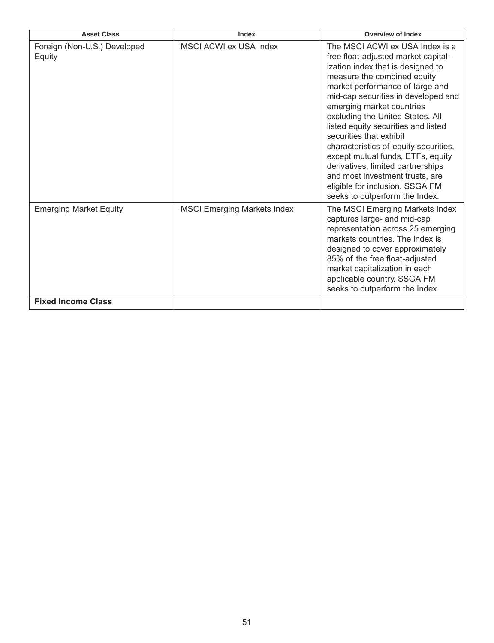| <b>Asset Class</b>                     | Index                              | <b>Overview of Index</b>                                                                                                                                                                                                                                                                                                                                                                                                                                                                                                                                                           |
|----------------------------------------|------------------------------------|------------------------------------------------------------------------------------------------------------------------------------------------------------------------------------------------------------------------------------------------------------------------------------------------------------------------------------------------------------------------------------------------------------------------------------------------------------------------------------------------------------------------------------------------------------------------------------|
| Foreign (Non-U.S.) Developed<br>Equity | <b>MSCI ACWI ex USA Index</b>      | The MSCI ACWI ex USA Index is a<br>free float-adjusted market capital-<br>ization index that is designed to<br>measure the combined equity<br>market performance of large and<br>mid-cap securities in developed and<br>emerging market countries<br>excluding the United States. All<br>listed equity securities and listed<br>securities that exhibit<br>characteristics of equity securities,<br>except mutual funds, ETFs, equity<br>derivatives, limited partnerships<br>and most investment trusts, are<br>eligible for inclusion. SSGA FM<br>seeks to outperform the Index. |
| <b>Emerging Market Equity</b>          | <b>MSCI Emerging Markets Index</b> | The MSCI Emerging Markets Index<br>captures large- and mid-cap<br>representation across 25 emerging<br>markets countries. The index is<br>designed to cover approximately<br>85% of the free float-adjusted<br>market capitalization in each<br>applicable country. SSGA FM<br>seeks to outperform the Index.                                                                                                                                                                                                                                                                      |
| <b>Fixed Income Class</b>              |                                    |                                                                                                                                                                                                                                                                                                                                                                                                                                                                                                                                                                                    |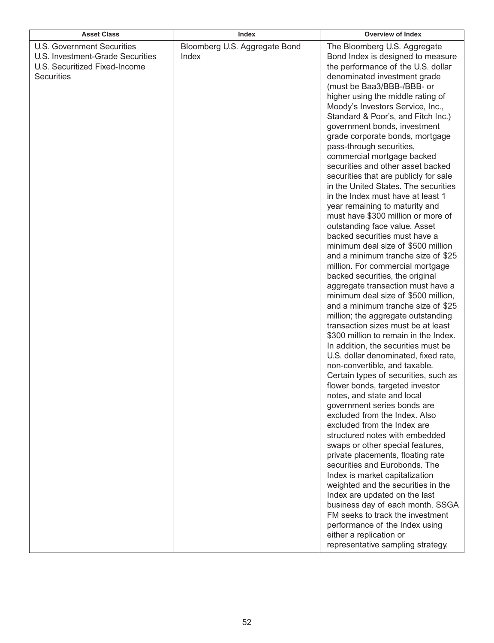| <b>Asset Class</b>                                                                                                          | Index                                  | <b>Overview of Index</b>                                                                                                                                                                                                                                                                                                                                                                                                                                                                                                                                                                                                                                                                                                                                                                                                                                                                                                                                                                                                                                                                                                                                                                                                                                                                                                                                                                                                                                                                                                                                                                                                                                                                                                                                                                                                                                                |
|-----------------------------------------------------------------------------------------------------------------------------|----------------------------------------|-------------------------------------------------------------------------------------------------------------------------------------------------------------------------------------------------------------------------------------------------------------------------------------------------------------------------------------------------------------------------------------------------------------------------------------------------------------------------------------------------------------------------------------------------------------------------------------------------------------------------------------------------------------------------------------------------------------------------------------------------------------------------------------------------------------------------------------------------------------------------------------------------------------------------------------------------------------------------------------------------------------------------------------------------------------------------------------------------------------------------------------------------------------------------------------------------------------------------------------------------------------------------------------------------------------------------------------------------------------------------------------------------------------------------------------------------------------------------------------------------------------------------------------------------------------------------------------------------------------------------------------------------------------------------------------------------------------------------------------------------------------------------------------------------------------------------------------------------------------------------|
| <b>U.S. Government Securities</b><br>U.S. Investment-Grade Securities<br>U.S. Securitized Fixed-Income<br><b>Securities</b> | Bloomberg U.S. Aggregate Bond<br>Index | The Bloomberg U.S. Aggregate<br>Bond Index is designed to measure<br>the performance of the U.S. dollar<br>denominated investment grade<br>(must be Baa3/BBB-/BBB- or<br>higher using the middle rating of<br>Moody's Investors Service, Inc.,<br>Standard & Poor's, and Fitch Inc.)<br>government bonds, investment<br>grade corporate bonds, mortgage<br>pass-through securities,<br>commercial mortgage backed<br>securities and other asset backed<br>securities that are publicly for sale<br>in the United States. The securities<br>in the Index must have at least 1<br>year remaining to maturity and<br>must have \$300 million or more of<br>outstanding face value. Asset<br>backed securities must have a<br>minimum deal size of \$500 million<br>and a minimum tranche size of \$25<br>million. For commercial mortgage<br>backed securities, the original<br>aggregate transaction must have a<br>minimum deal size of \$500 million,<br>and a minimum tranche size of \$25<br>million; the aggregate outstanding<br>transaction sizes must be at least<br>\$300 million to remain in the Index.<br>In addition, the securities must be<br>U.S. dollar denominated, fixed rate,<br>non-convertible, and taxable.<br>Certain types of securities, such as<br>flower bonds, targeted investor<br>notes, and state and local<br>government series bonds are<br>excluded from the Index. Also<br>excluded from the Index are<br>structured notes with embedded<br>swaps or other special features,<br>private placements, floating rate<br>securities and Eurobonds. The<br>Index is market capitalization<br>weighted and the securities in the<br>Index are updated on the last<br>business day of each month. SSGA<br>FM seeks to track the investment<br>performance of the Index using<br>either a replication or<br>representative sampling strategy. |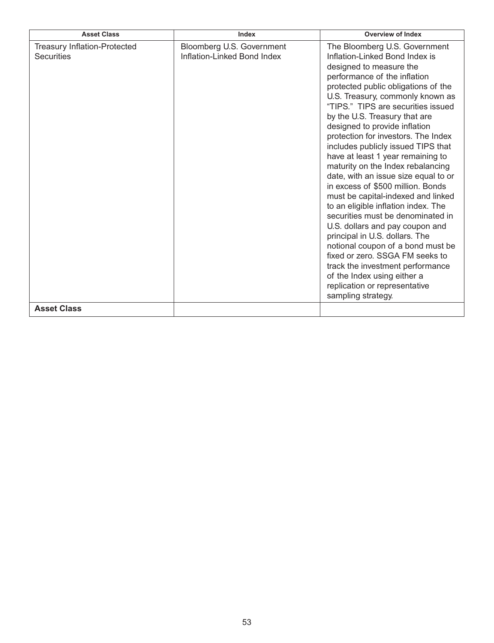| <b>Asset Class</b>                                                             | Index                                                    | <b>Overview of Index</b>                                                                                                                                                                                                                                                                                                                                                                                                                                                                                                                                                                                                                                                                                                                                                                                                                                                                                                                   |
|--------------------------------------------------------------------------------|----------------------------------------------------------|--------------------------------------------------------------------------------------------------------------------------------------------------------------------------------------------------------------------------------------------------------------------------------------------------------------------------------------------------------------------------------------------------------------------------------------------------------------------------------------------------------------------------------------------------------------------------------------------------------------------------------------------------------------------------------------------------------------------------------------------------------------------------------------------------------------------------------------------------------------------------------------------------------------------------------------------|
| <b>Treasury Inflation-Protected</b><br><b>Securities</b><br><b>Asset Class</b> | Bloomberg U.S. Government<br>Inflation-Linked Bond Index | The Bloomberg U.S. Government<br>Inflation-Linked Bond Index is<br>designed to measure the<br>performance of the inflation<br>protected public obligations of the<br>U.S. Treasury, commonly known as<br>"TIPS." TIPS are securities issued<br>by the U.S. Treasury that are<br>designed to provide inflation<br>protection for investors. The Index<br>includes publicly issued TIPS that<br>have at least 1 year remaining to<br>maturity on the Index rebalancing<br>date, with an issue size equal to or<br>in excess of \$500 million. Bonds<br>must be capital-indexed and linked<br>to an eligible inflation index. The<br>securities must be denominated in<br>U.S. dollars and pay coupon and<br>principal in U.S. dollars. The<br>notional coupon of a bond must be<br>fixed or zero. SSGA FM seeks to<br>track the investment performance<br>of the Index using either a<br>replication or representative<br>sampling strategy. |
|                                                                                |                                                          |                                                                                                                                                                                                                                                                                                                                                                                                                                                                                                                                                                                                                                                                                                                                                                                                                                                                                                                                            |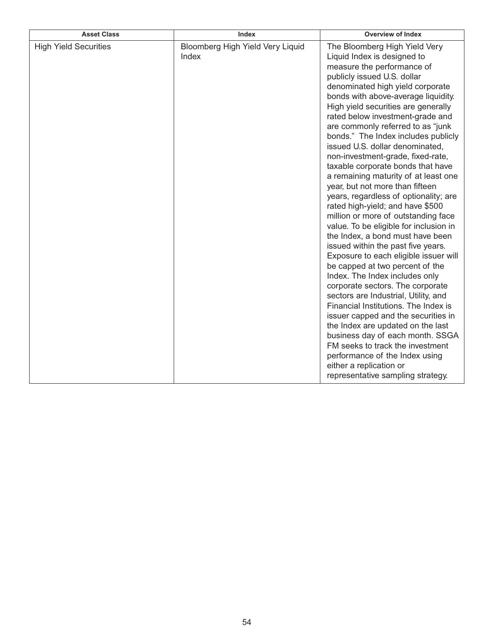| <b>Asset Class</b>           | Index                                     | <b>Overview of Index</b>                                                                                                                                                                                                                                                                                                                                                                                                                                                                                                                                                                                                                                                                                                                                                                                                                                                                                                                                                                                                                                                                                                                                                                                                                                                            |
|------------------------------|-------------------------------------------|-------------------------------------------------------------------------------------------------------------------------------------------------------------------------------------------------------------------------------------------------------------------------------------------------------------------------------------------------------------------------------------------------------------------------------------------------------------------------------------------------------------------------------------------------------------------------------------------------------------------------------------------------------------------------------------------------------------------------------------------------------------------------------------------------------------------------------------------------------------------------------------------------------------------------------------------------------------------------------------------------------------------------------------------------------------------------------------------------------------------------------------------------------------------------------------------------------------------------------------------------------------------------------------|
| <b>High Yield Securities</b> | Bloomberg High Yield Very Liquid<br>Index | The Bloomberg High Yield Very<br>Liquid Index is designed to<br>measure the performance of<br>publicly issued U.S. dollar<br>denominated high yield corporate<br>bonds with above-average liquidity.<br>High yield securities are generally<br>rated below investment-grade and<br>are commonly referred to as "junk<br>bonds." The Index includes publicly<br>issued U.S. dollar denominated,<br>non-investment-grade, fixed-rate,<br>taxable corporate bonds that have<br>a remaining maturity of at least one<br>year, but not more than fifteen<br>years, regardless of optionality; are<br>rated high-yield; and have \$500<br>million or more of outstanding face<br>value. To be eligible for inclusion in<br>the Index, a bond must have been<br>issued within the past five years.<br>Exposure to each eligible issuer will<br>be capped at two percent of the<br>Index. The Index includes only<br>corporate sectors. The corporate<br>sectors are Industrial, Utility, and<br>Financial Institutions. The Index is<br>issuer capped and the securities in<br>the Index are updated on the last<br>business day of each month. SSGA<br>FM seeks to track the investment<br>performance of the Index using<br>either a replication or<br>representative sampling strategy. |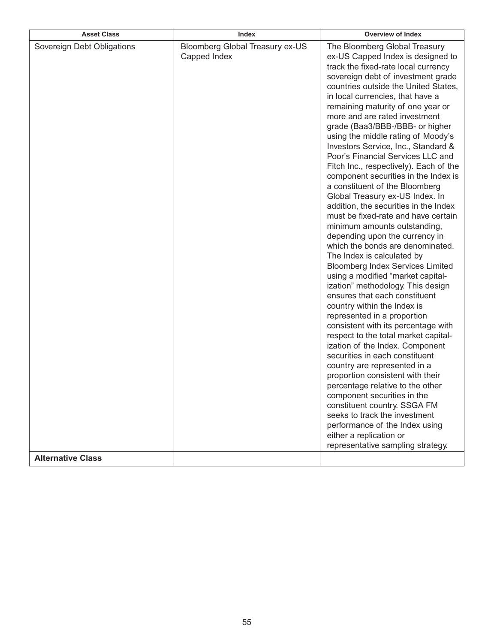| <b>Asset Class</b>                                     | Index                                           | <b>Overview of Index</b>                                                                                                                                                                                                                                                                                                                                                                                                                                                                                                                                                                                                                                                                                                                                                                                                                                                                                                                                                                                                                                                                                                                                                                                                                                                                                                                                                                                                                                                                                            |
|--------------------------------------------------------|-------------------------------------------------|---------------------------------------------------------------------------------------------------------------------------------------------------------------------------------------------------------------------------------------------------------------------------------------------------------------------------------------------------------------------------------------------------------------------------------------------------------------------------------------------------------------------------------------------------------------------------------------------------------------------------------------------------------------------------------------------------------------------------------------------------------------------------------------------------------------------------------------------------------------------------------------------------------------------------------------------------------------------------------------------------------------------------------------------------------------------------------------------------------------------------------------------------------------------------------------------------------------------------------------------------------------------------------------------------------------------------------------------------------------------------------------------------------------------------------------------------------------------------------------------------------------------|
| Sovereign Debt Obligations<br><b>Alternative Class</b> | Bloomberg Global Treasury ex-US<br>Capped Index | The Bloomberg Global Treasury<br>ex-US Capped Index is designed to<br>track the fixed-rate local currency<br>sovereign debt of investment grade<br>countries outside the United States,<br>in local currencies, that have a<br>remaining maturity of one year or<br>more and are rated investment<br>grade (Baa3/BBB-/BBB- or higher<br>using the middle rating of Moody's<br>Investors Service, Inc., Standard &<br>Poor's Financial Services LLC and<br>Fitch Inc., respectively). Each of the<br>component securities in the Index is<br>a constituent of the Bloomberg<br>Global Treasury ex-US Index. In<br>addition, the securities in the Index<br>must be fixed-rate and have certain<br>minimum amounts outstanding,<br>depending upon the currency in<br>which the bonds are denominated.<br>The Index is calculated by<br><b>Bloomberg Index Services Limited</b><br>using a modified "market capital-<br>ization" methodology. This design<br>ensures that each constituent<br>country within the Index is<br>represented in a proportion<br>consistent with its percentage with<br>respect to the total market capital-<br>ization of the Index. Component<br>securities in each constituent<br>country are represented in a<br>proportion consistent with their<br>percentage relative to the other<br>component securities in the<br>constituent country. SSGA FM<br>seeks to track the investment<br>performance of the Index using<br>either a replication or<br>representative sampling strategy. |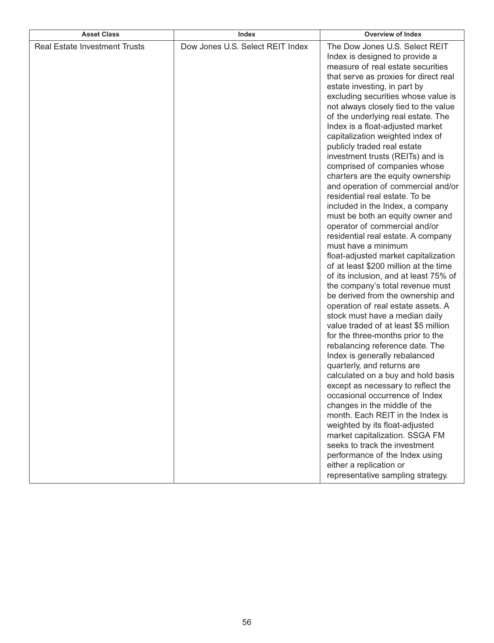| <b>Asset Class</b>                   | Index                            | <b>Overview of Index</b>                                                                                                                                                                                                                                                                                                                                                                                                                                                                                                                                                                                                                                                                                                                                                                                                                                                                                                                                                                                                                                                                                                                                                                                                                                                                                                                                                                                                                                                                                                                                                        |
|--------------------------------------|----------------------------------|---------------------------------------------------------------------------------------------------------------------------------------------------------------------------------------------------------------------------------------------------------------------------------------------------------------------------------------------------------------------------------------------------------------------------------------------------------------------------------------------------------------------------------------------------------------------------------------------------------------------------------------------------------------------------------------------------------------------------------------------------------------------------------------------------------------------------------------------------------------------------------------------------------------------------------------------------------------------------------------------------------------------------------------------------------------------------------------------------------------------------------------------------------------------------------------------------------------------------------------------------------------------------------------------------------------------------------------------------------------------------------------------------------------------------------------------------------------------------------------------------------------------------------------------------------------------------------|
| <b>Real Estate Investment Trusts</b> | Dow Jones U.S. Select REIT Index | The Dow Jones U.S. Select REIT<br>Index is designed to provide a<br>measure of real estate securities<br>that serve as proxies for direct real<br>estate investing, in part by<br>excluding securities whose value is<br>not always closely tied to the value<br>of the underlying real estate. The<br>Index is a float-adjusted market<br>capitalization weighted index of<br>publicly traded real estate<br>investment trusts (REITs) and is<br>comprised of companies whose<br>charters are the equity ownership<br>and operation of commercial and/or<br>residential real estate. To be<br>included in the Index, a company<br>must be both an equity owner and<br>operator of commercial and/or<br>residential real estate. A company<br>must have a minimum<br>float-adjusted market capitalization<br>of at least \$200 million at the time<br>of its inclusion, and at least 75% of<br>the company's total revenue must<br>be derived from the ownership and<br>operation of real estate assets. A<br>stock must have a median daily<br>value traded of at least \$5 million<br>for the three-months prior to the<br>rebalancing reference date. The<br>Index is generally rebalanced<br>quarterly, and returns are<br>calculated on a buy and hold basis<br>except as necessary to reflect the<br>occasional occurrence of Index<br>changes in the middle of the<br>month. Each REIT in the Index is<br>weighted by its float-adjusted<br>market capitalization. SSGA FM<br>seeks to track the investment<br>performance of the Index using<br>either a replication or |
|                                      |                                  | representative sampling strategy.                                                                                                                                                                                                                                                                                                                                                                                                                                                                                                                                                                                                                                                                                                                                                                                                                                                                                                                                                                                                                                                                                                                                                                                                                                                                                                                                                                                                                                                                                                                                               |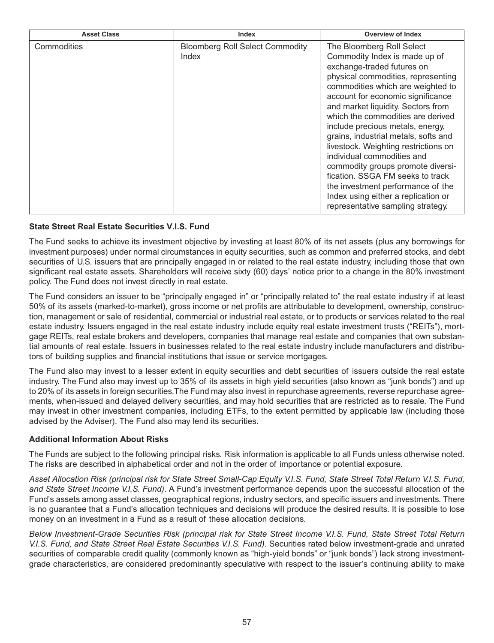| <b>Asset Class</b> | Index                                           | <b>Overview of Index</b>                                                                                                                                                                                                                                                                                                                                                                                                                                                                                                                                                                                                        |
|--------------------|-------------------------------------------------|---------------------------------------------------------------------------------------------------------------------------------------------------------------------------------------------------------------------------------------------------------------------------------------------------------------------------------------------------------------------------------------------------------------------------------------------------------------------------------------------------------------------------------------------------------------------------------------------------------------------------------|
| Commodities        | <b>Bloomberg Roll Select Commodity</b><br>Index | The Bloomberg Roll Select<br>Commodity Index is made up of<br>exchange-traded futures on<br>physical commodities, representing<br>commodities which are weighted to<br>account for economic significance<br>and market liquidity. Sectors from<br>which the commodities are derived<br>include precious metals, energy,<br>grains, industrial metals, softs and<br>livestock. Weighting restrictions on<br>individual commodities and<br>commodity groups promote diversi-<br>fication. SSGA FM seeks to track<br>the investment performance of the<br>Index using either a replication or<br>representative sampling strategy. |

## **State Street Real Estate Securities V.I.S. Fund**

The Fund seeks to achieve its investment objective by investing at least 80% of its net assets (plus any borrowings for investment purposes) under normal circumstances in equity securities, such as common and preferred stocks, and debt securities of U.S. issuers that are principally engaged in or related to the real estate industry, including those that own significant real estate assets. Shareholders will receive sixty (60) days' notice prior to a change in the 80% investment policy. The Fund does not invest directly in real estate.

The Fund considers an issuer to be "principally engaged in" or "principally related to" the real estate industry if at least 50% of its assets (marked-to-market), gross income or net profits are attributable to development, ownership, construction, management or sale of residential, commercial or industrial real estate, or to products or services related to the real estate industry. Issuers engaged in the real estate industry include equity real estate investment trusts ("REITs"), mortgage REITs, real estate brokers and developers, companies that manage real estate and companies that own substantial amounts of real estate. Issuers in businesses related to the real estate industry include manufacturers and distributors of building supplies and financial institutions that issue or service mortgages.

The Fund also may invest to a lesser extent in equity securities and debt securities of issuers outside the real estate industry. The Fund also may invest up to 35% of its assets in high yield securities (also known as "junk bonds") and up to 20% of its assets in foreign securities.The Fund may also invest in repurchase agreements, reverse repurchase agreements, when-issued and delayed delivery securities, and may hold securities that are restricted as to resale. The Fund may invest in other investment companies, including ETFs, to the extent permitted by applicable law (including those advised by the Adviser). The Fund also may lend its securities.

## **Additional Information About Risks**

The Funds are subject to the following principal risks. Risk information is applicable to all Funds unless otherwise noted. The risks are described in alphabetical order and not in the order of importance or potential exposure.

*Asset Allocation Risk (principal risk for State Street Small-Cap Equity V.I.S. Fund, State Street Total Return V.I.S. Fund, and State Street Income V.I.S. Fund)*. A Fund's investment performance depends upon the successful allocation of the Fund's assets among asset classes, geographical regions, industry sectors, and specific issuers and investments. There is no guarantee that a Fund's allocation techniques and decisions will produce the desired results. It is possible to lose money on an investment in a Fund as a result of these allocation decisions.

*Below Investment-Grade Securities Risk (principal risk for State Street Income V.I.S. Fund, State Street Total Return V.I.S. Fund, and State Street Real Estate Securities V.I.S. Fund)*. Securities rated below investment-grade and unrated securities of comparable credit quality (commonly known as "high-yield bonds" or "junk bonds") lack strong investmentgrade characteristics, are considered predominantly speculative with respect to the issuer's continuing ability to make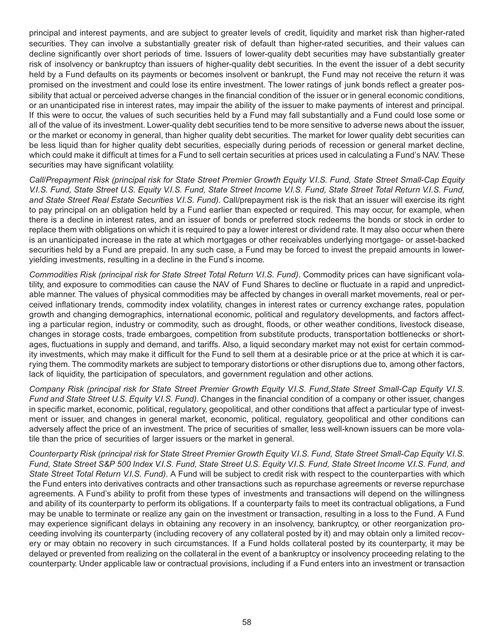principal and interest payments, and are subject to greater levels of credit, liquidity and market risk than higher-rated securities. They can involve a substantially greater risk of default than higher-rated securities, and their values can decline significantly over short periods of time. Issuers of lower-quality debt securities may have substantially greater risk of insolvency or bankruptcy than issuers of higher-quality debt securities. In the event the issuer of a debt security held by a Fund defaults on its payments or becomes insolvent or bankrupt, the Fund may not receive the return it was promised on the investment and could lose its entire investment. The lower ratings of junk bonds reflect a greater possibility that actual or perceived adverse changes in the financial condition of the issuer or in general economic conditions, or an unanticipated rise in interest rates, may impair the ability of the issuer to make payments of interest and principal. If this were to occur, the values of such securities held by a Fund may fall substantially and a Fund could lose some or all of the value of its investment. Lower-quality debt securities tend to be more sensitive to adverse news about the issuer, or the market or economy in general, than higher quality debt securities. The market for lower quality debt securities can be less liquid than for higher quality debt securities, especially during periods of recession or general market decline, which could make it difficult at times for a Fund to sell certain securities at prices used in calculating a Fund's NAV. These securities may have significant volatility.

*Call/Prepayment Risk (principal risk for State Street Premier Growth Equity V.I.S. Fund, State Street Small-Cap Equity V.I.S. Fund, State Street U.S. Equity V.I.S. Fund, State Street Income V.I.S. Fund, State Street Total Return V.I.S. Fund, and State Street Real Estate Securities V.I.S. Fund)*. Call/prepayment risk is the risk that an issuer will exercise its right to pay principal on an obligation held by a Fund earlier than expected or required. This may occur, for example, when there is a decline in interest rates, and an issuer of bonds or preferred stock redeems the bonds or stock in order to replace them with obligations on which it is required to pay a lower interest or dividend rate. It may also occur when there is an unanticipated increase in the rate at which mortgages or other receivables underlying mortgage- or asset-backed securities held by a Fund are prepaid. In any such case, a Fund may be forced to invest the prepaid amounts in loweryielding investments, resulting in a decline in the Fund's income.

*Commodities Risk (principal risk for State Street Total Return V.I.S. Fund)*. Commodity prices can have significant volatility, and exposure to commodities can cause the NAV of Fund Shares to decline or fluctuate in a rapid and unpredictable manner. The values of physical commodities may be affected by changes in overall market movements, real or perceived inflationary trends, commodity index volatility, changes in interest rates or currency exchange rates, population growth and changing demographics, international economic, political and regulatory developments, and factors affecting a particular region, industry or commodity, such as drought, floods, or other weather conditions, livestock disease, changes in storage costs, trade embargoes, competition from substitute products, transportation bottlenecks or shortages, fluctuations in supply and demand, and tariffs. Also, a liquid secondary market may not exist for certain commodity investments, which may make it difficult for the Fund to sell them at a desirable price or at the price at which it is carrying them. The commodity markets are subject to temporary distortions or other disruptions due to, among other factors, lack of liquidity, the participation of speculators, and government regulation and other actions.

*Company Risk (principal risk for State Street Premier Growth Equity V.I.S. Fund,State Street Small-Cap Equity V.I.S. Fund and State Street U.S. Equity V.I.S. Fund)*. Changes in the financial condition of a company or other issuer, changes in specific market, economic, political, regulatory, geopolitical, and other conditions that affect a particular type of investment or issuer, and changes in general market, economic, political, regulatory, geopolitical and other conditions can adversely affect the price of an investment. The price of securities of smaller, less well-known issuers can be more volatile than the price of securities of larger issuers or the market in general.

*Counterparty Risk (principal risk for State Street Premier Growth Equity V.I.S. Fund, State Street Small-Cap Equity V.I.S. Fund, State Street S&P 500 Index V.I.S. Fund, State Street U.S. Equity V.I.S. Fund, State Street Income V.I.S. Fund, and State Street Total Return V.I.S. Fund)*. A Fund will be subject to credit risk with respect to the counterparties with which the Fund enters into derivatives contracts and other transactions such as repurchase agreements or reverse repurchase agreements. A Fund's ability to profit from these types of investments and transactions will depend on the willingness and ability of its counterparty to perform its obligations. If a counterparty fails to meet its contractual obligations, a Fund may be unable to terminate or realize any gain on the investment or transaction, resulting in a loss to the Fund. A Fund may experience significant delays in obtaining any recovery in an insolvency, bankruptcy, or other reorganization proceeding involving its counterparty (including recovery of any collateral posted by it) and may obtain only a limited recovery or may obtain no recovery in such circumstances. If a Fund holds collateral posted by its counterparty, it may be delayed or prevented from realizing on the collateral in the event of a bankruptcy or insolvency proceeding relating to the counterparty. Under applicable law or contractual provisions, including if a Fund enters into an investment or transaction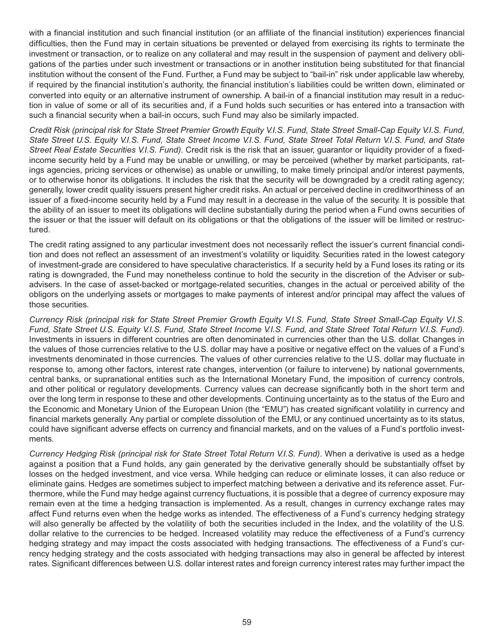with a financial institution and such financial institution (or an affiliate of the financial institution) experiences financial difficulties, then the Fund may in certain situations be prevented or delayed from exercising its rights to terminate the investment or transaction, or to realize on any collateral and may result in the suspension of payment and delivery obligations of the parties under such investment or transactions or in another institution being substituted for that financial institution without the consent of the Fund. Further, a Fund may be subject to "bail-in" risk under applicable law whereby, if required by the financial institution's authority, the financial institution's liabilities could be written down, eliminated or converted into equity or an alternative instrument of ownership. A bail-in of a financial institution may result in a reduction in value of some or all of its securities and, if a Fund holds such securities or has entered into a transaction with such a financial security when a bail-in occurs, such Fund may also be similarly impacted.

*Credit Risk (principal risk for State Street Premier Growth Equity V.I.S. Fund, State Street Small-Cap Equity V.I.S. Fund, State Street U.S. Equity V.I.S. Fund, State Street Income V.I.S. Fund, State Street Total Return V.I.S. Fund, and State Street Real Estate Securities V.I.S. Fund)*. Credit risk is the risk that an issuer, guarantor or liquidity provider of a fixedincome security held by a Fund may be unable or unwilling, or may be perceived (whether by market participants, ratings agencies, pricing services or otherwise) as unable or unwilling, to make timely principal and/or interest payments, or to otherwise honor its obligations. It includes the risk that the security will be downgraded by a credit rating agency; generally, lower credit quality issuers present higher credit risks. An actual or perceived decline in creditworthiness of an issuer of a fixed-income security held by a Fund may result in a decrease in the value of the security. It is possible that the ability of an issuer to meet its obligations will decline substantially during the period when a Fund owns securities of the issuer or that the issuer will default on its obligations or that the obligations of the issuer will be limited or restructured.

The credit rating assigned to any particular investment does not necessarily reflect the issuer's current financial condition and does not reflect an assessment of an investment's volatility or liquidity. Securities rated in the lowest category of investment-grade are considered to have speculative characteristics. If a security held by a Fund loses its rating or its rating is downgraded, the Fund may nonetheless continue to hold the security in the discretion of the Adviser or subadvisers. In the case of asset-backed or mortgage-related securities, changes in the actual or perceived ability of the obligors on the underlying assets or mortgages to make payments of interest and/or principal may affect the values of those securities.

*Currency Risk (principal risk for State Street Premier Growth Equity V.I.S. Fund, State Street Small-Cap Equity V.I.S. Fund, State Street U.S. Equity V.I.S. Fund, State Street Income V.I.S. Fund, and State Street Total Return V.I.S. Fund).* Investments in issuers in different countries are often denominated in currencies other than the U.S. dollar. Changes in the values of those currencies relative to the U.S. dollar may have a positive or negative effect on the values of a Fund's investments denominated in those currencies. The values of other currencies relative to the U.S. dollar may fluctuate in response to, among other factors, interest rate changes, intervention (or failure to intervene) by national governments, central banks, or supranational entities such as the International Monetary Fund, the imposition of currency controls, and other political or regulatory developments. Currency values can decrease significantly both in the short term and over the long term in response to these and other developments. Continuing uncertainty as to the status of the Euro and the Economic and Monetary Union of the European Union (the "EMU") has created significant volatility in currency and financial markets generally. Any partial or complete dissolution of the EMU, or any continued uncertainty as to its status, could have significant adverse effects on currency and financial markets, and on the values of a Fund's portfolio investments.

*Currency Hedging Risk (principal risk for State Street Total Return V.I.S. Fund)*. When a derivative is used as a hedge against a position that a Fund holds, any gain generated by the derivative generally should be substantially offset by losses on the hedged investment, and vice versa. While hedging can reduce or eliminate losses, it can also reduce or eliminate gains. Hedges are sometimes subject to imperfect matching between a derivative and its reference asset. Furthermore, while the Fund may hedge against currency fluctuations, it is possible that a degree of currency exposure may remain even at the time a hedging transaction is implemented. As a result, changes in currency exchange rates may affect Fund returns even when the hedge works as intended. The effectiveness of a Fund's currency hedging strategy will also generally be affected by the volatility of both the securities included in the Index, and the volatility of the U.S. dollar relative to the currencies to be hedged. Increased volatility may reduce the effectiveness of a Fund's currency hedging strategy and may impact the costs associated with hedging transactions. The effectiveness of a Fund's currency hedging strategy and the costs associated with hedging transactions may also in general be affected by interest rates. Significant differences between U.S. dollar interest rates and foreign currency interest rates may further impact the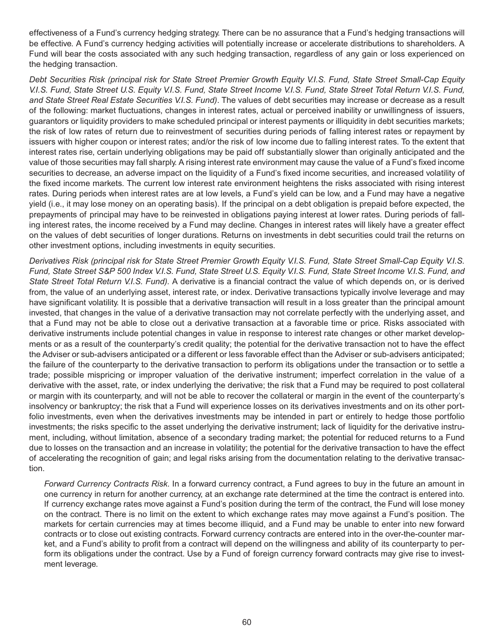effectiveness of a Fund's currency hedging strategy. There can be no assurance that a Fund's hedging transactions will be effective. A Fund's currency hedging activities will potentially increase or accelerate distributions to shareholders. A Fund will bear the costs associated with any such hedging transaction, regardless of any gain or loss experienced on the hedging transaction.

*Debt Securities Risk (principal risk for State Street Premier Growth Equity V.I.S. Fund, State Street Small-Cap Equity V.I.S. Fund, State Street U.S. Equity V.I.S. Fund, State Street Income V.I.S. Fund, State Street Total Return V.I.S. Fund, and State Street Real Estate Securities V.I.S. Fund)*. The values of debt securities may increase or decrease as a result of the following: market fluctuations, changes in interest rates, actual or perceived inability or unwillingness of issuers, guarantors or liquidity providers to make scheduled principal or interest payments or illiquidity in debt securities markets; the risk of low rates of return due to reinvestment of securities during periods of falling interest rates or repayment by issuers with higher coupon or interest rates; and/or the risk of low income due to falling interest rates. To the extent that interest rates rise, certain underlying obligations may be paid off substantially slower than originally anticipated and the value of those securities may fall sharply. A rising interest rate environment may cause the value of a Fund's fixed income securities to decrease, an adverse impact on the liquidity of a Fund's fixed income securities, and increased volatility of the fixed income markets. The current low interest rate environment heightens the risks associated with rising interest rates. During periods when interest rates are at low levels, a Fund's yield can be low, and a Fund may have a negative yield (i.e., it may lose money on an operating basis). If the principal on a debt obligation is prepaid before expected, the prepayments of principal may have to be reinvested in obligations paying interest at lower rates. During periods of falling interest rates, the income received by a Fund may decline. Changes in interest rates will likely have a greater effect on the values of debt securities of longer durations. Returns on investments in debt securities could trail the returns on other investment options, including investments in equity securities.

*Derivatives Risk (principal risk for State Street Premier Growth Equity V.I.S. Fund, State Street Small-Cap Equity V.I.S. Fund, State Street S&P 500 Index V.I.S. Fund, State Street U.S. Equity V.I.S. Fund, State Street Income V.I.S. Fund, and State Street Total Return V.I.S. Fund).* A derivative is a financial contract the value of which depends on, or is derived from, the value of an underlying asset, interest rate, or index. Derivative transactions typically involve leverage and may have significant volatility. It is possible that a derivative transaction will result in a loss greater than the principal amount invested, that changes in the value of a derivative transaction may not correlate perfectly with the underlying asset, and that a Fund may not be able to close out a derivative transaction at a favorable time or price. Risks associated with derivative instruments include potential changes in value in response to interest rate changes or other market developments or as a result of the counterparty's credit quality; the potential for the derivative transaction not to have the effect the Adviser or sub-advisers anticipated or a different or less favorable effect than the Adviser or sub-advisers anticipated; the failure of the counterparty to the derivative transaction to perform its obligations under the transaction or to settle a trade; possible mispricing or improper valuation of the derivative instrument; imperfect correlation in the value of a derivative with the asset, rate, or index underlying the derivative; the risk that a Fund may be required to post collateral or margin with its counterparty, and will not be able to recover the collateral or margin in the event of the counterparty's insolvency or bankruptcy; the risk that a Fund will experience losses on its derivatives investments and on its other portfolio investments, even when the derivatives investments may be intended in part or entirely to hedge those portfolio investments; the risks specific to the asset underlying the derivative instrument; lack of liquidity for the derivative instrument, including, without limitation, absence of a secondary trading market; the potential for reduced returns to a Fund due to losses on the transaction and an increase in volatility; the potential for the derivative transaction to have the effect of accelerating the recognition of gain; and legal risks arising from the documentation relating to the derivative transaction.

*Forward Currency Contracts Risk*. In a forward currency contract, a Fund agrees to buy in the future an amount in one currency in return for another currency, at an exchange rate determined at the time the contract is entered into. If currency exchange rates move against a Fund's position during the term of the contract, the Fund will lose money on the contract. There is no limit on the extent to which exchange rates may move against a Fund's position. The markets for certain currencies may at times become illiquid, and a Fund may be unable to enter into new forward contracts or to close out existing contracts. Forward currency contracts are entered into in the over-the-counter market, and a Fund's ability to profit from a contract will depend on the willingness and ability of its counterparty to perform its obligations under the contract. Use by a Fund of foreign currency forward contracts may give rise to investment leverage.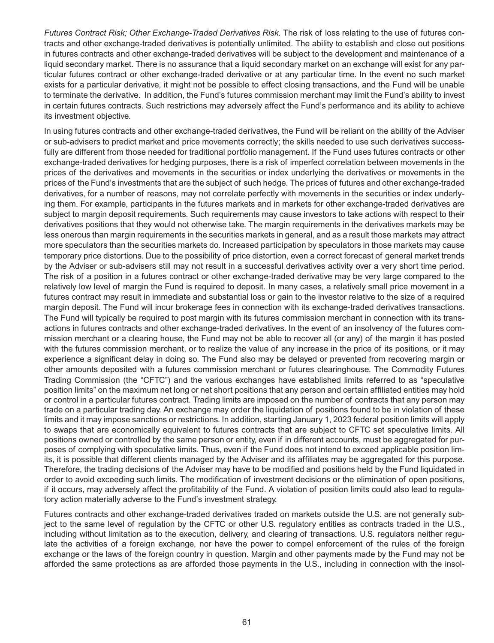*Futures Contract Risk; Other Exchange-Traded Derivatives Risk*. The risk of loss relating to the use of futures contracts and other exchange-traded derivatives is potentially unlimited. The ability to establish and close out positions in futures contracts and other exchange-traded derivatives will be subject to the development and maintenance of a liquid secondary market. There is no assurance that a liquid secondary market on an exchange will exist for any particular futures contract or other exchange-traded derivative or at any particular time. In the event no such market exists for a particular derivative, it might not be possible to effect closing transactions, and the Fund will be unable to terminate the derivative. In addition, the Fund's futures commission merchant may limit the Fund's ability to invest in certain futures contracts. Such restrictions may adversely affect the Fund's performance and its ability to achieve its investment objective.

In using futures contracts and other exchange-traded derivatives, the Fund will be reliant on the ability of the Adviser or sub-advisers to predict market and price movements correctly; the skills needed to use such derivatives successfully are different from those needed for traditional portfolio management. If the Fund uses futures contracts or other exchange-traded derivatives for hedging purposes, there is a risk of imperfect correlation between movements in the prices of the derivatives and movements in the securities or index underlying the derivatives or movements in the prices of the Fund's investments that are the subject of such hedge. The prices of futures and other exchange-traded derivatives, for a number of reasons, may not correlate perfectly with movements in the securities or index underlying them. For example, participants in the futures markets and in markets for other exchange-traded derivatives are subject to margin deposit requirements. Such requirements may cause investors to take actions with respect to their derivatives positions that they would not otherwise take. The margin requirements in the derivatives markets may be less onerous than margin requirements in the securities markets in general, and as a result those markets may attract more speculators than the securities markets do. Increased participation by speculators in those markets may cause temporary price distortions. Due to the possibility of price distortion, even a correct forecast of general market trends by the Adviser or sub-advisers still may not result in a successful derivatives activity over a very short time period. The risk of a position in a futures contract or other exchange-traded derivative may be very large compared to the relatively low level of margin the Fund is required to deposit. In many cases, a relatively small price movement in a futures contract may result in immediate and substantial loss or gain to the investor relative to the size of a required margin deposit. The Fund will incur brokerage fees in connection with its exchange-traded derivatives transactions. The Fund will typically be required to post margin with its futures commission merchant in connection with its transactions in futures contracts and other exchange-traded derivatives. In the event of an insolvency of the futures commission merchant or a clearing house, the Fund may not be able to recover all (or any) of the margin it has posted with the futures commission merchant, or to realize the value of any increase in the price of its positions, or it may experience a significant delay in doing so. The Fund also may be delayed or prevented from recovering margin or other amounts deposited with a futures commission merchant or futures clearinghouse. The Commodity Futures Trading Commission (the "CFTC") and the various exchanges have established limits referred to as "speculative position limits" on the maximum net long or net short positions that any person and certain affiliated entities may hold or control in a particular futures contract. Trading limits are imposed on the number of contracts that any person may trade on a particular trading day. An exchange may order the liquidation of positions found to be in violation of these limits and it may impose sanctions or restrictions. In addition, starting January 1, 2023 federal position limits will apply to swaps that are economically equivalent to futures contracts that are subject to CFTC set speculative limits. All positions owned or controlled by the same person or entity, even if in different accounts, must be aggregated for purposes of complying with speculative limits. Thus, even if the Fund does not intend to exceed applicable position limits, it is possible that different clients managed by the Adviser and its affiliates may be aggregated for this purpose. Therefore, the trading decisions of the Adviser may have to be modified and positions held by the Fund liquidated in order to avoid exceeding such limits. The modification of investment decisions or the elimination of open positions, if it occurs, may adversely affect the profitability of the Fund. A violation of position limits could also lead to regulatory action materially adverse to the Fund's investment strategy.

Futures contracts and other exchange-traded derivatives traded on markets outside the U.S. are not generally subject to the same level of regulation by the CFTC or other U.S. regulatory entities as contracts traded in the U.S., including without limitation as to the execution, delivery, and clearing of transactions. U.S. regulators neither regulate the activities of a foreign exchange, nor have the power to compel enforcement of the rules of the foreign exchange or the laws of the foreign country in question. Margin and other payments made by the Fund may not be afforded the same protections as are afforded those payments in the U.S., including in connection with the insol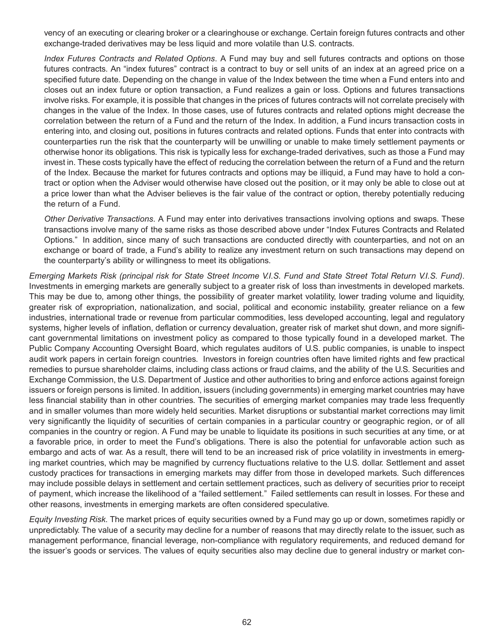vency of an executing or clearing broker or a clearinghouse or exchange. Certain foreign futures contracts and other exchange-traded derivatives may be less liquid and more volatile than U.S. contracts.

*Index Futures Contracts and Related Options*. A Fund may buy and sell futures contracts and options on those futures contracts. An "index futures" contract is a contract to buy or sell units of an index at an agreed price on a specified future date. Depending on the change in value of the Index between the time when a Fund enters into and closes out an index future or option transaction, a Fund realizes a gain or loss. Options and futures transactions involve risks. For example, it is possible that changes in the prices of futures contracts will not correlate precisely with changes in the value of the Index. In those cases, use of futures contracts and related options might decrease the correlation between the return of a Fund and the return of the Index. In addition, a Fund incurs transaction costs in entering into, and closing out, positions in futures contracts and related options. Funds that enter into contracts with counterparties run the risk that the counterparty will be unwilling or unable to make timely settlement payments or otherwise honor its obligations. This risk is typically less for exchange-traded derivatives, such as those a Fund may invest in. These costs typically have the effect of reducing the correlation between the return of a Fund and the return of the Index. Because the market for futures contracts and options may be illiquid, a Fund may have to hold a contract or option when the Adviser would otherwise have closed out the position, or it may only be able to close out at a price lower than what the Adviser believes is the fair value of the contract or option, thereby potentially reducing the return of a Fund.

*Other Derivative Transactions*. A Fund may enter into derivatives transactions involving options and swaps. These transactions involve many of the same risks as those described above under "Index Futures Contracts and Related Options." In addition, since many of such transactions are conducted directly with counterparties, and not on an exchange or board of trade, a Fund's ability to realize any investment return on such transactions may depend on the counterparty's ability or willingness to meet its obligations.

*Emerging Markets Risk (principal risk for State Street Income V.I.S. Fund and State Street Total Return V.I.S. Fund)*. Investments in emerging markets are generally subject to a greater risk of loss than investments in developed markets. This may be due to, among other things, the possibility of greater market volatility, lower trading volume and liquidity, greater risk of expropriation, nationalization, and social, political and economic instability, greater reliance on a few industries, international trade or revenue from particular commodities, less developed accounting, legal and regulatory systems, higher levels of inflation, deflation or currency devaluation, greater risk of market shut down, and more significant governmental limitations on investment policy as compared to those typically found in a developed market. The Public Company Accounting Oversight Board, which regulates auditors of U.S. public companies, is unable to inspect audit work papers in certain foreign countries. Investors in foreign countries often have limited rights and few practical remedies to pursue shareholder claims, including class actions or fraud claims, and the ability of the U.S. Securities and Exchange Commission, the U.S. Department of Justice and other authorities to bring and enforce actions against foreign issuers or foreign persons is limited. In addition, issuers (including governments) in emerging market countries may have less financial stability than in other countries. The securities of emerging market companies may trade less frequently and in smaller volumes than more widely held securities. Market disruptions or substantial market corrections may limit very significantly the liquidity of securities of certain companies in a particular country or geographic region, or of all companies in the country or region. A Fund may be unable to liquidate its positions in such securities at any time, or at a favorable price, in order to meet the Fund's obligations. There is also the potential for unfavorable action such as embargo and acts of war. As a result, there will tend to be an increased risk of price volatility in investments in emerging market countries, which may be magnified by currency fluctuations relative to the U.S. dollar. Settlement and asset custody practices for transactions in emerging markets may differ from those in developed markets. Such differences may include possible delays in settlement and certain settlement practices, such as delivery of securities prior to receipt of payment, which increase the likelihood of a "failed settlement." Failed settlements can result in losses. For these and other reasons, investments in emerging markets are often considered speculative.

*Equity Investing Risk*. The market prices of equity securities owned by a Fund may go up or down, sometimes rapidly or unpredictably. The value of a security may decline for a number of reasons that may directly relate to the issuer, such as management performance, financial leverage, non-compliance with regulatory requirements, and reduced demand for the issuer's goods or services. The values of equity securities also may decline due to general industry or market con-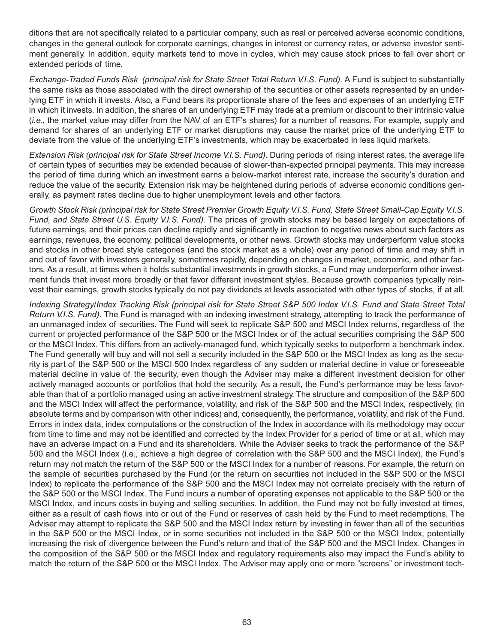ditions that are not specifically related to a particular company, such as real or perceived adverse economic conditions, changes in the general outlook for corporate earnings, changes in interest or currency rates, or adverse investor sentiment generally. In addition, equity markets tend to move in cycles, which may cause stock prices to fall over short or extended periods of time.

*Exchange-Traded Funds Risk (principal risk for State Street Total Return V.I.S. Fund).* A Fund is subject to substantially the same risks as those associated with the direct ownership of the securities or other assets represented by an underlying ETF in which it invests. Also, a Fund bears its proportionate share of the fees and expenses of an underlying ETF in which it invests. In addition, the shares of an underlying ETF may trade at a premium or discount to their intrinsic value (*i.e.*, the market value may differ from the NAV of an ETF's shares) for a number of reasons. For example, supply and demand for shares of an underlying ETF or market disruptions may cause the market price of the underlying ETF to deviate from the value of the underlying ETF's investments, which may be exacerbated in less liquid markets.

*Extension Risk (principal risk for State Street Income V.I.S. Fund).* During periods of rising interest rates, the average life of certain types of securities may be extended because of slower-than-expected principal payments. This may increase the period of time during which an investment earns a below-market interest rate, increase the security's duration and reduce the value of the security. Extension risk may be heightened during periods of adverse economic conditions generally, as payment rates decline due to higher unemployment levels and other factors.

*Growth Stock Risk (principal risk for State Street Premier Growth Equity V.I.S. Fund, State Street Small-Cap Equity V.I.S. Fund, and State Street U.S. Equity V.I.S. Fund).* The prices of growth stocks may be based largely on expectations of future earnings, and their prices can decline rapidly and significantly in reaction to negative news about such factors as earnings, revenues, the economy, political developments, or other news. Growth stocks may underperform value stocks and stocks in other broad style categories (and the stock market as a whole) over any period of time and may shift in and out of favor with investors generally, sometimes rapidly, depending on changes in market, economic, and other factors. As a result, at times when it holds substantial investments in growth stocks, a Fund may underperform other investment funds that invest more broadly or that favor different investment styles. Because growth companies typically reinvest their earnings, growth stocks typically do not pay dividends at levels associated with other types of stocks, if at all.

*Indexing Strategy/Index Tracking Risk (principal risk for State Street S&P 500 Index V.I.S. Fund and State Street Total Return V.I.S. Fund)*. The Fund is managed with an indexing investment strategy, attempting to track the performance of an unmanaged index of securities. The Fund will seek to replicate S&P 500 and MSCI Index returns, regardless of the current or projected performance of the S&P 500 or the MSCI Index or of the actual securities comprising the S&P 500 or the MSCI Index. This differs from an actively-managed fund, which typically seeks to outperform a benchmark index. The Fund generally will buy and will not sell a security included in the S&P 500 or the MSCI Index as long as the security is part of the S&P 500 or the MSCI 500 Index regardless of any sudden or material decline in value or foreseeable material decline in value of the security, even though the Adviser may make a different investment decision for other actively managed accounts or portfolios that hold the security. As a result, the Fund's performance may be less favorable than that of a portfolio managed using an active investment strategy. The structure and composition of the S&P 500 and the MSCI Index will affect the performance, volatility, and risk of the S&P 500 and the MSCI Index, respectively, (in absolute terms and by comparison with other indices) and, consequently, the performance, volatility, and risk of the Fund. Errors in index data, index computations or the construction of the Index in accordance with its methodology may occur from time to time and may not be identified and corrected by the Index Provider for a period of time or at all, which may have an adverse impact on a Fund and its shareholders. While the Adviser seeks to track the performance of the S&P 500 and the MSCI Index (i.e., achieve a high degree of correlation with the S&P 500 and the MSCI Index), the Fund's return may not match the return of the S&P 500 or the MSCI Index for a number of reasons. For example, the return on the sample of securities purchased by the Fund (or the return on securities not included in the S&P 500 or the MSCI Index) to replicate the performance of the S&P 500 and the MSCI Index may not correlate precisely with the return of the S&P 500 or the MSCI Index. The Fund incurs a number of operating expenses not applicable to the S&P 500 or the MSCI Index, and incurs costs in buying and selling securities. In addition, the Fund may not be fully invested at times, either as a result of cash flows into or out of the Fund or reserves of cash held by the Fund to meet redemptions. The Adviser may attempt to replicate the S&P 500 and the MSCI Index return by investing in fewer than all of the securities in the S&P 500 or the MSCI Index, or in some securities not included in the S&P 500 or the MSCI Index, potentially increasing the risk of divergence between the Fund's return and that of the S&P 500 and the MSCI Index. Changes in the composition of the S&P 500 or the MSCI Index and regulatory requirements also may impact the Fund's ability to match the return of the S&P 500 or the MSCI Index. The Adviser may apply one or more "screens" or investment tech-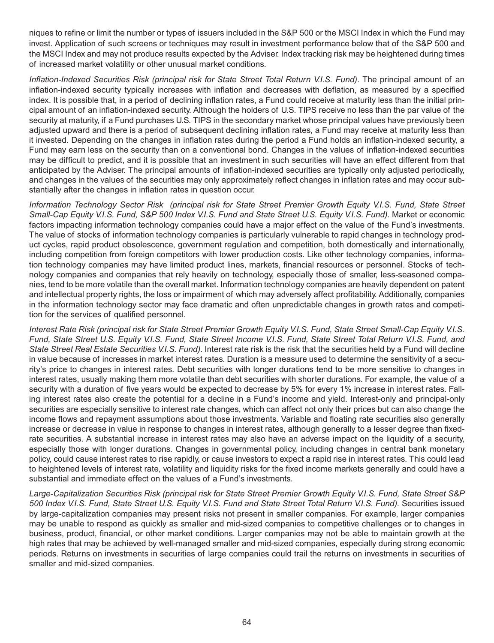niques to refine or limit the number or types of issuers included in the S&P 500 or the MSCI Index in which the Fund may invest. Application of such screens or techniques may result in investment performance below that of the S&P 500 and the MSCI Index and may not produce results expected by the Adviser. Index tracking risk may be heightened during times of increased market volatility or other unusual market conditions.

*Inflation-Indexed Securities Risk (principal risk for State Street Total Return V.I.S. Fund)*. The principal amount of an inflation-indexed security typically increases with inflation and decreases with deflation, as measured by a specified index. It is possible that, in a period of declining inflation rates, a Fund could receive at maturity less than the initial principal amount of an inflation-indexed security. Although the holders of U.S. TIPS receive no less than the par value of the security at maturity, if a Fund purchases U.S. TIPS in the secondary market whose principal values have previously been adjusted upward and there is a period of subsequent declining inflation rates, a Fund may receive at maturity less than it invested. Depending on the changes in inflation rates during the period a Fund holds an inflation-indexed security, a Fund may earn less on the security than on a conventional bond. Changes in the values of inflation-indexed securities may be difficult to predict, and it is possible that an investment in such securities will have an effect different from that anticipated by the Adviser. The principal amounts of inflation-indexed securities are typically only adjusted periodically, and changes in the values of the securities may only approximately reflect changes in inflation rates and may occur substantially after the changes in inflation rates in question occur.

*Information Technology Sector Risk (principal risk for State Street Premier Growth Equity V.I.S. Fund, State Street Small-Cap Equity V.I.S. Fund, S&P 500 Index V.I.S. Fund and State Street U.S. Equity V.I.S. Fund).* Market or economic factors impacting information technology companies could have a major effect on the value of the Fund's investments. The value of stocks of information technology companies is particularly vulnerable to rapid changes in technology product cycles, rapid product obsolescence, government regulation and competition, both domestically and internationally, including competition from foreign competitors with lower production costs. Like other technology companies, information technology companies may have limited product lines, markets, financial resources or personnel. Stocks of technology companies and companies that rely heavily on technology, especially those of smaller, less-seasoned companies, tend to be more volatile than the overall market. Information technology companies are heavily dependent on patent and intellectual property rights, the loss or impairment of which may adversely affect profitability. Additionally, companies in the information technology sector may face dramatic and often unpredictable changes in growth rates and competition for the services of qualified personnel.

*Interest Rate Risk (principal risk for State Street Premier Growth Equity V.I.S. Fund, State Street Small-Cap Equity V.I.S. Fund, State Street U.S. Equity V.I.S. Fund, State Street Income V.I.S. Fund, State Street Total Return V.I.S. Fund, and State Street Real Estate Securities V.I.S. Fund)*. Interest rate risk is the risk that the securities held by a Fund will decline in value because of increases in market interest rates. Duration is a measure used to determine the sensitivity of a security's price to changes in interest rates. Debt securities with longer durations tend to be more sensitive to changes in interest rates, usually making them more volatile than debt securities with shorter durations. For example, the value of a security with a duration of five years would be expected to decrease by 5% for every 1% increase in interest rates. Falling interest rates also create the potential for a decline in a Fund's income and yield. Interest-only and principal-only securities are especially sensitive to interest rate changes, which can affect not only their prices but can also change the income flows and repayment assumptions about those investments. Variable and floating rate securities also generally increase or decrease in value in response to changes in interest rates, although generally to a lesser degree than fixedrate securities. A substantial increase in interest rates may also have an adverse impact on the liquidity of a security, especially those with longer durations. Changes in governmental policy, including changes in central bank monetary policy, could cause interest rates to rise rapidly, or cause investors to expect a rapid rise in interest rates. This could lead to heightened levels of interest rate, volatility and liquidity risks for the fixed income markets generally and could have a substantial and immediate effect on the values of a Fund's investments.

*Large-Capitalization Securities Risk (principal risk for State Street Premier Growth Equity V.I.S. Fund, State Street S&P 500 Index V.I.S. Fund, State Street U.S. Equity V.I.S. Fund and State Street Total Return V.I.S. Fund).* Securities issued by large-capitalization companies may present risks not present in smaller companies. For example, larger companies may be unable to respond as quickly as smaller and mid-sized companies to competitive challenges or to changes in business, product, financial, or other market conditions. Larger companies may not be able to maintain growth at the high rates that may be achieved by well-managed smaller and mid-sized companies, especially during strong economic periods. Returns on investments in securities of large companies could trail the returns on investments in securities of smaller and mid-sized companies.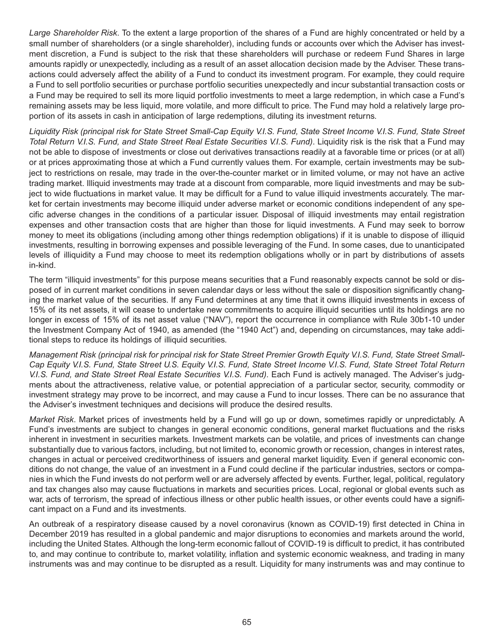*Large Shareholder Risk*. To the extent a large proportion of the shares of a Fund are highly concentrated or held by a small number of shareholders (or a single shareholder), including funds or accounts over which the Adviser has investment discretion, a Fund is subject to the risk that these shareholders will purchase or redeem Fund Shares in large amounts rapidly or unexpectedly, including as a result of an asset allocation decision made by the Adviser. These transactions could adversely affect the ability of a Fund to conduct its investment program. For example, they could require a Fund to sell portfolio securities or purchase portfolio securities unexpectedly and incur substantial transaction costs or a Fund may be required to sell its more liquid portfolio investments to meet a large redemption, in which case a Fund's remaining assets may be less liquid, more volatile, and more difficult to price. The Fund may hold a relatively large proportion of its assets in cash in anticipation of large redemptions, diluting its investment returns.

*Liquidity Risk (principal risk for State Street Small-Cap Equity V.I.S. Fund, State Street Income V.I.S. Fund, State Street Total Return V.I.S. Fund, and State Street Real Estate Securities V.I.S. Fund)*. Liquidity risk is the risk that a Fund may not be able to dispose of investments or close out derivatives transactions readily at a favorable time or prices (or at all) or at prices approximating those at which a Fund currently values them. For example, certain investments may be subject to restrictions on resale, may trade in the over-the-counter market or in limited volume, or may not have an active trading market. Illiquid investments may trade at a discount from comparable, more liquid investments and may be subject to wide fluctuations in market value. It may be difficult for a Fund to value illiquid investments accurately. The market for certain investments may become illiquid under adverse market or economic conditions independent of any specific adverse changes in the conditions of a particular issuer. Disposal of illiquid investments may entail registration expenses and other transaction costs that are higher than those for liquid investments. A Fund may seek to borrow money to meet its obligations (including among other things redemption obligations) if it is unable to dispose of illiquid investments, resulting in borrowing expenses and possible leveraging of the Fund. In some cases, due to unanticipated levels of illiquidity a Fund may choose to meet its redemption obligations wholly or in part by distributions of assets in-kind.

The term "illiquid investments" for this purpose means securities that a Fund reasonably expects cannot be sold or disposed of in current market conditions in seven calendar days or less without the sale or disposition significantly changing the market value of the securities. If any Fund determines at any time that it owns illiquid investments in excess of 15% of its net assets, it will cease to undertake new commitments to acquire illiquid securities until its holdings are no longer in excess of 15% of its net asset value ("NAV"), report the occurrence in compliance with Rule 30b1-10 under the Investment Company Act of 1940, as amended (the "1940 Act") and, depending on circumstances, may take additional steps to reduce its holdings of illiquid securities.

*Management Risk (principal risk for principal risk for State Street Premier Growth Equity V.I.S. Fund, State Street Small-Cap Equity V.I.S. Fund, State Street U.S. Equity V.I.S. Fund, State Street Income V.I.S. Fund, State Street Total Return V.I.S. Fund, and State Street Real Estate Securities V.I.S. Fund)*. Each Fund is actively managed. The Adviser's judgments about the attractiveness, relative value, or potential appreciation of a particular sector, security, commodity or investment strategy may prove to be incorrect, and may cause a Fund to incur losses. There can be no assurance that the Adviser's investment techniques and decisions will produce the desired results.

*Market Risk*. Market prices of investments held by a Fund will go up or down, sometimes rapidly or unpredictably. A Fund's investments are subject to changes in general economic conditions, general market fluctuations and the risks inherent in investment in securities markets. Investment markets can be volatile, and prices of investments can change substantially due to various factors, including, but not limited to, economic growth or recession, changes in interest rates, changes in actual or perceived creditworthiness of issuers and general market liquidity. Even if general economic conditions do not change, the value of an investment in a Fund could decline if the particular industries, sectors or companies in which the Fund invests do not perform well or are adversely affected by events. Further, legal, political, regulatory and tax changes also may cause fluctuations in markets and securities prices. Local, regional or global events such as war, acts of terrorism, the spread of infectious illness or other public health issues, or other events could have a significant impact on a Fund and its investments.

An outbreak of a respiratory disease caused by a novel coronavirus (known as COVID-19) first detected in China in December 2019 has resulted in a global pandemic and major disruptions to economies and markets around the world, including the United States. Although the long-term economic fallout of COVID-19 is difficult to predict, it has contributed to, and may continue to contribute to, market volatility, inflation and systemic economic weakness, and trading in many instruments was and may continue to be disrupted as a result. Liquidity for many instruments was and may continue to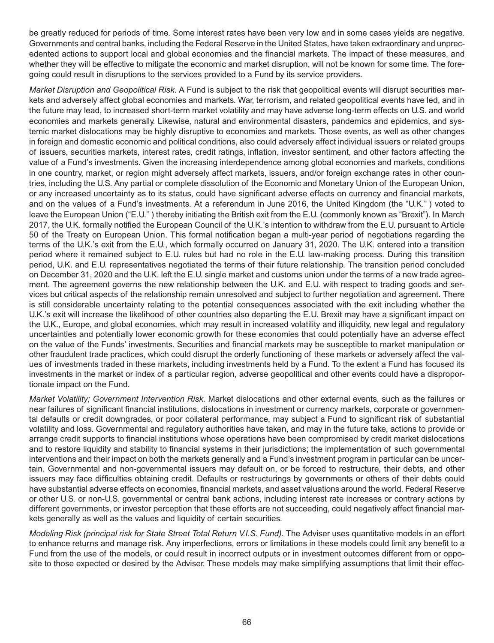be greatly reduced for periods of time. Some interest rates have been very low and in some cases yields are negative. Governments and central banks, including the Federal Reserve in the United States, have taken extraordinary and unprecedented actions to support local and global economies and the financial markets. The impact of these measures, and whether they will be effective to mitigate the economic and market disruption, will not be known for some time. The foregoing could result in disruptions to the services provided to a Fund by its service providers.

*Market Disruption and Geopolitical Risk.* A Fund is subject to the risk that geopolitical events will disrupt securities markets and adversely affect global economies and markets. War, terrorism, and related geopolitical events have led, and in the future may lead, to increased short-term market volatility and may have adverse long-term effects on U.S. and world economies and markets generally. Likewise, natural and environmental disasters, pandemics and epidemics, and systemic market dislocations may be highly disruptive to economies and markets. Those events, as well as other changes in foreign and domestic economic and political conditions, also could adversely affect individual issuers or related groups of issuers, securities markets, interest rates, credit ratings, inflation, investor sentiment, and other factors affecting the value of a Fund's investments. Given the increasing interdependence among global economies and markets, conditions in one country, market, or region might adversely affect markets, issuers, and/or foreign exchange rates in other countries, including the U.S. Any partial or complete dissolution of the Economic and Monetary Union of the European Union, or any increased uncertainty as to its status, could have significant adverse effects on currency and financial markets, and on the values of a Fund's investments. At a referendum in June 2016, the United Kingdom (the "U.K." ) voted to leave the European Union ("E.U." ) thereby initiating the British exit from the E.U. (commonly known as "Brexit"). In March 2017, the U.K. formally notified the European Council of the U.K.'s intention to withdraw from the E.U. pursuant to Article 50 of the Treaty on European Union. This formal notification began a multi-year period of negotiations regarding the terms of the U.K.'s exit from the E.U., which formally occurred on January 31, 2020. The U.K. entered into a transition period where it remained subject to E.U. rules but had no role in the E.U. law-making process. During this transition period, U.K. and E.U. representatives negotiated the terms of their future relationship. The transition period concluded on December 31, 2020 and the U.K. left the E.U. single market and customs union under the terms of a new trade agreement. The agreement governs the new relationship between the U.K. and E.U. with respect to trading goods and services but critical aspects of the relationship remain unresolved and subject to further negotiation and agreement. There is still considerable uncertainty relating to the potential consequences associated with the exit including whether the U.K.'s exit will increase the likelihood of other countries also departing the E.U. Brexit may have a significant impact on the U.K., Europe, and global economies, which may result in increased volatility and illiquidity, new legal and regulatory uncertainties and potentially lower economic growth for these economies that could potentially have an adverse effect on the value of the Funds' investments. Securities and financial markets may be susceptible to market manipulation or other fraudulent trade practices, which could disrupt the orderly functioning of these markets or adversely affect the values of investments traded in these markets, including investments held by a Fund. To the extent a Fund has focused its investments in the market or index of a particular region, adverse geopolitical and other events could have a disproportionate impact on the Fund.

*Market Volatility; Government Intervention Risk.* Market dislocations and other external events, such as the failures or near failures of significant financial institutions, dislocations in investment or currency markets, corporate or governmental defaults or credit downgrades, or poor collateral performance, may subject a Fund to significant risk of substantial volatility and loss. Governmental and regulatory authorities have taken, and may in the future take, actions to provide or arrange credit supports to financial institutions whose operations have been compromised by credit market dislocations and to restore liquidity and stability to financial systems in their jurisdictions; the implementation of such governmental interventions and their impact on both the markets generally and a Fund's investment program in particular can be uncertain. Governmental and non-governmental issuers may default on, or be forced to restructure, their debts, and other issuers may face difficulties obtaining credit. Defaults or restructurings by governments or others of their debts could have substantial adverse effects on economies, financial markets, and asset valuations around the world. Federal Reserve or other U.S. or non-U.S. governmental or central bank actions, including interest rate increases or contrary actions by different governments, or investor perception that these efforts are not succeeding, could negatively affect financial markets generally as well as the values and liquidity of certain securities.

*Modeling Risk (principal risk for State Street Total Return V.I.S. Fund)*. The Adviser uses quantitative models in an effort to enhance returns and manage risk. Any imperfections, errors or limitations in these models could limit any benefit to a Fund from the use of the models, or could result in incorrect outputs or in investment outcomes different from or opposite to those expected or desired by the Adviser. These models may make simplifying assumptions that limit their effec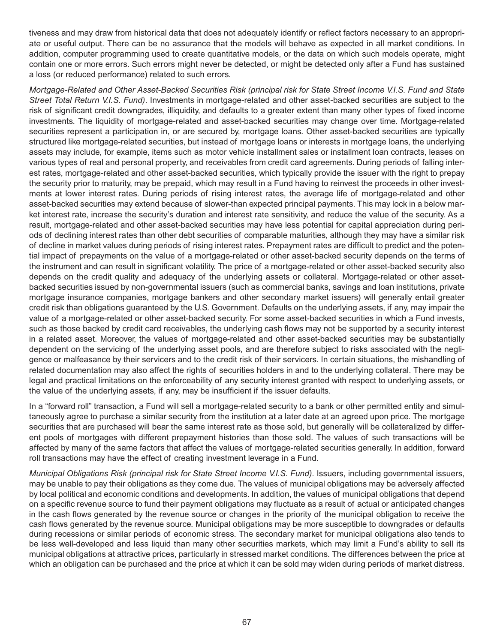tiveness and may draw from historical data that does not adequately identify or reflect factors necessary to an appropriate or useful output. There can be no assurance that the models will behave as expected in all market conditions. In addition, computer programming used to create quantitative models, or the data on which such models operate, might contain one or more errors. Such errors might never be detected, or might be detected only after a Fund has sustained a loss (or reduced performance) related to such errors.

*Mortgage-Related and Other Asset-Backed Securities Risk (principal risk for State Street Income V.I.S. Fund and State Street Total Return V.I.S. Fund)*. Investments in mortgage-related and other asset-backed securities are subject to the risk of significant credit downgrades, illiquidity, and defaults to a greater extent than many other types of fixed income investments. The liquidity of mortgage-related and asset-backed securities may change over time. Mortgage-related securities represent a participation in, or are secured by, mortgage loans. Other asset-backed securities are typically structured like mortgage-related securities, but instead of mortgage loans or interests in mortgage loans, the underlying assets may include, for example, items such as motor vehicle installment sales or installment loan contracts, leases on various types of real and personal property, and receivables from credit card agreements. During periods of falling interest rates, mortgage-related and other asset-backed securities, which typically provide the issuer with the right to prepay the security prior to maturity, may be prepaid, which may result in a Fund having to reinvest the proceeds in other investments at lower interest rates. During periods of rising interest rates, the average life of mortgage-related and other asset-backed securities may extend because of slower-than expected principal payments. This may lock in a below market interest rate, increase the security's duration and interest rate sensitivity, and reduce the value of the security. As a result, mortgage-related and other asset-backed securities may have less potential for capital appreciation during periods of declining interest rates than other debt securities of comparable maturities, although they may have a similar risk of decline in market values during periods of rising interest rates. Prepayment rates are difficult to predict and the potential impact of prepayments on the value of a mortgage-related or other asset-backed security depends on the terms of the instrument and can result in significant volatility. The price of a mortgage-related or other asset-backed security also depends on the credit quality and adequacy of the underlying assets or collateral. Mortgage-related or other assetbacked securities issued by non-governmental issuers (such as commercial banks, savings and loan institutions, private mortgage insurance companies, mortgage bankers and other secondary market issuers) will generally entail greater credit risk than obligations guaranteed by the U.S. Government. Defaults on the underlying assets, if any, may impair the value of a mortgage-related or other asset-backed security. For some asset-backed securities in which a Fund invests, such as those backed by credit card receivables, the underlying cash flows may not be supported by a security interest in a related asset. Moreover, the values of mortgage-related and other asset-backed securities may be substantially dependent on the servicing of the underlying asset pools, and are therefore subject to risks associated with the negligence or malfeasance by their servicers and to the credit risk of their servicers. In certain situations, the mishandling of related documentation may also affect the rights of securities holders in and to the underlying collateral. There may be legal and practical limitations on the enforceability of any security interest granted with respect to underlying assets, or the value of the underlying assets, if any, may be insufficient if the issuer defaults.

In a "forward roll" transaction, a Fund will sell a mortgage-related security to a bank or other permitted entity and simultaneously agree to purchase a similar security from the institution at a later date at an agreed upon price. The mortgage securities that are purchased will bear the same interest rate as those sold, but generally will be collateralized by different pools of mortgages with different prepayment histories than those sold. The values of such transactions will be affected by many of the same factors that affect the values of mortgage-related securities generally. In addition, forward roll transactions may have the effect of creating investment leverage in a Fund.

*Municipal Obligations Risk (principal risk for State Street Income V.I.S. Fund)*. Issuers, including governmental issuers, may be unable to pay their obligations as they come due. The values of municipal obligations may be adversely affected by local political and economic conditions and developments. In addition, the values of municipal obligations that depend on a specific revenue source to fund their payment obligations may fluctuate as a result of actual or anticipated changes in the cash flows generated by the revenue source or changes in the priority of the municipal obligation to receive the cash flows generated by the revenue source. Municipal obligations may be more susceptible to downgrades or defaults during recessions or similar periods of economic stress. The secondary market for municipal obligations also tends to be less well-developed and less liquid than many other securities markets, which may limit a Fund's ability to sell its municipal obligations at attractive prices, particularly in stressed market conditions. The differences between the price at which an obligation can be purchased and the price at which it can be sold may widen during periods of market distress.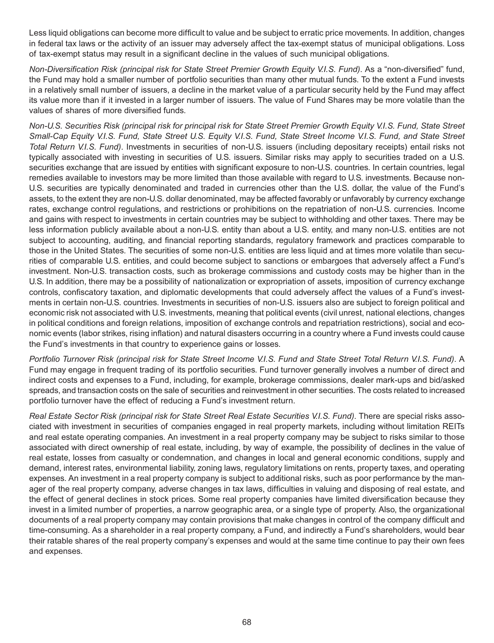Less liquid obligations can become more difficult to value and be subject to erratic price movements. In addition, changes in federal tax laws or the activity of an issuer may adversely affect the tax-exempt status of municipal obligations. Loss of tax-exempt status may result in a significant decline in the values of such municipal obligations.

*Non-Diversification Risk (principal risk for State Street Premier Growth Equity V.I.S. Fund)*. As a "non-diversified" fund, the Fund may hold a smaller number of portfolio securities than many other mutual funds. To the extent a Fund invests in a relatively small number of issuers, a decline in the market value of a particular security held by the Fund may affect its value more than if it invested in a larger number of issuers. The value of Fund Shares may be more volatile than the values of shares of more diversified funds.

*Non-U.S. Securities Risk (principal risk for principal risk for State Street Premier Growth Equity V.I.S. Fund, State Street Small-Cap Equity V.I.S. Fund, State Street U.S. Equity V.I.S. Fund, State Street Income V.I.S. Fund, and State Street Total Return V.I.S. Fund)*. Investments in securities of non-U.S. issuers (including depositary receipts) entail risks not typically associated with investing in securities of U.S. issuers. Similar risks may apply to securities traded on a U.S. securities exchange that are issued by entities with significant exposure to non-U.S. countries. In certain countries, legal remedies available to investors may be more limited than those available with regard to U.S. investments. Because non-U.S. securities are typically denominated and traded in currencies other than the U.S. dollar, the value of the Fund's assets, to the extent they are non-U.S. dollar denominated, may be affected favorably or unfavorably by currency exchange rates, exchange control regulations, and restrictions or prohibitions on the repatriation of non-U.S. currencies. Income and gains with respect to investments in certain countries may be subject to withholding and other taxes. There may be less information publicly available about a non-U.S. entity than about a U.S. entity, and many non-U.S. entities are not subject to accounting, auditing, and financial reporting standards, regulatory framework and practices comparable to those in the United States. The securities of some non-U.S. entities are less liquid and at times more volatile than securities of comparable U.S. entities, and could become subject to sanctions or embargoes that adversely affect a Fund's investment. Non-U.S. transaction costs, such as brokerage commissions and custody costs may be higher than in the U.S. In addition, there may be a possibility of nationalization or expropriation of assets, imposition of currency exchange controls, confiscatory taxation, and diplomatic developments that could adversely affect the values of a Fund's investments in certain non-U.S. countries. Investments in securities of non-U.S. issuers also are subject to foreign political and economic risk not associated with U.S. investments, meaning that political events (civil unrest, national elections, changes in political conditions and foreign relations, imposition of exchange controls and repatriation restrictions), social and economic events (labor strikes, rising inflation) and natural disasters occurring in a country where a Fund invests could cause the Fund's investments in that country to experience gains or losses.

*Portfolio Turnover Risk (principal risk for State Street Income V.I.S. Fund and State Street Total Return V.I.S. Fund)*. A Fund may engage in frequent trading of its portfolio securities. Fund turnover generally involves a number of direct and indirect costs and expenses to a Fund, including, for example, brokerage commissions, dealer mark-ups and bid/asked spreads, and transaction costs on the sale of securities and reinvestment in other securities. The costs related to increased portfolio turnover have the effect of reducing a Fund's investment return.

*Real Estate Sector Risk (principal risk for State Street Real Estate Securities V.I.S. Fund)*. There are special risks associated with investment in securities of companies engaged in real property markets, including without limitation REITs and real estate operating companies. An investment in a real property company may be subject to risks similar to those associated with direct ownership of real estate, including, by way of example, the possibility of declines in the value of real estate, losses from casualty or condemnation, and changes in local and general economic conditions, supply and demand, interest rates, environmental liability, zoning laws, regulatory limitations on rents, property taxes, and operating expenses. An investment in a real property company is subject to additional risks, such as poor performance by the manager of the real property company, adverse changes in tax laws, difficulties in valuing and disposing of real estate, and the effect of general declines in stock prices. Some real property companies have limited diversification because they invest in a limited number of properties, a narrow geographic area, or a single type of property. Also, the organizational documents of a real property company may contain provisions that make changes in control of the company difficult and time-consuming. As a shareholder in a real property company, a Fund, and indirectly a Fund's shareholders, would bear their ratable shares of the real property company's expenses and would at the same time continue to pay their own fees and expenses.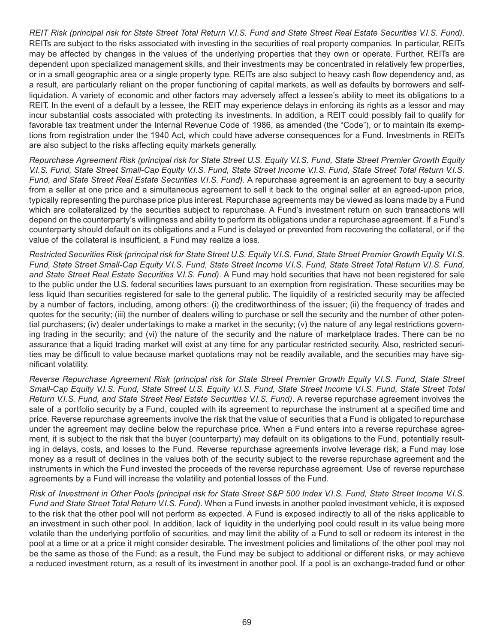*REIT Risk (principal risk for State Street Total Return V.I.S. Fund and State Street Real Estate Securities V.I.S. Fund)*. REITs are subject to the risks associated with investing in the securities of real property companies. In particular, REITs may be affected by changes in the values of the underlying properties that they own or operate. Further, REITs are dependent upon specialized management skills, and their investments may be concentrated in relatively few properties, or in a small geographic area or a single property type. REITs are also subject to heavy cash flow dependency and, as a result, are particularly reliant on the proper functioning of capital markets, as well as defaults by borrowers and selfliquidation. A variety of economic and other factors may adversely affect a lessee's ability to meet its obligations to a REIT. In the event of a default by a lessee, the REIT may experience delays in enforcing its rights as a lessor and may incur substantial costs associated with protecting its investments. In addition, a REIT could possibly fail to qualify for favorable tax treatment under the Internal Revenue Code of 1986, as amended (the "Code"), or to maintain its exemptions from registration under the 1940 Act, which could have adverse consequences for a Fund. Investments in REITs are also subject to the risks affecting equity markets generally.

*Repurchase Agreement Risk (principal risk for State Street U.S. Equity V.I.S. Fund, State Street Premier Growth Equity V.I.S. Fund, State Street Small-Cap Equity V.I.S. Fund, State Street Income V.I.S. Fund, State Street Total Return V.I.S. Fund, and State Street Real Estate Securities V.I.S. Fund)*. A repurchase agreement is an agreement to buy a security from a seller at one price and a simultaneous agreement to sell it back to the original seller at an agreed-upon price, typically representing the purchase price plus interest. Repurchase agreements may be viewed as loans made by a Fund which are collateralized by the securities subject to repurchase. A Fund's investment return on such transactions will depend on the counterparty's willingness and ability to perform its obligations under a repurchase agreement. If a Fund's counterparty should default on its obligations and a Fund is delayed or prevented from recovering the collateral, or if the value of the collateral is insufficient, a Fund may realize a loss.

*Restricted Securities Risk (principal risk for State Street U.S. Equity V.I.S. Fund, State Street Premier Growth Equity V.I.S. Fund, State Street Small-Cap Equity V.I.S. Fund, State Street Income V.I.S. Fund, State Street Total Return V.I.S. Fund, and State Street Real Estate Securities V.I.S. Fund)*. A Fund may hold securities that have not been registered for sale to the public under the U.S. federal securities laws pursuant to an exemption from registration. These securities may be less liquid than securities registered for sale to the general public. The liquidity of a restricted security may be affected by a number of factors, including, among others: (i) the creditworthiness of the issuer; (ii) the frequency of trades and quotes for the security; (iii) the number of dealers willing to purchase or sell the security and the number of other potential purchasers; (iv) dealer undertakings to make a market in the security; (v) the nature of any legal restrictions governing trading in the security; and (vi) the nature of the security and the nature of marketplace trades. There can be no assurance that a liquid trading market will exist at any time for any particular restricted security. Also, restricted securities may be difficult to value because market quotations may not be readily available, and the securities may have significant volatility.

*Reverse Repurchase Agreement Risk (principal risk for State Street Premier Growth Equity V.I.S. Fund, State Street Small-Cap Equity V.I.S. Fund, State Street U.S. Equity V.I.S. Fund, State Street Income V.I.S. Fund, State Street Total Return V.I.S. Fund, and State Street Real Estate Securities V.I.S. Fund)*. A reverse repurchase agreement involves the sale of a portfolio security by a Fund, coupled with its agreement to repurchase the instrument at a specified time and price. Reverse repurchase agreements involve the risk that the value of securities that a Fund is obligated to repurchase under the agreement may decline below the repurchase price. When a Fund enters into a reverse repurchase agreement, it is subject to the risk that the buyer (counterparty) may default on its obligations to the Fund, potentially resulting in delays, costs, and losses to the Fund. Reverse repurchase agreements involve leverage risk; a Fund may lose money as a result of declines in the values both of the security subject to the reverse repurchase agreement and the instruments in which the Fund invested the proceeds of the reverse repurchase agreement. Use of reverse repurchase agreements by a Fund will increase the volatility and potential losses of the Fund.

*Risk of Investment in Other Pools (principal risk for State Street S&P 500 Index V.I.S. Fund, State Street Income V.I.S. Fund and State Street Total Return V.I.S. Fund)*. When a Fund invests in another pooled investment vehicle, it is exposed to the risk that the other pool will not perform as expected. A Fund is exposed indirectly to all of the risks applicable to an investment in such other pool. In addition, lack of liquidity in the underlying pool could result in its value being more volatile than the underlying portfolio of securities, and may limit the ability of a Fund to sell or redeem its interest in the pool at a time or at a price it might consider desirable. The investment policies and limitations of the other pool may not be the same as those of the Fund; as a result, the Fund may be subject to additional or different risks, or may achieve a reduced investment return, as a result of its investment in another pool. If a pool is an exchange-traded fund or other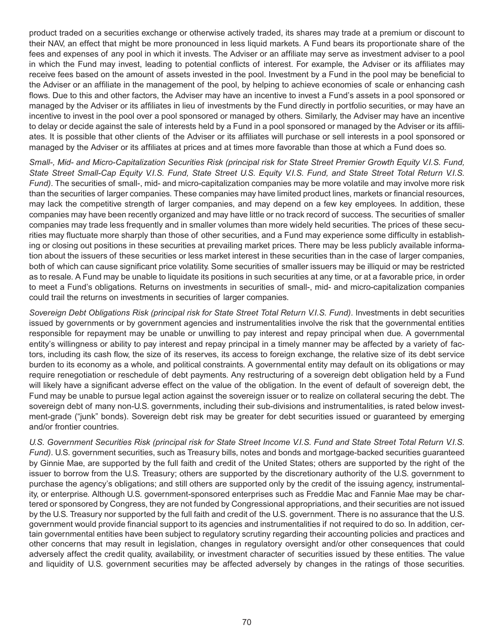product traded on a securities exchange or otherwise actively traded, its shares may trade at a premium or discount to their NAV, an effect that might be more pronounced in less liquid markets. A Fund bears its proportionate share of the fees and expenses of any pool in which it invests. The Adviser or an affiliate may serve as investment adviser to a pool in which the Fund may invest, leading to potential conflicts of interest. For example, the Adviser or its affiliates may receive fees based on the amount of assets invested in the pool. Investment by a Fund in the pool may be beneficial to the Adviser or an affiliate in the management of the pool, by helping to achieve economies of scale or enhancing cash flows. Due to this and other factors, the Adviser may have an incentive to invest a Fund's assets in a pool sponsored or managed by the Adviser or its affiliates in lieu of investments by the Fund directly in portfolio securities, or may have an incentive to invest in the pool over a pool sponsored or managed by others. Similarly, the Adviser may have an incentive to delay or decide against the sale of interests held by a Fund in a pool sponsored or managed by the Adviser or its affiliates. It is possible that other clients of the Adviser or its affiliates will purchase or sell interests in a pool sponsored or managed by the Adviser or its affiliates at prices and at times more favorable than those at which a Fund does so.

*Small-, Mid- and Micro-Capitalization Securities Risk (principal risk for State Street Premier Growth Equity V.I.S. Fund, State Street Small-Cap Equity V.I.S. Fund, State Street U.S. Equity V.I.S. Fund, and State Street Total Return V.I.S. Fund)*. The securities of small-, mid- and micro-capitalization companies may be more volatile and may involve more risk than the securities of larger companies. These companies may have limited product lines, markets or financial resources, may lack the competitive strength of larger companies, and may depend on a few key employees. In addition, these companies may have been recently organized and may have little or no track record of success. The securities of smaller companies may trade less frequently and in smaller volumes than more widely held securities. The prices of these securities may fluctuate more sharply than those of other securities, and a Fund may experience some difficulty in establishing or closing out positions in these securities at prevailing market prices. There may be less publicly available information about the issuers of these securities or less market interest in these securities than in the case of larger companies, both of which can cause significant price volatility. Some securities of smaller issuers may be illiquid or may be restricted as to resale. A Fund may be unable to liquidate its positions in such securities at any time, or at a favorable price, in order to meet a Fund's obligations. Returns on investments in securities of small-, mid- and micro-capitalization companies could trail the returns on investments in securities of larger companies.

*Sovereign Debt Obligations Risk (principal risk for State Street Total Return V.I.S. Fund)*. Investments in debt securities issued by governments or by government agencies and instrumentalities involve the risk that the governmental entities responsible for repayment may be unable or unwilling to pay interest and repay principal when due. A governmental entity's willingness or ability to pay interest and repay principal in a timely manner may be affected by a variety of factors, including its cash flow, the size of its reserves, its access to foreign exchange, the relative size of its debt service burden to its economy as a whole, and political constraints. A governmental entity may default on its obligations or may require renegotiation or reschedule of debt payments. Any restructuring of a sovereign debt obligation held by a Fund will likely have a significant adverse effect on the value of the obligation. In the event of default of sovereign debt, the Fund may be unable to pursue legal action against the sovereign issuer or to realize on collateral securing the debt. The sovereign debt of many non-U.S. governments, including their sub-divisions and instrumentalities, is rated below investment-grade ("junk" bonds). Sovereign debt risk may be greater for debt securities issued or guaranteed by emerging and/or frontier countries.

*U.S. Government Securities Risk (principal risk for State Street Income V.I.S. Fund and State Street Total Return V.I.S. Fund)*. U.S. government securities, such as Treasury bills, notes and bonds and mortgage-backed securities guaranteed by Ginnie Mae, are supported by the full faith and credit of the United States; others are supported by the right of the issuer to borrow from the U.S. Treasury; others are supported by the discretionary authority of the U.S. government to purchase the agency's obligations; and still others are supported only by the credit of the issuing agency, instrumentality, or enterprise. Although U.S. government-sponsored enterprises such as Freddie Mac and Fannie Mae may be chartered or sponsored by Congress, they are not funded by Congressional appropriations, and their securities are not issued by the U.S. Treasury nor supported by the full faith and credit of the U.S. government. There is no assurance that the U.S. government would provide financial support to its agencies and instrumentalities if not required to do so. In addition, certain governmental entities have been subject to regulatory scrutiny regarding their accounting policies and practices and other concerns that may result in legislation, changes in regulatory oversight and/or other consequences that could adversely affect the credit quality, availability, or investment character of securities issued by these entities. The value and liquidity of U.S. government securities may be affected adversely by changes in the ratings of those securities.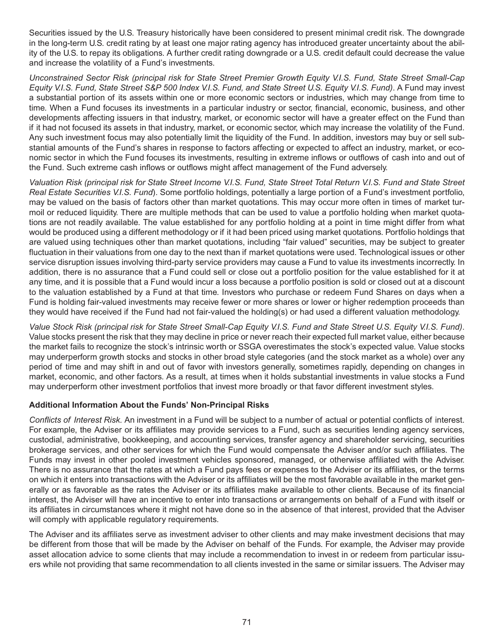Securities issued by the U.S. Treasury historically have been considered to present minimal credit risk. The downgrade in the long-term U.S. credit rating by at least one major rating agency has introduced greater uncertainty about the ability of the U.S. to repay its obligations. A further credit rating downgrade or a U.S. credit default could decrease the value and increase the volatility of a Fund's investments.

*Unconstrained Sector Risk (principal risk for State Street Premier Growth Equity V.I.S. Fund, State Street Small-Cap Equity V.I.S. Fund, State Street S&P 500 Index V.I.S. Fund, and State Street U.S. Equity V.I.S. Fund)*. A Fund may invest a substantial portion of its assets within one or more economic sectors or industries, which may change from time to time. When a Fund focuses its investments in a particular industry or sector, financial, economic, business, and other developments affecting issuers in that industry, market, or economic sector will have a greater effect on the Fund than if it had not focused its assets in that industry, market, or economic sector, which may increase the volatility of the Fund. Any such investment focus may also potentially limit the liquidity of the Fund. In addition, investors may buy or sell substantial amounts of the Fund's shares in response to factors affecting or expected to affect an industry, market, or economic sector in which the Fund focuses its investments, resulting in extreme inflows or outflows of cash into and out of the Fund. Such extreme cash inflows or outflows might affect management of the Fund adversely.

*Valuation Risk (principal risk for State Street Income V.I.S. Fund, State Street Total Return V.I.S. Fund and State Street Real Estate Securities V.I.S. Fund*). Some portfolio holdings, potentially a large portion of a Fund's investment portfolio, may be valued on the basis of factors other than market quotations. This may occur more often in times of market turmoil or reduced liquidity. There are multiple methods that can be used to value a portfolio holding when market quotations are not readily available. The value established for any portfolio holding at a point in time might differ from what would be produced using a different methodology or if it had been priced using market quotations. Portfolio holdings that are valued using techniques other than market quotations, including "fair valued" securities, may be subject to greater fluctuation in their valuations from one day to the next than if market quotations were used. Technological issues or other service disruption issues involving third-party service providers may cause a Fund to value its investments incorrectly. In addition, there is no assurance that a Fund could sell or close out a portfolio position for the value established for it at any time, and it is possible that a Fund would incur a loss because a portfolio position is sold or closed out at a discount to the valuation established by a Fund at that time. Investors who purchase or redeem Fund Shares on days when a Fund is holding fair-valued investments may receive fewer or more shares or lower or higher redemption proceeds than they would have received if the Fund had not fair-valued the holding(s) or had used a different valuation methodology.

*Value Stock Risk (principal risk for State Street Small-Cap Equity V.I.S. Fund and State Street U.S. Equity V.I.S. Fund)*. Value stocks present the risk that they may decline in price or never reach their expected full market value, either because the market fails to recognize the stock's intrinsic worth or SSGA overestimates the stock's expected value. Value stocks may underperform growth stocks and stocks in other broad style categories (and the stock market as a whole) over any period of time and may shift in and out of favor with investors generally, sometimes rapidly, depending on changes in market, economic, and other factors. As a result, at times when it holds substantial investments in value stocks a Fund may underperform other investment portfolios that invest more broadly or that favor different investment styles.

#### **Additional Information About the Funds' Non-Principal Risks**

*Conflicts of Interest Risk.* An investment in a Fund will be subject to a number of actual or potential conflicts of interest. For example, the Adviser or its affiliates may provide services to a Fund, such as securities lending agency services, custodial, administrative, bookkeeping, and accounting services, transfer agency and shareholder servicing, securities brokerage services, and other services for which the Fund would compensate the Adviser and/or such affiliates. The Funds may invest in other pooled investment vehicles sponsored, managed, or otherwise affiliated with the Adviser. There is no assurance that the rates at which a Fund pays fees or expenses to the Adviser or its affiliates, or the terms on which it enters into transactions with the Adviser or its affiliates will be the most favorable available in the market generally or as favorable as the rates the Adviser or its affiliates make available to other clients. Because of its financial interest, the Adviser will have an incentive to enter into transactions or arrangements on behalf of a Fund with itself or its affiliates in circumstances where it might not have done so in the absence of that interest, provided that the Adviser will comply with applicable regulatory requirements.

The Adviser and its affiliates serve as investment adviser to other clients and may make investment decisions that may be different from those that will be made by the Adviser on behalf of the Funds. For example, the Adviser may provide asset allocation advice to some clients that may include a recommendation to invest in or redeem from particular issuers while not providing that same recommendation to all clients invested in the same or similar issuers. The Adviser may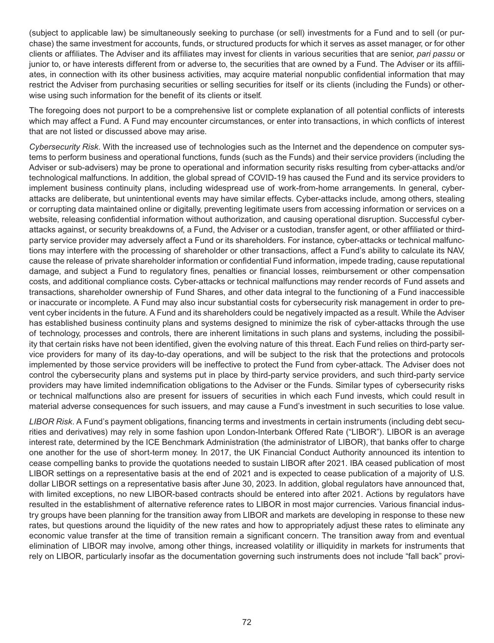(subject to applicable law) be simultaneously seeking to purchase (or sell) investments for a Fund and to sell (or purchase) the same investment for accounts, funds, or structured products for which it serves as asset manager, or for other clients or affiliates. The Adviser and its affiliates may invest for clients in various securities that are senior, *pari passu* or junior to, or have interests different from or adverse to, the securities that are owned by a Fund. The Adviser or its affiliates, in connection with its other business activities, may acquire material nonpublic confidential information that may restrict the Adviser from purchasing securities or selling securities for itself or its clients (including the Funds) or otherwise using such information for the benefit of its clients or itself.

The foregoing does not purport to be a comprehensive list or complete explanation of all potential conflicts of interests which may affect a Fund. A Fund may encounter circumstances, or enter into transactions, in which conflicts of interest that are not listed or discussed above may arise.

*Cybersecurity Risk*. With the increased use of technologies such as the Internet and the dependence on computer systems to perform business and operational functions, funds (such as the Funds) and their service providers (including the Adviser or sub-advisers) may be prone to operational and information security risks resulting from cyber-attacks and/or technological malfunctions. In addition, the global spread of COVID-19 has caused the Fund and its service providers to implement business continuity plans, including widespread use of work-from-home arrangements. In general, cyberattacks are deliberate, but unintentional events may have similar effects. Cyber-attacks include, among others, stealing or corrupting data maintained online or digitally, preventing legitimate users from accessing information or services on a website, releasing confidential information without authorization, and causing operational disruption. Successful cyberattacks against, or security breakdowns of, a Fund, the Adviser or a custodian, transfer agent, or other affiliated or thirdparty service provider may adversely affect a Fund or its shareholders. For instance, cyber-attacks or technical malfunctions may interfere with the processing of shareholder or other transactions, affect a Fund's ability to calculate its NAV, cause the release of private shareholder information or confidential Fund information, impede trading, cause reputational damage, and subject a Fund to regulatory fines, penalties or financial losses, reimbursement or other compensation costs, and additional compliance costs. Cyber-attacks or technical malfunctions may render records of Fund assets and transactions, shareholder ownership of Fund Shares, and other data integral to the functioning of a Fund inaccessible or inaccurate or incomplete. A Fund may also incur substantial costs for cybersecurity risk management in order to prevent cyber incidents in the future. A Fund and its shareholders could be negatively impacted as a result. While the Adviser has established business continuity plans and systems designed to minimize the risk of cyber-attacks through the use of technology, processes and controls, there are inherent limitations in such plans and systems, including the possibility that certain risks have not been identified, given the evolving nature of this threat. Each Fund relies on third-party service providers for many of its day-to-day operations, and will be subject to the risk that the protections and protocols implemented by those service providers will be ineffective to protect the Fund from cyber-attack. The Adviser does not control the cybersecurity plans and systems put in place by third-party service providers, and such third-party service providers may have limited indemnification obligations to the Adviser or the Funds. Similar types of cybersecurity risks or technical malfunctions also are present for issuers of securities in which each Fund invests, which could result in material adverse consequences for such issuers, and may cause a Fund's investment in such securities to lose value.

*LIBOR Risk*. A Fund's payment obligations, financing terms and investments in certain instruments (including debt securities and derivatives) may rely in some fashion upon London-Interbank Offered Rate ("LIBOR"). LIBOR is an average interest rate, determined by the ICE Benchmark Administration (the administrator of LIBOR), that banks offer to charge one another for the use of short-term money. In 2017, the UK Financial Conduct Authority announced its intention to cease compelling banks to provide the quotations needed to sustain LIBOR after 2021. IBA ceased publication of most LIBOR settings on a representative basis at the end of 2021 and is expected to cease publication of a majority of U.S. dollar LIBOR settings on a representative basis after June 30, 2023. In addition, global regulators have announced that, with limited exceptions, no new LIBOR-based contracts should be entered into after 2021. Actions by regulators have resulted in the establishment of alternative reference rates to LIBOR in most major currencies. Various financial industry groups have been planning for the transition away from LIBOR and markets are developing in response to these new rates, but questions around the liquidity of the new rates and how to appropriately adjust these rates to eliminate any economic value transfer at the time of transition remain a significant concern. The transition away from and eventual elimination of LIBOR may involve, among other things, increased volatility or illiquidity in markets for instruments that rely on LIBOR, particularly insofar as the documentation governing such instruments does not include "fall back" provi-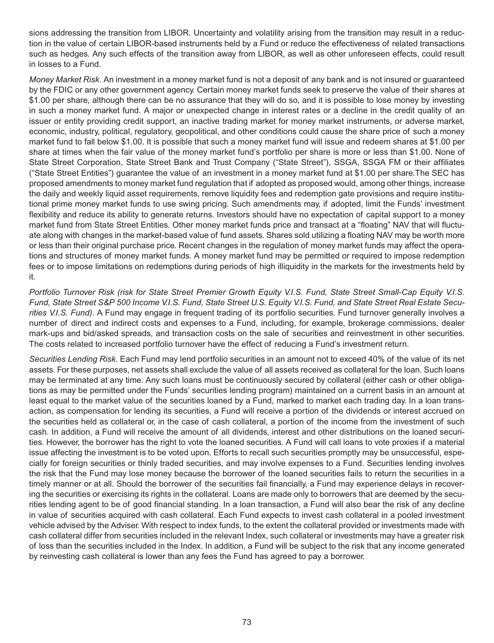sions addressing the transition from LIBOR. Uncertainty and volatility arising from the transition may result in a reduction in the value of certain LIBOR-based instruments held by a Fund or reduce the effectiveness of related transactions such as hedges. Any such effects of the transition away from LIBOR, as well as other unforeseen effects, could result in losses to a Fund.

*Money Market Risk*. An investment in a money market fund is not a deposit of any bank and is not insured or guaranteed by the FDIC or any other government agency. Certain money market funds seek to preserve the value of their shares at \$1.00 per share, although there can be no assurance that they will do so, and it is possible to lose money by investing in such a money market fund. A major or unexpected change in interest rates or a decline in the credit quality of an issuer or entity providing credit support, an inactive trading market for money market instruments, or adverse market, economic, industry, political, regulatory, geopolitical, and other conditions could cause the share price of such a money market fund to fall below \$1.00. It is possible that such a money market fund will issue and redeem shares at \$1.00 per share at times when the fair value of the money market fund's portfolio per share is more or less than \$1.00. None of State Street Corporation, State Street Bank and Trust Company ("State Street"), SSGA, SSGA FM or their affiliates ("State Street Entities") guarantee the value of an investment in a money market fund at \$1.00 per share.The SEC has proposed amendments to money market fund regulation that if adopted as proposed would, among other things, increase the daily and weekly liquid asset requirements, remove liquidity fees and redemption gate provisions and require institutional prime money market funds to use swing pricing. Such amendments may, if adopted, limit the Funds' investment flexibility and reduce its ability to generate returns. Investors should have no expectation of capital support to a money market fund from State Street Entities. Other money market funds price and transact at a "floating" NAV that will fluctuate along with changes in the market-based value of fund assets. Shares sold utilizing a floating NAV may be worth more or less than their original purchase price. Recent changes in the regulation of money market funds may affect the operations and structures of money market funds. A money market fund may be permitted or required to impose redemption fees or to impose limitations on redemptions during periods of high illiquidity in the markets for the investments held by it.

*Portfolio Turnover Risk (risk for State Street Premier Growth Equity V.I.S. Fund, State Street Small-Cap Equity V.I.S. Fund, State Street S&P 500 Income V.I.S. Fund, State Street U.S. Equity V.I.S. Fund, and State Street Real Estate Securities V.I.S. Fund)*. A Fund may engage in frequent trading of its portfolio securities. Fund turnover generally involves a number of direct and indirect costs and expenses to a Fund, including, for example, brokerage commissions, dealer mark-ups and bid/asked spreads, and transaction costs on the sale of securities and reinvestment in other securities. The costs related to increased portfolio turnover have the effect of reducing a Fund's investment return.

*Securities Lending Risk*. Each Fund may lend portfolio securities in an amount not to exceed 40% of the value of its net assets. For these purposes, net assets shall exclude the value of all assets received as collateral for the loan. Such loans may be terminated at any time. Any such loans must be continuously secured by collateral (either cash or other obligations as may be permitted under the Funds' securities lending program) maintained on a current basis in an amount at least equal to the market value of the securities loaned by a Fund, marked to market each trading day. In a loan transaction, as compensation for lending its securities, a Fund will receive a portion of the dividends or interest accrued on the securities held as collateral or, in the case of cash collateral, a portion of the income from the investment of such cash. In addition, a Fund will receive the amount of all dividends, interest and other distributions on the loaned securities. However, the borrower has the right to vote the loaned securities. A Fund will call loans to vote proxies if a material issue affecting the investment is to be voted upon. Efforts to recall such securities promptly may be unsuccessful, especially for foreign securities or thinly traded securities, and may involve expenses to a Fund. Securities lending involves the risk that the Fund may lose money because the borrower of the loaned securities fails to return the securities in a timely manner or at all. Should the borrower of the securities fail financially, a Fund may experience delays in recovering the securities or exercising its rights in the collateral. Loans are made only to borrowers that are deemed by the securities lending agent to be of good financial standing. In a loan transaction, a Fund will also bear the risk of any decline in value of securities acquired with cash collateral. Each Fund expects to invest cash collateral in a pooled investment vehicle advised by the Adviser. With respect to index funds, to the extent the collateral provided or investments made with cash collateral differ from securities included in the relevant Index, such collateral or investments may have a greater risk of loss than the securities included in the Index. In addition, a Fund will be subject to the risk that any income generated by reinvesting cash collateral is lower than any fees the Fund has agreed to pay a borrower.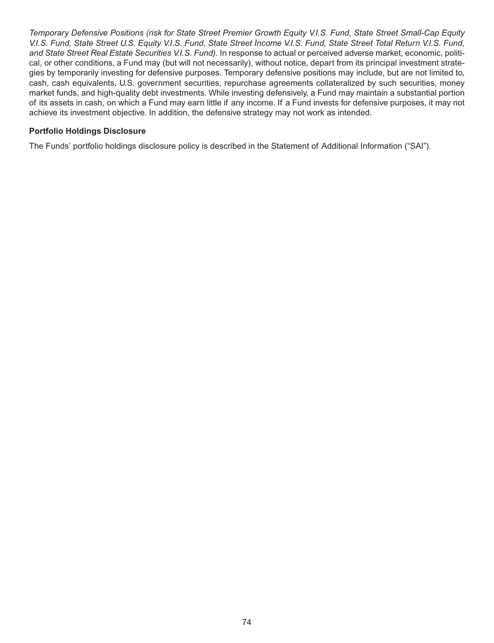*Temporary Defensive Positions (risk for State Street Premier Growth Equity V.I.S. Fund, State Street Small-Cap Equity V.I.S. Fund, State Street U.S. Equity V.I.S. Fund, State Street Income V.I.S. Fund, State Street Total Return V.I.S. Fund, and State Street Real Estate Securities V.I.S. Fund)*. In response to actual or perceived adverse market, economic, political, or other conditions, a Fund may (but will not necessarily), without notice, depart from its principal investment strategies by temporarily investing for defensive purposes. Temporary defensive positions may include, but are not limited to, cash, cash equivalents, U.S. government securities, repurchase agreements collateralized by such securities, money market funds, and high-quality debt investments. While investing defensively, a Fund may maintain a substantial portion of its assets in cash, on which a Fund may earn little if any income. If a Fund invests for defensive purposes, it may not achieve its investment objective. In addition, the defensive strategy may not work as intended.

#### **Portfolio Holdings Disclosure**

The Funds' portfolio holdings disclosure policy is described in the Statement of Additional Information ("SAI").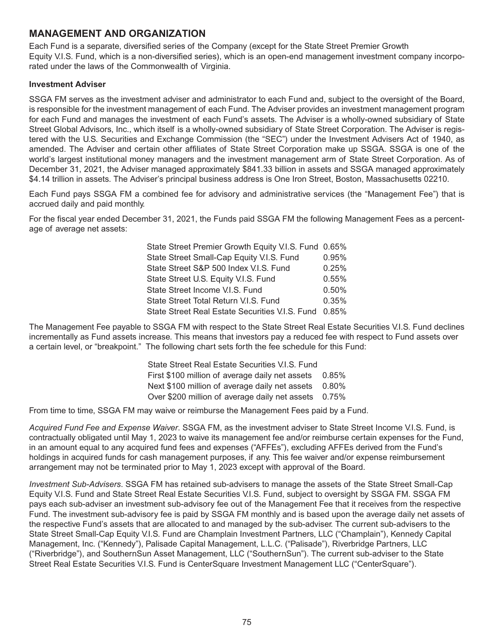### **MANAGEMENT AND ORGANIZATION**

Each Fund is a separate, diversified series of the Company (except for the State Street Premier Growth Equity V.I.S. Fund, which is a non-diversified series), which is an open-end management investment company incorporated under the laws of the Commonwealth of Virginia.

#### **Investment Adviser**

SSGA FM serves as the investment adviser and administrator to each Fund and, subject to the oversight of the Board, is responsible for the investment management of each Fund. The Adviser provides an investment management program for each Fund and manages the investment of each Fund's assets. The Adviser is a wholly-owned subsidiary of State Street Global Advisors, Inc., which itself is a wholly-owned subsidiary of State Street Corporation. The Adviser is registered with the U.S. Securities and Exchange Commission (the "SEC") under the Investment Advisers Act of 1940, as amended. The Adviser and certain other affiliates of State Street Corporation make up SSGA. SSGA is one of the world's largest institutional money managers and the investment management arm of State Street Corporation. As of December 31, 2021, the Adviser managed approximately \$841.33 billion in assets and SSGA managed approximately \$4.14 trillion in assets. The Adviser's principal business address is One Iron Street, Boston, Massachusetts 02210.

Each Fund pays SSGA FM a combined fee for advisory and administrative services (the "Management Fee") that is accrued daily and paid monthly.

For the fiscal year ended December 31, 2021, the Funds paid SSGA FM the following Management Fees as a percentage of average net assets:

| State Street Premier Growth Equity V.I.S. Fund 0.65%  |       |
|-------------------------------------------------------|-------|
| State Street Small-Cap Equity V.I.S. Fund             | 0.95% |
| State Street S&P 500 Index V.I.S. Fund                | 0.25% |
| State Street U.S. Equity V.I.S. Fund                  | 0.55% |
| State Street Income V.I.S. Fund                       | 0.50% |
| State Street Total Return V.I.S. Fund                 | 0.35% |
| State Street Real Estate Securities V.I.S. Fund 0.85% |       |

The Management Fee payable to SSGA FM with respect to the State Street Real Estate Securities V.I.S. Fund declines incrementally as Fund assets increase. This means that investors pay a reduced fee with respect to Fund assets over a certain level, or "breakpoint." The following chart sets forth the fee schedule for this Fund:

| State Street Real Estate Securities V.I.S. Fund       |  |
|-------------------------------------------------------|--|
| First \$100 million of average daily net assets 0.85% |  |
| Next \$100 million of average daily net assets 0.80%  |  |
| Over \$200 million of average daily net assets 0.75%  |  |

From time to time, SSGA FM may waive or reimburse the Management Fees paid by a Fund.

*Acquired Fund Fee and Expense Waiver*. SSGA FM, as the investment adviser to State Street Income V.I.S. Fund, is contractually obligated until May 1, 2023 to waive its management fee and/or reimburse certain expenses for the Fund, in an amount equal to any acquired fund fees and expenses ("AFFEs"), excluding AFFEs derived from the Fund's holdings in acquired funds for cash management purposes, if any. This fee waiver and/or expense reimbursement arrangement may not be terminated prior to May 1, 2023 except with approval of the Board.

*Investment Sub-Advisers*. SSGA FM has retained sub-advisers to manage the assets of the State Street Small-Cap Equity V.I.S. Fund and State Street Real Estate Securities V.I.S. Fund, subject to oversight by SSGA FM. SSGA FM pays each sub-adviser an investment sub-advisory fee out of the Management Fee that it receives from the respective Fund. The investment sub-advisory fee is paid by SSGA FM monthly and is based upon the average daily net assets of the respective Fund's assets that are allocated to and managed by the sub-adviser. The current sub-advisers to the State Street Small-Cap Equity V.I.S. Fund are Champlain Investment Partners, LLC ("Champlain"), Kennedy Capital Management, Inc. ("Kennedy"), Palisade Capital Management, L.L.C. ("Palisade"), Riverbridge Partners, LLC ("Riverbridge"), and SouthernSun Asset Management, LLC ("SouthernSun"). The current sub-adviser to the State Street Real Estate Securities V.I.S. Fund is CenterSquare Investment Management LLC ("CenterSquare").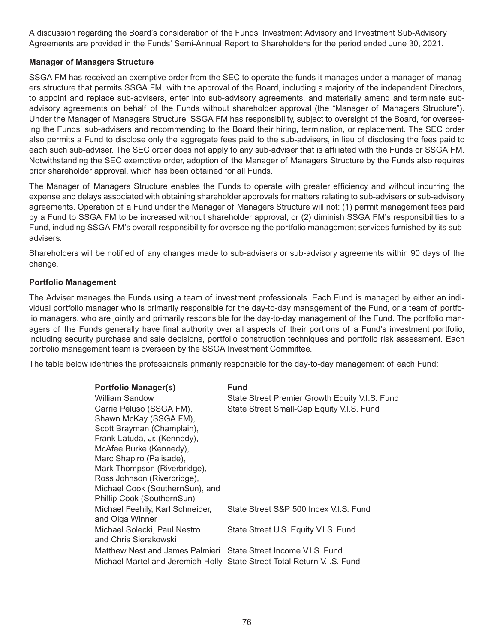A discussion regarding the Board's consideration of the Funds' Investment Advisory and Investment Sub-Advisory Agreements are provided in the Funds' Semi-Annual Report to Shareholders for the period ended June 30, 2021.

#### **Manager of Managers Structure**

SSGA FM has received an exemptive order from the SEC to operate the funds it manages under a manager of managers structure that permits SSGA FM, with the approval of the Board, including a majority of the independent Directors, to appoint and replace sub-advisers, enter into sub-advisory agreements, and materially amend and terminate subadvisory agreements on behalf of the Funds without shareholder approval (the "Manager of Managers Structure"). Under the Manager of Managers Structure, SSGA FM has responsibility, subject to oversight of the Board, for overseeing the Funds' sub-advisers and recommending to the Board their hiring, termination, or replacement. The SEC order also permits a Fund to disclose only the aggregate fees paid to the sub-advisers, in lieu of disclosing the fees paid to each such sub-adviser. The SEC order does not apply to any sub-adviser that is affiliated with the Funds or SSGA FM. Notwithstanding the SEC exemptive order, adoption of the Manager of Managers Structure by the Funds also requires prior shareholder approval, which has been obtained for all Funds.

The Manager of Managers Structure enables the Funds to operate with greater efficiency and without incurring the expense and delays associated with obtaining shareholder approvals for matters relating to sub-advisers or sub-advisory agreements. Operation of a Fund under the Manager of Managers Structure will not: (1) permit management fees paid by a Fund to SSGA FM to be increased without shareholder approval; or (2) diminish SSGA FM's responsibilities to a Fund, including SSGA FM's overall responsibility for overseeing the portfolio management services furnished by its subadvisers.

Shareholders will be notified of any changes made to sub-advisers or sub-advisory agreements within 90 days of the change.

#### **Portfolio Management**

The Adviser manages the Funds using a team of investment professionals. Each Fund is managed by either an individual portfolio manager who is primarily responsible for the day-to-day management of the Fund, or a team of portfolio managers, who are jointly and primarily responsible for the day-to-day management of the Fund. The portfolio managers of the Funds generally have final authority over all aspects of their portions of a Fund's investment portfolio, including security purchase and sale decisions, portfolio construction techniques and portfolio risk assessment. Each portfolio management team is overseen by the SSGA Investment Committee.

The table below identifies the professionals primarily responsible for the day-to-day management of each Fund:

| <b>Portfolio Manager(s)</b>                                     | Fund                                                                    |
|-----------------------------------------------------------------|-------------------------------------------------------------------------|
| <b>William Sandow</b>                                           | State Street Premier Growth Equity V.I.S. Fund                          |
| Carrie Peluso (SSGA FM),                                        | State Street Small-Cap Equity V.I.S. Fund                               |
| Shawn McKay (SSGA FM),                                          |                                                                         |
| Scott Brayman (Champlain),                                      |                                                                         |
| Frank Latuda, Jr. (Kennedy),                                    |                                                                         |
| McAfee Burke (Kennedy),                                         |                                                                         |
| Marc Shapiro (Palisade),                                        |                                                                         |
| Mark Thompson (Riverbridge),                                    |                                                                         |
| Ross Johnson (Riverbridge),                                     |                                                                         |
| Michael Cook (SouthernSun), and                                 |                                                                         |
| Phillip Cook (SouthernSun)                                      |                                                                         |
| Michael Feehily, Karl Schneider,                                | State Street S&P 500 Index V.I.S. Fund                                  |
| and Olga Winner                                                 |                                                                         |
| Michael Solecki, Paul Nestro                                    | State Street U.S. Equity V.I.S. Fund                                    |
| and Chris Sierakowski                                           |                                                                         |
| Matthew Nest and James Palmieri State Street Income V.I.S. Fund |                                                                         |
|                                                                 | Michael Martel and Jeremiah Holly State Street Total Return V.I.S. Fund |
|                                                                 |                                                                         |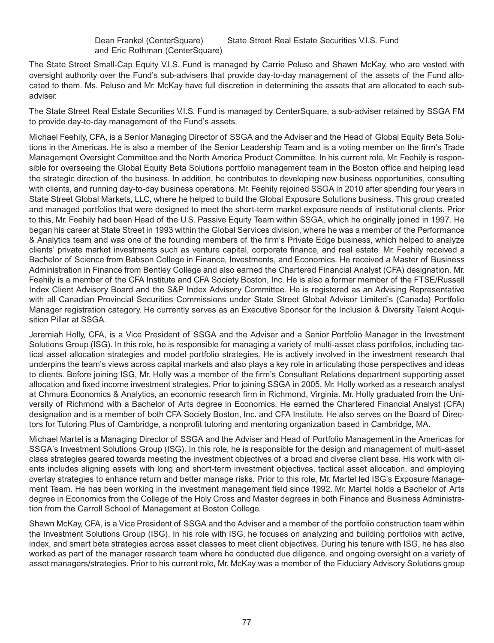The State Street Small-Cap Equity V.I.S. Fund is managed by Carrie Peluso and Shawn McKay, who are vested with oversight authority over the Fund's sub-advisers that provide day-to-day management of the assets of the Fund allocated to them. Ms. Peluso and Mr. McKay have full discretion in determining the assets that are allocated to each subadviser.

The State Street Real Estate Securities V.I.S. Fund is managed by CenterSquare, a sub-adviser retained by SSGA FM to provide day-to-day management of the Fund's assets.

Michael Feehily, CFA, is a Senior Managing Director of SSGA and the Adviser and the Head of Global Equity Beta Solutions in the Americas. He is also a member of the Senior Leadership Team and is a voting member on the firm's Trade Management Oversight Committee and the North America Product Committee. In his current role, Mr. Feehily is responsible for overseeing the Global Equity Beta Solutions portfolio management team in the Boston office and helping lead the strategic direction of the business. In addition, he contributes to developing new business opportunities, consulting with clients, and running day-to-day business operations. Mr. Feehily rejoined SSGA in 2010 after spending four years in State Street Global Markets, LLC, where he helped to build the Global Exposure Solutions business. This group created and managed portfolios that were designed to meet the short-term market exposure needs of institutional clients. Prior to this, Mr. Feehily had been Head of the U.S. Passive Equity Team within SSGA, which he originally joined in 1997. He began his career at State Street in 1993 within the Global Services division, where he was a member of the Performance & Analytics team and was one of the founding members of the firm's Private Edge business, which helped to analyze clients' private market investments such as venture capital, corporate finance, and real estate. Mr. Feehily received a Bachelor of Science from Babson College in Finance, Investments, and Economics. He received a Master of Business Administration in Finance from Bentley College and also earned the Chartered Financial Analyst (CFA) designation. Mr. Feehily is a member of the CFA Institute and CFA Society Boston, Inc. He is also a former member of the FTSE/Russell Index Client Advisory Board and the S&P Index Advisory Committee. He is registered as an Advising Representative with all Canadian Provincial Securities Commissions under State Street Global Advisor Limited's (Canada) Portfolio Manager registration category. He currently serves as an Executive Sponsor for the Inclusion & Diversity Talent Acquisition Pillar at SSGA.

Jeremiah Holly, CFA, is a Vice President of SSGA and the Adviser and a Senior Portfolio Manager in the Investment Solutions Group (ISG). In this role, he is responsible for managing a variety of multi-asset class portfolios, including tactical asset allocation strategies and model portfolio strategies. He is actively involved in the investment research that underpins the team's views across capital markets and also plays a key role in articulating those perspectives and ideas to clients. Before joining ISG, Mr. Holly was a member of the firm's Consultant Relations department supporting asset allocation and fixed income investment strategies. Prior to joining SSGA in 2005, Mr. Holly worked as a research analyst at Chmura Economics & Analytics, an economic research firm in Richmond, Virginia. Mr. Holly graduated from the University of Richmond with a Bachelor of Arts degree in Economics. He earned the Chartered Financial Analyst (CFA) designation and is a member of both CFA Society Boston, Inc. and CFA Institute. He also serves on the Board of Directors for Tutoring Plus of Cambridge, a nonprofit tutoring and mentoring organization based in Cambridge, MA.

Michael Martel is a Managing Director of SSGA and the Adviser and Head of Portfolio Management in the Americas for SSGA's Investment Solutions Group (ISG). In this role, he is responsible for the design and management of multi-asset class strategies geared towards meeting the investment objectives of a broad and diverse client base. His work with clients includes aligning assets with long and short-term investment objectives, tactical asset allocation, and employing overlay strategies to enhance return and better manage risks. Prior to this role, Mr. Martel led ISG's Exposure Management Team. He has been working in the investment management field since 1992. Mr. Martel holds a Bachelor of Arts degree in Economics from the College of the Holy Cross and Master degrees in both Finance and Business Administration from the Carroll School of Management at Boston College.

Shawn McKay, CFA, is a Vice President of SSGA and the Adviser and a member of the portfolio construction team within the Investment Solutions Group (ISG). In his role with ISG, he focuses on analyzing and building portfolios with active, index, and smart beta strategies across asset classes to meet client objectives. During his tenure with ISG, he has also worked as part of the manager research team where he conducted due diligence, and ongoing oversight on a variety of asset managers/strategies. Prior to his current role, Mr. McKay was a member of the Fiduciary Advisory Solutions group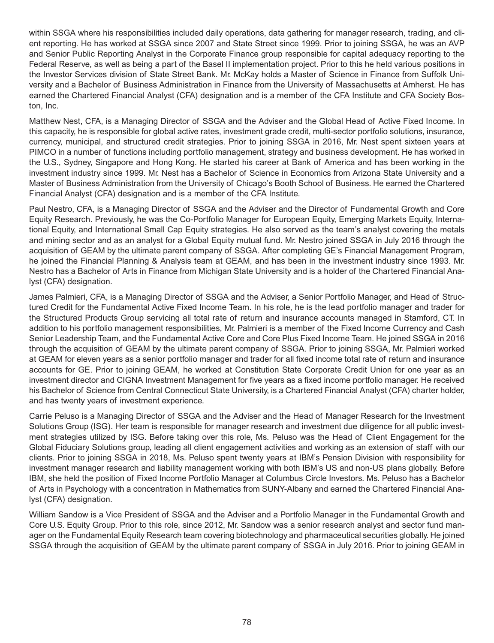within SSGA where his responsibilities included daily operations, data gathering for manager research, trading, and client reporting. He has worked at SSGA since 2007 and State Street since 1999. Prior to joining SSGA, he was an AVP and Senior Public Reporting Analyst in the Corporate Finance group responsible for capital adequacy reporting to the Federal Reserve, as well as being a part of the Basel II implementation project. Prior to this he held various positions in the Investor Services division of State Street Bank. Mr. McKay holds a Master of Science in Finance from Suffolk University and a Bachelor of Business Administration in Finance from the University of Massachusetts at Amherst. He has earned the Chartered Financial Analyst (CFA) designation and is a member of the CFA Institute and CFA Society Boston, Inc.

Matthew Nest, CFA, is a Managing Director of SSGA and the Adviser and the Global Head of Active Fixed Income. In this capacity, he is responsible for global active rates, investment grade credit, multi-sector portfolio solutions, insurance, currency, municipal, and structured credit strategies. Prior to joining SSGA in 2016, Mr. Nest spent sixteen years at PIMCO in a number of functions including portfolio management, strategy and business development. He has worked in the U.S., Sydney, Singapore and Hong Kong. He started his career at Bank of America and has been working in the investment industry since 1999. Mr. Nest has a Bachelor of Science in Economics from Arizona State University and a Master of Business Administration from the University of Chicago's Booth School of Business. He earned the Chartered Financial Analyst (CFA) designation and is a member of the CFA Institute.

Paul Nestro, CFA, is a Managing Director of SSGA and the Adviser and the Director of Fundamental Growth and Core Equity Research. Previously, he was the Co-Portfolio Manager for European Equity, Emerging Markets Equity, International Equity, and International Small Cap Equity strategies. He also served as the team's analyst covering the metals and mining sector and as an analyst for a Global Equity mutual fund. Mr. Nestro joined SSGA in July 2016 through the acquisition of GEAM by the ultimate parent company of SSGA. After completing GE's Financial Management Program, he joined the Financial Planning & Analysis team at GEAM, and has been in the investment industry since 1993. Mr. Nestro has a Bachelor of Arts in Finance from Michigan State University and is a holder of the Chartered Financial Analyst (CFA) designation.

James Palmieri, CFA, is a Managing Director of SSGA and the Adviser, a Senior Portfolio Manager, and Head of Structured Credit for the Fundamental Active Fixed Income Team. In his role, he is the lead portfolio manager and trader for the Structured Products Group servicing all total rate of return and insurance accounts managed in Stamford, CT. In addition to his portfolio management responsibilities, Mr. Palmieri is a member of the Fixed Income Currency and Cash Senior Leadership Team, and the Fundamental Active Core and Core Plus Fixed Income Team. He joined SSGA in 2016 through the acquisition of GEAM by the ultimate parent company of SSGA. Prior to joining SSGA, Mr. Palmieri worked at GEAM for eleven years as a senior portfolio manager and trader for all fixed income total rate of return and insurance accounts for GE. Prior to joining GEAM, he worked at Constitution State Corporate Credit Union for one year as an investment director and CIGNA Investment Management for five years as a fixed income portfolio manager. He received his Bachelor of Science from Central Connecticut State University, is a Chartered Financial Analyst (CFA) charter holder, and has twenty years of investment experience.

Carrie Peluso is a Managing Director of SSGA and the Adviser and the Head of Manager Research for the Investment Solutions Group (ISG). Her team is responsible for manager research and investment due diligence for all public investment strategies utilized by ISG. Before taking over this role, Ms. Peluso was the Head of Client Engagement for the Global Fiduciary Solutions group, leading all client engagement activities and working as an extension of staff with our clients. Prior to joining SSGA in 2018, Ms. Peluso spent twenty years at IBM's Pension Division with responsibility for investment manager research and liability management working with both IBM's US and non-US plans globally. Before IBM, she held the position of Fixed Income Portfolio Manager at Columbus Circle Investors. Ms. Peluso has a Bachelor of Arts in Psychology with a concentration in Mathematics from SUNY-Albany and earned the Chartered Financial Analyst (CFA) designation.

William Sandow is a Vice President of SSGA and the Adviser and a Portfolio Manager in the Fundamental Growth and Core U.S. Equity Group. Prior to this role, since 2012, Mr. Sandow was a senior research analyst and sector fund manager on the Fundamental Equity Research team covering biotechnology and pharmaceutical securities globally. He joined SSGA through the acquisition of GEAM by the ultimate parent company of SSGA in July 2016. Prior to joining GEAM in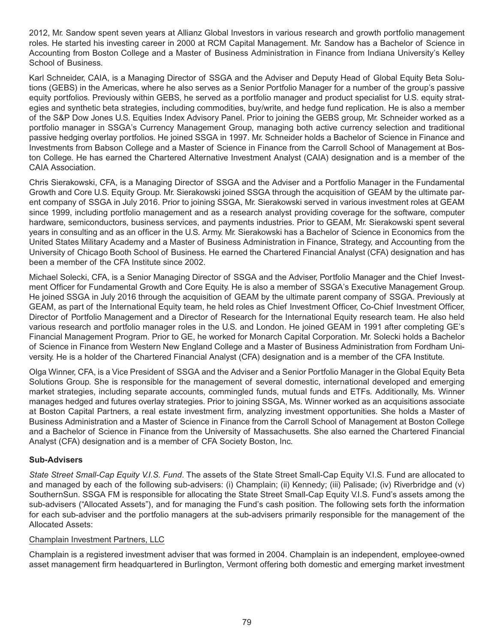2012, Mr. Sandow spent seven years at Allianz Global Investors in various research and growth portfolio management roles. He started his investing career in 2000 at RCM Capital Management. Mr. Sandow has a Bachelor of Science in Accounting from Boston College and a Master of Business Administration in Finance from Indiana University's Kelley School of Business.

Karl Schneider, CAIA, is a Managing Director of SSGA and the Adviser and Deputy Head of Global Equity Beta Solutions (GEBS) in the Americas, where he also serves as a Senior Portfolio Manager for a number of the group's passive equity portfolios. Previously within GEBS, he served as a portfolio manager and product specialist for U.S. equity strategies and synthetic beta strategies, including commodities, buy/write, and hedge fund replication. He is also a member of the S&P Dow Jones U.S. Equities Index Advisory Panel. Prior to joining the GEBS group, Mr. Schneider worked as a portfolio manager in SSGA's Currency Management Group, managing both active currency selection and traditional passive hedging overlay portfolios. He joined SSGA in 1997. Mr. Schneider holds a Bachelor of Science in Finance and Investments from Babson College and a Master of Science in Finance from the Carroll School of Management at Boston College. He has earned the Chartered Alternative Investment Analyst (CAIA) designation and is a member of the CAIA Association.

Chris Sierakowski, CFA, is a Managing Director of SSGA and the Adviser and a Portfolio Manager in the Fundamental Growth and Core U.S. Equity Group. Mr. Sierakowski joined SSGA through the acquisition of GEAM by the ultimate parent company of SSGA in July 2016. Prior to joining SSGA, Mr. Sierakowski served in various investment roles at GEAM since 1999, including portfolio management and as a research analyst providing coverage for the software, computer hardware, semiconductors, business services, and payments industries. Prior to GEAM, Mr. Sierakowski spent several years in consulting and as an officer in the U.S. Army. Mr. Sierakowski has a Bachelor of Science in Economics from the United States Military Academy and a Master of Business Administration in Finance, Strategy, and Accounting from the University of Chicago Booth School of Business. He earned the Chartered Financial Analyst (CFA) designation and has been a member of the CFA Institute since 2002.

Michael Solecki, CFA, is a Senior Managing Director of SSGA and the Adviser, Portfolio Manager and the Chief Investment Officer for Fundamental Growth and Core Equity. He is also a member of SSGA's Executive Management Group. He joined SSGA in July 2016 through the acquisition of GEAM by the ultimate parent company of SSGA. Previously at GEAM, as part of the International Equity team, he held roles as Chief Investment Officer, Co-Chief Investment Officer, Director of Portfolio Management and a Director of Research for the International Equity research team. He also held various research and portfolio manager roles in the U.S. and London. He joined GEAM in 1991 after completing GE's Financial Management Program. Prior to GE, he worked for Monarch Capital Corporation. Mr. Solecki holds a Bachelor of Science in Finance from Western New England College and a Master of Business Administration from Fordham University. He is a holder of the Chartered Financial Analyst (CFA) designation and is a member of the CFA Institute.

Olga Winner, CFA, is a Vice President of SSGA and the Adviser and a Senior Portfolio Manager in the Global Equity Beta Solutions Group. She is responsible for the management of several domestic, international developed and emerging market strategies, including separate accounts, commingled funds, mutual funds and ETFs. Additionally, Ms. Winner manages hedged and futures overlay strategies. Prior to joining SSGA, Ms. Winner worked as an acquisitions associate at Boston Capital Partners, a real estate investment firm, analyzing investment opportunities. She holds a Master of Business Administration and a Master of Science in Finance from the Carroll School of Management at Boston College and a Bachelor of Science in Finance from the University of Massachusetts. She also earned the Chartered Financial Analyst (CFA) designation and is a member of CFA Society Boston, Inc.

#### **Sub-Advisers**

*State Street Small-Cap Equity V.I.S. Fund*. The assets of the State Street Small-Cap Equity V.I.S. Fund are allocated to and managed by each of the following sub-advisers: (i) Champlain; (ii) Kennedy; (iii) Palisade; (iv) Riverbridge and (v) SouthernSun. SSGA FM is responsible for allocating the State Street Small-Cap Equity V.I.S. Fund's assets among the sub-advisers ("Allocated Assets"), and for managing the Fund's cash position. The following sets forth the information for each sub-adviser and the portfolio managers at the sub-advisers primarily responsible for the management of the Allocated Assets:

#### Champlain Investment Partners, LLC

Champlain is a registered investment adviser that was formed in 2004. Champlain is an independent, employee-owned asset management firm headquartered in Burlington, Vermont offering both domestic and emerging market investment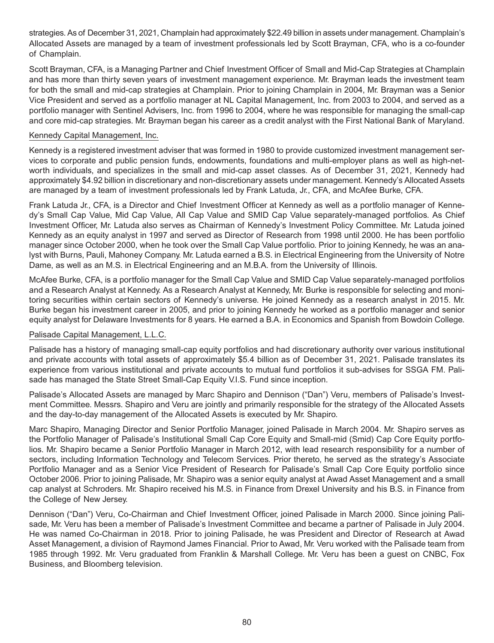strategies. As of December 31, 2021, Champlain had approximately \$22.49 billion in assets under management. Champlain's Allocated Assets are managed by a team of investment professionals led by Scott Brayman, CFA, who is a co-founder of Champlain.

Scott Brayman, CFA, is a Managing Partner and Chief Investment Officer of Small and Mid-Cap Strategies at Champlain and has more than thirty seven years of investment management experience. Mr. Brayman leads the investment team for both the small and mid-cap strategies at Champlain. Prior to joining Champlain in 2004, Mr. Brayman was a Senior Vice President and served as a portfolio manager at NL Capital Management, Inc. from 2003 to 2004, and served as a portfolio manager with Sentinel Advisers, Inc. from 1996 to 2004, where he was responsible for managing the small-cap and core mid-cap strategies. Mr. Brayman began his career as a credit analyst with the First National Bank of Maryland.

#### Kennedy Capital Management, Inc.

Kennedy is a registered investment adviser that was formed in 1980 to provide customized investment management services to corporate and public pension funds, endowments, foundations and multi-employer plans as well as high-networth individuals, and specializes in the small and mid-cap asset classes. As of December 31, 2021, Kennedy had approximately \$4.92 billion in discretionary and non-discretionary assets under management. Kennedy's Allocated Assets are managed by a team of investment professionals led by Frank Latuda, Jr., CFA, and McAfee Burke, CFA.

Frank Latuda Jr., CFA, is a Director and Chief Investment Officer at Kennedy as well as a portfolio manager of Kennedy's Small Cap Value, Mid Cap Value, All Cap Value and SMID Cap Value separately-managed portfolios. As Chief Investment Officer, Mr. Latuda also serves as Chairman of Kennedy's Investment Policy Committee. Mr. Latuda joined Kennedy as an equity analyst in 1997 and served as Director of Research from 1998 until 2000. He has been portfolio manager since October 2000, when he took over the Small Cap Value portfolio. Prior to joining Kennedy, he was an analyst with Burns, Pauli, Mahoney Company. Mr. Latuda earned a B.S. in Electrical Engineering from the University of Notre Dame, as well as an M.S. in Electrical Engineering and an M.B.A. from the University of Illinois.

McAfee Burke, CFA, is a portfolio manager for the Small Cap Value and SMID Cap Value separately-managed portfolios and a Research Analyst at Kennedy. As a Research Analyst at Kennedy, Mr. Burke is responsible for selecting and monitoring securities within certain sectors of Kennedy's universe. He joined Kennedy as a research analyst in 2015. Mr. Burke began his investment career in 2005, and prior to joining Kennedy he worked as a portfolio manager and senior equity analyst for Delaware Investments for 8 years. He earned a B.A. in Economics and Spanish from Bowdoin College.

#### Palisade Capital Management, L.L.C.

Palisade has a history of managing small-cap equity portfolios and had discretionary authority over various institutional and private accounts with total assets of approximately \$5.4 billion as of December 31, 2021. Palisade translates its experience from various institutional and private accounts to mutual fund portfolios it sub-advises for SSGA FM. Palisade has managed the State Street Small-Cap Equity V.I.S. Fund since inception.

Palisade's Allocated Assets are managed by Marc Shapiro and Dennison ("Dan") Veru, members of Palisade's Investment Committee. Messrs. Shapiro and Veru are jointly and primarily responsible for the strategy of the Allocated Assets and the day-to-day management of the Allocated Assets is executed by Mr. Shapiro.

Marc Shapiro, Managing Director and Senior Portfolio Manager, joined Palisade in March 2004. Mr. Shapiro serves as the Portfolio Manager of Palisade's Institutional Small Cap Core Equity and Small-mid (Smid) Cap Core Equity portfolios. Mr. Shapiro became a Senior Portfolio Manager in March 2012, with lead research responsibility for a number of sectors, including Information Technology and Telecom Services. Prior thereto, he served as the strategy's Associate Portfolio Manager and as a Senior Vice President of Research for Palisade's Small Cap Core Equity portfolio since October 2006. Prior to joining Palisade, Mr. Shapiro was a senior equity analyst at Awad Asset Management and a small cap analyst at Schroders. Mr. Shapiro received his M.S. in Finance from Drexel University and his B.S. in Finance from the College of New Jersey.

Dennison ("Dan") Veru, Co-Chairman and Chief Investment Officer, joined Palisade in March 2000. Since joining Palisade, Mr. Veru has been a member of Palisade's Investment Committee and became a partner of Palisade in July 2004. He was named Co-Chairman in 2018. Prior to joining Palisade, he was President and Director of Research at Awad Asset Management, a division of Raymond James Financial. Prior to Awad, Mr. Veru worked with the Palisade team from 1985 through 1992. Mr. Veru graduated from Franklin & Marshall College. Mr. Veru has been a guest on CNBC, Fox Business, and Bloomberg television.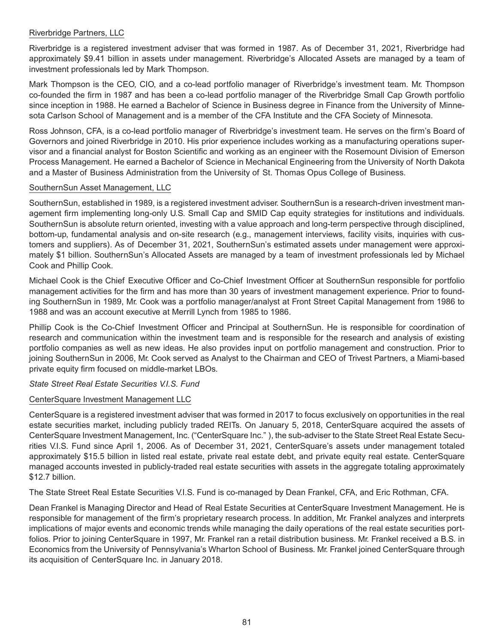#### Riverbridge Partners, LLC

Riverbridge is a registered investment adviser that was formed in 1987. As of December 31, 2021, Riverbridge had approximately \$9.41 billion in assets under management. Riverbridge's Allocated Assets are managed by a team of investment professionals led by Mark Thompson.

Mark Thompson is the CEO, CIO, and a co-lead portfolio manager of Riverbridge's investment team. Mr. Thompson co-founded the firm in 1987 and has been a co-lead portfolio manager of the Riverbridge Small Cap Growth portfolio since inception in 1988. He earned a Bachelor of Science in Business degree in Finance from the University of Minnesota Carlson School of Management and is a member of the CFA Institute and the CFA Society of Minnesota.

Ross Johnson, CFA, is a co-lead portfolio manager of Riverbridge's investment team. He serves on the firm's Board of Governors and joined Riverbridge in 2010. His prior experience includes working as a manufacturing operations supervisor and a financial analyst for Boston Scientific and working as an engineer with the Rosemount Division of Emerson Process Management. He earned a Bachelor of Science in Mechanical Engineering from the University of North Dakota and a Master of Business Administration from the University of St. Thomas Opus College of Business.

#### SouthernSun Asset Management, LLC

SouthernSun, established in 1989, is a registered investment adviser. SouthernSun is a research-driven investment management firm implementing long-only U.S. Small Cap and SMID Cap equity strategies for institutions and individuals. SouthernSun is absolute return oriented, investing with a value approach and long-term perspective through disciplined, bottom-up, fundamental analysis and on-site research (e.g., management interviews, facility visits, inquiries with customers and suppliers). As of December 31, 2021, SouthernSun's estimated assets under management were approximately \$1 billion. SouthernSun's Allocated Assets are managed by a team of investment professionals led by Michael Cook and Phillip Cook.

Michael Cook is the Chief Executive Officer and Co-Chief Investment Officer at SouthernSun responsible for portfolio management activities for the firm and has more than 30 years of investment management experience. Prior to founding SouthernSun in 1989, Mr. Cook was a portfolio manager/analyst at Front Street Capital Management from 1986 to 1988 and was an account executive at Merrill Lynch from 1985 to 1986.

Phillip Cook is the Co-Chief Investment Officer and Principal at SouthernSun. He is responsible for coordination of research and communication within the investment team and is responsible for the research and analysis of existing portfolio companies as well as new ideas. He also provides input on portfolio management and construction. Prior to joining SouthernSun in 2006, Mr. Cook served as Analyst to the Chairman and CEO of Trivest Partners, a Miami-based private equity firm focused on middle-market LBOs.

*State Street Real Estate Securities V.I.S. Fund*

#### CenterSquare Investment Management LLC

CenterSquare is a registered investment adviser that was formed in 2017 to focus exclusively on opportunities in the real estate securities market, including publicly traded REITs. On January 5, 2018, CenterSquare acquired the assets of CenterSquare Investment Management, Inc. ("CenterSquare Inc." ), the sub-adviser to the State Street Real Estate Securities V.I.S. Fund since April 1, 2006. As of December 31, 2021, CenterSquare's assets under management totaled approximately \$15.5 billion in listed real estate, private real estate debt, and private equity real estate. CenterSquare managed accounts invested in publicly-traded real estate securities with assets in the aggregate totaling approximately \$12.7 billion.

The State Street Real Estate Securities V.I.S. Fund is co-managed by Dean Frankel, CFA, and Eric Rothman, CFA.

Dean Frankel is Managing Director and Head of Real Estate Securities at CenterSquare Investment Management. He is responsible for management of the firm's proprietary research process. In addition, Mr. Frankel analyzes and interprets implications of major events and economic trends while managing the daily operations of the real estate securities portfolios. Prior to joining CenterSquare in 1997, Mr. Frankel ran a retail distribution business. Mr. Frankel received a B.S. in Economics from the University of Pennsylvania's Wharton School of Business. Mr. Frankel joined CenterSquare through its acquisition of CenterSquare Inc. in January 2018.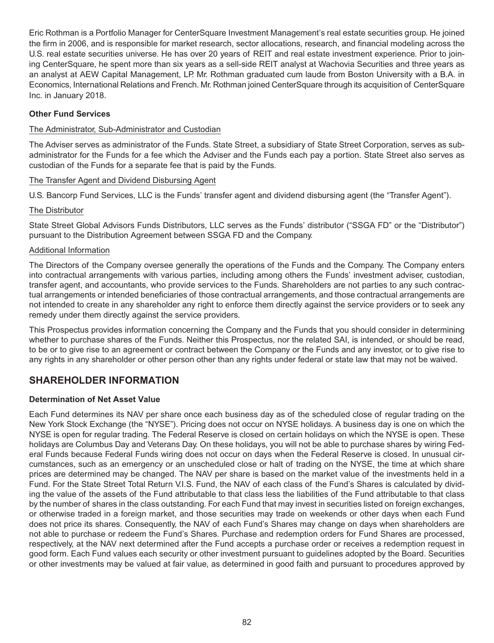Eric Rothman is a Portfolio Manager for CenterSquare Investment Management's real estate securities group. He joined the firm in 2006, and is responsible for market research, sector allocations, research, and financial modeling across the U.S. real estate securities universe. He has over 20 years of REIT and real estate investment experience. Prior to joining CenterSquare, he spent more than six years as a sell-side REIT analyst at Wachovia Securities and three years as an analyst at AEW Capital Management, LP. Mr. Rothman graduated cum laude from Boston University with a B.A. in Economics, International Relations and French. Mr. Rothman joined CenterSquare through its acquisition of CenterSquare Inc. in January 2018.

#### **Other Fund Services**

#### The Administrator, Sub-Administrator and Custodian

The Adviser serves as administrator of the Funds. State Street, a subsidiary of State Street Corporation, serves as subadministrator for the Funds for a fee which the Adviser and the Funds each pay a portion. State Street also serves as custodian of the Funds for a separate fee that is paid by the Funds.

#### The Transfer Agent and Dividend Disbursing Agent

U.S. Bancorp Fund Services, LLC is the Funds' transfer agent and dividend disbursing agent (the "Transfer Agent").

#### The Distributor

State Street Global Advisors Funds Distributors, LLC serves as the Funds' distributor ("SSGA FD" or the "Distributor") pursuant to the Distribution Agreement between SSGA FD and the Company.

#### Additional Information

The Directors of the Company oversee generally the operations of the Funds and the Company. The Company enters into contractual arrangements with various parties, including among others the Funds' investment adviser, custodian, transfer agent, and accountants, who provide services to the Funds. Shareholders are not parties to any such contractual arrangements or intended beneficiaries of those contractual arrangements, and those contractual arrangements are not intended to create in any shareholder any right to enforce them directly against the service providers or to seek any remedy under them directly against the service providers.

This Prospectus provides information concerning the Company and the Funds that you should consider in determining whether to purchase shares of the Funds. Neither this Prospectus, nor the related SAI, is intended, or should be read, to be or to give rise to an agreement or contract between the Company or the Funds and any investor, or to give rise to any rights in any shareholder or other person other than any rights under federal or state law that may not be waived.

### **SHAREHOLDER INFORMATION**

#### **Determination of Net Asset Value**

Each Fund determines its NAV per share once each business day as of the scheduled close of regular trading on the New York Stock Exchange (the "NYSE"). Pricing does not occur on NYSE holidays. A business day is one on which the NYSE is open for regular trading. The Federal Reserve is closed on certain holidays on which the NYSE is open. These holidays are Columbus Day and Veterans Day. On these holidays, you will not be able to purchase shares by wiring Federal Funds because Federal Funds wiring does not occur on days when the Federal Reserve is closed. In unusual circumstances, such as an emergency or an unscheduled close or halt of trading on the NYSE, the time at which share prices are determined may be changed. The NAV per share is based on the market value of the investments held in a Fund. For the State Street Total Return V.I.S. Fund, the NAV of each class of the Fund's Shares is calculated by dividing the value of the assets of the Fund attributable to that class less the liabilities of the Fund attributable to that class by the number of shares in the class outstanding. For each Fund that may invest in securities listed on foreign exchanges, or otherwise traded in a foreign market, and those securities may trade on weekends or other days when each Fund does not price its shares. Consequently, the NAV of each Fund's Shares may change on days when shareholders are not able to purchase or redeem the Fund's Shares. Purchase and redemption orders for Fund Shares are processed, respectively, at the NAV next determined after the Fund accepts a purchase order or receives a redemption request in good form. Each Fund values each security or other investment pursuant to guidelines adopted by the Board. Securities or other investments may be valued at fair value, as determined in good faith and pursuant to procedures approved by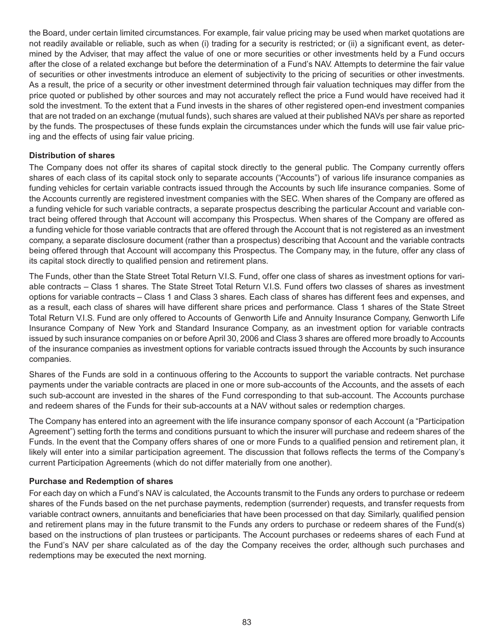the Board, under certain limited circumstances. For example, fair value pricing may be used when market quotations are not readily available or reliable, such as when (i) trading for a security is restricted; or (ii) a significant event, as determined by the Adviser, that may affect the value of one or more securities or other investments held by a Fund occurs after the close of a related exchange but before the determination of a Fund's NAV. Attempts to determine the fair value of securities or other investments introduce an element of subjectivity to the pricing of securities or other investments. As a result, the price of a security or other investment determined through fair valuation techniques may differ from the price quoted or published by other sources and may not accurately reflect the price a Fund would have received had it sold the investment. To the extent that a Fund invests in the shares of other registered open-end investment companies that are not traded on an exchange (mutual funds), such shares are valued at their published NAVs per share as reported by the funds. The prospectuses of these funds explain the circumstances under which the funds will use fair value pricing and the effects of using fair value pricing.

#### **Distribution of shares**

The Company does not offer its shares of capital stock directly to the general public. The Company currently offers shares of each class of its capital stock only to separate accounts ("Accounts") of various life insurance companies as funding vehicles for certain variable contracts issued through the Accounts by such life insurance companies. Some of the Accounts currently are registered investment companies with the SEC. When shares of the Company are offered as a funding vehicle for such variable contracts, a separate prospectus describing the particular Account and variable contract being offered through that Account will accompany this Prospectus. When shares of the Company are offered as a funding vehicle for those variable contracts that are offered through the Account that is not registered as an investment company, a separate disclosure document (rather than a prospectus) describing that Account and the variable contracts being offered through that Account will accompany this Prospectus. The Company may, in the future, offer any class of its capital stock directly to qualified pension and retirement plans.

The Funds, other than the State Street Total Return V.I.S. Fund, offer one class of shares as investment options for variable contracts – Class 1 shares. The State Street Total Return V.I.S. Fund offers two classes of shares as investment options for variable contracts – Class 1 and Class 3 shares. Each class of shares has different fees and expenses, and as a result, each class of shares will have different share prices and performance. Class 1 shares of the State Street Total Return V.I.S. Fund are only offered to Accounts of Genworth Life and Annuity Insurance Company, Genworth Life Insurance Company of New York and Standard Insurance Company, as an investment option for variable contracts issued by such insurance companies on or before April 30, 2006 and Class 3 shares are offered more broadly to Accounts of the insurance companies as investment options for variable contracts issued through the Accounts by such insurance companies.

Shares of the Funds are sold in a continuous offering to the Accounts to support the variable contracts. Net purchase payments under the variable contracts are placed in one or more sub-accounts of the Accounts, and the assets of each such sub-account are invested in the shares of the Fund corresponding to that sub-account. The Accounts purchase and redeem shares of the Funds for their sub-accounts at a NAV without sales or redemption charges.

The Company has entered into an agreement with the life insurance company sponsor of each Account (a "Participation Agreement") setting forth the terms and conditions pursuant to which the insurer will purchase and redeem shares of the Funds. In the event that the Company offers shares of one or more Funds to a qualified pension and retirement plan, it likely will enter into a similar participation agreement. The discussion that follows reflects the terms of the Company's current Participation Agreements (which do not differ materially from one another).

#### **Purchase and Redemption of shares**

For each day on which a Fund's NAV is calculated, the Accounts transmit to the Funds any orders to purchase or redeem shares of the Funds based on the net purchase payments, redemption (surrender) requests, and transfer requests from variable contract owners, annuitants and beneficiaries that have been processed on that day. Similarly, qualified pension and retirement plans may in the future transmit to the Funds any orders to purchase or redeem shares of the Fund(s) based on the instructions of plan trustees or participants. The Account purchases or redeems shares of each Fund at the Fund's NAV per share calculated as of the day the Company receives the order, although such purchases and redemptions may be executed the next morning.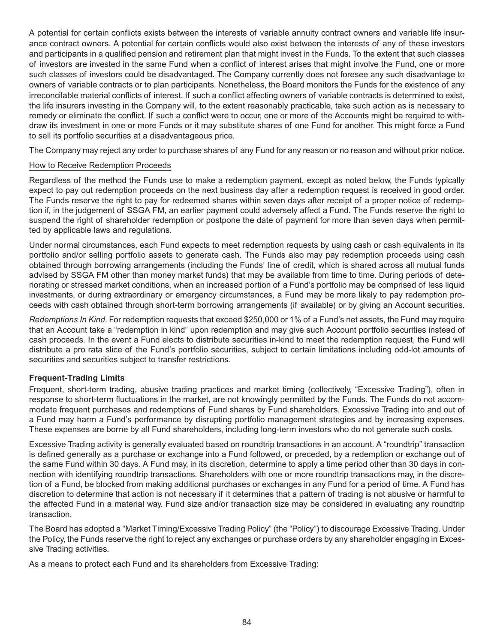A potential for certain conflicts exists between the interests of variable annuity contract owners and variable life insurance contract owners. A potential for certain conflicts would also exist between the interests of any of these investors and participants in a qualified pension and retirement plan that might invest in the Funds. To the extent that such classes of investors are invested in the same Fund when a conflict of interest arises that might involve the Fund, one or more such classes of investors could be disadvantaged. The Company currently does not foresee any such disadvantage to owners of variable contracts or to plan participants. Nonetheless, the Board monitors the Funds for the existence of any irreconcilable material conflicts of interest. If such a conflict affecting owners of variable contracts is determined to exist, the life insurers investing in the Company will, to the extent reasonably practicable, take such action as is necessary to remedy or eliminate the conflict. If such a conflict were to occur, one or more of the Accounts might be required to withdraw its investment in one or more Funds or it may substitute shares of one Fund for another. This might force a Fund to sell its portfolio securities at a disadvantageous price.

The Company may reject any order to purchase shares of any Fund for any reason or no reason and without prior notice.

#### How to Receive Redemption Proceeds

Regardless of the method the Funds use to make a redemption payment, except as noted below, the Funds typically expect to pay out redemption proceeds on the next business day after a redemption request is received in good order. The Funds reserve the right to pay for redeemed shares within seven days after receipt of a proper notice of redemption if, in the judgement of SSGA FM, an earlier payment could adversely affect a Fund. The Funds reserve the right to suspend the right of shareholder redemption or postpone the date of payment for more than seven days when permitted by applicable laws and regulations.

Under normal circumstances, each Fund expects to meet redemption requests by using cash or cash equivalents in its portfolio and/or selling portfolio assets to generate cash. The Funds also may pay redemption proceeds using cash obtained through borrowing arrangements (including the Funds' line of credit, which is shared across all mutual funds advised by SSGA FM other than money market funds) that may be available from time to time. During periods of deteriorating or stressed market conditions, when an increased portion of a Fund's portfolio may be comprised of less liquid investments, or during extraordinary or emergency circumstances, a Fund may be more likely to pay redemption proceeds with cash obtained through short-term borrowing arrangements (if available) or by giving an Account securities.

*Redemptions In Kind*. For redemption requests that exceed \$250,000 or 1% of a Fund's net assets, the Fund may require that an Account take a "redemption in kind" upon redemption and may give such Account portfolio securities instead of cash proceeds. In the event a Fund elects to distribute securities in-kind to meet the redemption request, the Fund will distribute a pro rata slice of the Fund's portfolio securities, subject to certain limitations including odd-lot amounts of securities and securities subject to transfer restrictions.

#### **Frequent-Trading Limits**

Frequent, short-term trading, abusive trading practices and market timing (collectively, "Excessive Trading"), often in response to short-term fluctuations in the market, are not knowingly permitted by the Funds. The Funds do not accommodate frequent purchases and redemptions of Fund shares by Fund shareholders. Excessive Trading into and out of a Fund may harm a Fund's performance by disrupting portfolio management strategies and by increasing expenses. These expenses are borne by all Fund shareholders, including long-term investors who do not generate such costs.

Excessive Trading activity is generally evaluated based on roundtrip transactions in an account. A "roundtrip" transaction is defined generally as a purchase or exchange into a Fund followed, or preceded, by a redemption or exchange out of the same Fund within 30 days. A Fund may, in its discretion, determine to apply a time period other than 30 days in connection with identifying roundtrip transactions. Shareholders with one or more roundtrip transactions may, in the discretion of a Fund, be blocked from making additional purchases or exchanges in any Fund for a period of time. A Fund has discretion to determine that action is not necessary if it determines that a pattern of trading is not abusive or harmful to the affected Fund in a material way. Fund size and/or transaction size may be considered in evaluating any roundtrip transaction.

The Board has adopted a "Market Timing/Excessive Trading Policy" (the "Policy") to discourage Excessive Trading. Under the Policy, the Funds reserve the right to reject any exchanges or purchase orders by any shareholder engaging in Excessive Trading activities.

As a means to protect each Fund and its shareholders from Excessive Trading: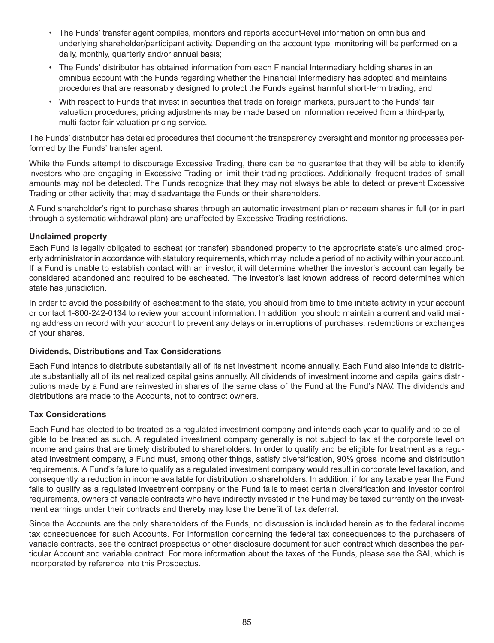- The Funds' transfer agent compiles, monitors and reports account-level information on omnibus and underlying shareholder/participant activity. Depending on the account type, monitoring will be performed on a daily, monthly, quarterly and/or annual basis;
- The Funds' distributor has obtained information from each Financial Intermediary holding shares in an omnibus account with the Funds regarding whether the Financial Intermediary has adopted and maintains procedures that are reasonably designed to protect the Funds against harmful short-term trading; and
- With respect to Funds that invest in securities that trade on foreign markets, pursuant to the Funds' fair valuation procedures, pricing adjustments may be made based on information received from a third-party, multi-factor fair valuation pricing service.

The Funds' distributor has detailed procedures that document the transparency oversight and monitoring processes performed by the Funds' transfer agent.

While the Funds attempt to discourage Excessive Trading, there can be no guarantee that they will be able to identify investors who are engaging in Excessive Trading or limit their trading practices. Additionally, frequent trades of small amounts may not be detected. The Funds recognize that they may not always be able to detect or prevent Excessive Trading or other activity that may disadvantage the Funds or their shareholders.

A Fund shareholder's right to purchase shares through an automatic investment plan or redeem shares in full (or in part through a systematic withdrawal plan) are unaffected by Excessive Trading restrictions.

#### **Unclaimed property**

Each Fund is legally obligated to escheat (or transfer) abandoned property to the appropriate state's unclaimed property administrator in accordance with statutory requirements, which may include a period of no activity within your account. If a Fund is unable to establish contact with an investor, it will determine whether the investor's account can legally be considered abandoned and required to be escheated. The investor's last known address of record determines which state has jurisdiction.

In order to avoid the possibility of escheatment to the state, you should from time to time initiate activity in your account or contact 1-800-242-0134 to review your account information. In addition, you should maintain a current and valid mailing address on record with your account to prevent any delays or interruptions of purchases, redemptions or exchanges of your shares.

#### **Dividends, Distributions and Tax Considerations**

Each Fund intends to distribute substantially all of its net investment income annually. Each Fund also intends to distribute substantially all of its net realized capital gains annually. All dividends of investment income and capital gains distributions made by a Fund are reinvested in shares of the same class of the Fund at the Fund's NAV. The dividends and distributions are made to the Accounts, not to contract owners.

#### **Tax Considerations**

Each Fund has elected to be treated as a regulated investment company and intends each year to qualify and to be eligible to be treated as such. A regulated investment company generally is not subject to tax at the corporate level on income and gains that are timely distributed to shareholders. In order to qualify and be eligible for treatment as a regulated investment company, a Fund must, among other things, satisfy diversification, 90% gross income and distribution requirements. A Fund's failure to qualify as a regulated investment company would result in corporate level taxation, and consequently, a reduction in income available for distribution to shareholders. In addition, if for any taxable year the Fund fails to qualify as a regulated investment company or the Fund fails to meet certain diversification and investor control requirements, owners of variable contracts who have indirectly invested in the Fund may be taxed currently on the investment earnings under their contracts and thereby may lose the benefit of tax deferral.

Since the Accounts are the only shareholders of the Funds, no discussion is included herein as to the federal income tax consequences for such Accounts. For information concerning the federal tax consequences to the purchasers of variable contracts, see the contract prospectus or other disclosure document for such contract which describes the particular Account and variable contract. For more information about the taxes of the Funds, please see the SAI, which is incorporated by reference into this Prospectus.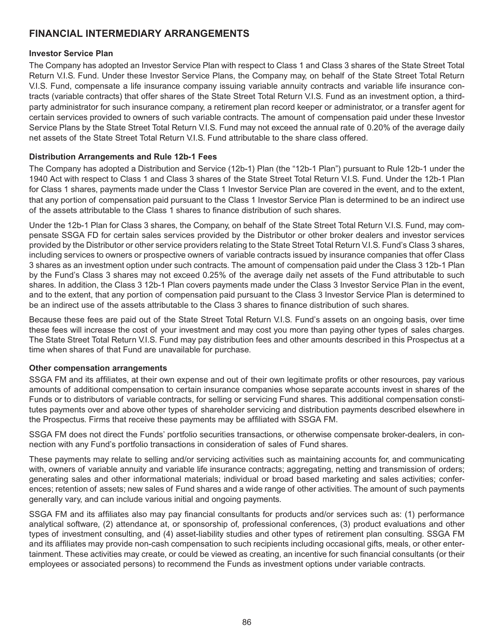### **FINANCIAL INTERMEDIARY ARRANGEMENTS**

#### **Investor Service Plan**

The Company has adopted an Investor Service Plan with respect to Class 1 and Class 3 shares of the State Street Total Return V.I.S. Fund. Under these Investor Service Plans, the Company may, on behalf of the State Street Total Return V.I.S. Fund, compensate a life insurance company issuing variable annuity contracts and variable life insurance contracts (variable contracts) that offer shares of the State Street Total Return V.I.S. Fund as an investment option, a thirdparty administrator for such insurance company, a retirement plan record keeper or administrator, or a transfer agent for certain services provided to owners of such variable contracts. The amount of compensation paid under these Investor Service Plans by the State Street Total Return V.I.S. Fund may not exceed the annual rate of 0.20% of the average daily net assets of the State Street Total Return V.I.S. Fund attributable to the share class offered.

#### **Distribution Arrangements and Rule 12b-1 Fees**

The Company has adopted a Distribution and Service (12b-1) Plan (the "12b-1 Plan") pursuant to Rule 12b-1 under the 1940 Act with respect to Class 1 and Class 3 shares of the State Street Total Return V.I.S. Fund. Under the 12b-1 Plan for Class 1 shares, payments made under the Class 1 Investor Service Plan are covered in the event, and to the extent, that any portion of compensation paid pursuant to the Class 1 Investor Service Plan is determined to be an indirect use of the assets attributable to the Class 1 shares to finance distribution of such shares.

Under the 12b-1 Plan for Class 3 shares, the Company, on behalf of the State Street Total Return V.I.S. Fund, may compensate SSGA FD for certain sales services provided by the Distributor or other broker dealers and investor services provided by the Distributor or other service providers relating to the State Street Total Return V.I.S. Fund's Class 3 shares, including services to owners or prospective owners of variable contracts issued by insurance companies that offer Class 3 shares as an investment option under such contracts. The amount of compensation paid under the Class 3 12b-1 Plan by the Fund's Class 3 shares may not exceed 0.25% of the average daily net assets of the Fund attributable to such shares. In addition, the Class 3 12b-1 Plan covers payments made under the Class 3 Investor Service Plan in the event, and to the extent, that any portion of compensation paid pursuant to the Class 3 Investor Service Plan is determined to be an indirect use of the assets attributable to the Class 3 shares to finance distribution of such shares.

Because these fees are paid out of the State Street Total Return V.I.S. Fund's assets on an ongoing basis, over time these fees will increase the cost of your investment and may cost you more than paying other types of sales charges. The State Street Total Return V.I.S. Fund may pay distribution fees and other amounts described in this Prospectus at a time when shares of that Fund are unavailable for purchase.

#### **Other compensation arrangements**

SSGA FM and its affiliates, at their own expense and out of their own legitimate profits or other resources, pay various amounts of additional compensation to certain insurance companies whose separate accounts invest in shares of the Funds or to distributors of variable contracts, for selling or servicing Fund shares. This additional compensation constitutes payments over and above other types of shareholder servicing and distribution payments described elsewhere in the Prospectus. Firms that receive these payments may be affiliated with SSGA FM.

SSGA FM does not direct the Funds' portfolio securities transactions, or otherwise compensate broker-dealers, in connection with any Fund's portfolio transactions in consideration of sales of Fund shares.

These payments may relate to selling and/or servicing activities such as maintaining accounts for, and communicating with, owners of variable annuity and variable life insurance contracts; aggregating, netting and transmission of orders; generating sales and other informational materials; individual or broad based marketing and sales activities; conferences; retention of assets; new sales of Fund shares and a wide range of other activities. The amount of such payments generally vary, and can include various initial and ongoing payments.

SSGA FM and its affiliates also may pay financial consultants for products and/or services such as: (1) performance analytical software, (2) attendance at, or sponsorship of, professional conferences, (3) product evaluations and other types of investment consulting, and (4) asset-liability studies and other types of retirement plan consulting. SSGA FM and its affiliates may provide non-cash compensation to such recipients including occasional gifts, meals, or other entertainment. These activities may create, or could be viewed as creating, an incentive for such financial consultants (or their employees or associated persons) to recommend the Funds as investment options under variable contracts.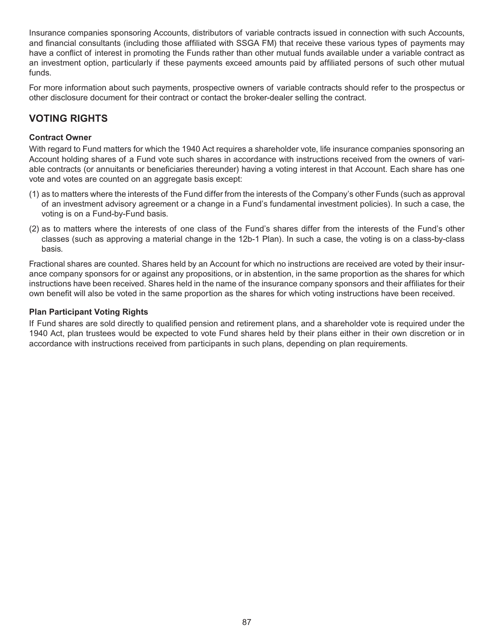Insurance companies sponsoring Accounts, distributors of variable contracts issued in connection with such Accounts, and financial consultants (including those affiliated with SSGA FM) that receive these various types of payments may have a conflict of interest in promoting the Funds rather than other mutual funds available under a variable contract as an investment option, particularly if these payments exceed amounts paid by affiliated persons of such other mutual funds.

For more information about such payments, prospective owners of variable contracts should refer to the prospectus or other disclosure document for their contract or contact the broker-dealer selling the contract.

### **VOTING RIGHTS**

#### **Contract Owner**

With regard to Fund matters for which the 1940 Act requires a shareholder vote, life insurance companies sponsoring an Account holding shares of a Fund vote such shares in accordance with instructions received from the owners of variable contracts (or annuitants or beneficiaries thereunder) having a voting interest in that Account. Each share has one vote and votes are counted on an aggregate basis except:

- (1) as to matters where the interests of the Fund differ from the interests of the Company's other Funds (such as approval of an investment advisory agreement or a change in a Fund's fundamental investment policies). In such a case, the voting is on a Fund-by-Fund basis.
- (2) as to matters where the interests of one class of the Fund's shares differ from the interests of the Fund's other classes (such as approving a material change in the 12b-1 Plan). In such a case, the voting is on a class-by-class basis.

Fractional shares are counted. Shares held by an Account for which no instructions are received are voted by their insurance company sponsors for or against any propositions, or in abstention, in the same proportion as the shares for which instructions have been received. Shares held in the name of the insurance company sponsors and their affiliates for their own benefit will also be voted in the same proportion as the shares for which voting instructions have been received.

#### **Plan Participant Voting Rights**

If Fund shares are sold directly to qualified pension and retirement plans, and a shareholder vote is required under the 1940 Act, plan trustees would be expected to vote Fund shares held by their plans either in their own discretion or in accordance with instructions received from participants in such plans, depending on plan requirements.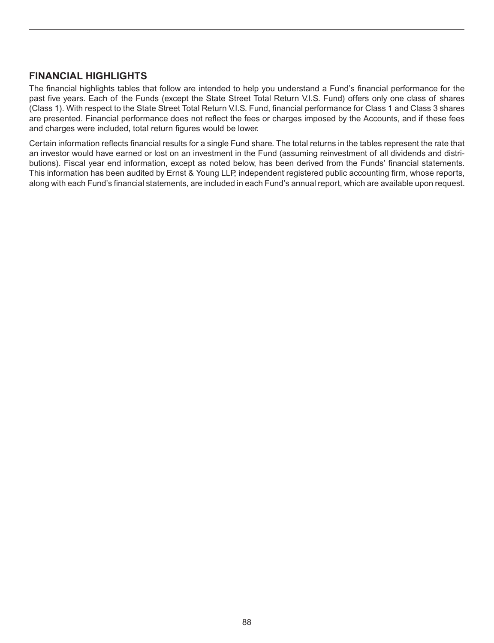### **FINANCIAL HIGHLIGHTS**

The financial highlights tables that follow are intended to help you understand a Fund's financial performance for the past five years. Each of the Funds (except the State Street Total Return V.I.S. Fund) offers only one class of shares (Class 1). With respect to the State Street Total Return V.I.S. Fund, financial performance for Class 1 and Class 3 shares are presented. Financial performance does not reflect the fees or charges imposed by the Accounts, and if these fees and charges were included, total return figures would be lower.

Certain information reflects financial results for a single Fund share. The total returns in the tables represent the rate that an investor would have earned or lost on an investment in the Fund (assuming reinvestment of all dividends and distributions). Fiscal year end information, except as noted below, has been derived from the Funds' financial statements. This information has been audited by Ernst & Young LLP, independent registered public accounting firm, whose reports, along with each Fund's financial statements, are included in each Fund's annual report, which are available upon request.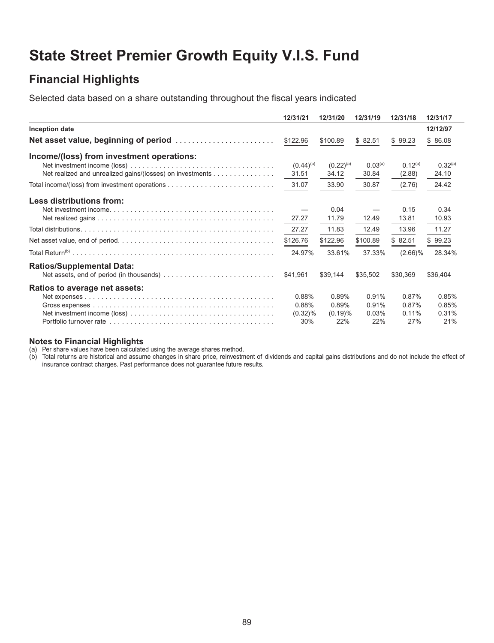# **State Street Premier Growth Equity V.I.S. Fund**

## **Financial Highlights**

Selected data based on a share outstanding throughout the fiscal years indicated

|                                                                                         | 12/31/21       | 12/31/20       | 12/31/19            | 12/31/18     | 12/31/17            |
|-----------------------------------------------------------------------------------------|----------------|----------------|---------------------|--------------|---------------------|
| Inception date                                                                          |                |                |                     |              | 12/12/97            |
| Net asset value, beginning of period $\ldots \ldots \ldots \ldots \ldots \ldots \ldots$ | \$122.96       | \$100.89       | \$82.51             | \$99.23      | \$86.08             |
| Income/(loss) from investment operations:                                               | $(0.44)^{(a)}$ | $(0.22)^{(a)}$ | 0.03 <sup>(a)</sup> | $0.12^{(a)}$ | 0.32 <sup>(a)</sup> |
| Net realized and unrealized gains/(losses) on investments                               | 31.51          | 34.12          | 30.84               | (2.88)       | 24.10               |
|                                                                                         | 31.07          | 33.90          | 30.87               | (2.76)       | 24.42               |
| Less distributions from:                                                                |                |                |                     |              |                     |
|                                                                                         |                | 0.04           |                     | 0.15         | 0.34                |
|                                                                                         | 27.27          | 11.79          | 12.49               | 13.81        | 10.93               |
|                                                                                         | 27.27          | 11.83          | 12.49               | 13.96        | 11.27               |
|                                                                                         | \$126.76       | \$122.96       | \$100.89            | \$82.51      | \$99.23             |
|                                                                                         | 24.97%         | 33.61%         | 37.33%              | $(2.66)\%$   | 28.34%              |
| <b>Ratios/Supplemental Data:</b>                                                        |                |                |                     |              |                     |
|                                                                                         | \$41.961       | \$39,144       | \$35,502            | \$30,369     | \$36,404            |
| Ratios to average net assets:                                                           |                |                |                     |              |                     |
|                                                                                         | 0.88%          | 0.89%          | 0.91%               | 0.87%        | 0.85%               |
|                                                                                         | 0.88%          | 0.89%          | 0.91%               | 0.87%        | 0.85%               |
|                                                                                         | $(0.32)\%$     | (0.19)%        | 0.03%               | 0.11%        | 0.31%               |
|                                                                                         | 30%            | 22%            | 22%                 | 27%          | 21%                 |

#### **Notes to Financial Highlights**

(a) Per share values have been calculated using the average shares method.

(b) Total returns are historical and assume changes in share price, reinvestment of dividends and capital gains distributions and do not include the effect of insurance contract charges. Past performance does not guarantee future results.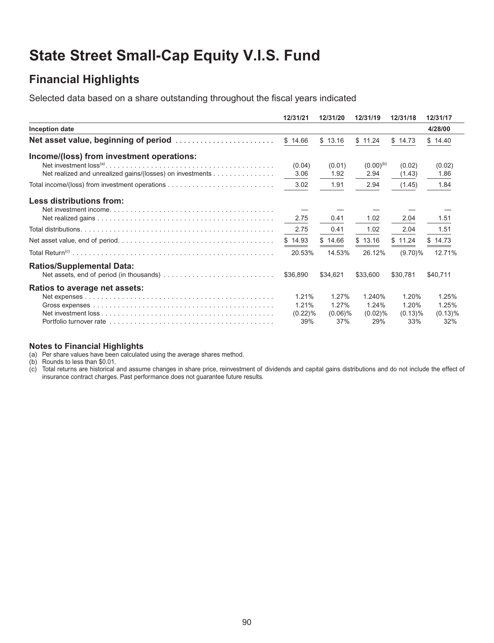# **State Street Small-Cap Equity V.I.S. Fund**

### **Financial Highlights**

Selected data based on a share outstanding throughout the fiscal years indicated

|                                                                                         | 12/31/21   | 12/31/20   | 12/31/19       | 12/31/18   | 12/31/17   |
|-----------------------------------------------------------------------------------------|------------|------------|----------------|------------|------------|
| Inception date                                                                          |            |            |                |            | 4/28/00    |
| Net asset value, beginning of period $\ldots \ldots \ldots \ldots \ldots \ldots \ldots$ | \$14.66    | \$13.16    | \$11.24        | \$14.73    | \$14.40    |
| Income/(loss) from investment operations:                                               | (0.04)     | (0.01)     | $(0.00)^{(b)}$ | (0.02)     | (0.02)     |
| Net realized and unrealized gains/(losses) on investments                               | 3.06       | 1.92       | 2.94           | (1.43)     | 1.86       |
|                                                                                         | 3.02       | 1.91       | 2.94           | (1.45)     | 1.84       |
| Less distributions from:                                                                |            |            |                |            |            |
|                                                                                         | 2.75       | 0.41       | 1.02           | 2.04       | 1.51       |
|                                                                                         | 2.75       | 0.41       | 1.02           | 2.04       | 1.51       |
|                                                                                         | \$14.93    | \$14.66    | \$13.16        | \$11.24    | \$14.73    |
|                                                                                         | 20.53%     | 14.53%     | 26.12%         | $(9.70)\%$ | 12.71%     |
| <b>Ratios/Supplemental Data:</b>                                                        | \$36,890   | \$34,621   | \$33,600       | \$30,781   | \$40,711   |
| Ratios to average net assets:                                                           |            |            |                |            |            |
|                                                                                         | 1.21%      | 1.27%      | 1.240%         | 1.20%      | 1.25%      |
|                                                                                         | 1.21%      | 1.27%      | 1.24%          | 1.20%      | 1.25%      |
|                                                                                         | $(0.22)\%$ | $(0.06)\%$ | $(0.02)\%$     | $(0.13)\%$ | $(0.13)\%$ |
|                                                                                         | 39%        | 37%        | 29%            | 33%        | 32%        |

#### **Notes to Financial Highlights**

(a) Per share values have been calculated using the average shares method.

(b) Rounds to less than \$0.01.

 $(c)$  Total returns are historical and assume changes in share price, reinvestment of dividends and capital gains distributions and do not include the effect of insurance contract charges. Past performance does not guarantee future results.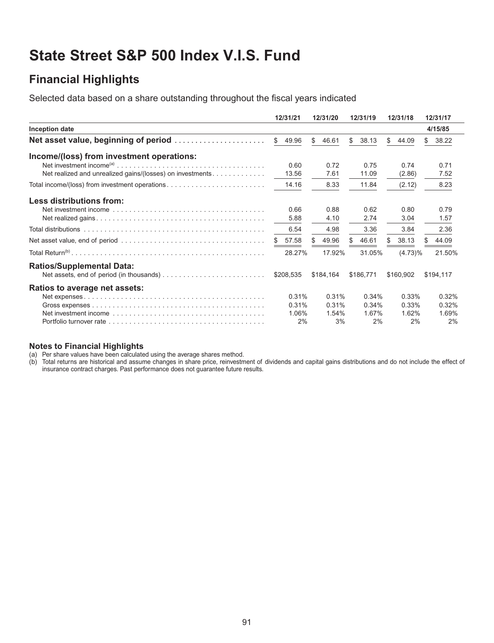# **State Street S&P 500 Index V.I.S. Fund**

## **Financial Highlights**

Selected data based on a share outstanding throughout the fiscal years indicated

|                                                                                                                                                                                                                                | 12/31/21              | 12/31/20     | 12/31/19    | 12/31/18    | 12/31/17    |
|--------------------------------------------------------------------------------------------------------------------------------------------------------------------------------------------------------------------------------|-----------------------|--------------|-------------|-------------|-------------|
| Inception date                                                                                                                                                                                                                 |                       |              |             |             | 4/15/85     |
| Net asset value, beginning of period                                                                                                                                                                                           | $\mathbb{S}$<br>49.96 | \$<br>46.61  | \$<br>38.13 | S.<br>44.09 | 38.22<br>\$ |
| Income/(loss) from investment operations:                                                                                                                                                                                      |                       |              |             |             |             |
|                                                                                                                                                                                                                                | 0.60                  | 0.72         | 0.75        | 0.74        | 0.71        |
| Net realized and unrealized gains/(losses) on investments                                                                                                                                                                      | 13.56                 | 7.61         | 11.09       | (2.86)      | 7.52        |
| Total income/(loss) from investment operations                                                                                                                                                                                 | 14.16                 | 8.33         | 11.84       | (2.12)      | 8.23        |
| Less distributions from:                                                                                                                                                                                                       |                       |              |             |             |             |
|                                                                                                                                                                                                                                | 0.66                  | 0.88         | 0.62        | 0.80        | 0.79        |
|                                                                                                                                                                                                                                | 5.88                  | 4.10         | 2.74        | 3.04        | 1.57        |
|                                                                                                                                                                                                                                | 6.54                  | 4.98         | 3.36        | 3.84        | 2.36        |
|                                                                                                                                                                                                                                | 57.58<br>\$           | \$.<br>49.96 | 46.61<br>S  | 38.13<br>S. | 44.09       |
|                                                                                                                                                                                                                                | 28.27%                | 17.92%       | 31.05%      | $(4.73)\%$  | 21.50%      |
| <b>Ratios/Supplemental Data:</b>                                                                                                                                                                                               |                       |              |             |             |             |
|                                                                                                                                                                                                                                | \$208.535             | \$184,164    | \$186.771   | \$160,902   | \$194,117   |
| Ratios to average net assets:                                                                                                                                                                                                  |                       |              |             |             |             |
|                                                                                                                                                                                                                                | 0.31%                 | 0.31%        | 0.34%       | 0.33%       | 0.32%       |
|                                                                                                                                                                                                                                | 0.31%                 | 0.31%        | 0.34%       | 0.33%       | 0.32%       |
| Net investment income enterpress or accessory contained to the contact the service of the Network of the Service of the Service of the Service of the Service of the Service of the Service of the Service of the Service of t | 1.06%                 | 1.54%        | 1.67%       | 1.62%       | 1.69%       |
|                                                                                                                                                                                                                                | 2%                    | 3%           | 2%          | 2%          | 2%          |

#### **Notes to Financial Highlights**

(a) Per share values have been calculated using the average shares method.

(b) Total returns are historical and assume changes in share price, reinvestment of dividends and capital gains distributions and do not include the effect of insurance contract charges. Past performance does not guarantee future results.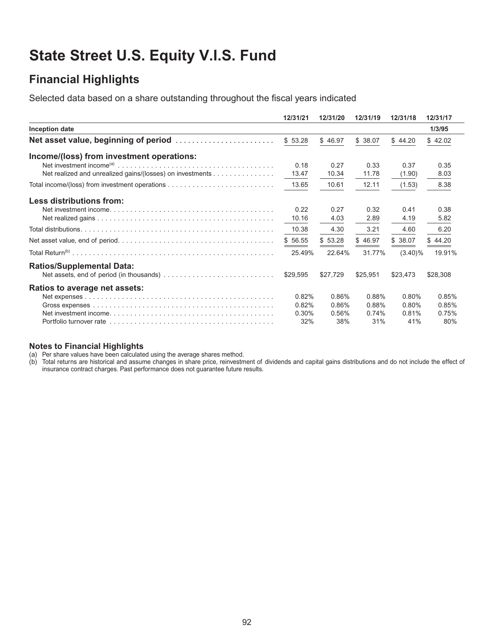# **State Street U.S. Equity V.I.S. Fund**

## **Financial Highlights**

Selected data based on a share outstanding throughout the fiscal years indicated

|                                                           | 12/31/21      | 12/31/20      | 12/31/19      | 12/31/18       | 12/31/17     |
|-----------------------------------------------------------|---------------|---------------|---------------|----------------|--------------|
| Inception date                                            |               |               |               |                | 1/3/95       |
| Net asset value, beginning of period                      | \$53.28       | \$46.97       | \$38.07       | \$44.20        | \$42.02      |
| Income/(loss) from investment operations:                 |               |               |               |                |              |
| Net realized and unrealized gains/(losses) on investments | 0.18<br>13.47 | 0.27<br>10.34 | 0.33<br>11.78 | 0.37<br>(1.90) | 0.35<br>8.03 |
|                                                           | 13.65         | 10.61         | 12.11         | (1.53)         | 8.38         |
| Less distributions from:                                  |               |               |               |                |              |
|                                                           | 0.22<br>10.16 | 0.27<br>4.03  | 0.32<br>2.89  | 0.41<br>4.19   | 0.38<br>5.82 |
|                                                           | 10.38         | 4.30          | 3.21          | 4.60           | 6.20         |
|                                                           | \$56.55       | \$53.28       | \$46.97       | \$38.07        | \$44.20      |
|                                                           | 25.49%        | 22.64%        | 31.77%        | $(3.40)\%$     | 19.91%       |
| <b>Ratios/Supplemental Data:</b>                          |               |               |               |                |              |
|                                                           | \$29,595      | \$27,729      | \$25.951      | \$23,473       | \$28,308     |
| Ratios to average net assets:                             |               |               |               |                |              |
|                                                           | 0.82%         | 0.86%         | 0.88%         | 0.80%          | 0.85%        |
|                                                           | 0.82%         | 0.86%         | 0.88%         | 0.80%          | 0.85%        |
|                                                           | 0.30%<br>32%  | 0.56%<br>38%  | 0.74%<br>31%  | 0.81%<br>41%   | 0.75%<br>80% |
|                                                           |               |               |               |                |              |

#### **Notes to Financial Highlights**

(a) Per share values have been calculated using the average shares method.

(b) Total returns are historical and assume changes in share price, reinvestment of dividends and capital gains distributions and do not include the effect of insurance contract charges. Past performance does not guarantee future results.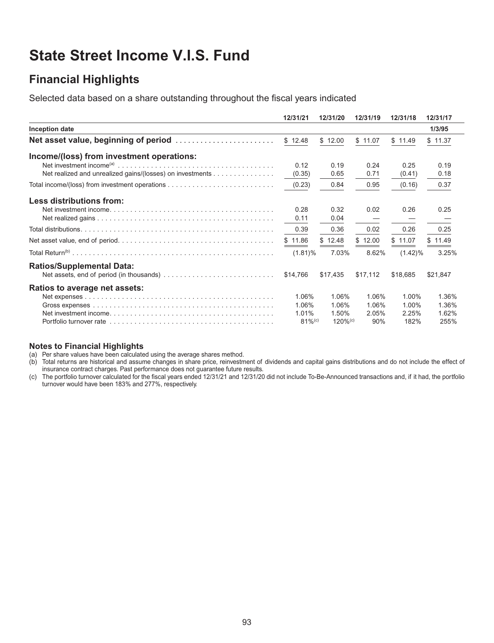## **State Street Income V.I.S. Fund**

## **Financial Highlights**

Selected data based on a share outstanding throughout the fiscal years indicated

|                                                                                  | 12/31/21             | 12/31/20               | 12/31/19     | 12/31/18       | 12/31/17     |
|----------------------------------------------------------------------------------|----------------------|------------------------|--------------|----------------|--------------|
| Inception date                                                                   |                      |                        |              |                | 1/3/95       |
| Net asset value, beginning of period $\ldots \ldots \ldots \ldots \ldots \ldots$ | \$12.48              | \$12.00                | \$11.07      | \$11.49        | \$11.37      |
| Income/(loss) from investment operations:                                        |                      |                        |              |                |              |
| Net realized and unrealized gains/(losses) on investments                        | 0.12<br>(0.35)       | 0.19<br>0.65           | 0.24<br>0.71 | 0.25<br>(0.41) | 0.19<br>0.18 |
|                                                                                  | (0.23)               | 0.84                   | 0.95         | (0.16)         | 0.37         |
| Less distributions from:                                                         |                      |                        |              |                |              |
|                                                                                  | 0.28                 | 0.32                   | 0.02         | 0.26           | 0.25         |
|                                                                                  | 0.11                 | 0.04                   |              |                |              |
|                                                                                  | 0.39                 | 0.36                   | 0.02         | 0.26           | 0.25         |
|                                                                                  | \$11.86              | \$12.48                | \$12.00      | \$11.07        | \$11.49      |
|                                                                                  | $(1.81)\%$           | 7.03%                  | 8.62%        | $(1.42)\%$     | 3.25%        |
| <b>Ratios/Supplemental Data:</b>                                                 |                      |                        |              |                |              |
|                                                                                  | \$14.766             | \$17,435               | \$17,112     | \$18,685       | \$21,847     |
| Ratios to average net assets:                                                    |                      |                        |              |                |              |
|                                                                                  | 1.06%                | 1.06%                  | 1.06%        | 1.00%          | 1.36%        |
|                                                                                  | 1.06%                | 1.06%                  | 1.06%        | 1.00%          | 1.36%        |
|                                                                                  | 1.01%                | 1.50%                  | 2.05%        | 2.25%          | 1.62%        |
|                                                                                  | $81%$ <sup>(c)</sup> | $120\%$ <sup>(c)</sup> | 90%          | 182%           | 255%         |

#### **Notes to Financial Highlights**

(a) Per share values have been calculated using the average shares method.

(b) Total returns are historical and assume changes in share price, reinvestment of dividends and capital gains distributions and do not include the effect of insurance contract charges. Past performance does not guarantee future results.

(c) The portfolio turnover calculated for the fiscal years ended 12/31/21 and 12/31/20 did not include To-Be-Announced transactions and, if it had, the portfolio turnover would have been 183% and 277%, respectively.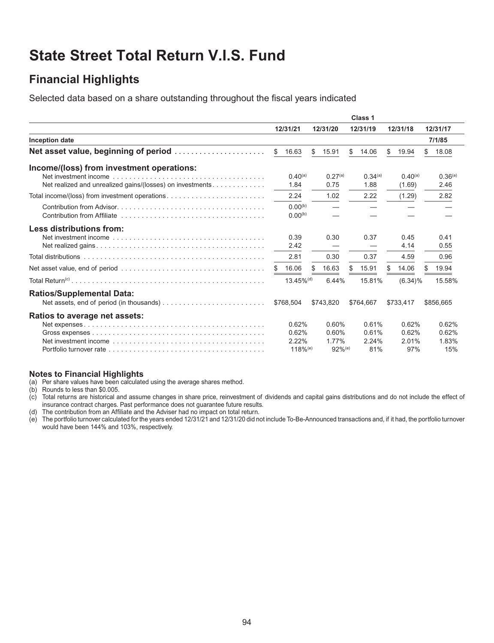# **State Street Total Return V.I.S. Fund**

## **Financial Highlights**

Selected data based on a share outstanding throughout the fiscal years indicated

|                                                                                                                                                                                                                                                           | Class 1 |                              |    |                      |    |                             |     |                        |     |                             |
|-----------------------------------------------------------------------------------------------------------------------------------------------------------------------------------------------------------------------------------------------------------|---------|------------------------------|----|----------------------|----|-----------------------------|-----|------------------------|-----|-----------------------------|
|                                                                                                                                                                                                                                                           |         | 12/31/21                     |    | 12/31/20             |    | 12/31/19                    |     | 12/31/18               |     | 12/31/17                    |
| Inception date                                                                                                                                                                                                                                            |         |                              |    |                      |    |                             |     |                        |     | 7/1/85                      |
|                                                                                                                                                                                                                                                           |         | \$16.63                      | S. | 15.91                | \$ | 14.06                       | \$. | 19.94                  | \$. | 18.08                       |
| Income/(loss) from investment operations:                                                                                                                                                                                                                 |         |                              |    |                      |    |                             |     |                        |     |                             |
| Net realized and unrealized gains/(losses) on investments                                                                                                                                                                                                 |         | $0.40^{(a)}$<br>1.84         |    | $0.27^{(a)}$<br>0.75 |    | 0.34 <sup>(a)</sup><br>1.88 |     | $0.40^{(a)}$<br>(1.69) |     | 0.36 <sup>(a)</sup><br>2.46 |
|                                                                                                                                                                                                                                                           |         | 2.24                         |    | 1.02                 |    | 2.22                        |     | (1.29)                 |     | 2.82                        |
|                                                                                                                                                                                                                                                           |         | $0.00^{(b)}$<br>$0.00^{(b)}$ |    |                      |    |                             |     |                        |     |                             |
| Less distributions from:<br>Net investment income enterprise in the contract of the international contract of the set of the set of the set of the set of the set of the set of the set of the set of the set of the set of the set of the set of the set |         | 0.39<br>2.42                 |    | 0.30                 |    | 0.37                        |     | 0.45<br>4.14           |     | 0.41<br>0.55                |
|                                                                                                                                                                                                                                                           |         | 2.81                         |    | 0.30                 |    | 0.37                        |     | 4.59                   |     | 0.96                        |
|                                                                                                                                                                                                                                                           | \$.     | 16.06                        | \$ | 16.63                | \$ | 15.91                       |     | 14.06                  |     | 19.94                       |
|                                                                                                                                                                                                                                                           |         | $13.45\%$ <sup>(d)</sup>     |    | 6.44%                |    | 15.81%                      |     | $(6.34)\%$             |     | 15.58%                      |
| <b>Ratios/Supplemental Data:</b>                                                                                                                                                                                                                          |         | \$768,504                    |    | \$743.820            |    | \$764.667                   |     | \$733,417              |     | \$856,665                   |
| Ratios to average net assets:                                                                                                                                                                                                                             |         |                              |    |                      |    |                             |     |                        |     |                             |
|                                                                                                                                                                                                                                                           |         | 0.62%                        |    | $0.60\%$             |    | 0.61%                       |     | 0.62%                  |     | 0.62%                       |
|                                                                                                                                                                                                                                                           |         | 0.62%                        |    | 0.60%                |    | 0.61%                       |     | 0.62%                  |     | 0.62%                       |
|                                                                                                                                                                                                                                                           |         | 2.22%                        |    | 1.77%                |    | 2.24%                       |     | 2.01%                  |     | 1.83%                       |
|                                                                                                                                                                                                                                                           |         | $118%$ <sup>(e)</sup>        |    | $92%$ <sup>(e)</sup> |    | 81%                         |     | 97%                    |     | 15%                         |

#### **Notes to Financial Highlights**

(a) Per share values have been calculated using the average shares method.

(b) Rounds to less than \$0.005.

(c) Total returns are historical and assume changes in share price, reinvestment of dividends and capital gains distributions and do not include the effect of insurance contract charges. Past performance does not guarantee future results.

(d) The contribution from an Affiliate and the Adviser had no impact on total return.

(e) The portfolio turnover calculated for the years ended 12/31/21 and 12/31/20 did not include To-Be-Announced transactions and, if it had, the portfolio turnover would have been 144% and 103%, respectively.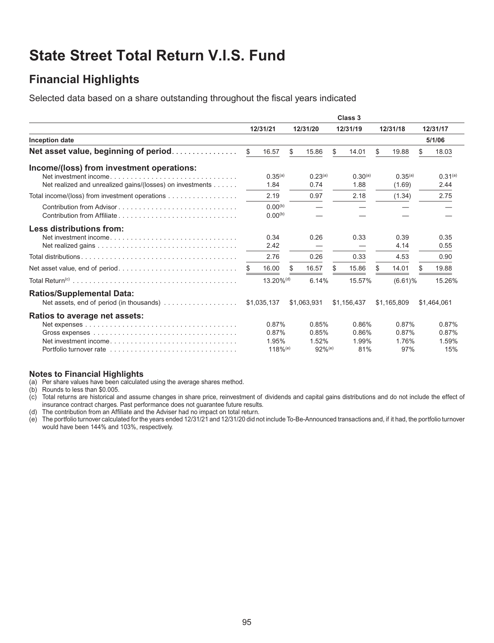# **State Street Total Return V.I.S. Fund**

## **Financial Highlights**

Selected data based on a share outstanding throughout the fiscal years indicated

|                                                           | Class 3  |                       |    |                      |     |              |    |              |    |              |  |
|-----------------------------------------------------------|----------|-----------------------|----|----------------------|-----|--------------|----|--------------|----|--------------|--|
|                                                           | 12/31/21 |                       |    | 12/31/20             |     | 12/31/19     |    | 12/31/18     |    | 12/31/17     |  |
| <b>Inception date</b>                                     |          |                       |    |                      |     |              |    |              |    | 5/1/06       |  |
| Net asset value, beginning of period                      | \$       | 16.57                 | \$ | 15.86                | \$  | 14.01        | \$ | 19.88        | \$ | 18.03        |  |
| Income/(loss) from investment operations:                 |          |                       |    |                      |     |              |    |              |    |              |  |
|                                                           |          | $0.35^{(a)}$          |    | 0.23 <sup>(a)</sup>  |     | $0.30^{(a)}$ |    | $0.35^{(a)}$ |    | $0.31^{(a)}$ |  |
| Net realized and unrealized gains/(losses) on investments |          | 1.84                  |    | 0.74                 |     | 1.88         |    | (1.69)       |    | 2.44         |  |
| Total income/(loss) from investment operations            |          | 2.19                  |    | 0.97                 |     | 2.18         |    | (1.34)       |    | 2.75         |  |
| Contribution from Advisor                                 |          | $0.00^{(b)}$          |    |                      |     |              |    |              |    |              |  |
|                                                           |          | $0.00^{(b)}$          |    |                      |     |              |    |              |    |              |  |
| <b>Less distributions from:</b>                           |          |                       |    |                      |     |              |    |              |    |              |  |
|                                                           |          | 0.34                  |    | 0.26                 |     | 0.33         |    | 0.39         |    | 0.35         |  |
|                                                           |          | 2.42                  |    |                      |     |              |    | 4.14         |    | 0.55         |  |
|                                                           |          | 2.76                  |    | 0.26                 |     | 0.33         |    | 4.53         |    | 0.90         |  |
| Net asset value, end of period                            |          | 16.00                 | \$ | 16.57                | \$. | 15.86        |    | 14.01        | S  | 19.88        |  |
|                                                           |          | 13.20% <sup>(d)</sup> |    | 6.14%                |     | 15.57%       |    | $(6.61)\%$   |    | 15.26%       |  |
| <b>Ratios/Supplemental Data:</b>                          |          |                       |    |                      |     |              |    |              |    |              |  |
|                                                           |          | \$1,035,137           |    | \$1,063,931          |     | \$1,156,437  |    | \$1,165,809  |    | \$1,464,061  |  |
| Ratios to average net assets:                             |          |                       |    |                      |     |              |    |              |    |              |  |
|                                                           |          | 0.87%                 |    | 0.85%                |     | 0.86%        |    | 0.87%        |    | 0.87%        |  |
|                                                           |          | 0.87%                 |    | 0.85%                |     | 0.86%        |    | 0.87%        |    | 0.87%        |  |
|                                                           |          | 1.95%                 |    | 1.52%                |     | 1.99%        |    | 1.76%        |    | 1.59%        |  |
|                                                           |          | $118%$ <sup>(e)</sup> |    | $92%$ <sup>(e)</sup> |     | 81%          |    | 97%          |    | 15%          |  |

#### **Notes to Financial Highlights**

(a) Per share values have been calculated using the average shares method.

(b) Rounds to less than \$0.005.

(c) Total returns are historical and assume changes in share price, reinvestment of dividends and capital gains distributions and do not include the effect of insurance contract charges. Past performance does not guarantee future results.

(d) The contribution from an Affiliate and the Adviser had no impact on total return.

(e) The portfolio turnover calculated for the years ended 12/31/21 and 12/31/20 did not include To-Be-Announced transactions and, if it had, the portfolio turnover would have been 144% and 103%, respectively.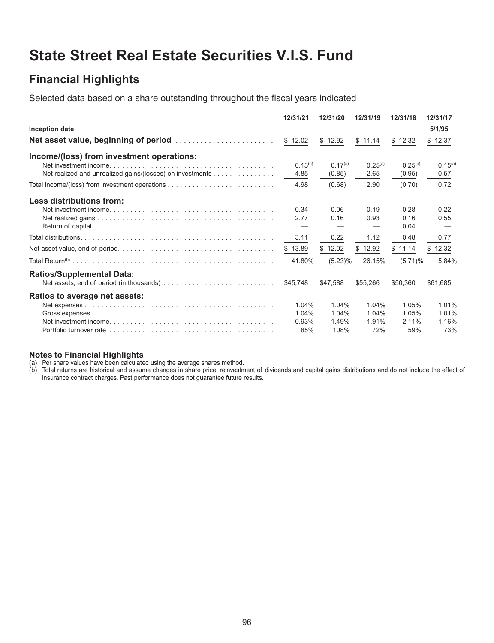## **State Street Real Estate Securities V.I.S. Fund**

## **Financial Highlights**

Selected data based on a share outstanding throughout the fiscal years indicated

|                                                           | 12/31/21     | 12/31/20     | 12/31/19     | 12/31/18     | 12/31/17     |
|-----------------------------------------------------------|--------------|--------------|--------------|--------------|--------------|
| Inception date                                            |              |              |              |              | 5/1/95       |
|                                                           | \$12.02      | \$12.92      | \$11.14      | \$12.32      | \$12.37      |
| Income/(loss) from investment operations:                 |              |              |              |              |              |
|                                                           | $0.13^{(a)}$ | $0.17^{(a)}$ | $0.25^{(a)}$ | $0.25^{(a)}$ | $0.15^{(a)}$ |
| Net realized and unrealized gains/(losses) on investments | 4.85         | (0.85)       | 2.65         | (0.95)       | 0.57         |
|                                                           | 4.98         | (0.68)       | 2.90         | (0.70)       | 0.72         |
| Less distributions from:                                  |              |              |              |              |              |
|                                                           | 0.34         | 0.06         | 0.19         | 0.28         | 0.22         |
|                                                           | 2.77         | 0.16         | 0.93         | 0.16         | 0.55         |
|                                                           |              |              |              | 0.04         |              |
|                                                           | 3.11         | 0.22         | 1.12         | 0.48         | 0.77         |
|                                                           | \$13.89      | \$12.02      | \$12.92      | \$11.14      | \$12.32      |
|                                                           | 41.80%       | $(5.23)\%$   | 26.15%       | $(5.71)\%$   | 5.84%        |
| <b>Ratios/Supplemental Data:</b>                          |              |              |              |              |              |
|                                                           | \$45.748     | \$47.588     | \$55,266     | \$50,360     | \$61,685     |
| <b>Ratios to average net assets:</b>                      |              |              |              |              |              |
|                                                           | 1.04%        | 1.04%        | 1.04%        | 1.05%        | 1.01%        |
|                                                           | 1.04%        | 1.04%        | 1.04%        | 1.05%        | 1.01%        |
|                                                           | 0.93%        | 1.49%        | 1.91%        | $2.11\%$     | 1.16%        |
|                                                           | 85%          | 108%         | 72%          | 59%          | 73%          |

#### **Notes to Financial Highlights**

(a) Per share values have been calculated using the average shares method.

(b) Total returns are historical and assume changes in share price, reinvestment of dividends and capital gains distributions and do not include the effect of insurance contract charges. Past performance does not guarantee future results.